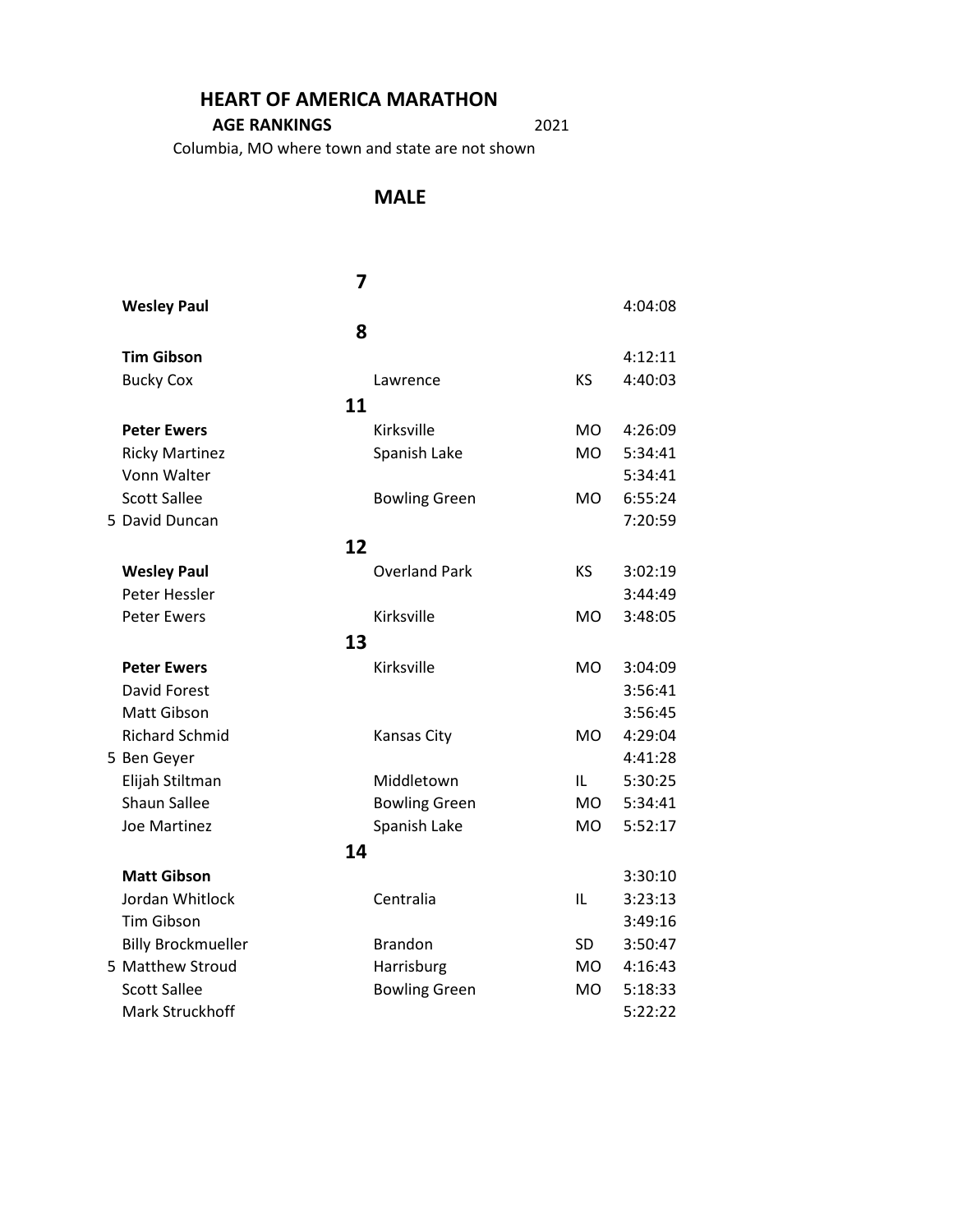#### **HEART OF AMERICA MARATHON**

#### **AGE RANKINGS** 2021

Columbia, MO where town and state are not shown

#### **MALE**

|                                     | 7  |                      |           |         |
|-------------------------------------|----|----------------------|-----------|---------|
| <b>Wesley Paul</b>                  |    |                      |           | 4:04:08 |
|                                     | 8  |                      |           |         |
| <b>Tim Gibson</b>                   |    |                      |           | 4:12:11 |
| <b>Bucky Cox</b>                    |    | Lawrence             | KS        | 4:40:03 |
|                                     | 11 |                      |           |         |
| <b>Peter Ewers</b>                  |    | Kirksville           | MO.       | 4:26:09 |
| <b>Ricky Martinez</b>               |    | Spanish Lake         | <b>MO</b> | 5:34:41 |
| Vonn Walter                         |    |                      |           | 5:34:41 |
| <b>Scott Sallee</b>                 |    | <b>Bowling Green</b> | <b>MO</b> | 6:55:24 |
| 5 David Duncan                      |    |                      |           | 7:20:59 |
|                                     | 12 |                      |           |         |
|                                     |    | <b>Overland Park</b> | <b>KS</b> | 3:02:19 |
| <b>Wesley Paul</b><br>Peter Hessler |    |                      |           | 3:44:49 |
| <b>Peter Ewers</b>                  |    | Kirksville           | <b>MO</b> | 3:48:05 |
|                                     |    |                      |           |         |
|                                     | 13 |                      |           |         |
| <b>Peter Ewers</b>                  |    | Kirksville           | <b>MO</b> | 3:04:09 |
| <b>David Forest</b>                 |    |                      |           | 3:56:41 |
| Matt Gibson                         |    |                      |           | 3:56:45 |
| <b>Richard Schmid</b>               |    | Kansas City          | <b>MO</b> | 4:29:04 |
| 5 Ben Geyer                         |    |                      |           | 4:41:28 |
| Elijah Stiltman                     |    | Middletown           | IL        | 5:30:25 |
| Shaun Sallee                        |    | <b>Bowling Green</b> | <b>MO</b> | 5:34:41 |
| <b>Joe Martinez</b>                 |    | Spanish Lake         | <b>MO</b> | 5:52:17 |
|                                     | 14 |                      |           |         |
| <b>Matt Gibson</b>                  |    |                      |           | 3:30:10 |
| Jordan Whitlock                     |    | Centralia            | IL        | 3:23:13 |
| <b>Tim Gibson</b>                   |    |                      |           | 3:49:16 |
| <b>Billy Brockmueller</b>           |    | <b>Brandon</b>       | <b>SD</b> | 3:50:47 |
| 5 Matthew Stroud                    |    | Harrisburg           | <b>MO</b> | 4:16:43 |
| <b>Scott Sallee</b>                 |    | <b>Bowling Green</b> | <b>MO</b> | 5:18:33 |
| Mark Struckhoff                     |    |                      |           | 5:22:22 |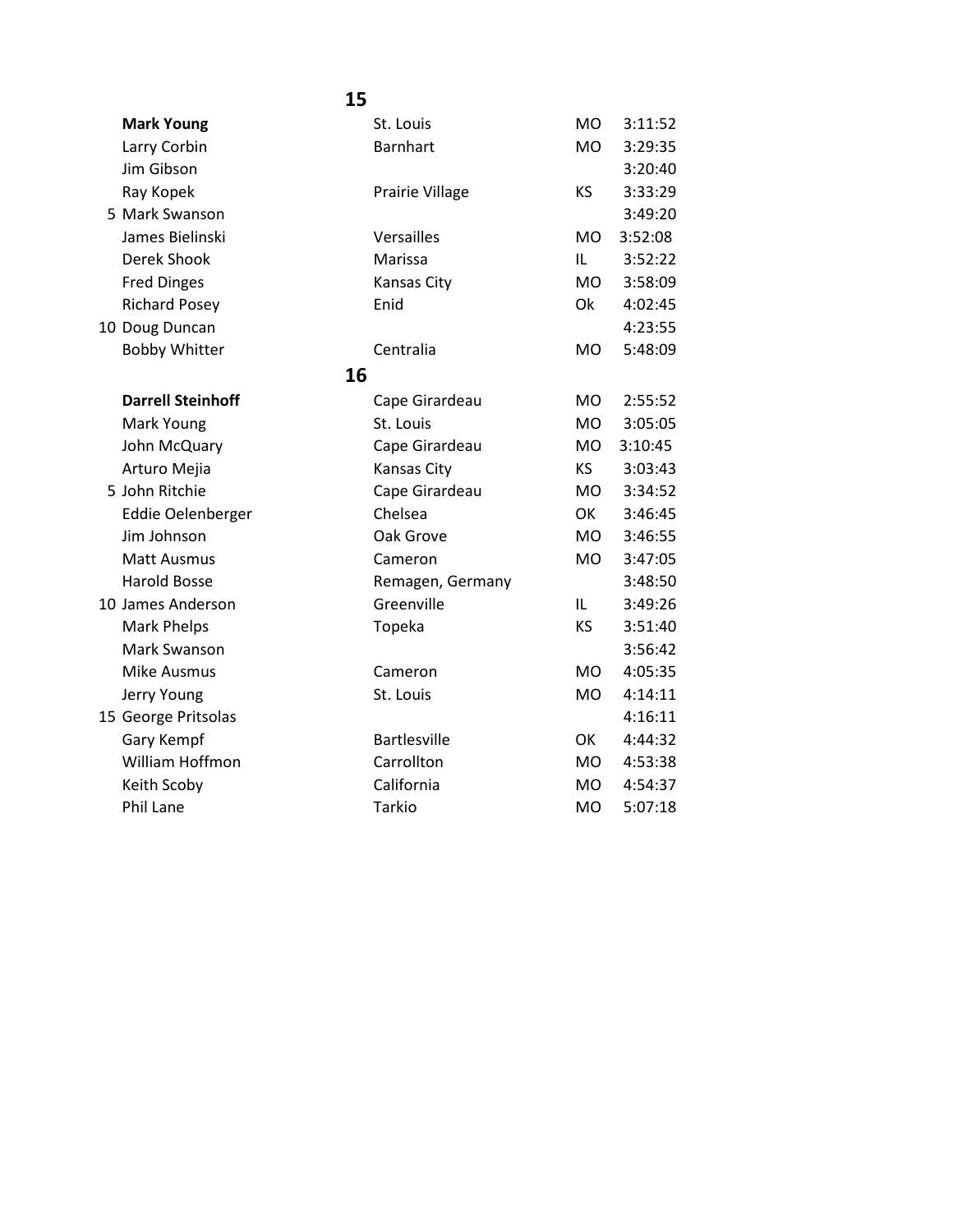| <b>Mark Young</b>        | St. Louis           | <b>MO</b> | 3:11:52 |
|--------------------------|---------------------|-----------|---------|
| Larry Corbin             | <b>Barnhart</b>     | <b>MO</b> | 3:29:35 |
| Jim Gibson               |                     |           | 3:20:40 |
| Ray Kopek                | Prairie Village     | KS        | 3:33:29 |
| 5 Mark Swanson           |                     |           | 3:49:20 |
| James Bielinski          | Versailles          | <b>MO</b> | 3:52:08 |
| Derek Shook              | Marissa             | IL        | 3:52:22 |
| <b>Fred Dinges</b>       | Kansas City         | <b>MO</b> | 3:58:09 |
| <b>Richard Posey</b>     | Enid                | Ok        | 4:02:45 |
| 10 Doug Duncan           |                     |           | 4:23:55 |
| <b>Bobby Whitter</b>     | Centralia           | <b>MO</b> | 5:48:09 |
| 16                       |                     |           |         |
| <b>Darrell Steinhoff</b> | Cape Girardeau      | <b>MO</b> | 2:55:52 |
| Mark Young               | St. Louis           | <b>MO</b> | 3:05:05 |
| John McQuary             | Cape Girardeau      | <b>MO</b> | 3:10:45 |
| Arturo Mejia             | Kansas City         | KS        | 3:03:43 |
| 5 John Ritchie           | Cape Girardeau      | <b>MO</b> | 3:34:52 |
| Eddie Oelenberger        | Chelsea             | OK        | 3:46:45 |
| Jim Johnson              | Oak Grove           | MO.       | 3:46:55 |
| <b>Matt Ausmus</b>       | Cameron             | <b>MO</b> | 3:47:05 |
| <b>Harold Bosse</b>      | Remagen, Germany    |           | 3:48:50 |
| 10 James Anderson        | Greenville          | IL        | 3:49:26 |
| Mark Phelps              | Topeka              | <b>KS</b> | 3:51:40 |
| Mark Swanson             |                     |           | 3:56:42 |
| Mike Ausmus              | Cameron             | <b>MO</b> | 4:05:35 |
| Jerry Young              | St. Louis           | <b>MO</b> | 4:14:11 |
| 15 George Pritsolas      |                     |           | 4:16:11 |
| Gary Kempf               | <b>Bartlesville</b> | OK        | 4:44:32 |
| William Hoffmon          | Carrollton          | <b>MO</b> | 4:53:38 |
| Keith Scoby              | California          | <b>MO</b> | 4:54:37 |
| <b>Phil Lane</b>         | <b>Tarkio</b>       | <b>MO</b> | 5:07:18 |
|                          |                     |           |         |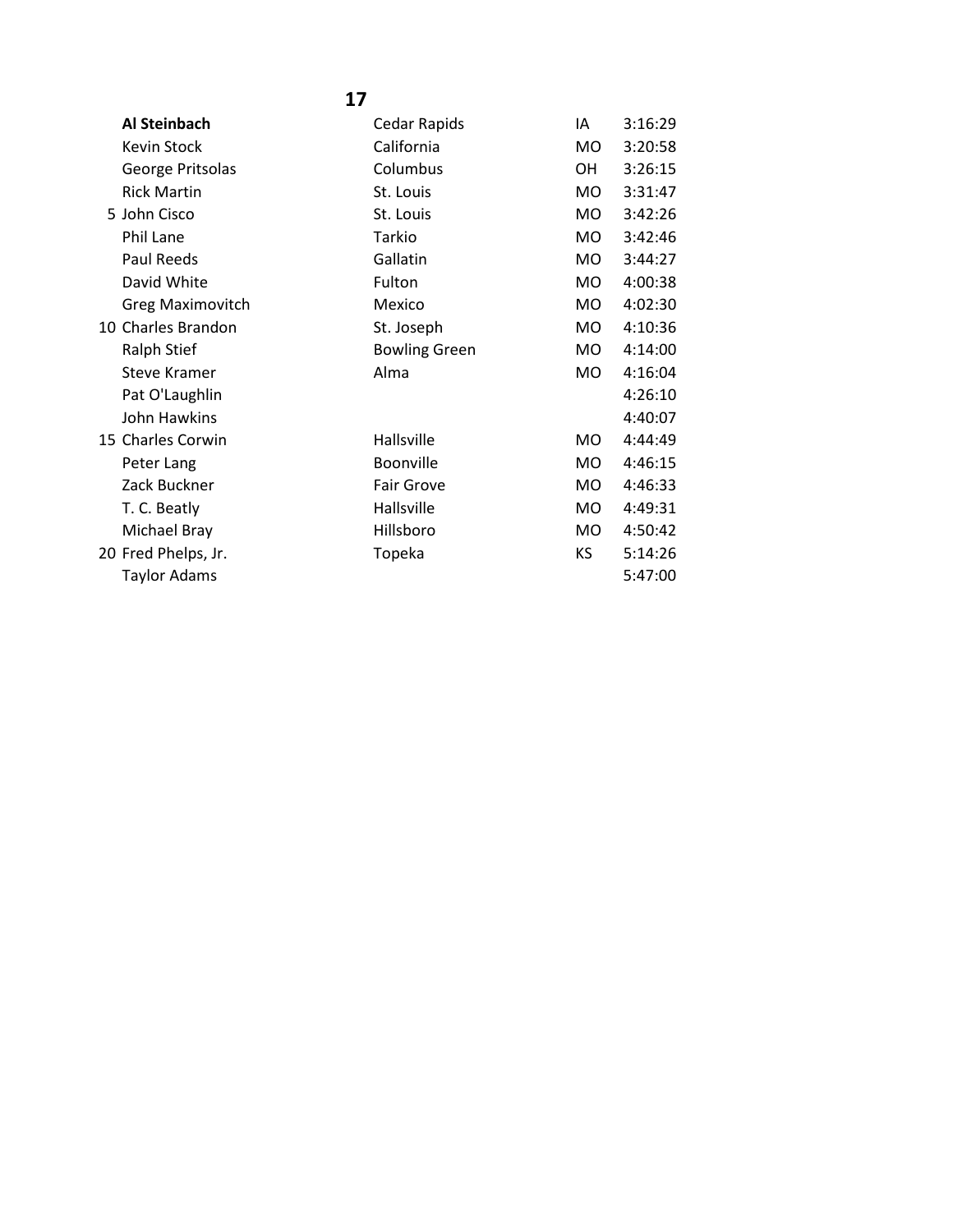| Al Steinbach            | Cedar Rapids         | ΙA        | 3:16:29 |
|-------------------------|----------------------|-----------|---------|
| Kevin Stock             | California           | MO        | 3:20:58 |
| George Pritsolas        | Columbus             | OH        | 3:26:15 |
| <b>Rick Martin</b>      | St. Louis            | MO        | 3:31:47 |
| 5 John Cisco            | St. Louis            | <b>MO</b> | 3:42:26 |
| Phil Lane               | Tarkio               | MO        | 3:42:46 |
| Paul Reeds              | Gallatin             | MO.       | 3:44:27 |
| David White             | Fulton               | MO.       | 4:00:38 |
| <b>Greg Maximovitch</b> | Mexico               | MO        | 4:02:30 |
| 10 Charles Brandon      | St. Joseph           | MO        | 4:10:36 |
| Ralph Stief             | <b>Bowling Green</b> | MO.       | 4:14:00 |
| <b>Steve Kramer</b>     | Alma                 | MO.       | 4:16:04 |
| Pat O'Laughlin          |                      |           | 4:26:10 |
| John Hawkins            |                      |           | 4:40:07 |
| 15 Charles Corwin       | Hallsville           | MO.       | 4:44:49 |
| Peter Lang              | Boonville            | MO        | 4:46:15 |
| Zack Buckner            | <b>Fair Grove</b>    | MO        | 4:46:33 |
| T. C. Beatly            | Hallsville           | <b>MO</b> | 4:49:31 |
| Michael Bray            | Hillsboro            | MO.       | 4:50:42 |
| 20 Fred Phelps, Jr.     | Topeka               | KS.       | 5:14:26 |
| <b>Taylor Adams</b>     |                      |           | 5:47:00 |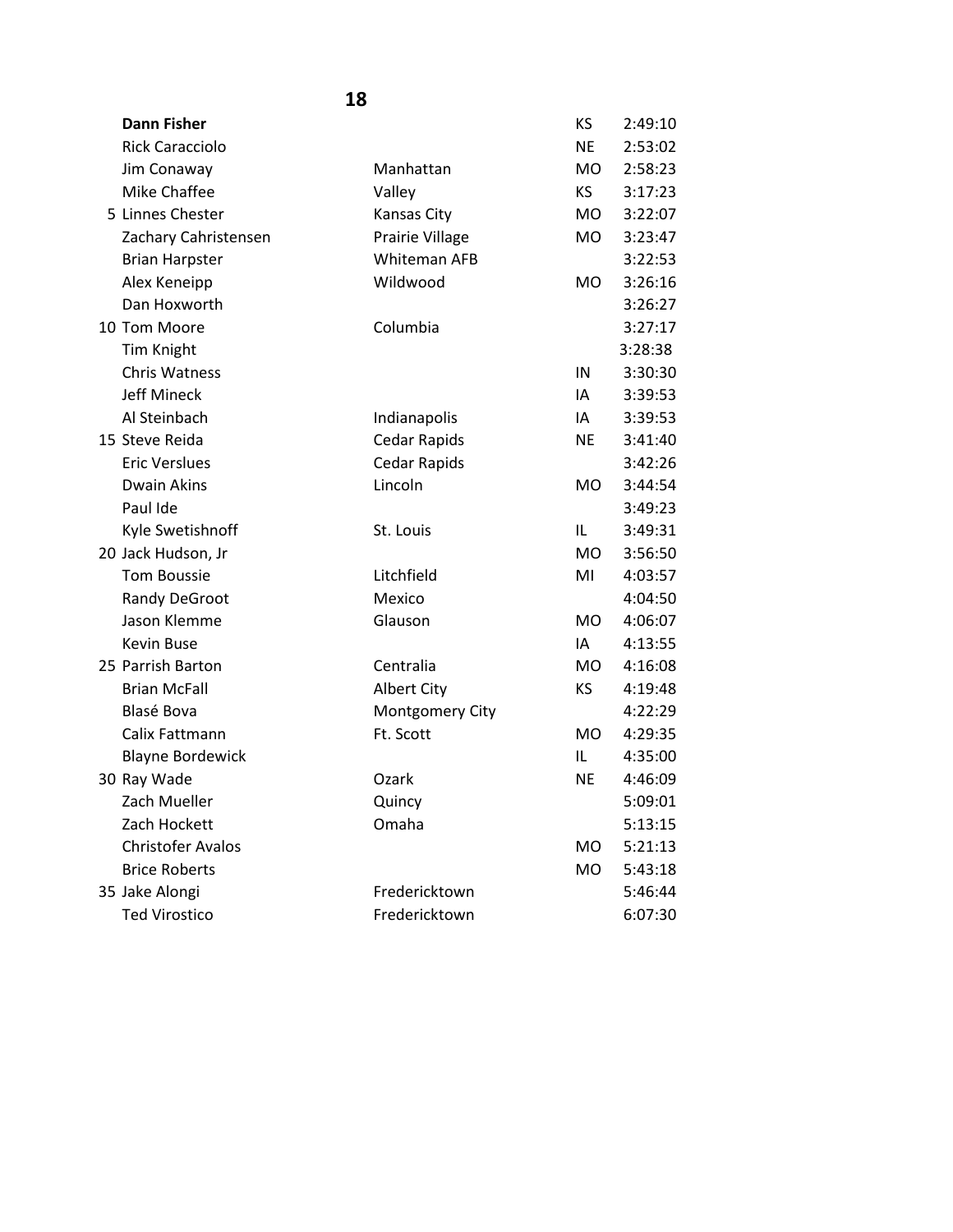| <b>Dann Fisher</b>       |                    | KS             | 2:49:10 |
|--------------------------|--------------------|----------------|---------|
| <b>Rick Caracciolo</b>   |                    | <b>NE</b>      | 2:53:02 |
| Jim Conaway              | Manhattan          | <b>MO</b>      | 2:58:23 |
| Mike Chaffee             | Valley             | <b>KS</b>      | 3:17:23 |
| 5 Linnes Chester         | Kansas City        | <b>MO</b>      | 3:22:07 |
| Zachary Cahristensen     | Prairie Village    | <b>MO</b>      | 3:23:47 |
| <b>Brian Harpster</b>    | Whiteman AFB       |                | 3:22:53 |
| Alex Keneipp             | Wildwood           | <b>MO</b>      | 3:26:16 |
| Dan Hoxworth             |                    |                | 3:26:27 |
| 10 Tom Moore             | Columbia           |                | 3:27:17 |
| <b>Tim Knight</b>        |                    |                | 3:28:38 |
| <b>Chris Watness</b>     |                    | IN             | 3:30:30 |
| <b>Jeff Mineck</b>       |                    | IA             | 3:39:53 |
| Al Steinbach             | Indianapolis       | IA.            | 3:39:53 |
| 15 Steve Reida           | Cedar Rapids       | <b>NE</b>      | 3:41:40 |
| <b>Eric Verslues</b>     | Cedar Rapids       |                | 3:42:26 |
| <b>Dwain Akins</b>       | Lincoln            | <b>MO</b>      | 3:44:54 |
| Paul Ide                 |                    |                | 3:49:23 |
| Kyle Swetishnoff         | St. Louis          | IL             | 3:49:31 |
| 20 Jack Hudson, Jr       |                    | M <sub>O</sub> | 3:56:50 |
| <b>Tom Boussie</b>       | Litchfield         | MI             | 4:03:57 |
| Randy DeGroot            | Mexico             |                | 4:04:50 |
| Jason Klemme             | Glauson            | <b>MO</b>      | 4:06:07 |
| <b>Kevin Buse</b>        |                    | IA             | 4:13:55 |
| 25 Parrish Barton        | Centralia          | <b>MO</b>      | 4:16:08 |
| <b>Brian McFall</b>      | <b>Albert City</b> | <b>KS</b>      | 4:19:48 |
| <b>Blasé Bova</b>        | Montgomery City    |                | 4:22:29 |
| Calix Fattmann           | Ft. Scott          | <b>MO</b>      | 4:29:35 |
| <b>Blayne Bordewick</b>  |                    | IL             | 4:35:00 |
| 30 Ray Wade              | Ozark              | <b>NE</b>      | 4:46:09 |
| Zach Mueller             | Quincy             |                | 5:09:01 |
| Zach Hockett             | Omaha              |                | 5:13:15 |
| <b>Christofer Avalos</b> |                    | <b>MO</b>      | 5:21:13 |
| <b>Brice Roberts</b>     |                    | <b>MO</b>      | 5:43:18 |
| 35 Jake Alongi           | Fredericktown      |                | 5:46:44 |
| <b>Ted Virostico</b>     | Fredericktown      |                | 6:07:30 |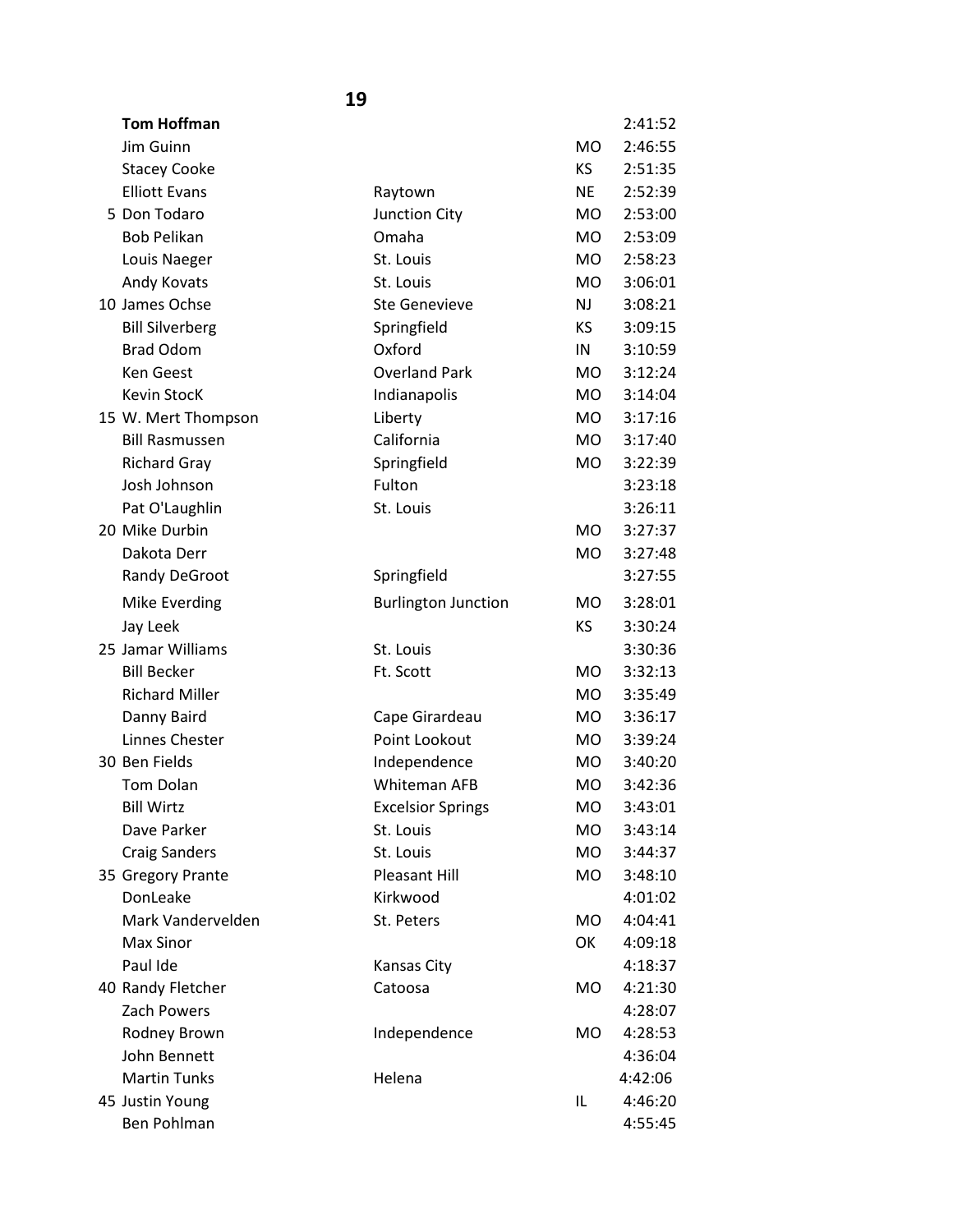| <b>Tom Hoffman</b>     |                            |           | 2:41:52 |
|------------------------|----------------------------|-----------|---------|
| Jim Guinn              |                            | <b>MO</b> | 2:46:55 |
| <b>Stacey Cooke</b>    |                            | KS.       | 2:51:35 |
| <b>Elliott Evans</b>   | Raytown                    | <b>NE</b> | 2:52:39 |
| 5 Don Todaro           | Junction City              | <b>MO</b> | 2:53:00 |
| <b>Bob Pelikan</b>     | Omaha                      | <b>MO</b> | 2:53:09 |
| Louis Naeger           | St. Louis                  | <b>MO</b> | 2:58:23 |
| Andy Kovats            | St. Louis                  | <b>MO</b> | 3:06:01 |
| 10 James Ochse         | <b>Ste Genevieve</b>       | <b>NJ</b> | 3:08:21 |
| <b>Bill Silverberg</b> | Springfield                | <b>KS</b> | 3:09:15 |
| <b>Brad Odom</b>       | Oxford                     | IN        | 3:10:59 |
| <b>Ken Geest</b>       | <b>Overland Park</b>       | <b>MO</b> | 3:12:24 |
| Kevin StocK            | Indianapolis               | MO.       | 3:14:04 |
| 15 W. Mert Thompson    | Liberty                    | <b>MO</b> | 3:17:16 |
| <b>Bill Rasmussen</b>  | California                 | <b>MO</b> | 3:17:40 |
| <b>Richard Gray</b>    | Springfield                | MO        | 3:22:39 |
| Josh Johnson           | Fulton                     |           | 3:23:18 |
| Pat O'Laughlin         | St. Louis                  |           | 3:26:11 |
| 20 Mike Durbin         |                            | MO.       | 3:27:37 |
| Dakota Derr            |                            | <b>MO</b> | 3:27:48 |
| Randy DeGroot          | Springfield                |           | 3:27:55 |
| Mike Everding          | <b>Burlington Junction</b> | MO        | 3:28:01 |
| Jay Leek               |                            | KS        | 3:30:24 |
| 25 Jamar Williams      | St. Louis                  |           | 3:30:36 |
| <b>Bill Becker</b>     | Ft. Scott                  | <b>MO</b> | 3:32:13 |
| <b>Richard Miller</b>  |                            | <b>MO</b> | 3:35:49 |
| Danny Baird            | Cape Girardeau             | <b>MO</b> | 3:36:17 |
| Linnes Chester         | Point Lookout              | <b>MO</b> | 3:39:24 |
| 30 Ben Fields          | Independence               | MO        | 3:40:20 |
| Tom Dolan              | Whiteman AFB               | <b>MO</b> | 3:42:36 |
| <b>Bill Wirtz</b>      | <b>Excelsior Springs</b>   | <b>MO</b> | 3:43:01 |
| Dave Parker            | St. Louis                  | <b>MO</b> | 3:43:14 |
| <b>Craig Sanders</b>   | St. Louis                  | <b>MO</b> | 3:44:37 |
| 35 Gregory Prante      | <b>Pleasant Hill</b>       | <b>MO</b> | 3:48:10 |
| DonLeake               | Kirkwood                   |           | 4:01:02 |
| Mark Vandervelden      | St. Peters                 | <b>MO</b> | 4:04:41 |
| Max Sinor              |                            | OK        | 4:09:18 |
| Paul Ide               | Kansas City                |           | 4:18:37 |
| 40 Randy Fletcher      | Catoosa                    | MO        | 4:21:30 |
| Zach Powers            |                            |           | 4:28:07 |
| Rodney Brown           | Independence               | <b>MO</b> | 4:28:53 |
| John Bennett           |                            |           | 4:36:04 |
| <b>Martin Tunks</b>    | Helena                     |           | 4:42:06 |
| 45 Justin Young        |                            | IL        | 4:46:20 |
| Ben Pohlman            |                            |           | 4:55:45 |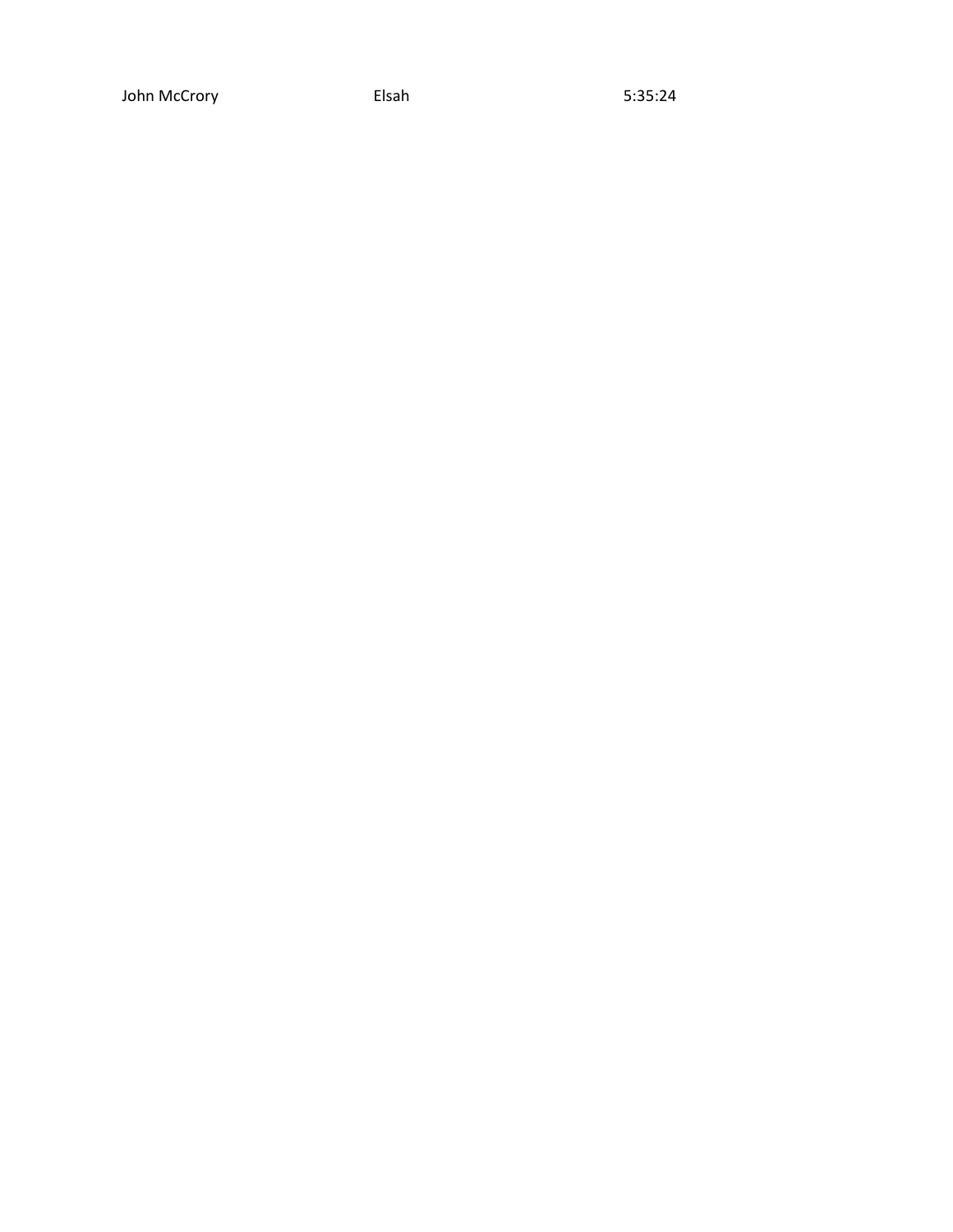John McCrory **Elsah** Elsah 5:35:24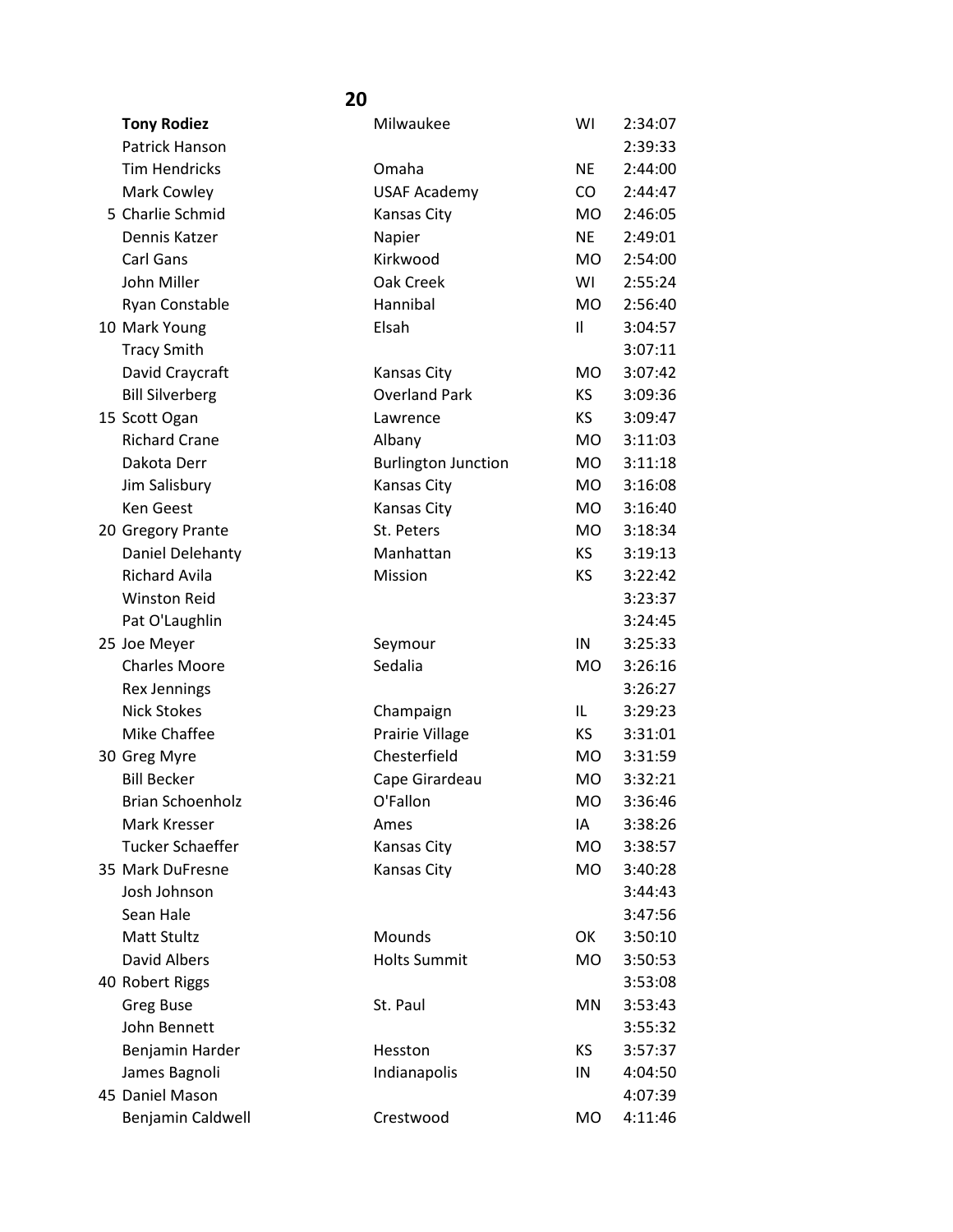| <b>Tony Rodiez</b>      | Milwaukee                  | WI        | 2:34:07 |
|-------------------------|----------------------------|-----------|---------|
| Patrick Hanson          |                            |           | 2:39:33 |
| <b>Tim Hendricks</b>    | Omaha                      | <b>NE</b> | 2:44:00 |
| Mark Cowley             | <b>USAF Academy</b>        | CO.       | 2:44:47 |
| 5 Charlie Schmid        | <b>Kansas City</b>         | <b>MO</b> | 2:46:05 |
| Dennis Katzer           | Napier                     | <b>NE</b> | 2:49:01 |
| Carl Gans               | Kirkwood                   | <b>MO</b> | 2:54:00 |
| John Miller             | Oak Creek                  | WI        | 2:55:24 |
| Ryan Constable          | Hannibal                   | <b>MO</b> | 2:56:40 |
| 10 Mark Young           | Elsah                      | 11        | 3:04:57 |
| <b>Tracy Smith</b>      |                            |           | 3:07:11 |
| David Craycraft         | <b>Kansas City</b>         | <b>MO</b> | 3:07:42 |
| <b>Bill Silverberg</b>  | <b>Overland Park</b>       | KS        | 3:09:36 |
| 15 Scott Ogan           | Lawrence                   | KS        | 3:09:47 |
| <b>Richard Crane</b>    | Albany                     | MO.       | 3:11:03 |
| Dakota Derr             | <b>Burlington Junction</b> | MO        | 3:11:18 |
| Jim Salisbury           | Kansas City                | <b>MO</b> | 3:16:08 |
| <b>Ken Geest</b>        | Kansas City                | <b>MO</b> | 3:16:40 |
| 20 Gregory Prante       | St. Peters                 | <b>MO</b> | 3:18:34 |
| Daniel Delehanty        | Manhattan                  | KS.       | 3:19:13 |
| <b>Richard Avila</b>    | Mission                    | KS        | 3:22:42 |
| <b>Winston Reid</b>     |                            |           | 3:23:37 |
| Pat O'Laughlin          |                            |           | 3:24:45 |
| 25 Joe Meyer            | Seymour                    | IN        | 3:25:33 |
| <b>Charles Moore</b>    | Sedalia                    | MO        | 3:26:16 |
| <b>Rex Jennings</b>     |                            |           | 3:26:27 |
| <b>Nick Stokes</b>      | Champaign                  | IL        | 3:29:23 |
| Mike Chaffee            | Prairie Village            | KS        | 3:31:01 |
| 30 Greg Myre            | Chesterfield               | MO.       | 3:31:59 |
| <b>Bill Becker</b>      | Cape Girardeau             | MO        | 3:32:21 |
| <b>Brian Schoenholz</b> | O'Fallon                   | <b>MO</b> | 3:36:46 |
| Mark Kresser            | Ames                       | IA        | 3:38:26 |
| <b>Tucker Schaeffer</b> | <b>Kansas City</b>         | MO        | 3:38:57 |
| 35 Mark DuFresne        | Kansas City                | MO.       | 3:40:28 |
| Josh Johnson            |                            |           | 3:44:43 |
| Sean Hale               |                            |           | 3:47:56 |
| Matt Stultz             | Mounds                     | OK        | 3:50:10 |
| <b>David Albers</b>     | <b>Holts Summit</b>        | <b>MO</b> | 3:50:53 |
| 40 Robert Riggs         |                            |           | 3:53:08 |
| <b>Greg Buse</b>        | St. Paul                   | MN        | 3:53:43 |
| John Bennett            |                            |           | 3:55:32 |
| Benjamin Harder         | Hesston                    | KS        | 3:57:37 |
| James Bagnoli           | Indianapolis               | IN        | 4:04:50 |
| 45 Daniel Mason         |                            |           | 4:07:39 |
| Benjamin Caldwell       | Crestwood                  | <b>MO</b> | 4:11:46 |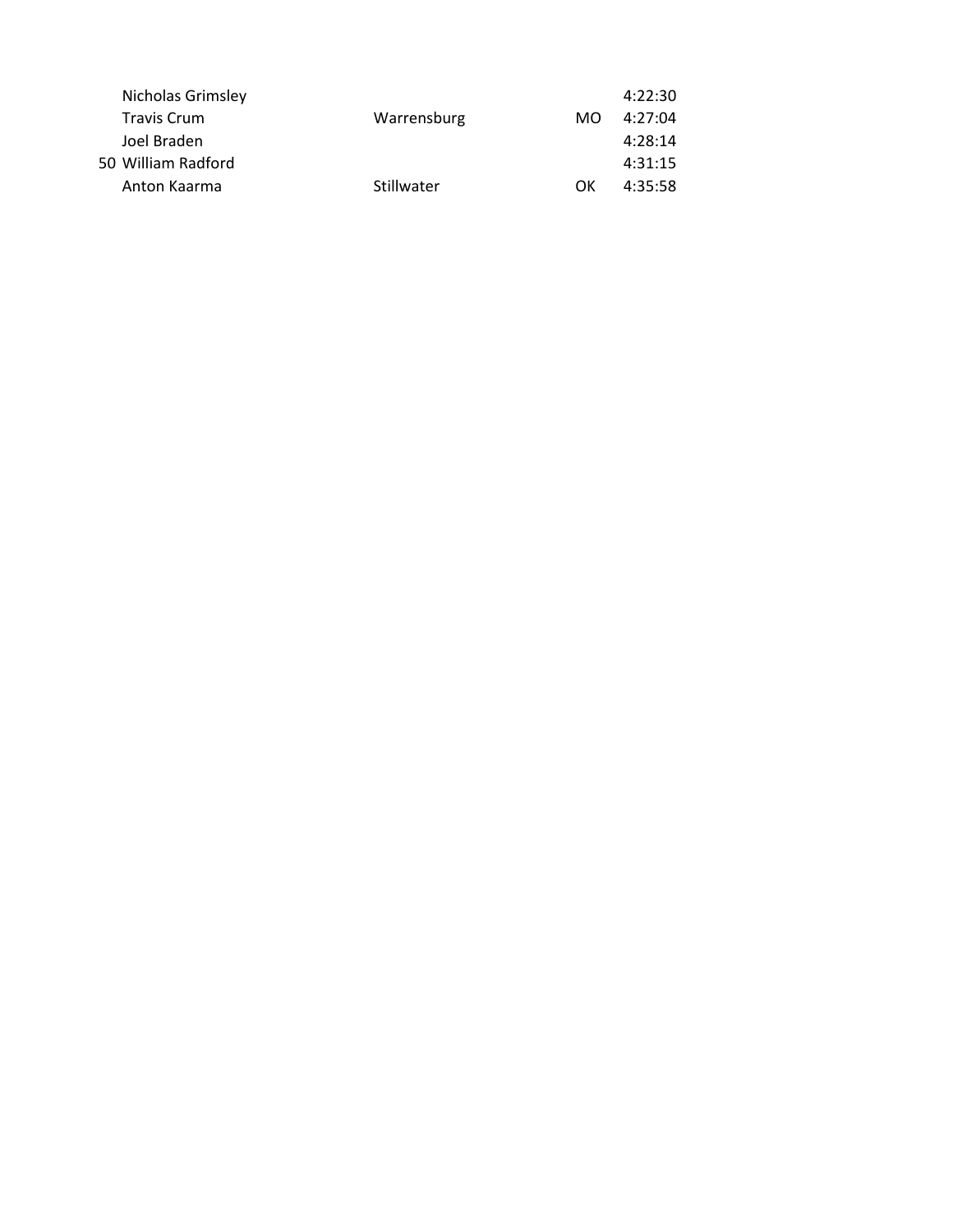|                                                                                              |            | 4:22:30 |
|----------------------------------------------------------------------------------------------|------------|---------|
| Warrensburg                                                                                  | MO.        | 4:27:04 |
|                                                                                              |            | 4:28:14 |
|                                                                                              |            | 4:31:15 |
|                                                                                              | ΩK         | 4:35:58 |
| Nicholas Grimsley<br><b>Travis Crum</b><br>Joel Braden<br>50 William Radford<br>Anton Kaarma | Stillwater |         |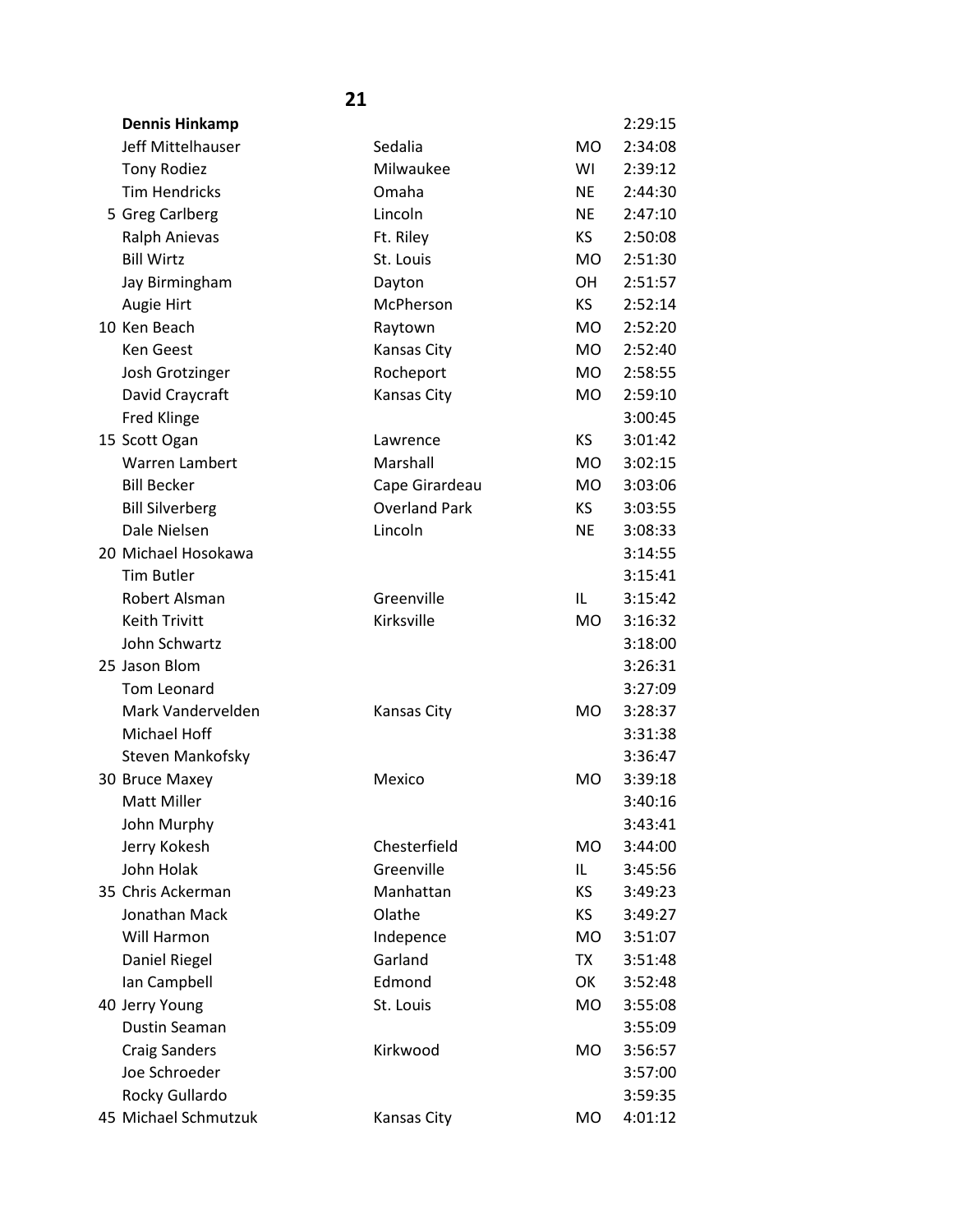| <b>Dennis Hinkamp</b>  |                      |           | 2:29:15 |
|------------------------|----------------------|-----------|---------|
| Jeff Mittelhauser      | Sedalia              | <b>MO</b> | 2:34:08 |
| <b>Tony Rodiez</b>     | Milwaukee            | WI        | 2:39:12 |
| <b>Tim Hendricks</b>   | Omaha                | <b>NE</b> | 2:44:30 |
| 5 Greg Carlberg        | Lincoln              | <b>NE</b> | 2:47:10 |
| Ralph Anievas          | Ft. Riley            | KS.       | 2:50:08 |
| <b>Bill Wirtz</b>      | St. Louis            | <b>MO</b> | 2:51:30 |
| Jay Birmingham         | Dayton               | <b>OH</b> | 2:51:57 |
| Augie Hirt             | McPherson            | <b>KS</b> | 2:52:14 |
| 10 Ken Beach           | Raytown              | <b>MO</b> | 2:52:20 |
| <b>Ken Geest</b>       | Kansas City          | <b>MO</b> | 2:52:40 |
| Josh Grotzinger        | Rocheport            | <b>MO</b> | 2:58:55 |
| David Craycraft        | Kansas City          | <b>MO</b> | 2:59:10 |
| <b>Fred Klinge</b>     |                      |           | 3:00:45 |
| 15 Scott Ogan          | Lawrence             | <b>KS</b> | 3:01:42 |
| Warren Lambert         | Marshall             | <b>MO</b> | 3:02:15 |
| <b>Bill Becker</b>     | Cape Girardeau       | <b>MO</b> | 3:03:06 |
| <b>Bill Silverberg</b> | <b>Overland Park</b> | KS.       | 3:03:55 |
| Dale Nielsen           | Lincoln              | <b>NE</b> | 3:08:33 |
| 20 Michael Hosokawa    |                      |           | 3:14:55 |
| <b>Tim Butler</b>      |                      |           | 3:15:41 |
| Robert Alsman          | Greenville           | IL        | 3:15:42 |
| <b>Keith Trivitt</b>   | Kirksville           | <b>MO</b> | 3:16:32 |
| John Schwartz          |                      |           | 3:18:00 |
| 25 Jason Blom          |                      |           | 3:26:31 |
| Tom Leonard            |                      |           | 3:27:09 |
| Mark Vandervelden      | <b>Kansas City</b>   | <b>MO</b> | 3:28:37 |
| Michael Hoff           |                      |           | 3:31:38 |
| Steven Mankofsky       |                      |           | 3:36:47 |
| 30 Bruce Maxey         | Mexico               | <b>MO</b> | 3:39:18 |
| <b>Matt Miller</b>     |                      |           | 3:40:16 |
| John Murphy            |                      |           | 3:43:41 |
| Jerry Kokesh           | Chesterfield         | <b>MO</b> | 3:44:00 |
| John Holak             | Greenville           | IL        | 3:45:56 |
| 35 Chris Ackerman      | Manhattan            | KS.       | 3:49:23 |
| Jonathan Mack          | Olathe               | KS.       | 3:49:27 |
| Will Harmon            | Indepence            | <b>MO</b> | 3:51:07 |
| Daniel Riegel          | Garland              | TX        | 3:51:48 |
| Ian Campbell           | Edmond               | OK        | 3:52:48 |
| 40 Jerry Young         | St. Louis            | <b>MO</b> | 3:55:08 |
| Dustin Seaman          |                      |           | 3:55:09 |
| <b>Craig Sanders</b>   | Kirkwood             | <b>MO</b> | 3:56:57 |
| Joe Schroeder          |                      |           | 3:57:00 |
| Rocky Gullardo         |                      |           | 3:59:35 |
| 45 Michael Schmutzuk   | Kansas City          | <b>MO</b> | 4:01:12 |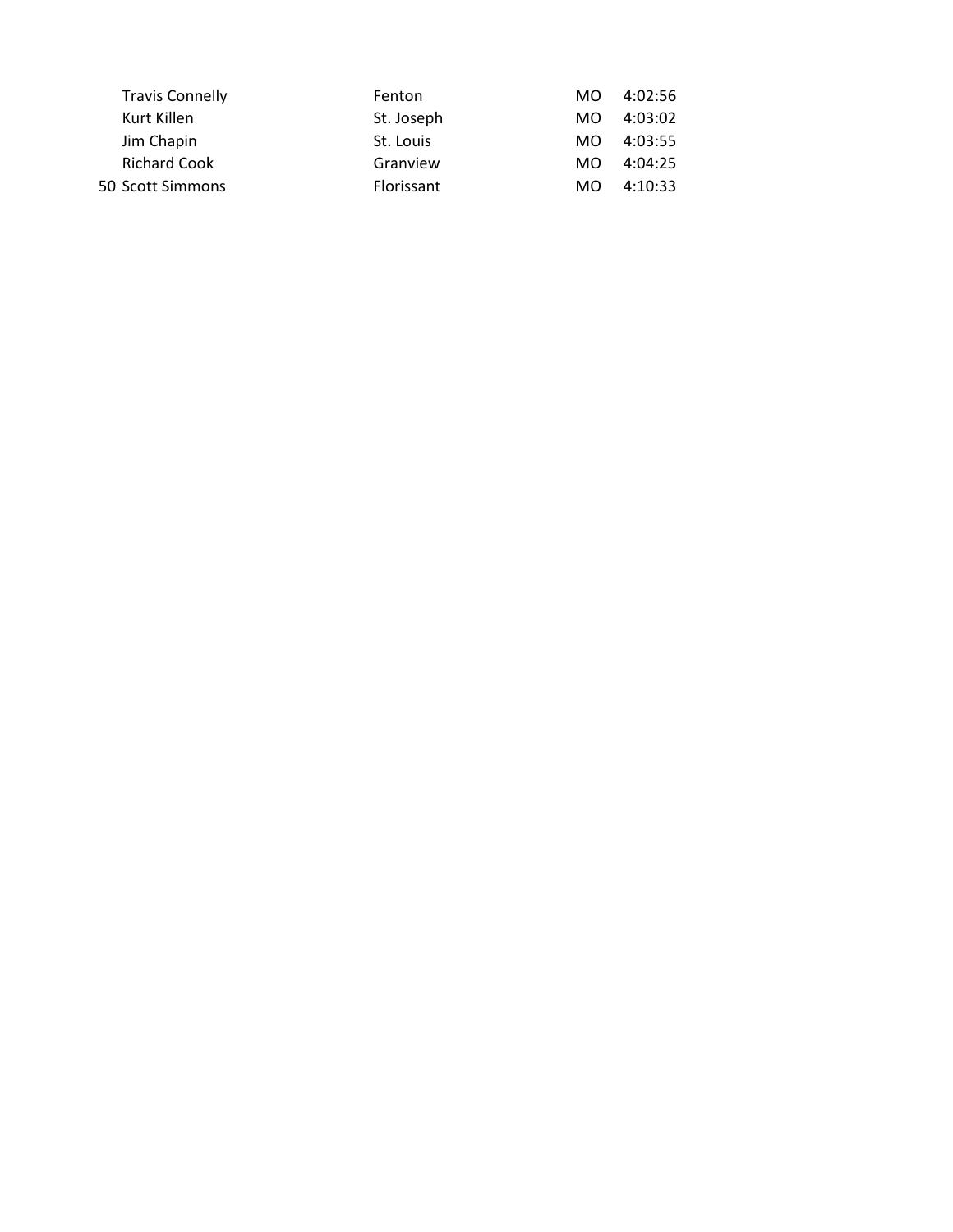| Kurt Killen<br>St. Joseph<br>MO.<br>Jim Chapin<br>St. Louis<br>MO.<br><b>Richard Cook</b><br>Granview<br>MO.<br>Florissant<br>50 Scott Simmons<br>MO. | <b>Travis Connelly</b> | Fenton | MO. | 4:02:56 |
|-------------------------------------------------------------------------------------------------------------------------------------------------------|------------------------|--------|-----|---------|
|                                                                                                                                                       |                        |        |     | 4:03:02 |
|                                                                                                                                                       |                        |        |     | 4:03:55 |
|                                                                                                                                                       |                        |        |     | 4:04:25 |
|                                                                                                                                                       |                        |        |     | 4:10:33 |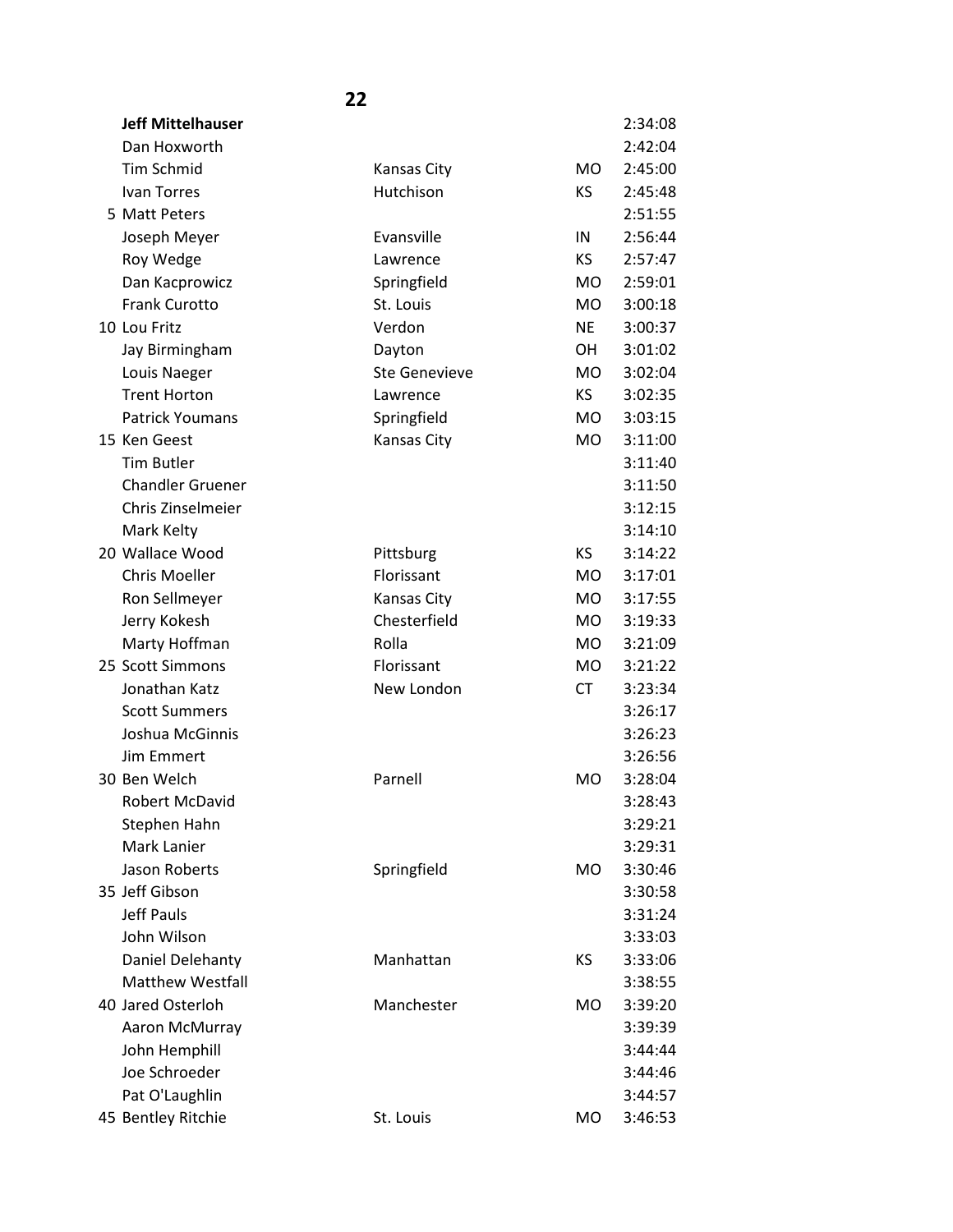| <b>Jeff Mittelhauser</b> |                      |                | 2:34:08 |
|--------------------------|----------------------|----------------|---------|
| Dan Hoxworth             |                      |                | 2:42:04 |
| <b>Tim Schmid</b>        | <b>Kansas City</b>   | <b>MO</b>      | 2:45:00 |
| Ivan Torres              | Hutchison            | KS             | 2:45:48 |
| 5 Matt Peters            |                      |                | 2:51:55 |
| Joseph Meyer             | Evansville           | IN             | 2:56:44 |
| Roy Wedge                | Lawrence             | KS.            | 2:57:47 |
| Dan Kacprowicz           | Springfield          | <b>MO</b>      | 2:59:01 |
| <b>Frank Curotto</b>     | St. Louis            | <b>MO</b>      | 3:00:18 |
| 10 Lou Fritz             | Verdon               | <b>NE</b>      | 3:00:37 |
| Jay Birmingham           | Dayton               | <b>OH</b>      | 3:01:02 |
| Louis Naeger             | <b>Ste Genevieve</b> | <b>MO</b>      | 3:02:04 |
| <b>Trent Horton</b>      | Lawrence             | <b>KS</b>      | 3:02:35 |
| <b>Patrick Youmans</b>   | Springfield          | <b>MO</b>      | 3:03:15 |
| 15 Ken Geest             | Kansas City          | <b>MO</b>      | 3:11:00 |
| <b>Tim Butler</b>        |                      |                | 3:11:40 |
| <b>Chandler Gruener</b>  |                      |                | 3:11:50 |
| Chris Zinselmeier        |                      |                | 3:12:15 |
| Mark Kelty               |                      |                | 3:14:10 |
| 20 Wallace Wood          | Pittsburg            | <b>KS</b>      | 3:14:22 |
| <b>Chris Moeller</b>     | Florissant           | <b>MO</b>      | 3:17:01 |
| Ron Sellmeyer            | Kansas City          | <b>MO</b>      | 3:17:55 |
| Jerry Kokesh             | Chesterfield         | <b>MO</b>      | 3:19:33 |
| Marty Hoffman            | Rolla                | <b>MO</b>      | 3:21:09 |
| 25 Scott Simmons         | Florissant           | <b>MO</b>      | 3:21:22 |
| Jonathan Katz            | New London           | <b>CT</b>      | 3:23:34 |
| <b>Scott Summers</b>     |                      |                | 3:26:17 |
| Joshua McGinnis          |                      |                | 3:26:23 |
| Jim Emmert               |                      |                | 3:26:56 |
| 30 Ben Welch             | Parnell              | <b>MO</b>      | 3:28:04 |
| <b>Robert McDavid</b>    |                      |                | 3:28:43 |
| Stephen Hahn             |                      |                | 3:29:21 |
| Mark Lanier              |                      |                | 3:29:31 |
| Jason Roberts            | Springfield          | M <sub>O</sub> | 3:30:46 |
| 35 Jeff Gibson           |                      |                | 3:30:58 |
| <b>Jeff Pauls</b>        |                      |                | 3:31:24 |
| John Wilson              |                      |                | 3:33:03 |
| Daniel Delehanty         | Manhattan            | KS             | 3:33:06 |
| <b>Matthew Westfall</b>  |                      |                | 3:38:55 |
| 40 Jared Osterloh        | Manchester           | <b>MO</b>      | 3:39:20 |
| Aaron McMurray           |                      |                | 3:39:39 |
| John Hemphill            |                      |                | 3:44:44 |
| Joe Schroeder            |                      |                | 3:44:46 |
| Pat O'Laughlin           |                      |                | 3:44:57 |
| 45 Bentley Ritchie       | St. Louis            | M <sub>O</sub> | 3:46:53 |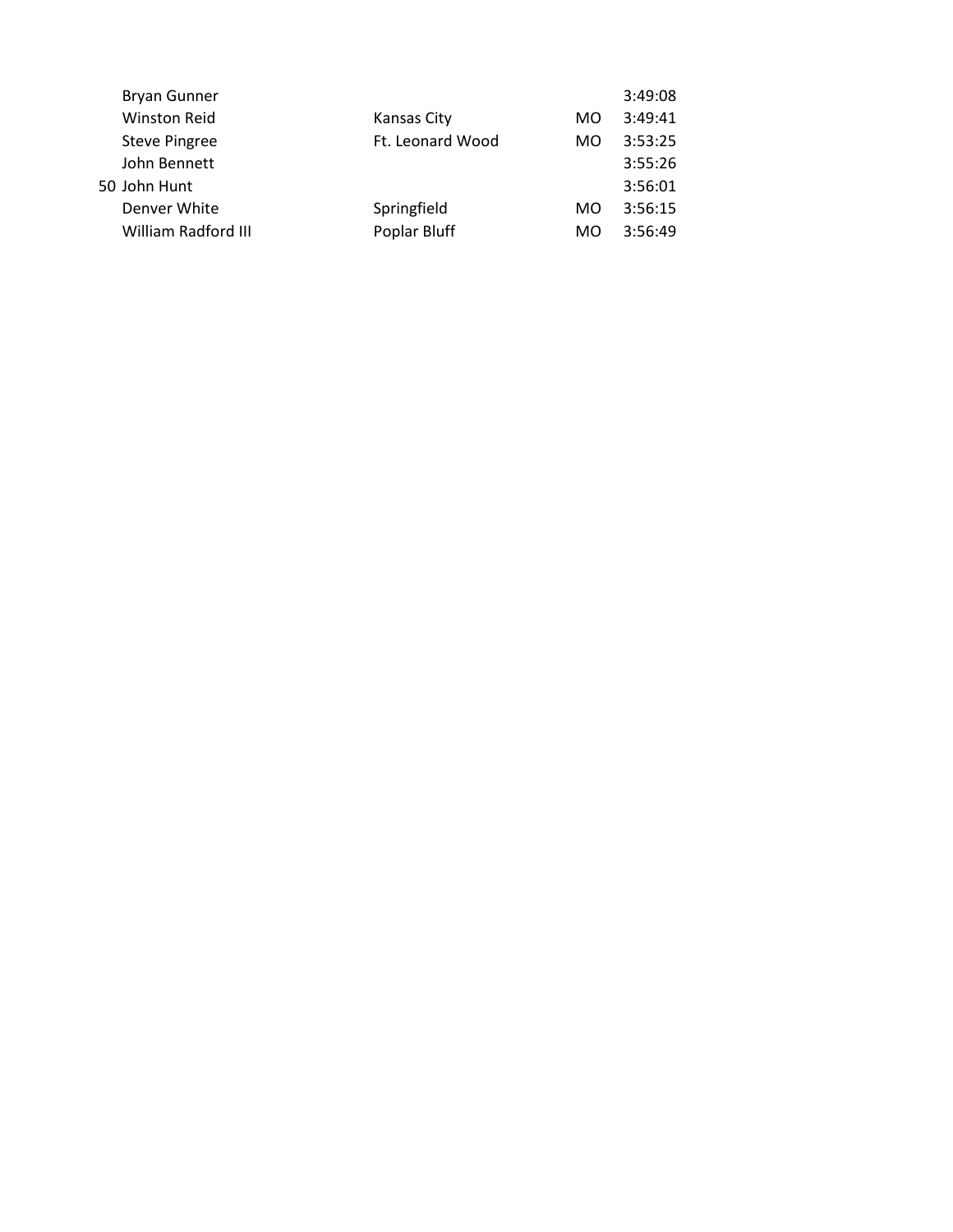| <b>Bryan Gunner</b>  |                  |     | 3:49:08 |
|----------------------|------------------|-----|---------|
| <b>Winston Reid</b>  | Kansas City      | MO. | 3:49:41 |
| <b>Steve Pingree</b> | Ft. Leonard Wood | MO  | 3:53:25 |
| John Bennett         |                  |     | 3:55:26 |
| 50 John Hunt         |                  |     | 3:56:01 |
| Denver White         | Springfield      | MO. | 3:56:15 |
| William Radford III  | Poplar Bluff     | MO  | 3:56:49 |
|                      |                  |     |         |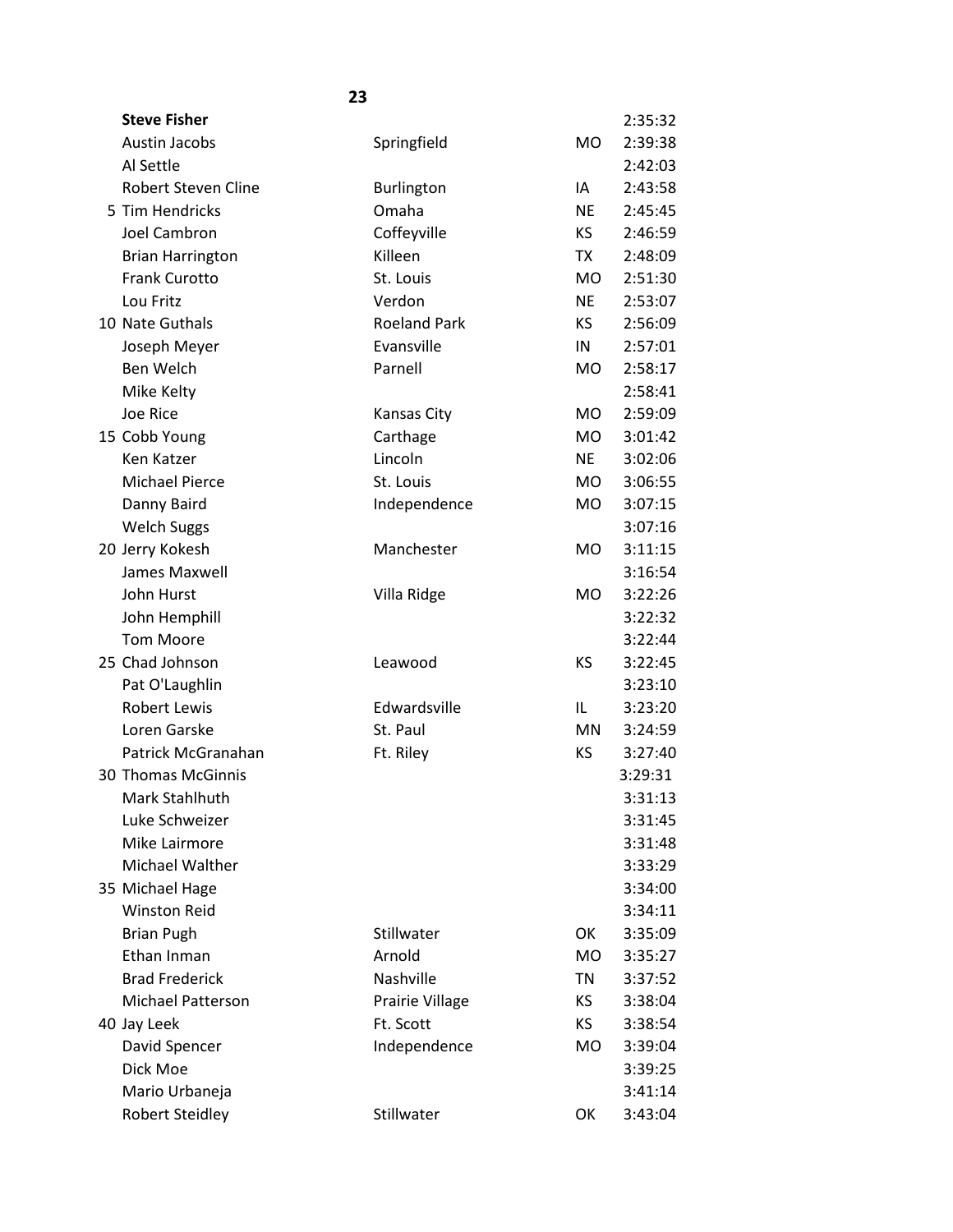| <b>Steve Fisher</b>       |                     |           | 2:35:32 |
|---------------------------|---------------------|-----------|---------|
| <b>Austin Jacobs</b>      | Springfield         | MO        | 2:39:38 |
| Al Settle                 |                     |           | 2:42:03 |
| Robert Steven Cline       | Burlington          | IA        | 2:43:58 |
| 5 Tim Hendricks           | Omaha               | <b>NE</b> | 2:45:45 |
| Joel Cambron              | Coffeyville         | <b>KS</b> | 2:46:59 |
| <b>Brian Harrington</b>   | Killeen             | TX        | 2:48:09 |
| <b>Frank Curotto</b>      | St. Louis           | <b>MO</b> | 2:51:30 |
| Lou Fritz                 | Verdon              | <b>NE</b> | 2:53:07 |
| 10 Nate Guthals           | <b>Roeland Park</b> | KS.       | 2:56:09 |
| Joseph Meyer              | Evansville          | IN        | 2:57:01 |
| Ben Welch                 | Parnell             | <b>MO</b> | 2:58:17 |
| Mike Kelty                |                     |           | 2:58:41 |
| Joe Rice                  | Kansas City         | <b>MO</b> | 2:59:09 |
| 15 Cobb Young             | Carthage            | <b>MO</b> | 3:01:42 |
| Ken Katzer                | Lincoln             | <b>NE</b> | 3:02:06 |
| <b>Michael Pierce</b>     | St. Louis           | <b>MO</b> | 3:06:55 |
| Danny Baird               | Independence        | <b>MO</b> | 3:07:15 |
| <b>Welch Suggs</b>        |                     |           | 3:07:16 |
| 20 Jerry Kokesh           | Manchester          | <b>MO</b> | 3:11:15 |
| James Maxwell             |                     |           | 3:16:54 |
| John Hurst                | Villa Ridge         | <b>MO</b> | 3:22:26 |
| John Hemphill             |                     |           | 3:22:32 |
| <b>Tom Moore</b>          |                     |           | 3:22:44 |
| 25 Chad Johnson           | Leawood             | KS        | 3:22:45 |
| Pat O'Laughlin            |                     |           | 3:23:10 |
| <b>Robert Lewis</b>       | Edwardsville        | IL        | 3:23:20 |
| Loren Garske              | St. Paul            | MN        | 3:24:59 |
| Patrick McGranahan        | Ft. Riley           | KS        | 3:27:40 |
| <b>30 Thomas McGinnis</b> |                     |           | 3:29:31 |
| Mark Stahlhuth            |                     |           | 3:31:13 |
| Luke Schweizer            |                     |           | 3:31:45 |
| Mike Lairmore             |                     |           | 3:31:48 |
| Michael Walther           |                     |           | 3:33:29 |
| 35 Michael Hage           |                     |           | 3:34:00 |
| <b>Winston Reid</b>       |                     |           | 3:34:11 |
| <b>Brian Pugh</b>         | Stillwater          | OK        | 3:35:09 |
| Ethan Inman               | Arnold              | <b>MO</b> | 3:35:27 |
| <b>Brad Frederick</b>     | Nashville           | TN        | 3:37:52 |
| Michael Patterson         | Prairie Village     | KS.       | 3:38:04 |
| 40 Jay Leek               | Ft. Scott           | KS        | 3:38:54 |
| David Spencer             | Independence        | <b>MO</b> | 3:39:04 |
| Dick Moe                  |                     |           | 3:39:25 |
| Mario Urbaneja            |                     |           | 3:41:14 |
| <b>Robert Steidley</b>    | Stillwater          | OK        | 3:43:04 |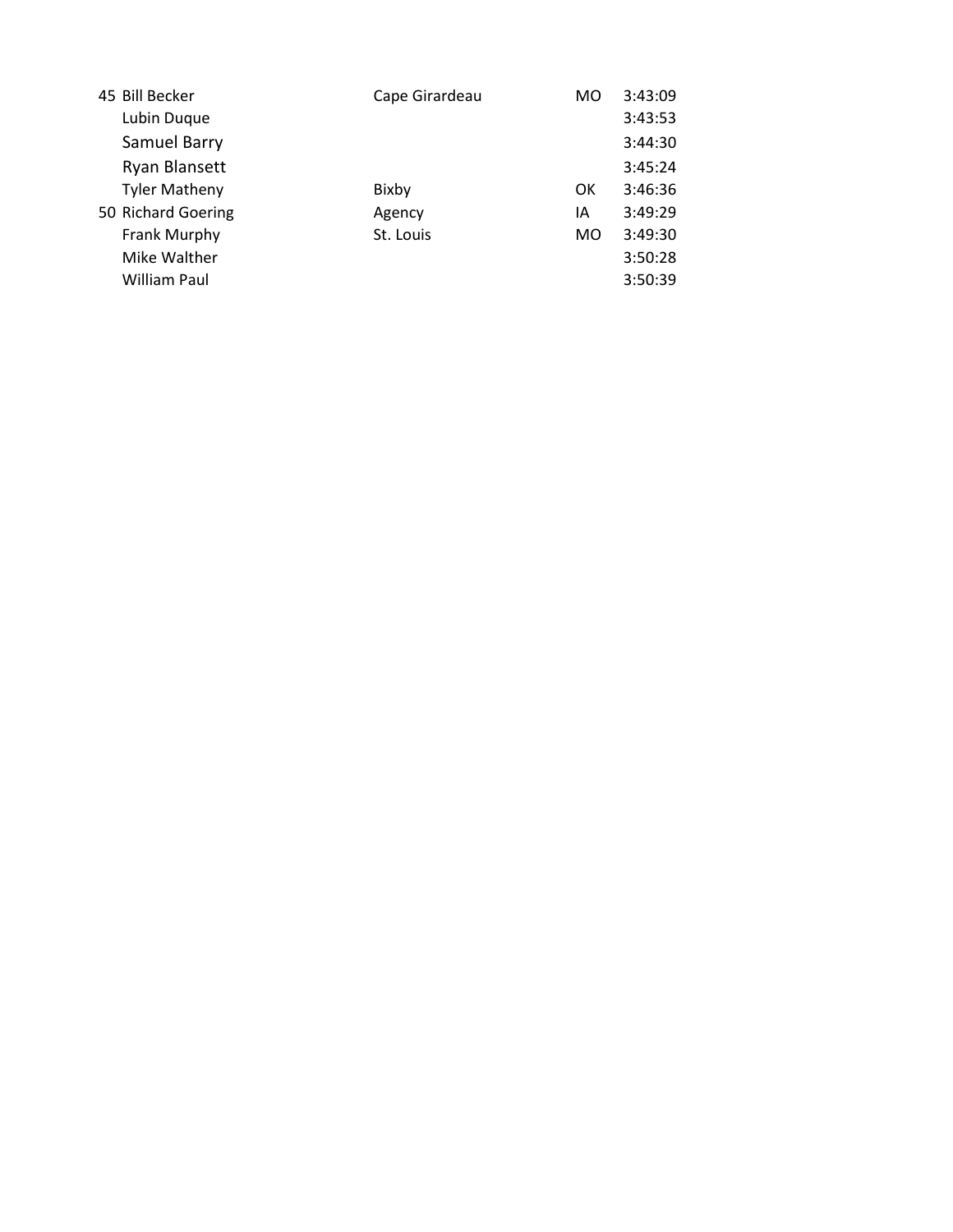| 45 Bill Becker       | Cape Girardeau | MO  | 3:43:09 |
|----------------------|----------------|-----|---------|
| Lubin Duque          |                |     | 3:43:53 |
| Samuel Barry         |                |     | 3:44:30 |
| Ryan Blansett        |                |     | 3:45:24 |
| <b>Tyler Matheny</b> | Bixby          | OK  | 3:46:36 |
| 50 Richard Goering   | Agency         | ΙA  | 3:49:29 |
| Frank Murphy         | St. Louis      | MO. | 3:49:30 |
| Mike Walther         |                |     | 3:50:28 |
| <b>William Paul</b>  |                |     | 3:50:39 |
|                      |                |     |         |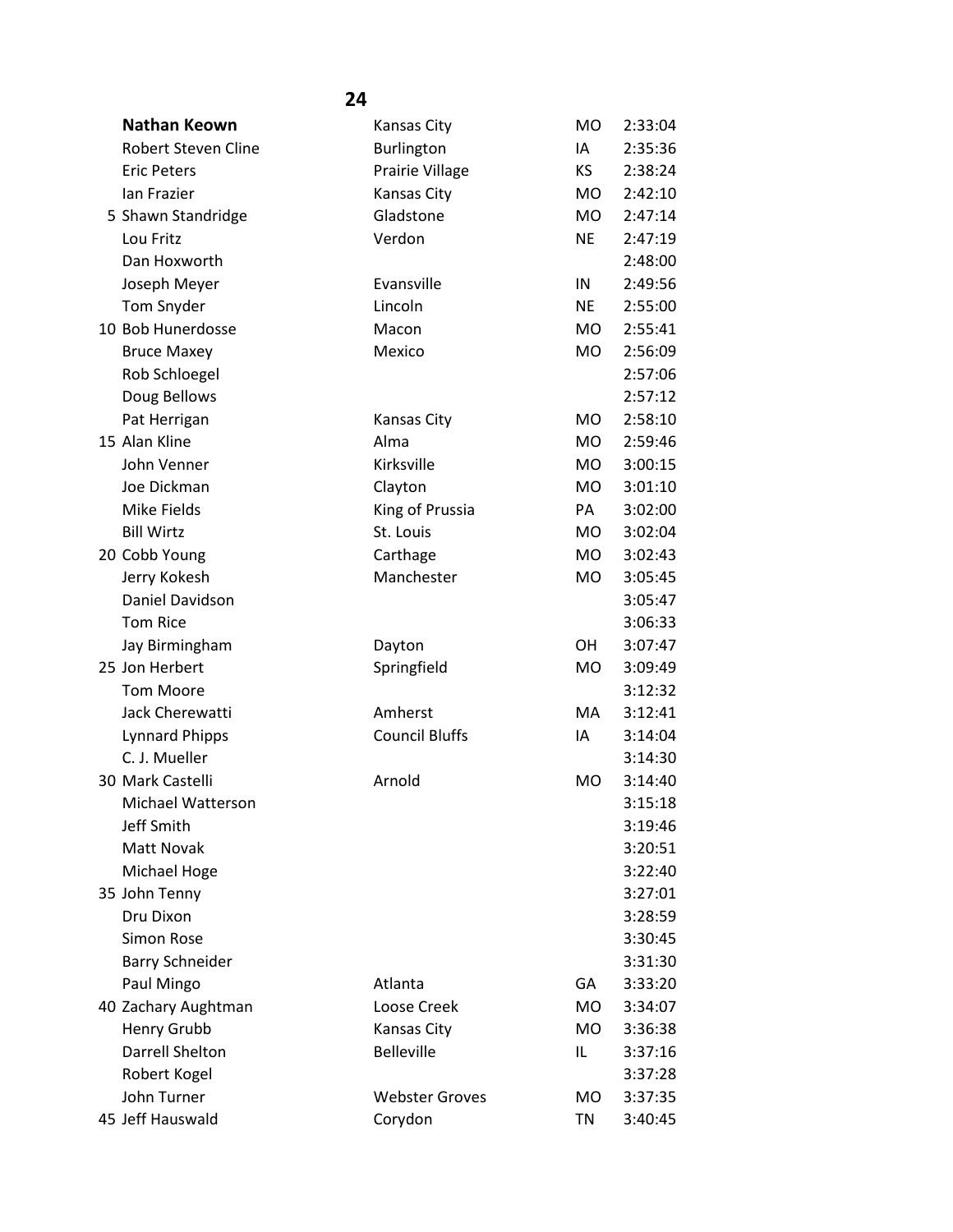| Nathan Keown               | <b>Kansas City</b>    | <b>MO</b> | 2:33:04 |
|----------------------------|-----------------------|-----------|---------|
| <b>Robert Steven Cline</b> | Burlington            | IA        | 2:35:36 |
| <b>Eric Peters</b>         | Prairie Village       | <b>KS</b> | 2:38:24 |
| Ian Frazier                | <b>Kansas City</b>    | <b>MO</b> | 2:42:10 |
| 5 Shawn Standridge         | Gladstone             | <b>MO</b> | 2:47:14 |
| Lou Fritz                  | Verdon                | <b>NE</b> | 2:47:19 |
| Dan Hoxworth               |                       |           | 2:48:00 |
| Joseph Meyer               | Evansville            | IN        | 2:49:56 |
| Tom Snyder                 | Lincoln               | <b>NE</b> | 2:55:00 |
| 10 Bob Hunerdosse          | Macon                 | <b>MO</b> | 2:55:41 |
| <b>Bruce Maxey</b>         | Mexico                | <b>MO</b> | 2:56:09 |
| Rob Schloegel              |                       |           | 2:57:06 |
| Doug Bellows               |                       |           | 2:57:12 |
| Pat Herrigan               | <b>Kansas City</b>    | <b>MO</b> | 2:58:10 |
| 15 Alan Kline              | Alma                  | <b>MO</b> | 2:59:46 |
| John Venner                | Kirksville            | <b>MO</b> | 3:00:15 |
| Joe Dickman                | Clayton               | <b>MO</b> | 3:01:10 |
| Mike Fields                | King of Prussia       | PA        | 3:02:00 |
| <b>Bill Wirtz</b>          | St. Louis             | <b>MO</b> | 3:02:04 |
| 20 Cobb Young              | Carthage              | <b>MO</b> | 3:02:43 |
| Jerry Kokesh               | Manchester            | <b>MO</b> | 3:05:45 |
| Daniel Davidson            |                       |           | 3:05:47 |
| <b>Tom Rice</b>            |                       |           | 3:06:33 |
| Jay Birmingham             | Dayton                | <b>OH</b> | 3:07:47 |
| 25 Jon Herbert             | Springfield           | <b>MO</b> | 3:09:49 |
| <b>Tom Moore</b>           |                       |           | 3:12:32 |
| Jack Cherewatti            | Amherst               | MA        | 3:12:41 |
| <b>Lynnard Phipps</b>      | <b>Council Bluffs</b> | IA        | 3:14:04 |
| C. J. Mueller              |                       |           | 3:14:30 |
| 30 Mark Castelli           | Arnold                | <b>MO</b> | 3:14:40 |
| Michael Watterson          |                       |           | 3:15:18 |
| Jeff Smith                 |                       |           | 3:19:46 |
| <b>Matt Novak</b>          |                       |           | 3:20:51 |
| Michael Hoge               |                       |           | 3:22:40 |
| 35 John Tenny              |                       |           | 3:27:01 |
| Dru Dixon                  |                       |           | 3:28:59 |
| Simon Rose                 |                       |           | 3:30:45 |
| <b>Barry Schneider</b>     |                       |           | 3:31:30 |
| Paul Mingo                 | Atlanta               | GA        | 3:33:20 |
| 40 Zachary Aughtman        | Loose Creek           | <b>MO</b> | 3:34:07 |
| Henry Grubb                | Kansas City           | <b>MO</b> | 3:36:38 |
| Darrell Shelton            | <b>Belleville</b>     | IL        | 3:37:16 |
| Robert Kogel               |                       |           | 3:37:28 |
| John Turner                | <b>Webster Groves</b> | <b>MO</b> | 3:37:35 |
| 45 Jeff Hauswald           | Corydon               | <b>TN</b> | 3:40:45 |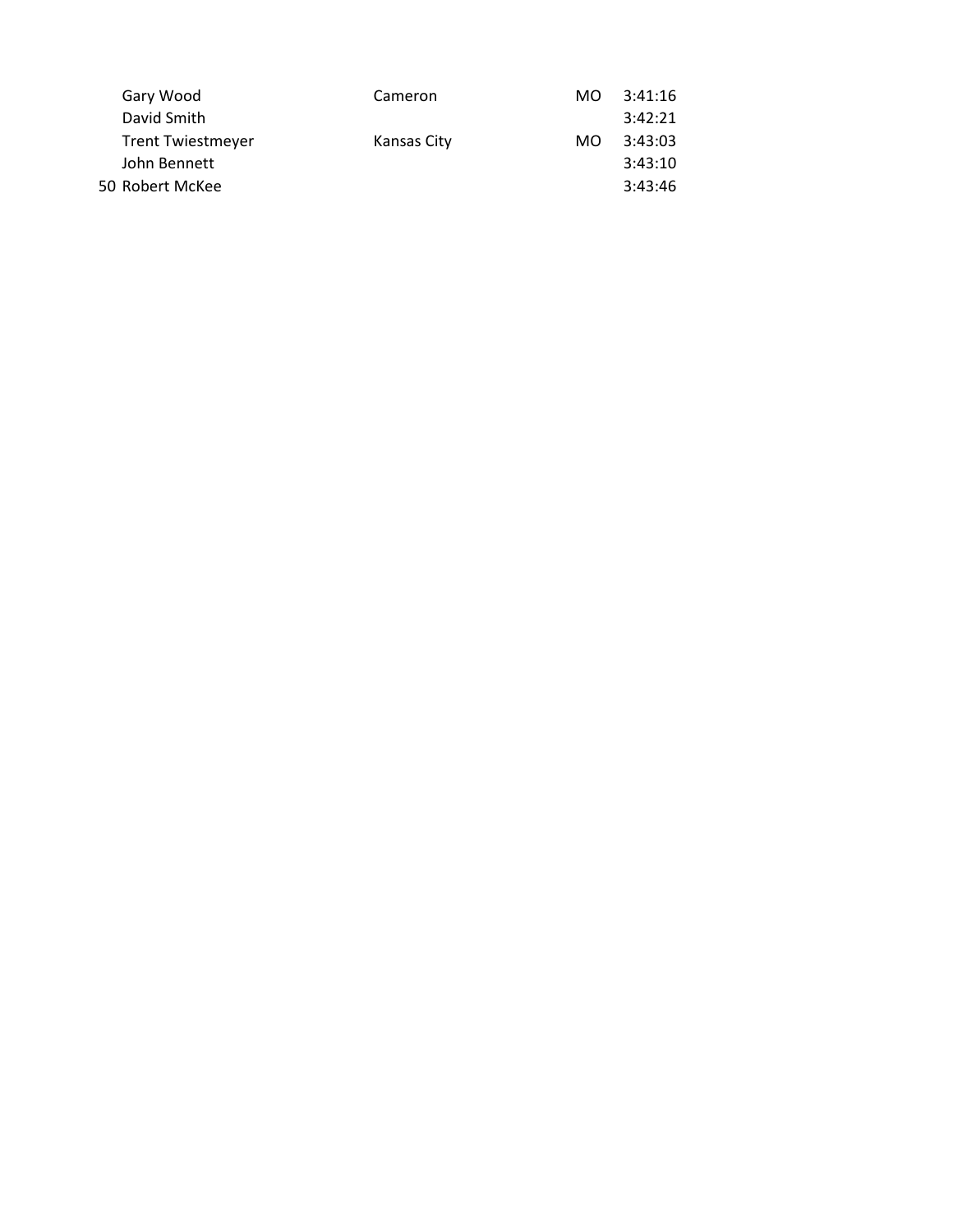|                          | Cameron                      | MO. | 3:41:16 |
|--------------------------|------------------------------|-----|---------|
| David Smith              |                              |     | 3:42:21 |
| <b>Trent Twiestmeyer</b> | Kansas City                  | MO. | 3:43:03 |
| John Bennett             |                              |     | 3:43:10 |
|                          |                              |     | 3:43:46 |
|                          | Gary Wood<br>50 Robert McKee |     |         |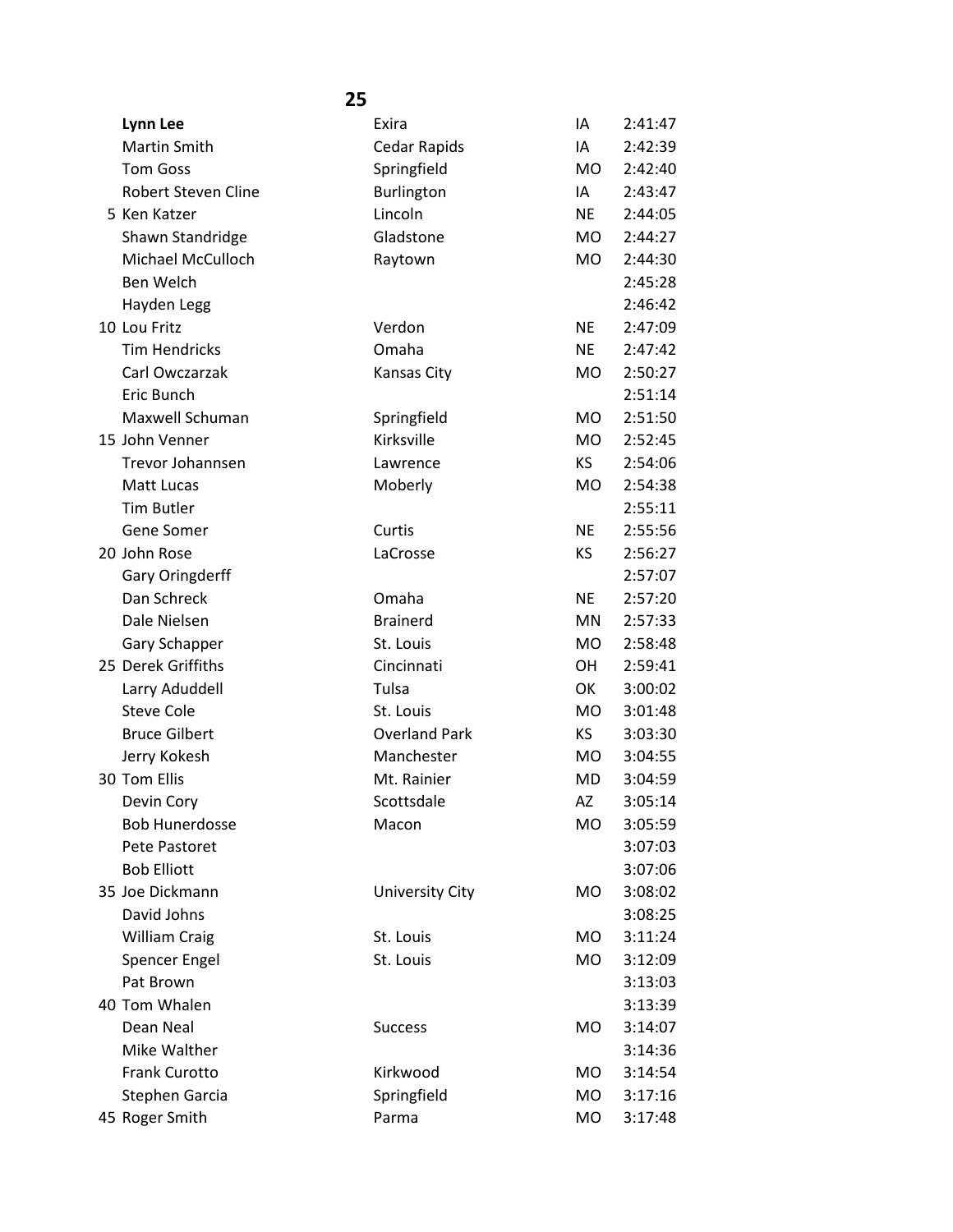| Lynn Lee                   | Exira                  | ΙA        | 2:41:47 |
|----------------------------|------------------------|-----------|---------|
| Martin Smith               | Cedar Rapids           | ΙA        | 2:42:39 |
| <b>Tom Goss</b>            | Springfield            | <b>MO</b> | 2:42:40 |
| <b>Robert Steven Cline</b> | Burlington             | IA        | 2:43:47 |
| 5 Ken Katzer               | Lincoln                | <b>NE</b> | 2:44:05 |
| Shawn Standridge           | Gladstone              | <b>MO</b> | 2:44:27 |
| Michael McCulloch          | Raytown                | <b>MO</b> | 2:44:30 |
| Ben Welch                  |                        |           | 2:45:28 |
| Hayden Legg                |                        |           | 2:46:42 |
| 10 Lou Fritz               | Verdon                 | <b>NE</b> | 2:47:09 |
| <b>Tim Hendricks</b>       | Omaha                  | <b>NE</b> | 2:47:42 |
| Carl Owczarzak             | Kansas City            | <b>MO</b> | 2:50:27 |
| Eric Bunch                 |                        |           | 2:51:14 |
| Maxwell Schuman            | Springfield            | <b>MO</b> | 2:51:50 |
| 15 John Venner             | Kirksville             | <b>MO</b> | 2:52:45 |
| Trevor Johannsen           | Lawrence               | KS.       | 2:54:06 |
| Matt Lucas                 | Moberly                | <b>MO</b> | 2:54:38 |
| <b>Tim Butler</b>          |                        |           | 2:55:11 |
| Gene Somer                 | Curtis                 | <b>NE</b> | 2:55:56 |
| 20 John Rose               | LaCrosse               | KS        | 2:56:27 |
| Gary Oringderff            |                        |           | 2:57:07 |
| Dan Schreck                | Omaha                  | <b>NE</b> | 2:57:20 |
| Dale Nielsen               | <b>Brainerd</b>        | MN        | 2:57:33 |
| Gary Schapper              | St. Louis              | <b>MO</b> | 2:58:48 |
| 25 Derek Griffiths         | Cincinnati             | <b>OH</b> | 2:59:41 |
| Larry Aduddell             | Tulsa                  | OK        | 3:00:02 |
| <b>Steve Cole</b>          | St. Louis              | <b>MO</b> | 3:01:48 |
| <b>Bruce Gilbert</b>       | <b>Overland Park</b>   | KS.       | 3:03:30 |
| Jerry Kokesh               | Manchester             | <b>MO</b> | 3:04:55 |
| 30 Tom Ellis               | Mt. Rainier            | MD        | 3:04:59 |
| Devin Cory                 | Scottsdale             | AZ        | 3:05:14 |
| <b>Bob Hunerdosse</b>      | Macon                  | MO        | 3:05:59 |
| Pete Pastoret              |                        |           | 3:07:03 |
| <b>Bob Elliott</b>         |                        |           | 3:07:06 |
| 35 Joe Dickmann            | <b>University City</b> | MO        | 3:08:02 |
| David Johns                |                        |           | 3:08:25 |
| <b>William Craig</b>       | St. Louis              | MO        | 3:11:24 |
| <b>Spencer Engel</b>       | St. Louis              | MO        | 3:12:09 |
| Pat Brown                  |                        |           | 3:13:03 |
| 40 Tom Whalen              |                        |           | 3:13:39 |
| Dean Neal                  | <b>Success</b>         | MO        | 3:14:07 |
| Mike Walther               |                        |           | 3:14:36 |
| Frank Curotto              | Kirkwood               | MO        | 3:14:54 |
| Stephen Garcia             | Springfield            | MO.       | 3:17:16 |
| 45 Roger Smith             | Parma                  | MO        | 3:17:48 |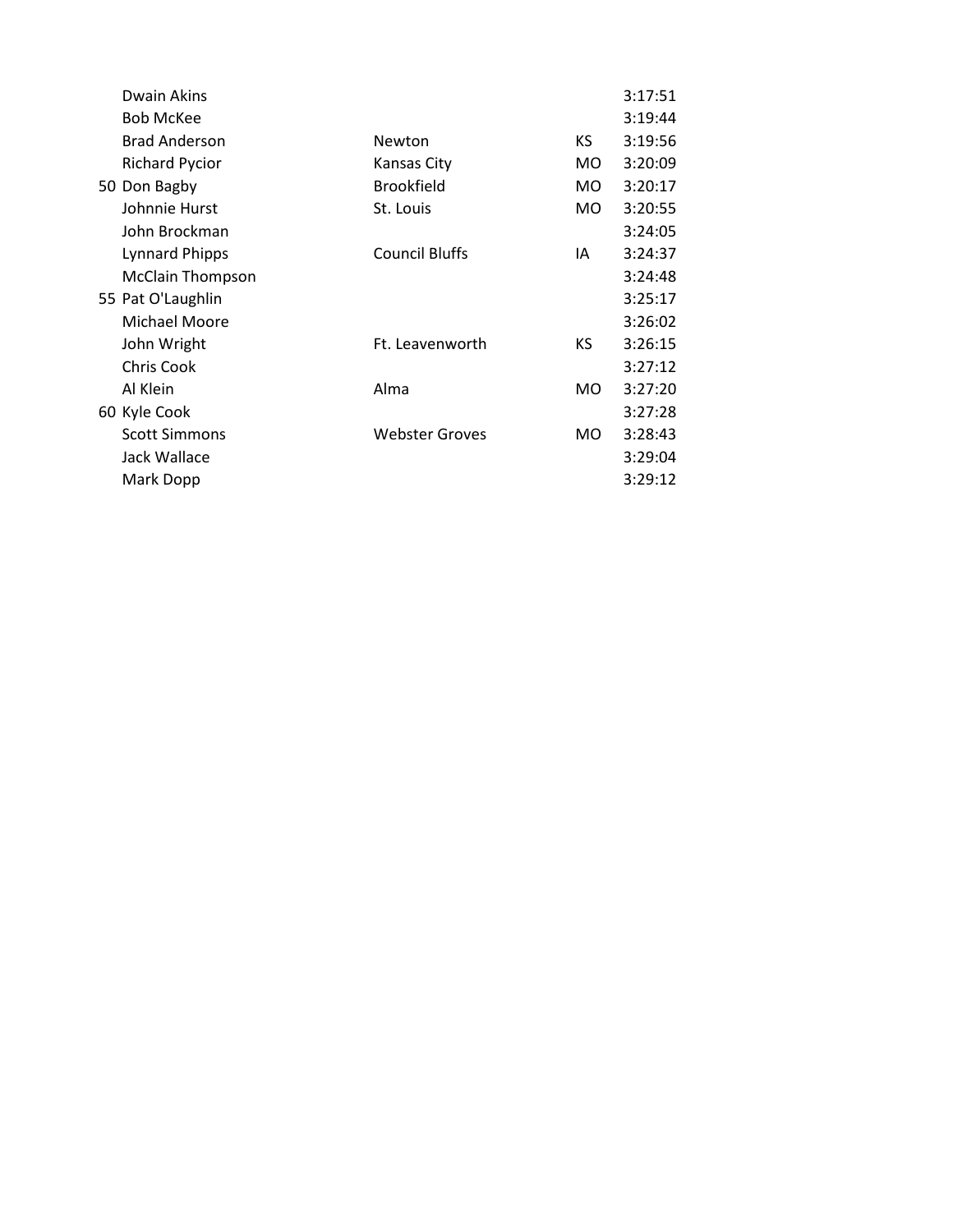| Dwain Akins             |                       |     | 3:17:51 |
|-------------------------|-----------------------|-----|---------|
| <b>Bob McKee</b>        |                       |     | 3:19:44 |
| <b>Brad Anderson</b>    | Newton                | KS. | 3:19:56 |
| <b>Richard Pycior</b>   | Kansas City           | MO. | 3:20:09 |
| 50 Don Bagby            | <b>Brookfield</b>     | MO. | 3:20:17 |
| Johnnie Hurst           | St. Louis             | MO. | 3:20:55 |
| John Brockman           |                       |     | 3:24:05 |
| <b>Lynnard Phipps</b>   | <b>Council Bluffs</b> | IA  | 3:24:37 |
| <b>McClain Thompson</b> |                       |     | 3:24:48 |
| 55 Pat O'Laughlin       |                       |     | 3:25:17 |
| Michael Moore           |                       |     | 3:26:02 |
| John Wright             | Ft. Leavenworth       | KS. | 3:26:15 |
| Chris Cook              |                       |     | 3:27:12 |
| Al Klein                | Alma                  | MO. | 3:27:20 |
| 60 Kyle Cook            |                       |     | 3:27:28 |
| <b>Scott Simmons</b>    | <b>Webster Groves</b> | MO. | 3:28:43 |
| Jack Wallace            |                       |     | 3:29:04 |
| Mark Dopp               |                       |     | 3:29:12 |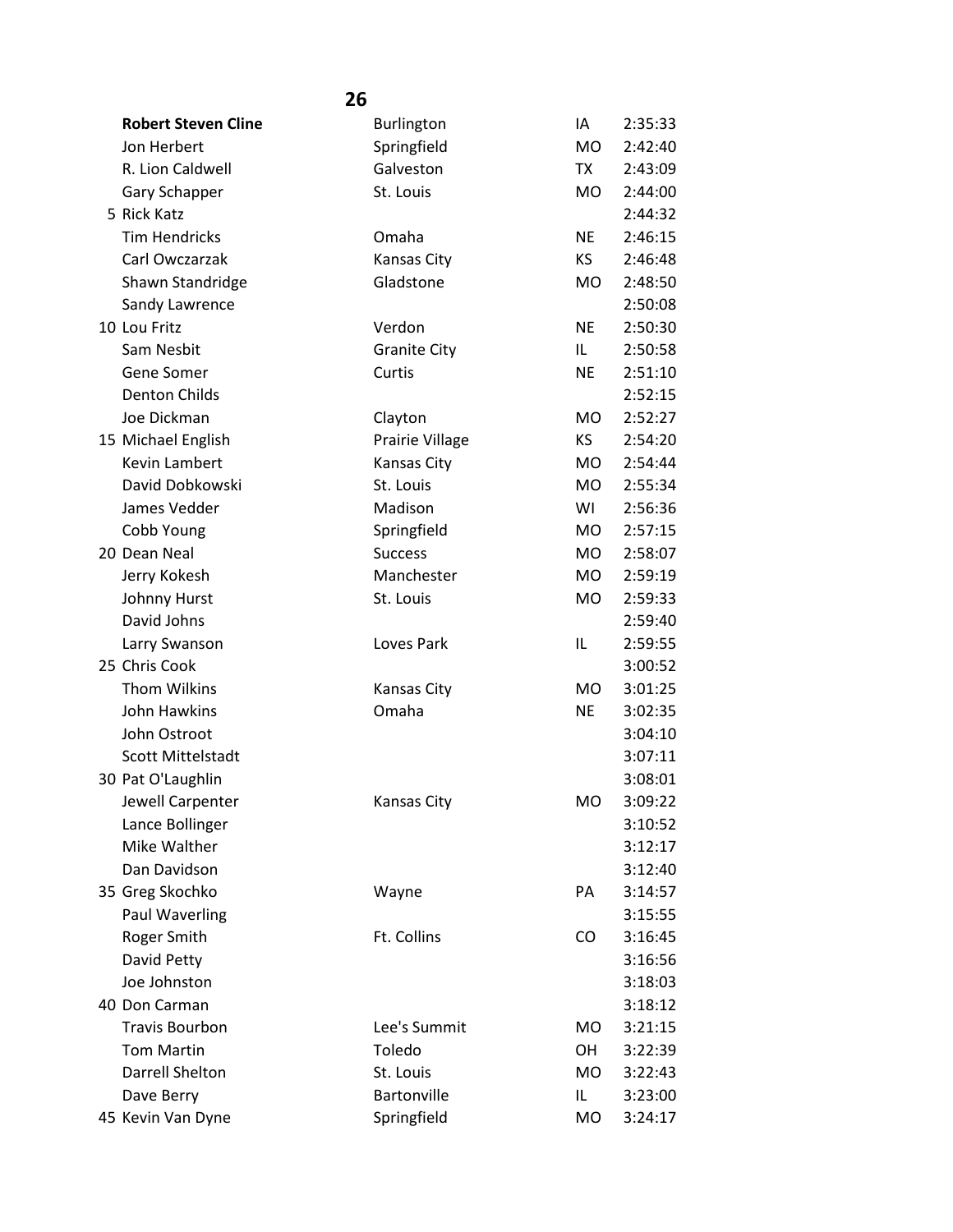| <b>Robert Steven Cline</b> | Burlington          | IA             | 2:35:33 |
|----------------------------|---------------------|----------------|---------|
| Jon Herbert                | Springfield         | <b>MO</b>      | 2:42:40 |
| R. Lion Caldwell           | Galveston           | TX             | 2:43:09 |
| Gary Schapper              | St. Louis           | <b>MO</b>      | 2:44:00 |
| 5 Rick Katz                |                     |                | 2:44:32 |
| <b>Tim Hendricks</b>       | Omaha               | <b>NE</b>      | 2:46:15 |
| Carl Owczarzak             | Kansas City         | <b>KS</b>      | 2:46:48 |
| Shawn Standridge           | Gladstone           | <b>MO</b>      | 2:48:50 |
| Sandy Lawrence             |                     |                | 2:50:08 |
| 10 Lou Fritz               | Verdon              | <b>NE</b>      | 2:50:30 |
| Sam Nesbit                 | <b>Granite City</b> | IL.            | 2:50:58 |
| Gene Somer                 | Curtis              | <b>NE</b>      | 2:51:10 |
| <b>Denton Childs</b>       |                     |                | 2:52:15 |
| Joe Dickman                | Clayton             | <b>MO</b>      | 2:52:27 |
| 15 Michael English         | Prairie Village     | <b>KS</b>      | 2:54:20 |
| <b>Kevin Lambert</b>       | Kansas City         | <b>MO</b>      | 2:54:44 |
| David Dobkowski            | St. Louis           | <b>MO</b>      | 2:55:34 |
| James Vedder               | Madison             | WI             | 2:56:36 |
| Cobb Young                 | Springfield         | <b>MO</b>      | 2:57:15 |
| 20 Dean Neal               | <b>Success</b>      | <b>MO</b>      | 2:58:07 |
| Jerry Kokesh               | Manchester          | <b>MO</b>      | 2:59:19 |
| Johnny Hurst               | St. Louis           | <b>MO</b>      | 2:59:33 |
| David Johns                |                     |                | 2:59:40 |
| Larry Swanson              | Loves Park          | IL             | 2:59:55 |
| 25 Chris Cook              |                     |                | 3:00:52 |
| <b>Thom Wilkins</b>        | Kansas City         | <b>MO</b>      | 3:01:25 |
| John Hawkins               | Omaha               | <b>NE</b>      | 3:02:35 |
| John Ostroot               |                     |                | 3:04:10 |
| <b>Scott Mittelstadt</b>   |                     |                | 3:07:11 |
| 30 Pat O'Laughlin          |                     |                | 3:08:01 |
| Jewell Carpenter           | <b>Kansas City</b>  | M <sub>O</sub> | 3:09:22 |
| Lance Bollinger            |                     |                | 3:10:52 |
| Mike Walther               |                     |                | 3:12:17 |
| Dan Davidson               |                     |                | 3:12:40 |
| 35 Greg Skochko            | Wayne               | PA             | 3:14:57 |
| Paul Waverling             |                     |                | 3:15:55 |
| Roger Smith                | Ft. Collins         | CO             | 3:16:45 |
| David Petty                |                     |                | 3:16:56 |
| Joe Johnston               |                     |                | 3:18:03 |
| 40 Don Carman              |                     |                | 3:18:12 |
| <b>Travis Bourbon</b>      | Lee's Summit        | <b>MO</b>      | 3:21:15 |
| <b>Tom Martin</b>          | Toledo              | OH             | 3:22:39 |
| <b>Darrell Shelton</b>     | St. Louis           | <b>MO</b>      | 3:22:43 |
| Dave Berry                 | Bartonville         | IL             | 3:23:00 |
| 45 Kevin Van Dyne          | Springfield         | MO             | 3:24:17 |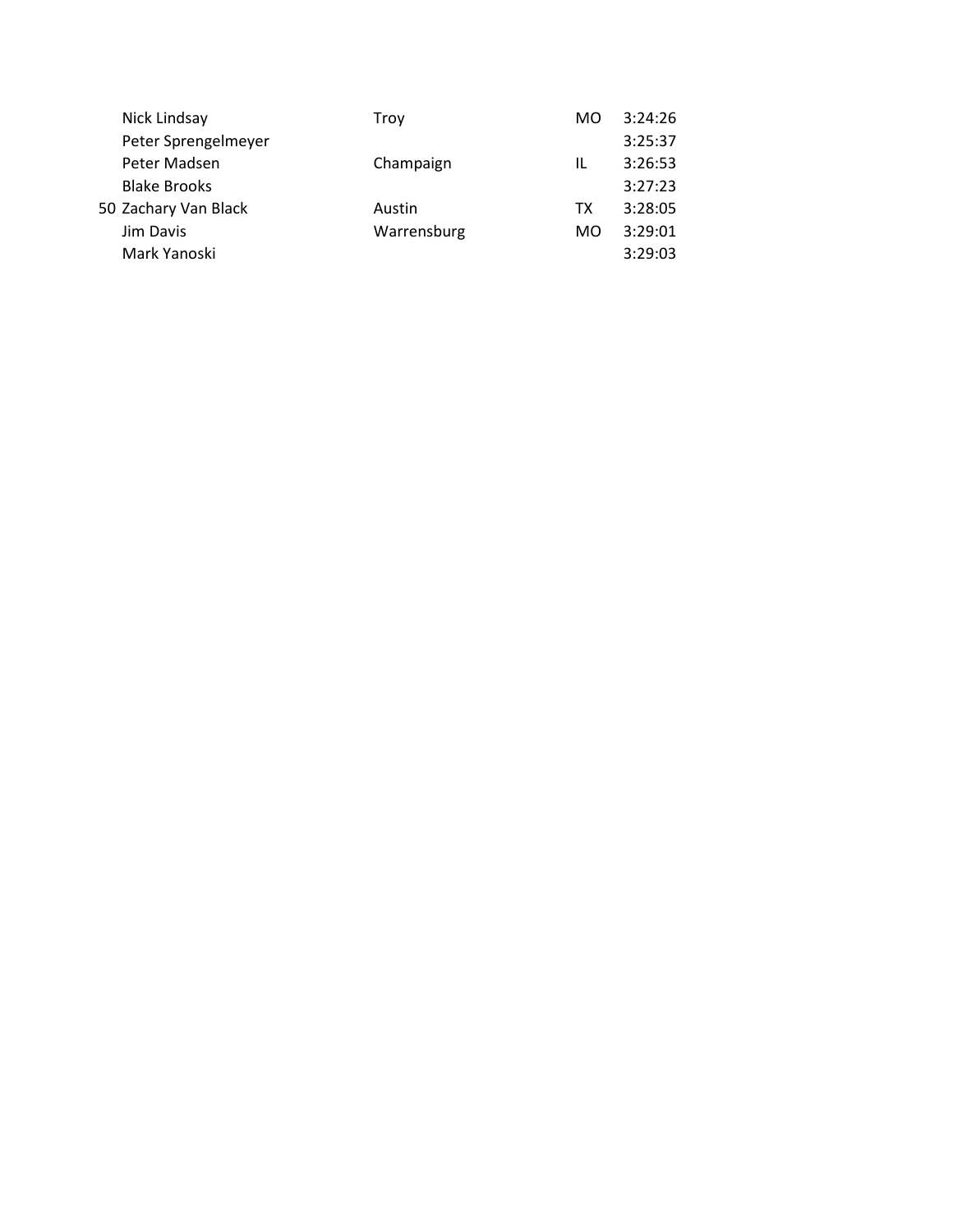| Nick Lindsay         | Trov        | MO. | 3:24:26 |
|----------------------|-------------|-----|---------|
| Peter Sprengelmeyer  |             |     | 3:25:37 |
| Peter Madsen         | Champaign   | IL  | 3:26:53 |
| <b>Blake Brooks</b>  |             |     | 3:27:23 |
| 50 Zachary Van Black | Austin      | TX  | 3:28:05 |
| Jim Davis            | Warrensburg | MO  | 3:29:01 |
| Mark Yanoski         |             |     | 3:29:03 |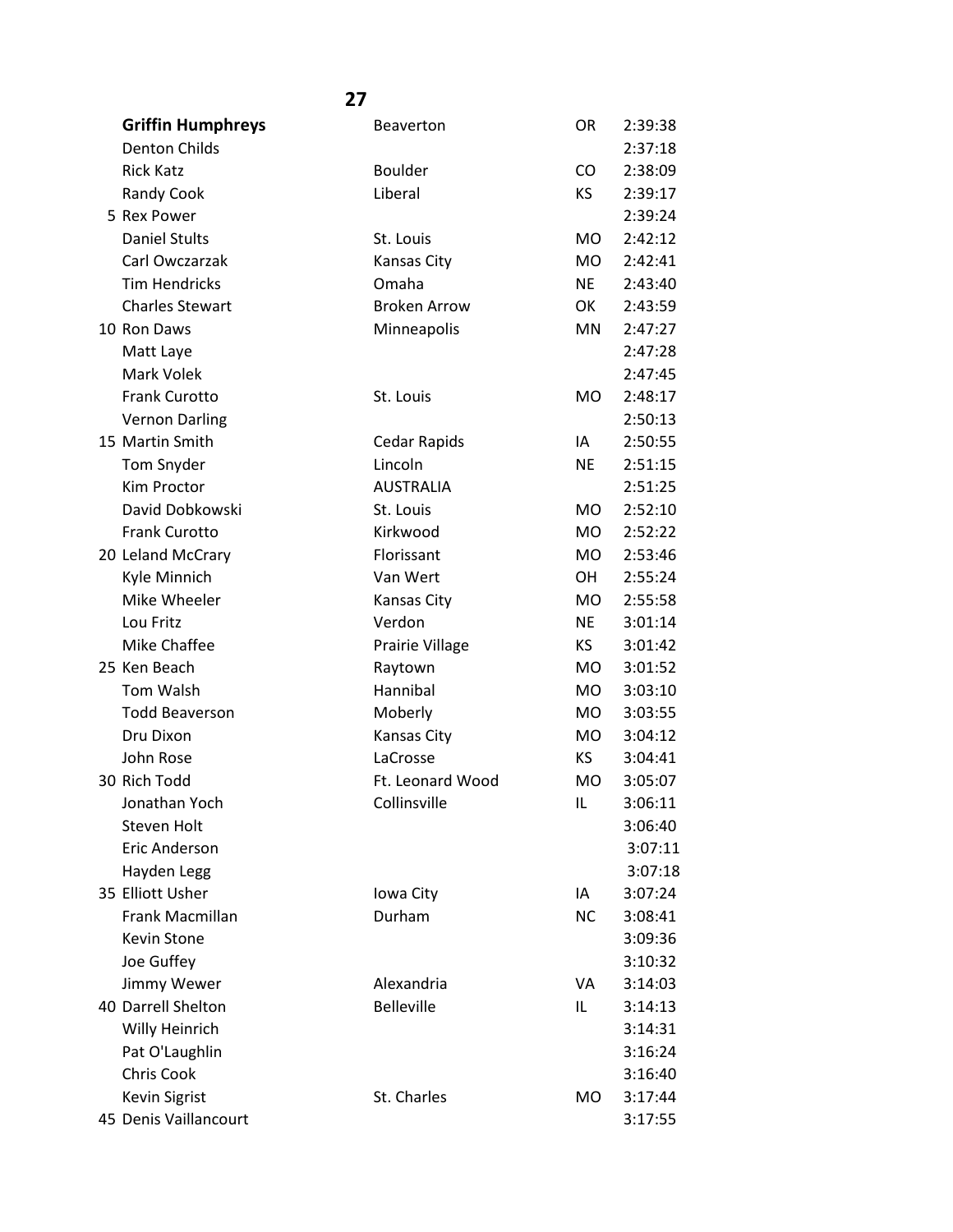| <b>Griffin Humphreys</b> | <b>Beaverton</b>    | OR        | 2:39:38 |
|--------------------------|---------------------|-----------|---------|
| <b>Denton Childs</b>     |                     |           | 2:37:18 |
| <b>Rick Katz</b>         | <b>Boulder</b>      | CO        | 2:38:09 |
| Randy Cook               | Liberal             | <b>KS</b> | 2:39:17 |
| 5 Rex Power              |                     |           | 2:39:24 |
| <b>Daniel Stults</b>     | St. Louis           | <b>MO</b> | 2:42:12 |
| Carl Owczarzak           | Kansas City         | MO        | 2:42:41 |
| <b>Tim Hendricks</b>     | Omaha               | <b>NE</b> | 2:43:40 |
| <b>Charles Stewart</b>   | <b>Broken Arrow</b> | OK        | 2:43:59 |
| 10 Ron Daws              | Minneapolis         | <b>MN</b> | 2:47:27 |
| Matt Laye                |                     |           | 2:47:28 |
| Mark Volek               |                     |           | 2:47:45 |
| Frank Curotto            | St. Louis           | <b>MO</b> | 2:48:17 |
| <b>Vernon Darling</b>    |                     |           | 2:50:13 |
| 15 Martin Smith          | Cedar Rapids        | IA        | 2:50:55 |
| Tom Snyder               | Lincoln             | <b>NE</b> | 2:51:15 |
| <b>Kim Proctor</b>       | <b>AUSTRALIA</b>    |           | 2:51:25 |
| David Dobkowski          | St. Louis           | <b>MO</b> | 2:52:10 |
| <b>Frank Curotto</b>     | Kirkwood            | <b>MO</b> | 2:52:22 |
| 20 Leland McCrary        | Florissant          | MO        | 2:53:46 |
| Kyle Minnich             | Van Wert            | OН        | 2:55:24 |
| Mike Wheeler             | <b>Kansas City</b>  | <b>MO</b> | 2:55:58 |
| Lou Fritz                | Verdon              | <b>NE</b> | 3:01:14 |
| Mike Chaffee             | Prairie Village     | KS        | 3:01:42 |
| 25 Ken Beach             | Raytown             | <b>MO</b> | 3:01:52 |
| Tom Walsh                | Hannibal            | MO        | 3:03:10 |
| <b>Todd Beaverson</b>    | Moberly             | <b>MO</b> | 3:03:55 |
| Dru Dixon                | Kansas City         | <b>MO</b> | 3:04:12 |
| John Rose                | LaCrosse            | KS        | 3:04:41 |
| 30 Rich Todd             | Ft. Leonard Wood    | <b>MO</b> | 3:05:07 |
| Jonathan Yoch            | Collinsville        | IL        | 3:06:11 |
| Steven Holt              |                     |           | 3:06:40 |
| <b>Eric Anderson</b>     |                     |           | 3:07:11 |
| Hayden Legg              |                     |           | 3:07:18 |
| 35 Elliott Usher         | Iowa City           | IA        | 3:07:24 |
| <b>Frank Macmillan</b>   | Durham              | <b>NC</b> | 3:08:41 |
| Kevin Stone              |                     |           | 3:09:36 |
| Joe Guffey               |                     |           | 3:10:32 |
| Jimmy Wewer              | Alexandria          | VA        | 3:14:03 |
| 40 Darrell Shelton       | <b>Belleville</b>   | IL        | 3:14:13 |
| Willy Heinrich           |                     |           | 3:14:31 |
| Pat O'Laughlin           |                     |           | 3:16:24 |
| Chris Cook               |                     |           | 3:16:40 |
| <b>Kevin Sigrist</b>     | St. Charles         | MO        | 3:17:44 |
| 45 Denis Vaillancourt    |                     |           | 3:17:55 |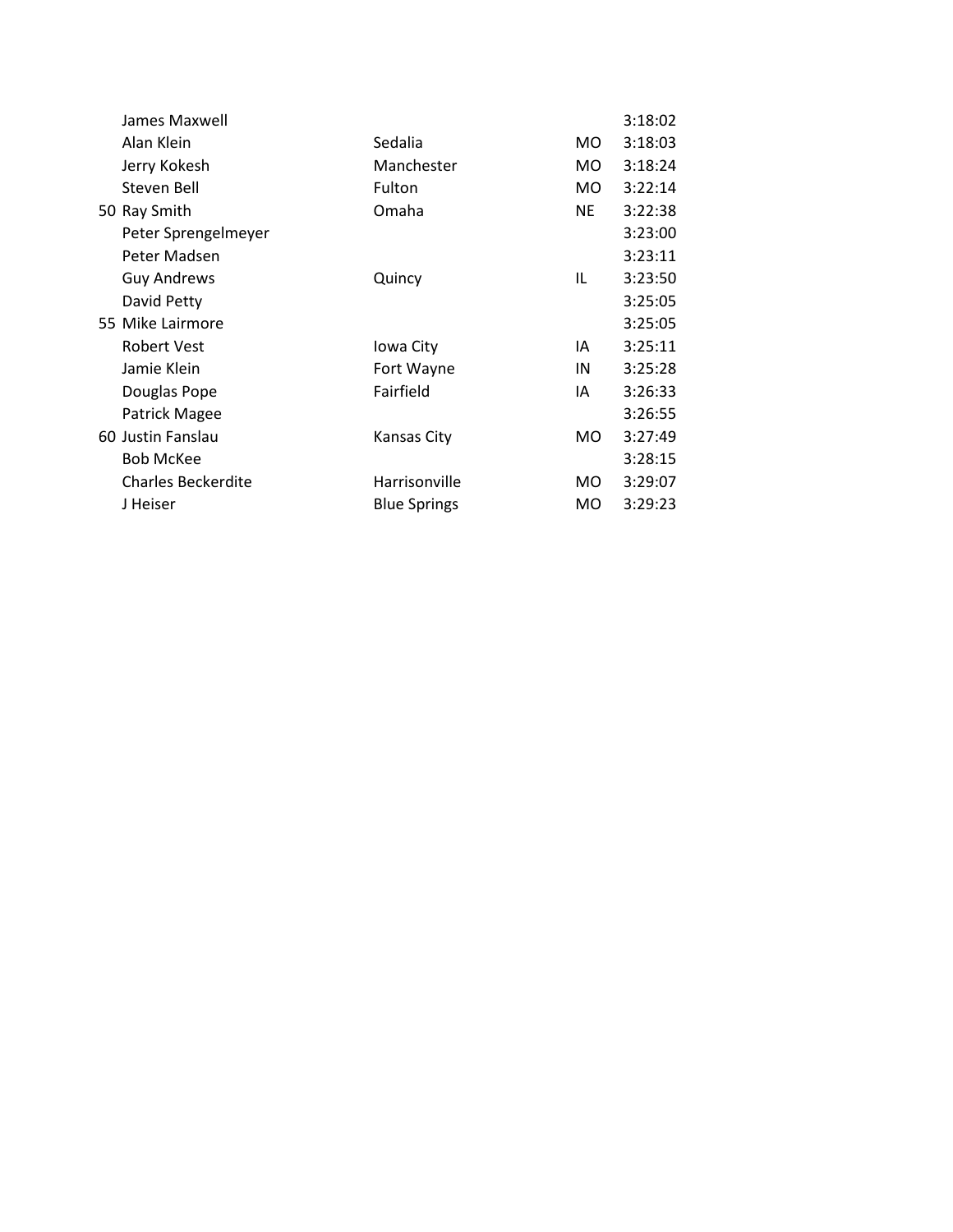| James Maxwell             |                     |           | 3:18:02 |
|---------------------------|---------------------|-----------|---------|
| Alan Klein                | Sedalia             | MO.       | 3:18:03 |
| Jerry Kokesh              | Manchester          | MO.       | 3:18:24 |
| Steven Bell               | Fulton              | MO.       | 3:22:14 |
| 50 Ray Smith              | Omaha               | <b>NE</b> | 3:22:38 |
| Peter Sprengelmeyer       |                     |           | 3:23:00 |
| Peter Madsen              |                     |           | 3:23:11 |
| <b>Guy Andrews</b>        | Quincy              | IL        | 3:23:50 |
| David Petty               |                     |           | 3:25:05 |
| 55 Mike Lairmore          |                     |           | 3:25:05 |
| <b>Robert Vest</b>        | Iowa City           | IA        | 3:25:11 |
| Jamie Klein               | Fort Wayne          | IN        | 3:25:28 |
| Douglas Pope              | Fairfield           | IA        | 3:26:33 |
| Patrick Magee             |                     |           | 3:26:55 |
| 60 Justin Fanslau         | Kansas City         | MO.       | 3:27:49 |
| <b>Bob McKee</b>          |                     |           | 3:28:15 |
| <b>Charles Beckerdite</b> | Harrisonville       | MO.       | 3:29:07 |
| J Heiser                  | <b>Blue Springs</b> | MO.       | 3:29:23 |
|                           |                     |           |         |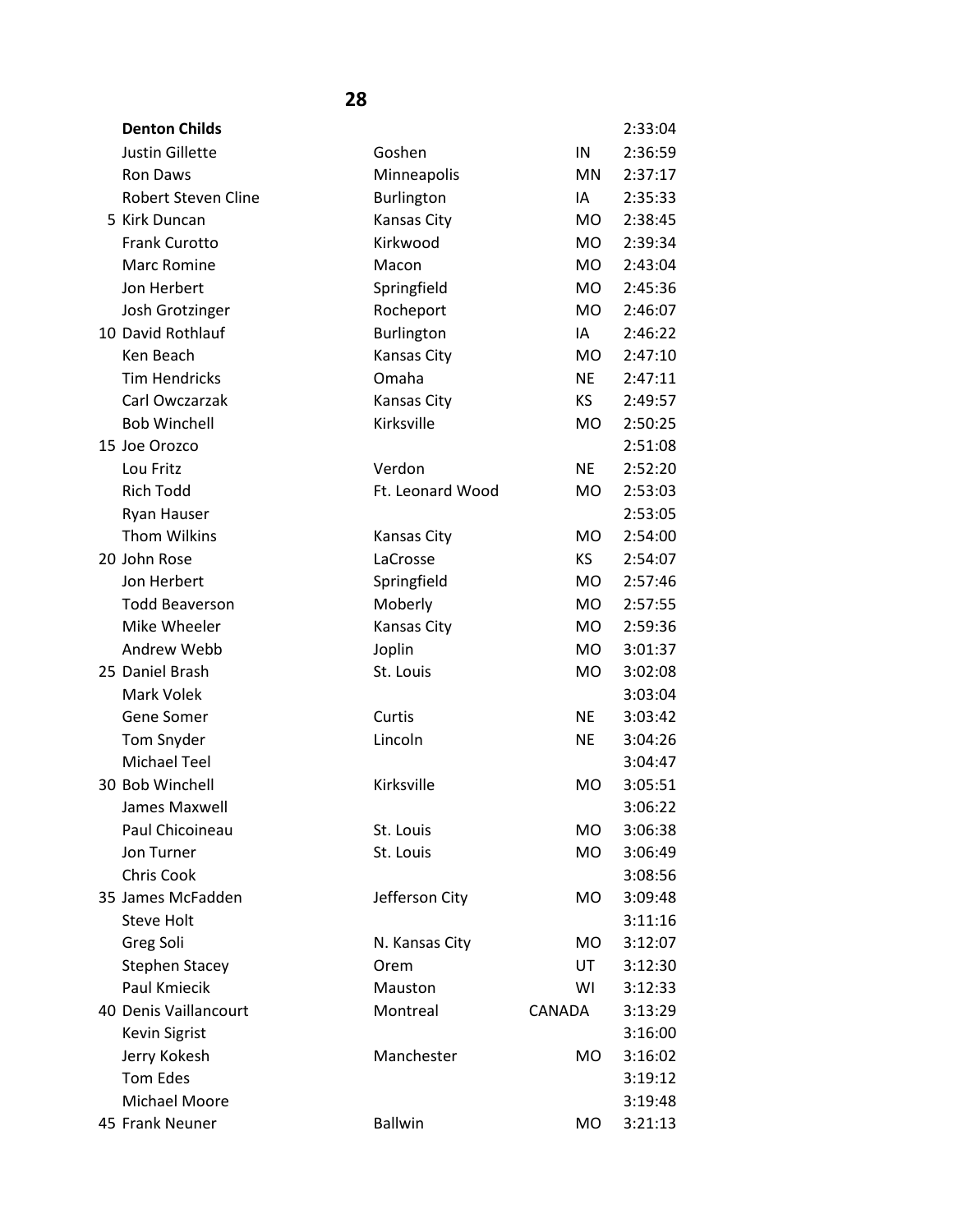| <b>Denton Childs</b>   |                    |           | 2:33:04 |
|------------------------|--------------------|-----------|---------|
| <b>Justin Gillette</b> | Goshen             | IN        | 2:36:59 |
| Ron Daws               | Minneapolis        | <b>MN</b> | 2:37:17 |
| Robert Steven Cline    | Burlington         | IA        | 2:35:33 |
| 5 Kirk Duncan          | <b>Kansas City</b> | <b>MO</b> | 2:38:45 |
| <b>Frank Curotto</b>   | Kirkwood           | <b>MO</b> | 2:39:34 |
| <b>Marc Romine</b>     | Macon              | <b>MO</b> | 2:43:04 |
| Jon Herbert            | Springfield        | <b>MO</b> | 2:45:36 |
| Josh Grotzinger        | Rocheport          | <b>MO</b> | 2:46:07 |
| 10 David Rothlauf      | Burlington         | IA        | 2:46:22 |
| Ken Beach              | Kansas City        | <b>MO</b> | 2:47:10 |
| <b>Tim Hendricks</b>   | Omaha              | <b>NE</b> | 2:47:11 |
| Carl Owczarzak         | Kansas City        | <b>KS</b> | 2:49:57 |
| <b>Bob Winchell</b>    | Kirksville         | <b>MO</b> | 2:50:25 |
| 15 Joe Orozco          |                    |           | 2:51:08 |
| Lou Fritz              | Verdon             | <b>NE</b> | 2:52:20 |
| <b>Rich Todd</b>       | Ft. Leonard Wood   | <b>MO</b> | 2:53:03 |
| <b>Ryan Hauser</b>     |                    |           | 2:53:05 |
| <b>Thom Wilkins</b>    | <b>Kansas City</b> | <b>MO</b> | 2:54:00 |
| 20 John Rose           | LaCrosse           | <b>KS</b> | 2:54:07 |
| Jon Herbert            | Springfield        | <b>MO</b> | 2:57:46 |
| <b>Todd Beaverson</b>  | Moberly            | <b>MO</b> | 2:57:55 |
| Mike Wheeler           | Kansas City        | <b>MO</b> | 2:59:36 |
| Andrew Webb            | Joplin             | <b>MO</b> | 3:01:37 |
| 25 Daniel Brash        | St. Louis          | <b>MO</b> | 3:02:08 |
| Mark Volek             |                    |           | 3:03:04 |
| Gene Somer             | Curtis             | <b>NE</b> | 3:03:42 |
| Tom Snyder             | Lincoln            | <b>NE</b> | 3:04:26 |
| <b>Michael Teel</b>    |                    |           | 3:04:47 |
| 30 Bob Winchell        | Kirksville         | <b>MO</b> | 3:05:51 |
| James Maxwell          |                    |           | 3:06:22 |
| Paul Chicoineau        | St. Louis          | <b>MO</b> | 3:06:38 |
| Jon Turner             | St. Louis          | MO        | 3:06:49 |
| Chris Cook             |                    |           | 3:08:56 |
| 35 James McFadden      | Jefferson City     | <b>MO</b> | 3:09:48 |
| <b>Steve Holt</b>      |                    |           | 3:11:16 |
| Greg Soli              | N. Kansas City     | MO        | 3:12:07 |
| <b>Stephen Stacey</b>  | Orem               | UT        | 3:12:30 |
| Paul Kmiecik           | Mauston            | WI        | 3:12:33 |
| 40 Denis Vaillancourt  | Montreal           | CANADA    | 3:13:29 |
| <b>Kevin Sigrist</b>   |                    |           | 3:16:00 |
| Jerry Kokesh           | Manchester         | MO        | 3:16:02 |
| <b>Tom Edes</b>        |                    |           | 3:19:12 |
| Michael Moore          |                    |           | 3:19:48 |
| 45 Frank Neuner        | <b>Ballwin</b>     | MO        | 3:21:13 |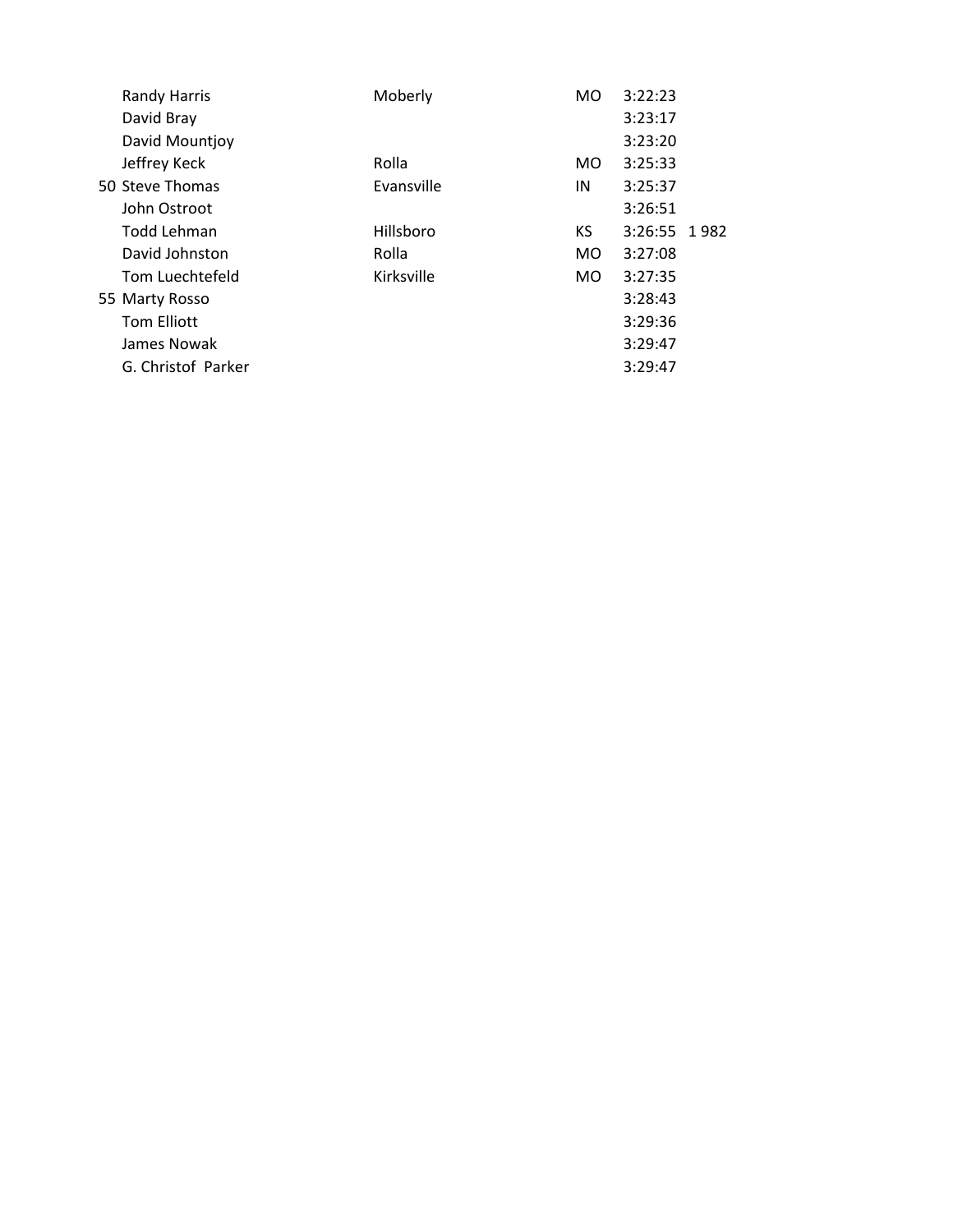| <b>Randy Harris</b> | Moberly    | MO             | 3:22:23      |  |
|---------------------|------------|----------------|--------------|--|
| David Bray          |            |                | 3:23:17      |  |
| David Mountjoy      |            |                | 3:23:20      |  |
| Jeffrey Keck        | Rolla      | MO.            | 3:25:33      |  |
| 50 Steve Thomas     | Evansville | IN             | 3:25:37      |  |
| John Ostroot        |            |                | 3:26:51      |  |
| Todd Lehman         | Hillsboro  | KS.            | 3:26:55 1982 |  |
| David Johnston      | Rolla      | MO.            | 3:27:08      |  |
| Tom Luechtefeld     | Kirksville | M <sub>O</sub> | 3:27:35      |  |
| 55 Marty Rosso      |            |                | 3:28:43      |  |
| <b>Tom Elliott</b>  |            |                | 3:29:36      |  |
| James Nowak         |            |                | 3:29:47      |  |
| G. Christof Parker  |            |                | 3:29:47      |  |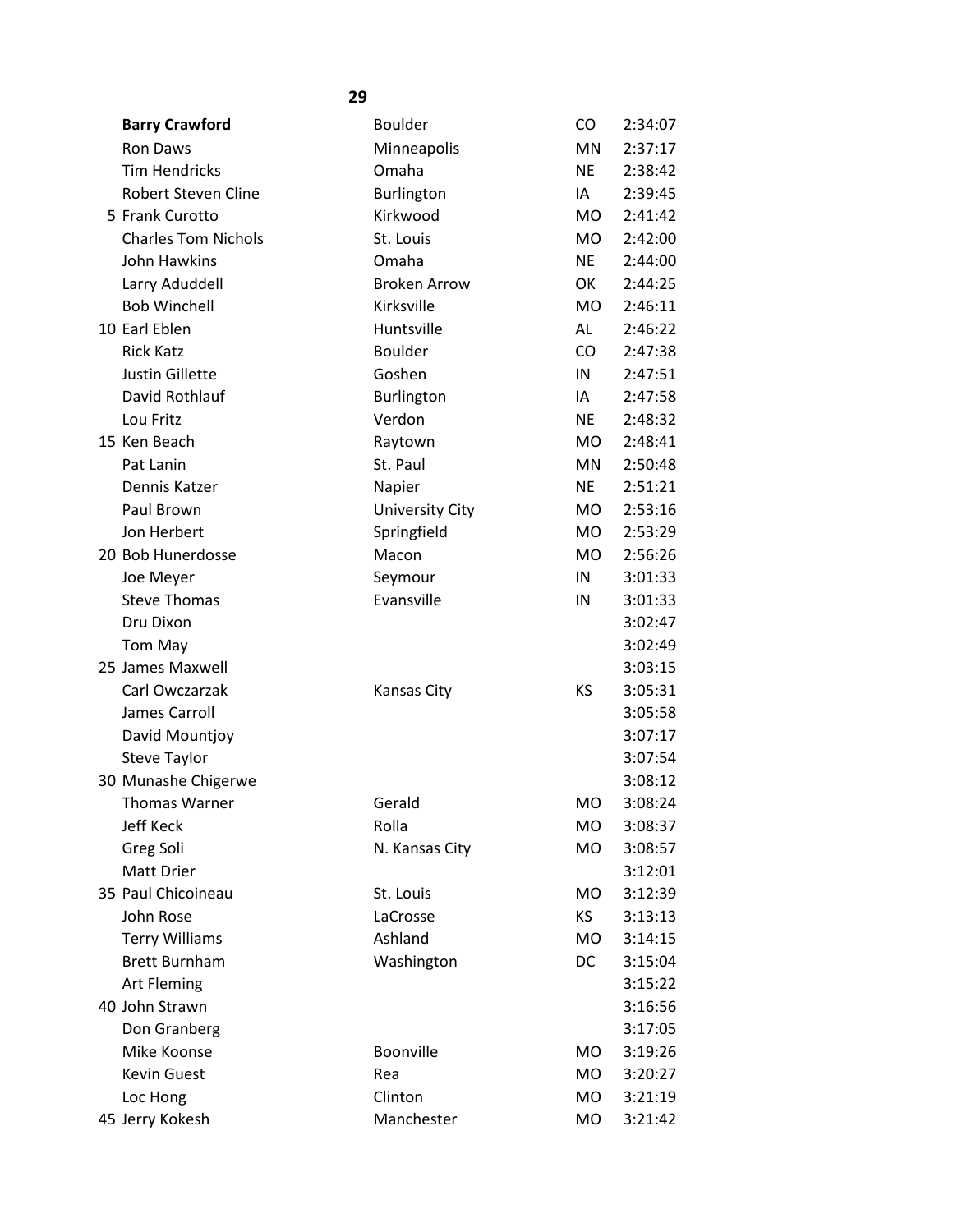| <b>Barry Crawford</b>      | <b>Boulder</b>         | CO.       | 2:34:07 |
|----------------------------|------------------------|-----------|---------|
| Ron Daws                   | Minneapolis            | MN        | 2:37:17 |
| <b>Tim Hendricks</b>       | Omaha                  | <b>NE</b> | 2:38:42 |
| <b>Robert Steven Cline</b> | <b>Burlington</b>      | IA        | 2:39:45 |
| 5 Frank Curotto            | Kirkwood               | <b>MO</b> | 2:41:42 |
| <b>Charles Tom Nichols</b> | St. Louis              | <b>MO</b> | 2:42:00 |
| John Hawkins               | Omaha                  | <b>NE</b> | 2:44:00 |
| Larry Aduddell             | <b>Broken Arrow</b>    | OK        | 2:44:25 |
| <b>Bob Winchell</b>        | Kirksville             | <b>MO</b> | 2:46:11 |
| 10 Earl Eblen              | Huntsville             | AL        | 2:46:22 |
| <b>Rick Katz</b>           | <b>Boulder</b>         | CO        | 2:47:38 |
| <b>Justin Gillette</b>     | Goshen                 | IN        | 2:47:51 |
| David Rothlauf             | Burlington             | IA        | 2:47:58 |
| Lou Fritz                  | Verdon                 | <b>NE</b> | 2:48:32 |
| 15 Ken Beach               | Raytown                | <b>MO</b> | 2:48:41 |
| Pat Lanin                  | St. Paul               | MN        | 2:50:48 |
| Dennis Katzer              | Napier                 | <b>NE</b> | 2:51:21 |
| Paul Brown                 | <b>University City</b> | <b>MO</b> | 2:53:16 |
| Jon Herbert                | Springfield            | <b>MO</b> | 2:53:29 |
| 20 Bob Hunerdosse          | Macon                  | <b>MO</b> | 2:56:26 |
| Joe Meyer                  | Seymour                | IN        | 3:01:33 |
| <b>Steve Thomas</b>        | Evansville             | IN        | 3:01:33 |
| Dru Dixon                  |                        |           | 3:02:47 |
| Tom May                    |                        |           | 3:02:49 |
| 25 James Maxwell           |                        |           | 3:03:15 |
| Carl Owczarzak             | <b>Kansas City</b>     | KS        | 3:05:31 |
| James Carroll              |                        |           | 3:05:58 |
| David Mountjoy             |                        |           | 3:07:17 |
| <b>Steve Taylor</b>        |                        |           | 3:07:54 |
| 30 Munashe Chigerwe        |                        |           | 3:08:12 |
| Thomas Warner              | Gerald                 | MΩ        | 3:08:24 |
| Jeff Keck                  | Rolla                  | MO.       | 3:08:37 |
| Greg Soli                  | N. Kansas City         | <b>MO</b> | 3:08:57 |
| Matt Drier                 |                        |           | 3:12:01 |
| 35 Paul Chicoineau         | St. Louis              | MO        | 3:12:39 |
| John Rose                  | LaCrosse               | KS        | 3:13:13 |
| <b>Terry Williams</b>      | Ashland                | <b>MO</b> | 3:14:15 |
| <b>Brett Burnham</b>       | Washington             | DC        | 3:15:04 |
| <b>Art Fleming</b>         |                        |           | 3:15:22 |
| 40 John Strawn             |                        |           | 3:16:56 |
| Don Granberg               |                        |           | 3:17:05 |
| Mike Koonse                | Boonville              | MO        | 3:19:26 |
| Kevin Guest                | Rea                    | MO        | 3:20:27 |
| Loc Hong                   | Clinton                | MO        | 3:21:19 |
| 45 Jerry Kokesh            | Manchester             | <b>MO</b> | 3:21:42 |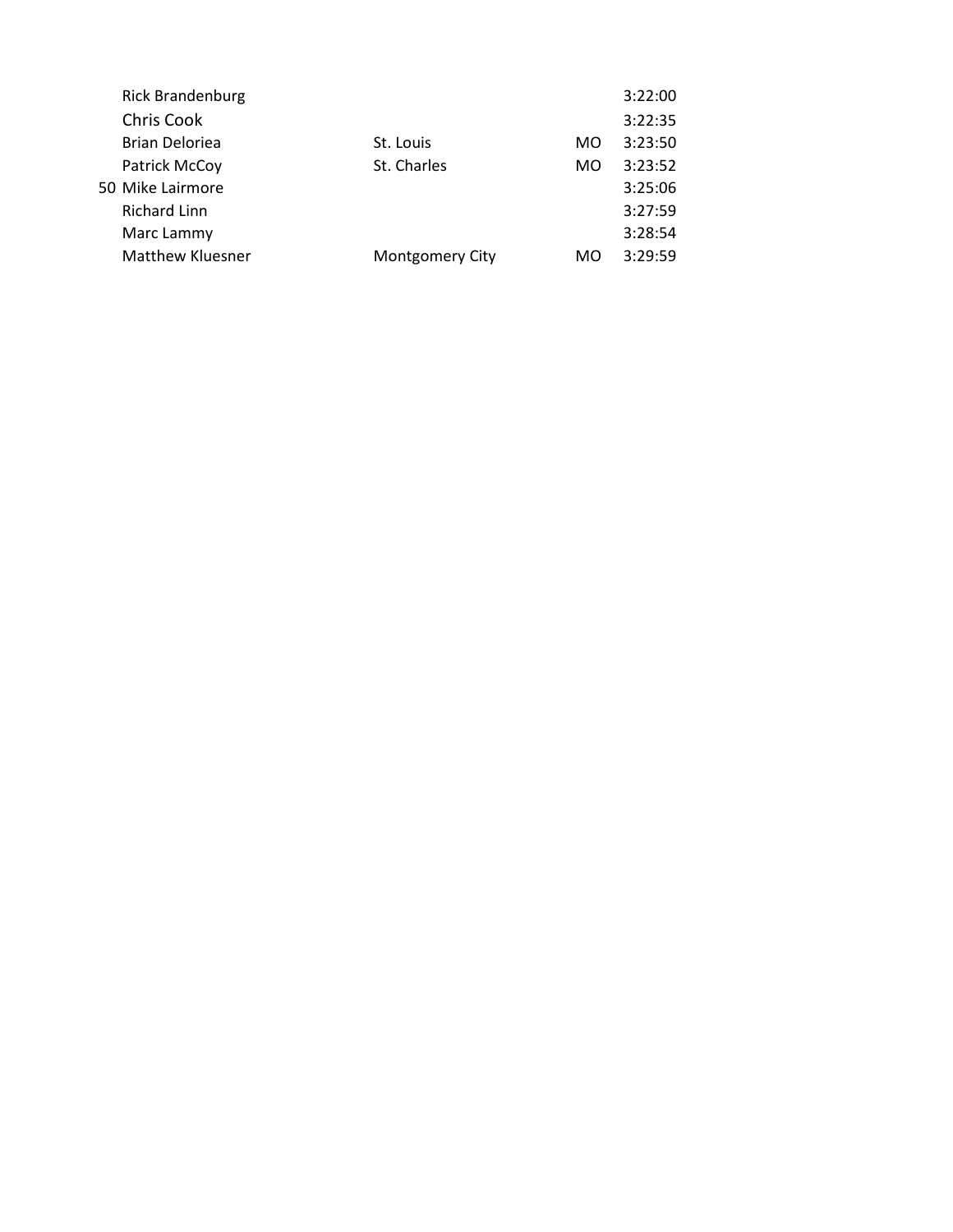| <b>Rick Brandenburg</b> |                  |     | 3:22:00 |
|-------------------------|------------------|-----|---------|
| Chris Cook              |                  |     | 3:22:35 |
| <b>Brian Deloriea</b>   | St. Louis        | MO. | 3:23:50 |
| Patrick McCoy           | St. Charles      | MO. | 3:23:52 |
|                         |                  |     | 3:25:06 |
| <b>Richard Linn</b>     |                  |     | 3:27:59 |
| Marc Lammy              |                  |     | 3:28:54 |
| Matthew Kluesner        | Montgomery City  | MO  | 3:29:59 |
|                         | 50 Mike Lairmore |     |         |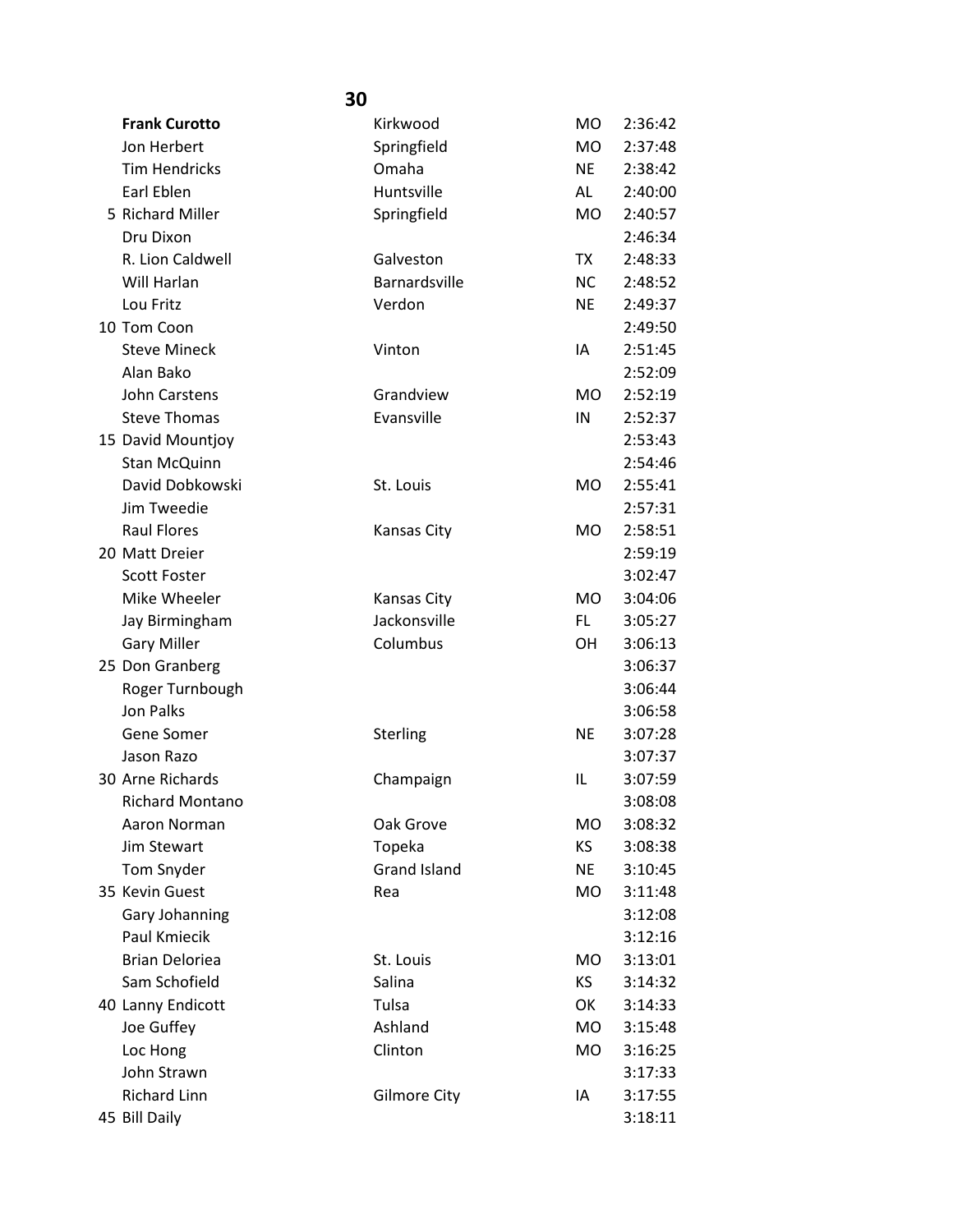|                       | 30                  |           |         |
|-----------------------|---------------------|-----------|---------|
| <b>Frank Curotto</b>  | Kirkwood            | MO.       | 2:36:42 |
| Jon Herbert           | Springfield         | <b>MO</b> | 2:37:48 |
| <b>Tim Hendricks</b>  | Omaha               | <b>NE</b> | 2:38:42 |
| Earl Eblen            | Huntsville          | AL        | 2:40:00 |
| 5 Richard Miller      | Springfield         | <b>MO</b> | 2:40:57 |
| Dru Dixon             |                     |           | 2:46:34 |
| R. Lion Caldwell      | Galveston           | TX        | 2:48:33 |
| Will Harlan           | Barnardsville       | <b>NC</b> | 2:48:52 |
| Lou Fritz             | Verdon              | <b>NE</b> | 2:49:37 |
| 10 Tom Coon           |                     |           | 2:49:50 |
| <b>Steve Mineck</b>   | Vinton              | IA        | 2:51:45 |
| Alan Bako             |                     |           | 2:52:09 |
| John Carstens         | Grandview           | MO.       | 2:52:19 |
| <b>Steve Thomas</b>   | Evansville          | IN        | 2:52:37 |
| 15 David Mountjoy     |                     |           | 2:53:43 |
| <b>Stan McQuinn</b>   |                     |           | 2:54:46 |
| David Dobkowski       | St. Louis           | <b>MO</b> | 2:55:41 |
| Jim Tweedie           |                     |           | 2:57:31 |
| <b>Raul Flores</b>    | <b>Kansas City</b>  | <b>MO</b> | 2:58:51 |
| 20 Matt Dreier        |                     |           | 2:59:19 |
| <b>Scott Foster</b>   |                     |           | 3:02:47 |
| Mike Wheeler          | <b>Kansas City</b>  | <b>MO</b> | 3:04:06 |
| Jay Birmingham        | Jackonsville        | FL        | 3:05:27 |
| <b>Gary Miller</b>    | Columbus            | <b>OH</b> | 3:06:13 |
| 25 Don Granberg       |                     |           | 3:06:37 |
| Roger Turnbough       |                     |           | 3:06:44 |
| Jon Palks             |                     |           | 3:06:58 |
| Gene Somer            | Sterling            | <b>NE</b> | 3:07:28 |
| Jason Razo            |                     |           | 3:07:37 |
| 30 Arne Richards      | Champaign           | IL        | 3:07:59 |
| Richard Montano       |                     |           | 3:08:08 |
| Aaron Norman          | Oak Grove           | MO.       | 3:08:32 |
| Jim Stewart           | Topeka              | KS.       | 3:08:38 |
| Tom Snyder            | <b>Grand Island</b> | <b>NE</b> | 3:10:45 |
| 35 Kevin Guest        | Rea                 | MO.       | 3:11:48 |
| Gary Johanning        |                     |           | 3:12:08 |
| Paul Kmiecik          |                     |           | 3:12:16 |
| <b>Brian Deloriea</b> | St. Louis           | MO.       | 3:13:01 |
| Sam Schofield         | Salina              | KS.       | 3:14:32 |
| 40 Lanny Endicott     | Tulsa               | OK        | 3:14:33 |
| Joe Guffey            | Ashland             | MO.       | 3:15:48 |
| Loc Hong              | Clinton             | MO        | 3:16:25 |
| John Strawn           |                     |           | 3:17:33 |
| <b>Richard Linn</b>   | <b>Gilmore City</b> | IA        | 3:17:55 |
| 45 Bill Daily         |                     |           | 3:18:11 |
|                       |                     |           |         |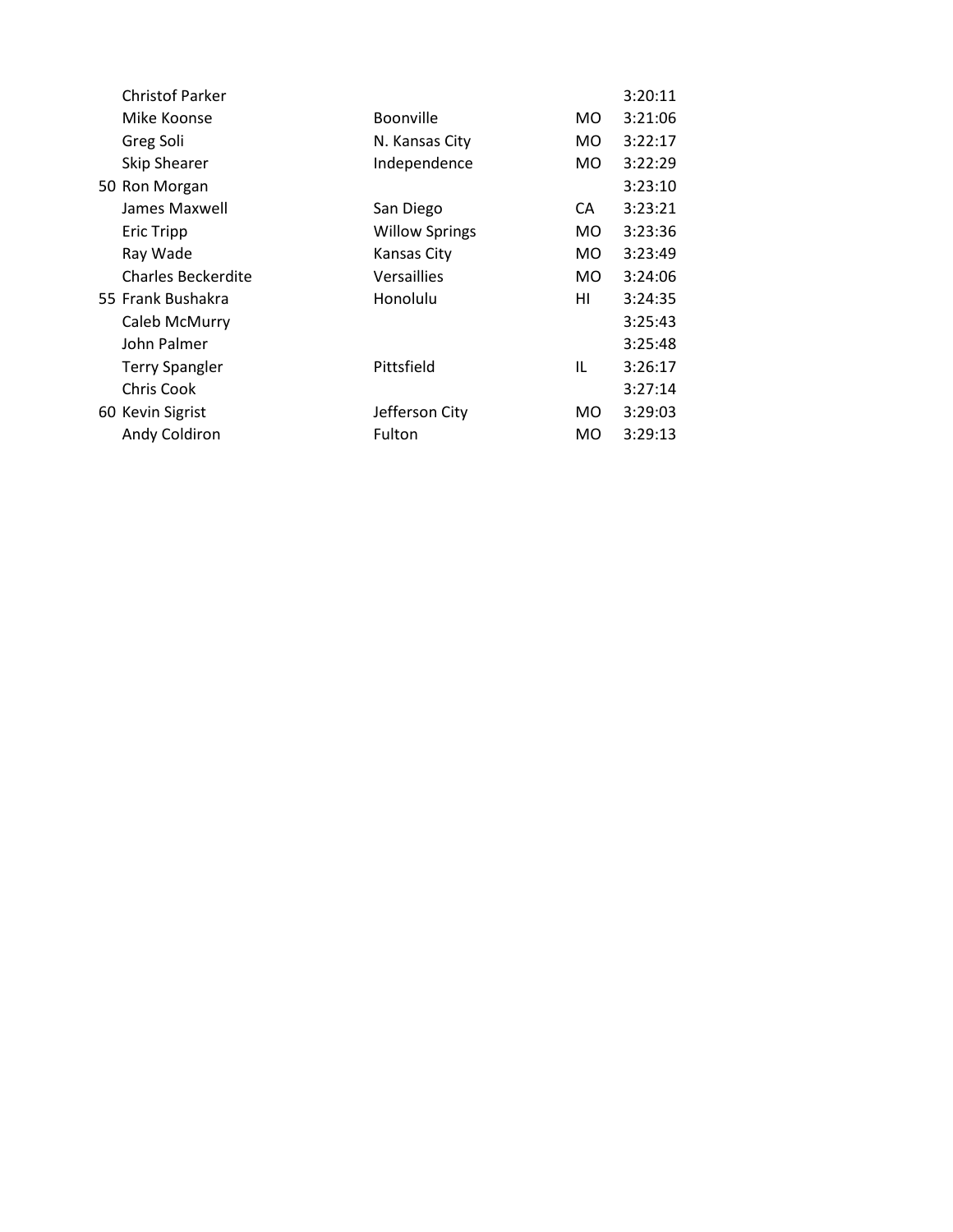| <b>Christof Parker</b>    |                       |     | 3:20:11 |
|---------------------------|-----------------------|-----|---------|
| Mike Koonse               | <b>Boonville</b>      | MO. | 3:21:06 |
| Greg Soli                 | N. Kansas City        | MO. | 3:22:17 |
| <b>Skip Shearer</b>       | Independence          | MO. | 3:22:29 |
| 50 Ron Morgan             |                       |     | 3:23:10 |
| James Maxwell             | San Diego             | CA  | 3:23:21 |
| <b>Eric Tripp</b>         | <b>Willow Springs</b> | MO. | 3:23:36 |
| Ray Wade                  | Kansas City           | MO. | 3:23:49 |
| <b>Charles Beckerdite</b> | Versaillies           | MO. | 3:24:06 |
| 55 Frank Bushakra         | Honolulu              | HI  | 3:24:35 |
| Caleb McMurry             |                       |     | 3:25:43 |
| John Palmer               |                       |     | 3:25:48 |
| <b>Terry Spangler</b>     | Pittsfield            | IL  | 3:26:17 |
| <b>Chris Cook</b>         |                       |     | 3:27:14 |
| 60 Kevin Sigrist          | Jefferson City        | MO. | 3:29:03 |
| Andy Coldiron             | Fulton                | MO. | 3:29:13 |
|                           |                       |     |         |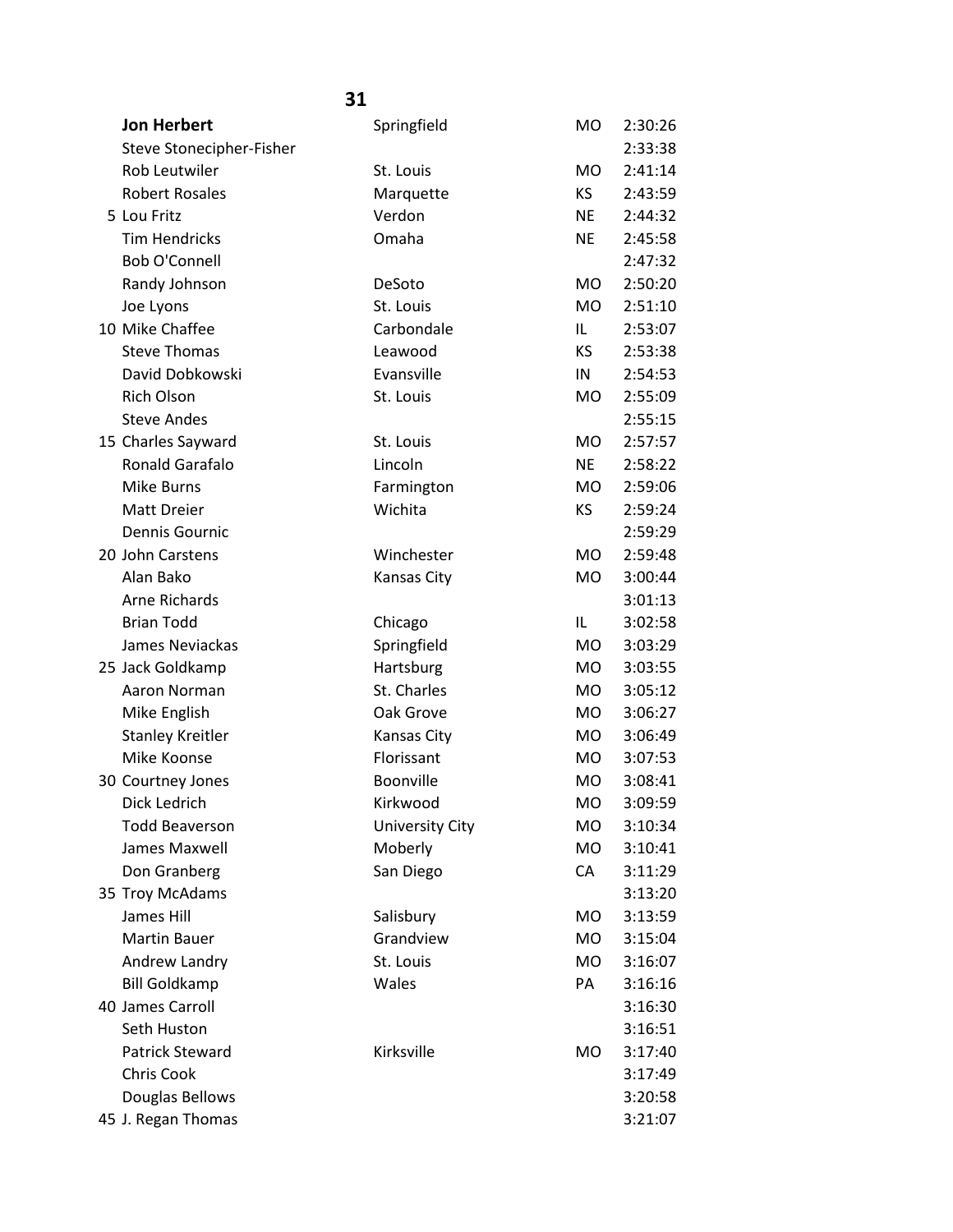| <b>Jon Herbert</b>       | Springfield            | M <sub>O</sub> | 2:30:26 |
|--------------------------|------------------------|----------------|---------|
| Steve Stonecipher-Fisher |                        |                | 2:33:38 |
| Rob Leutwiler            | St. Louis              | <b>MO</b>      | 2:41:14 |
| <b>Robert Rosales</b>    | Marquette              | KS.            | 2:43:59 |
| 5 Lou Fritz              | Verdon                 | <b>NE</b>      | 2:44:32 |
| <b>Tim Hendricks</b>     | Omaha                  | <b>NE</b>      | 2:45:58 |
| Bob O'Connell            |                        |                | 2:47:32 |
| Randy Johnson            | DeSoto                 | <b>MO</b>      | 2:50:20 |
| Joe Lyons                | St. Louis              | <b>MO</b>      | 2:51:10 |
| 10 Mike Chaffee          | Carbondale             | IL             | 2:53:07 |
| <b>Steve Thomas</b>      | Leawood                | KS.            | 2:53:38 |
| David Dobkowski          | Evansville             | IN             | 2:54:53 |
| <b>Rich Olson</b>        | St. Louis              | <b>MO</b>      | 2:55:09 |
| <b>Steve Andes</b>       |                        |                | 2:55:15 |
| 15 Charles Sayward       | St. Louis              | <b>MO</b>      | 2:57:57 |
| Ronald Garafalo          | Lincoln                | <b>NE</b>      | 2:58:22 |
| Mike Burns               | Farmington             | <b>MO</b>      | 2:59:06 |
| Matt Dreier              | Wichita                | KS             | 2:59:24 |
| Dennis Gournic           |                        |                | 2:59:29 |
| 20 John Carstens         | Winchester             | <b>MO</b>      | 2:59:48 |
| Alan Bako                | Kansas City            | MO             | 3:00:44 |
| Arne Richards            |                        |                | 3:01:13 |
| <b>Brian Todd</b>        | Chicago                | IL             | 3:02:58 |
| James Neviackas          | Springfield            | <b>MO</b>      | 3:03:29 |
| 25 Jack Goldkamp         | Hartsburg              | <b>MO</b>      | 3:03:55 |
| Aaron Norman             | St. Charles            | <b>MO</b>      | 3:05:12 |
| Mike English             | Oak Grove              | MO             | 3:06:27 |
| <b>Stanley Kreitler</b>  | <b>Kansas City</b>     | <b>MO</b>      | 3:06:49 |
| Mike Koonse              | Florissant             | <b>MO</b>      | 3:07:53 |
| 30 Courtney Jones        | Boonville              | <b>MO</b>      | 3:08:41 |
| Dick Ledrich             | Kirkwood               | <b>MO</b>      | 3:09:59 |
| <b>Todd Beaverson</b>    | <b>University City</b> | <b>MO</b>      | 3:10:34 |
| James Maxwell            | Moberly                | <b>MO</b>      | 3:10:41 |
| Don Granberg             | San Diego              | CA             | 3:11:29 |
| 35 Troy McAdams          |                        |                | 3:13:20 |
| James Hill               | Salisbury              | MO             | 3:13:59 |
| <b>Martin Bauer</b>      | Grandview              | <b>MO</b>      | 3:15:04 |
| Andrew Landry            | St. Louis              | <b>MO</b>      | 3:16:07 |
| <b>Bill Goldkamp</b>     | Wales                  | PA             | 3:16:16 |
| 40 James Carroll         |                        |                | 3:16:30 |
| Seth Huston              |                        |                | 3:16:51 |
| <b>Patrick Steward</b>   | Kirksville             | MO             | 3:17:40 |
| Chris Cook               |                        |                | 3:17:49 |
| Douglas Bellows          |                        |                | 3:20:58 |
| 45 J. Regan Thomas       |                        |                | 3:21:07 |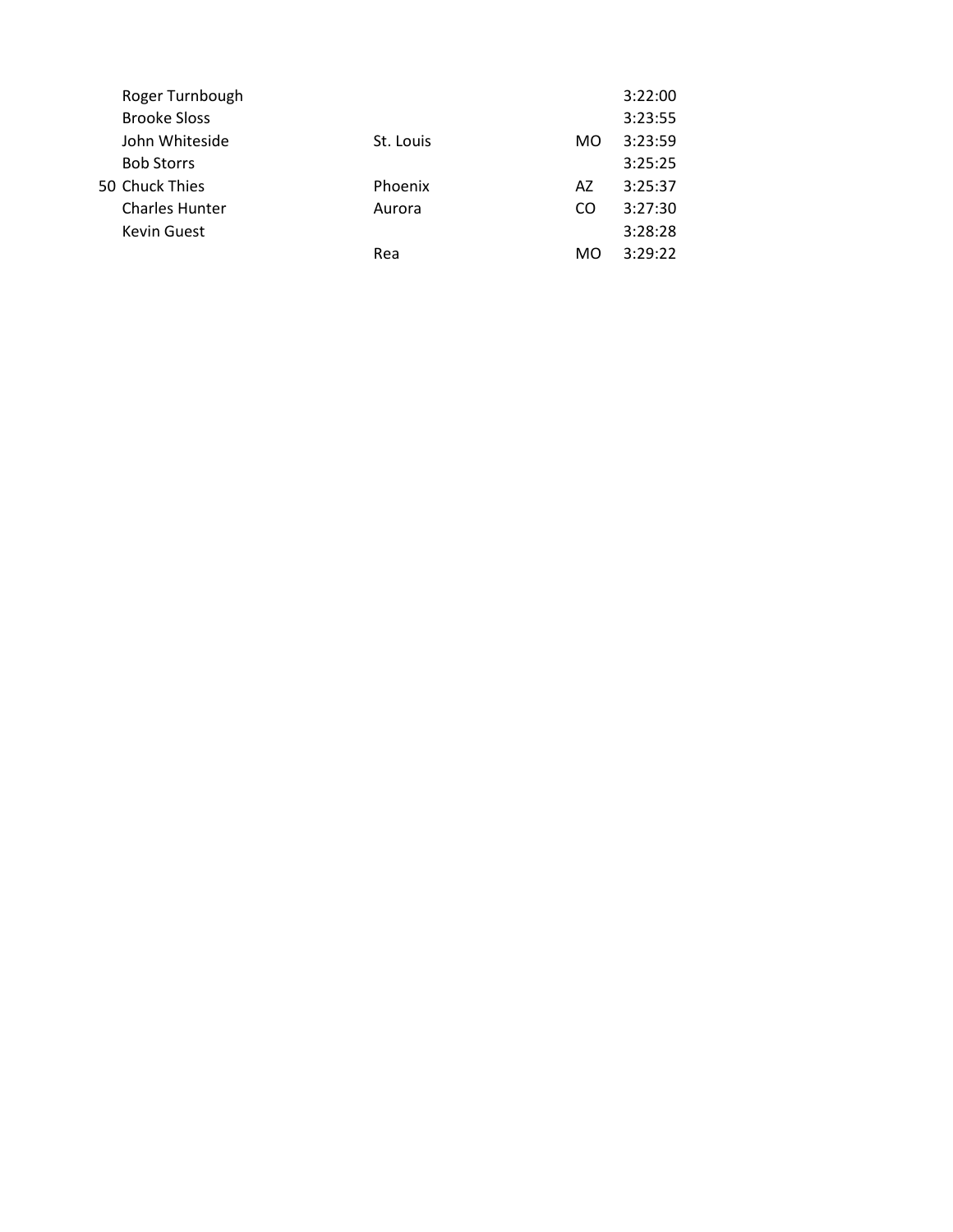| Roger Turnbough       |           |    | 3:22:00 |
|-----------------------|-----------|----|---------|
| <b>Brooke Sloss</b>   |           |    | 3:23:55 |
| John Whiteside        | St. Louis | MO | 3:23:59 |
| <b>Bob Storrs</b>     |           |    | 3:25:25 |
| 50 Chuck Thies        | Phoenix   | A7 | 3:25:37 |
| <b>Charles Hunter</b> | Aurora    | CO | 3:27:30 |
| <b>Kevin Guest</b>    |           |    | 3:28:28 |
|                       | Rea       | MO | 3:29:22 |
|                       |           |    |         |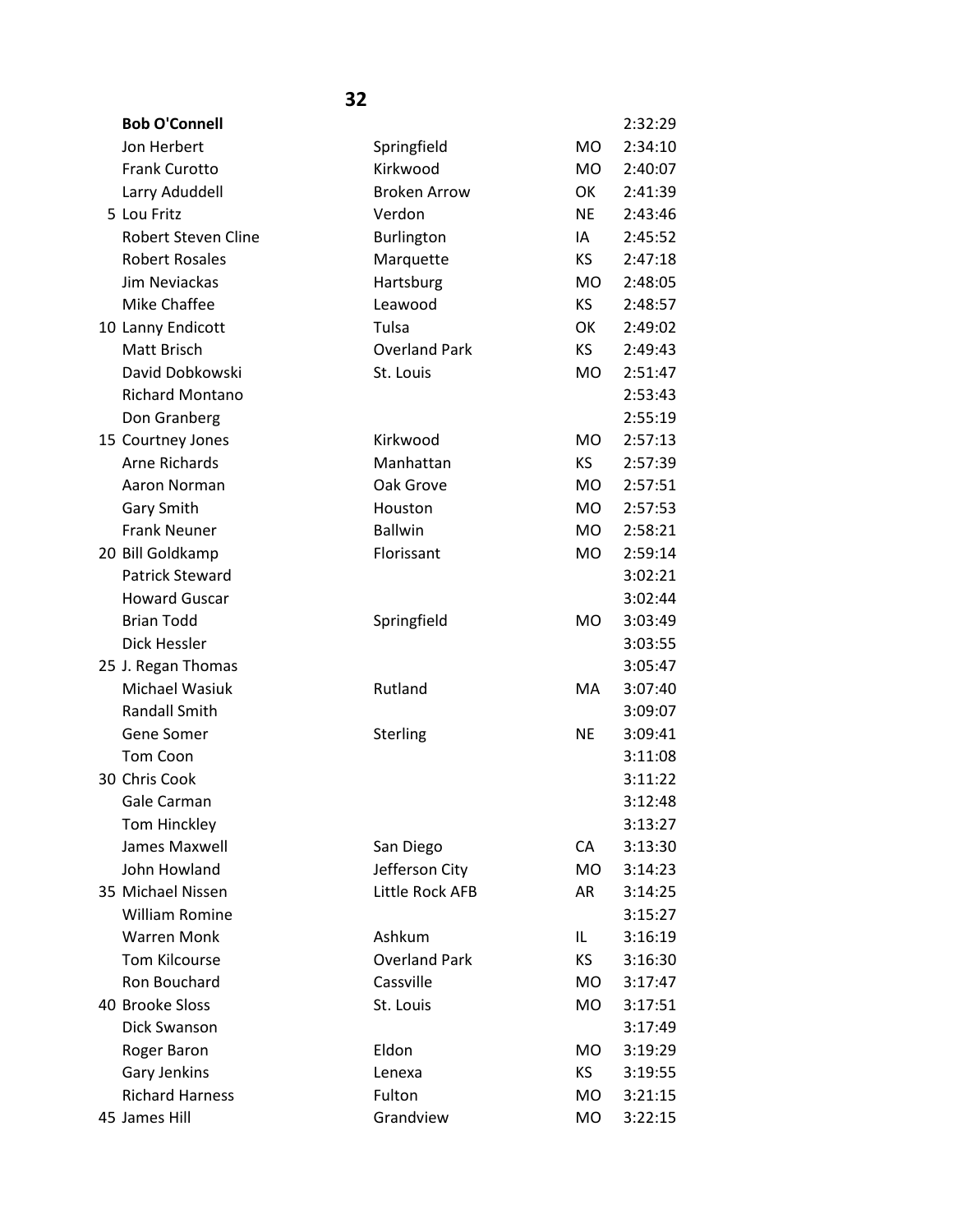| <b>Bob O'Connell</b>       |                      |           | 2:32:29 |
|----------------------------|----------------------|-----------|---------|
| Jon Herbert                | Springfield          | <b>MO</b> | 2:34:10 |
| <b>Frank Curotto</b>       | Kirkwood             | MO.       | 2:40:07 |
| Larry Aduddell             | <b>Broken Arrow</b>  | OK        | 2:41:39 |
| 5 Lou Fritz                | Verdon               | <b>NE</b> | 2:43:46 |
| <b>Robert Steven Cline</b> | Burlington           | IA        | 2:45:52 |
| <b>Robert Rosales</b>      | Marquette            | KS.       | 2:47:18 |
| Jim Neviackas              | Hartsburg            | MO.       | 2:48:05 |
| Mike Chaffee               | Leawood              | KS.       | 2:48:57 |
| 10 Lanny Endicott          | Tulsa                | OK        | 2:49:02 |
| Matt Brisch                | <b>Overland Park</b> | KS        | 2:49:43 |
| David Dobkowski            | St. Louis            | MO.       | 2:51:47 |
| <b>Richard Montano</b>     |                      |           | 2:53:43 |
| Don Granberg               |                      |           | 2:55:19 |
| 15 Courtney Jones          | Kirkwood             | MO.       | 2:57:13 |
| Arne Richards              | Manhattan            | KS.       | 2:57:39 |
| Aaron Norman               | Oak Grove            | <b>MO</b> | 2:57:51 |
| Gary Smith                 | Houston              | <b>MO</b> | 2:57:53 |
| <b>Frank Neuner</b>        | <b>Ballwin</b>       | <b>MO</b> | 2:58:21 |
| 20 Bill Goldkamp           | Florissant           | <b>MO</b> | 2:59:14 |
| <b>Patrick Steward</b>     |                      |           | 3:02:21 |
| <b>Howard Guscar</b>       |                      |           | 3:02:44 |
| <b>Brian Todd</b>          | Springfield          | <b>MO</b> | 3:03:49 |
| Dick Hessler               |                      |           | 3:03:55 |
| 25 J. Regan Thomas         |                      |           | 3:05:47 |
| Michael Wasiuk             | Rutland              | МA        | 3:07:40 |
| <b>Randall Smith</b>       |                      |           | 3:09:07 |
| Gene Somer                 | Sterling             | <b>NE</b> | 3:09:41 |
| Tom Coon                   |                      |           | 3:11:08 |
| 30 Chris Cook              |                      |           | 3:11:22 |
| Gale Carman                |                      |           | 3:12:48 |
| Tom Hinckley               |                      |           | 3:13:27 |
| James Maxwell              | San Diego            | CA        | 3:13:30 |
| John Howland               | Jefferson City       | <b>MO</b> | 3:14:23 |
| 35 Michael Nissen          | Little Rock AFB      | AR        | 3:14:25 |
| <b>William Romine</b>      |                      |           | 3:15:27 |
| <b>Warren Monk</b>         | Ashkum               | IL.       | 3:16:19 |
| Tom Kilcourse              | <b>Overland Park</b> | KS.       | 3:16:30 |
| Ron Bouchard               | Cassville            | <b>MO</b> | 3:17:47 |
| 40 Brooke Sloss            | St. Louis            | MO        | 3:17:51 |
| Dick Swanson               |                      |           | 3:17:49 |
| Roger Baron                | Eldon                | <b>MO</b> | 3:19:29 |
| Gary Jenkins               | Lenexa               | KS.       | 3:19:55 |
| <b>Richard Harness</b>     | Fulton               | <b>MO</b> | 3:21:15 |
| 45 James Hill              | Grandview            | <b>MO</b> | 3:22:15 |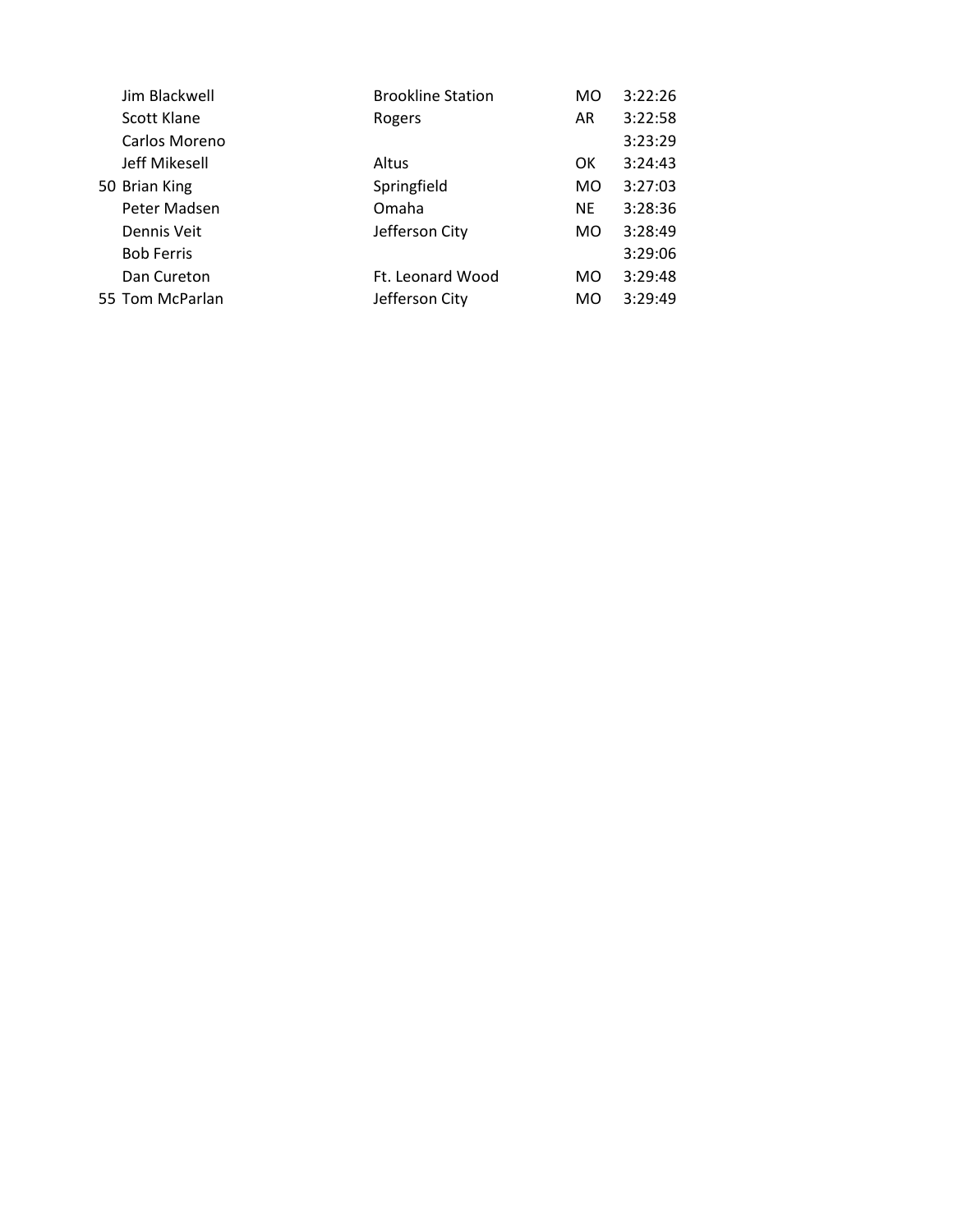| Jim Blackwell     | <b>Brookline Station</b> | MO        | 3:22:26 |
|-------------------|--------------------------|-----------|---------|
| Scott Klane       | Rogers                   | AR        | 3:22:58 |
| Carlos Moreno     |                          |           | 3:23:29 |
| Jeff Mikesell     | Altus                    | 0K        | 3:24:43 |
| 50 Brian King     | Springfield              | MO.       | 3:27:03 |
| Peter Madsen      | Omaha                    | <b>NE</b> | 3:28:36 |
| Dennis Veit       | Jefferson City           | MO.       | 3:28:49 |
| <b>Bob Ferris</b> |                          |           | 3:29:06 |
| Dan Cureton       | Ft. Leonard Wood         | MO        | 3:29:48 |
| 55 Tom McParlan   | Jefferson City           | MO.       | 3:29:49 |
|                   |                          |           |         |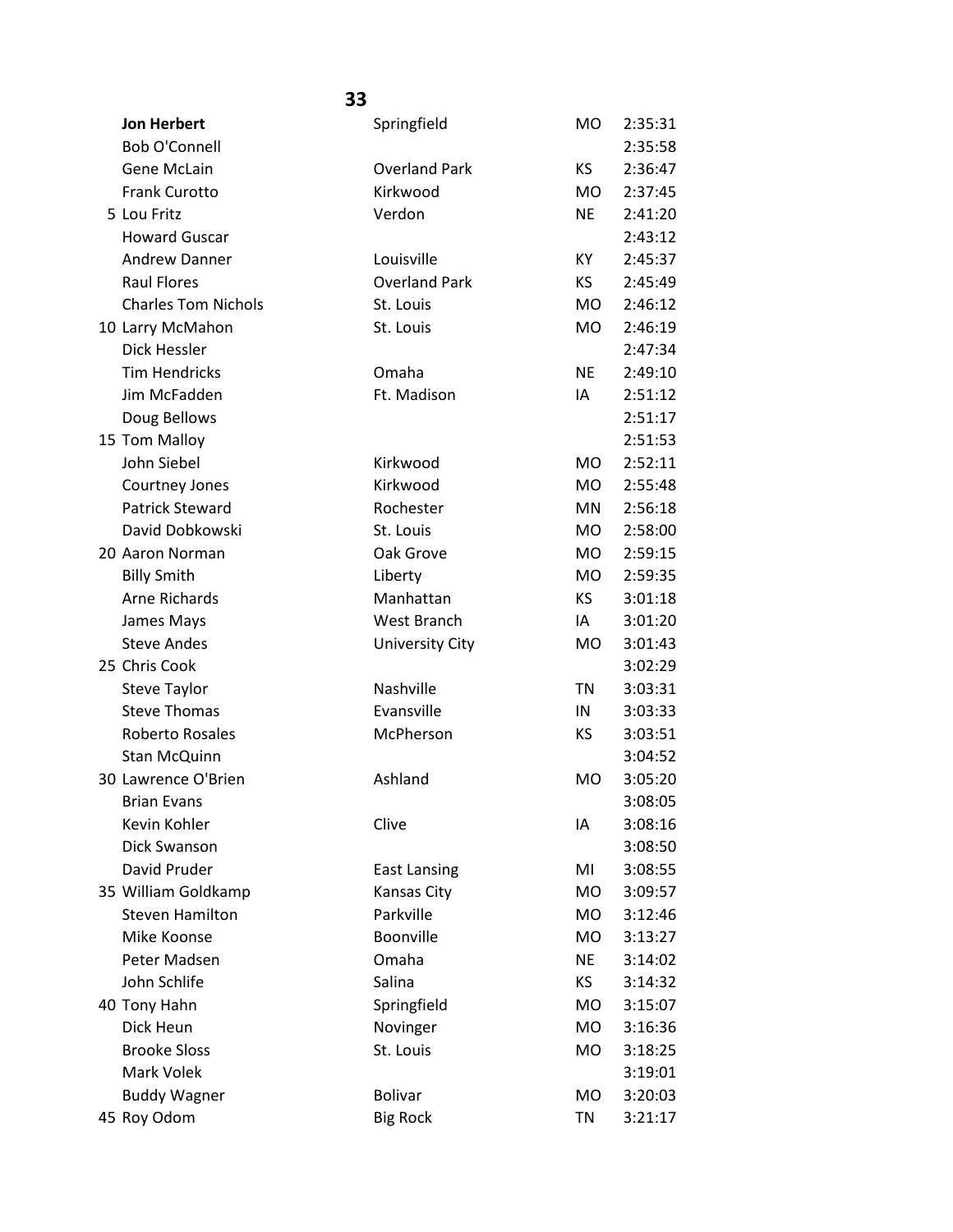| <b>Jon Herbert</b>         | Springfield            | <b>MO</b> | 2:35:31 |
|----------------------------|------------------------|-----------|---------|
| <b>Bob O'Connell</b>       |                        |           | 2:35:58 |
| Gene McLain                | <b>Overland Park</b>   | <b>KS</b> | 2:36:47 |
| <b>Frank Curotto</b>       | Kirkwood               | MO.       | 2:37:45 |
| 5 Lou Fritz                | Verdon                 | <b>NE</b> | 2:41:20 |
| <b>Howard Guscar</b>       |                        |           | 2:43:12 |
| <b>Andrew Danner</b>       | Louisville             | KY        | 2:45:37 |
| <b>Raul Flores</b>         | <b>Overland Park</b>   | <b>KS</b> | 2:45:49 |
| <b>Charles Tom Nichols</b> | St. Louis              | <b>MO</b> | 2:46:12 |
| 10 Larry McMahon           | St. Louis              | <b>MO</b> | 2:46:19 |
| Dick Hessler               |                        |           | 2:47:34 |
| <b>Tim Hendricks</b>       | Omaha                  | <b>NE</b> | 2:49:10 |
| Jim McFadden               | Ft. Madison            | IA        | 2:51:12 |
| Doug Bellows               |                        |           | 2:51:17 |
| 15 Tom Malloy              |                        |           | 2:51:53 |
| John Siebel                | Kirkwood               | <b>MO</b> | 2:52:11 |
| Courtney Jones             | Kirkwood               | <b>MO</b> | 2:55:48 |
| <b>Patrick Steward</b>     | Rochester              | <b>MN</b> | 2:56:18 |
| David Dobkowski            | St. Louis              | <b>MO</b> | 2:58:00 |
| 20 Aaron Norman            | Oak Grove              | <b>MO</b> | 2:59:15 |
| <b>Billy Smith</b>         | Liberty                | MO        | 2:59:35 |
| Arne Richards              | Manhattan              | <b>KS</b> | 3:01:18 |
| James Mays                 | West Branch            | IA        | 3:01:20 |
| <b>Steve Andes</b>         | <b>University City</b> | MO        | 3:01:43 |
| 25 Chris Cook              |                        |           | 3:02:29 |
| <b>Steve Taylor</b>        | Nashville              | <b>TN</b> | 3:03:31 |
| <b>Steve Thomas</b>        | Evansville             | IN        | 3:03:33 |
| Roberto Rosales            | McPherson              | KS        | 3:03:51 |
| Stan McQuinn               |                        |           | 3:04:52 |
| 30 Lawrence O'Brien        | Ashland                | <b>MO</b> | 3:05:20 |
| <b>Brian Evans</b>         |                        |           | 3:08:05 |
| Kevin Kohler               | Clive                  | IA        | 3:08:16 |
| Dick Swanson               |                        |           | 3:08:50 |
| David Pruder               | <b>East Lansing</b>    | MI        | 3:08:55 |
| 35 William Goldkamp        | Kansas City            | <b>MO</b> | 3:09:57 |
| <b>Steven Hamilton</b>     | Parkville              | <b>MO</b> | 3:12:46 |
| Mike Koonse                | Boonville              | <b>MO</b> | 3:13:27 |
| Peter Madsen               | Omaha                  | <b>NE</b> | 3:14:02 |
| John Schlife               | Salina                 | KS        | 3:14:32 |
| 40 Tony Hahn               | Springfield            | <b>MO</b> | 3:15:07 |
| Dick Heun                  | Novinger               | <b>MO</b> | 3:16:36 |
| <b>Brooke Sloss</b>        | St. Louis              | <b>MO</b> | 3:18:25 |
| Mark Volek                 |                        |           | 3:19:01 |
| <b>Buddy Wagner</b>        | <b>Bolivar</b>         | <b>MO</b> | 3:20:03 |
| 45 Roy Odom                | <b>Big Rock</b>        | <b>TN</b> | 3:21:17 |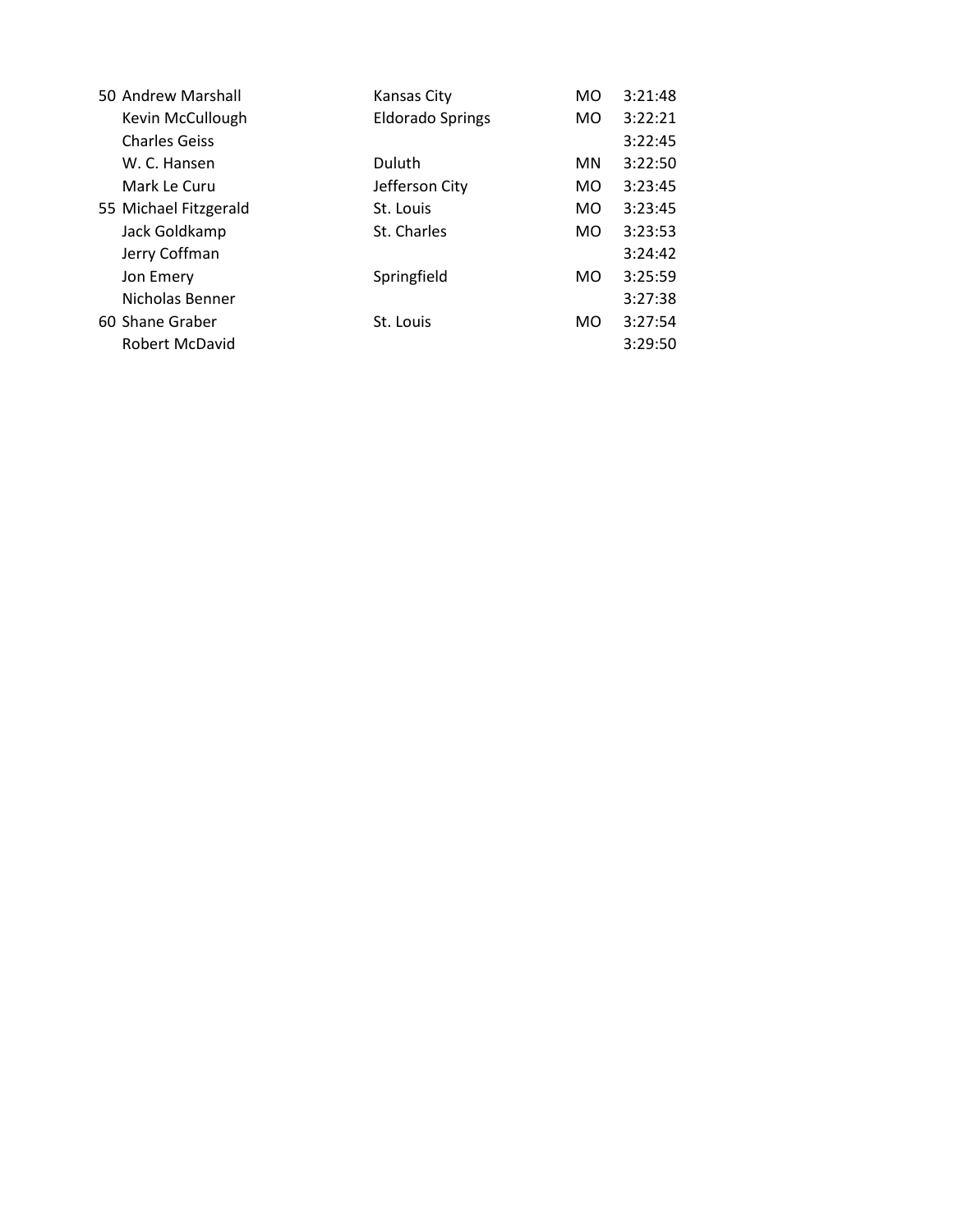| 50 Andrew Marshall    | <b>Kansas City</b>      | MO             | 3:21:48 |
|-----------------------|-------------------------|----------------|---------|
| Kevin McCullough      | <b>Eldorado Springs</b> | M <sub>O</sub> | 3:22:21 |
| <b>Charles Geiss</b>  |                         |                | 3:22:45 |
| W. C. Hansen          | Duluth                  | <b>MN</b>      | 3:22:50 |
| Mark Le Curu          | Jefferson City          | M <sub>O</sub> | 3:23:45 |
| 55 Michael Fitzgerald | St. Louis               | M <sub>O</sub> | 3:23:45 |
| Jack Goldkamp         | St. Charles             | M <sub>O</sub> | 3:23:53 |
| Jerry Coffman         |                         |                | 3:24:42 |
| Jon Emery             | Springfield             | M <sub>O</sub> | 3:25:59 |
| Nicholas Benner       |                         |                | 3:27:38 |
| 60 Shane Graber       | St. Louis               | M <sub>O</sub> | 3:27:54 |
| <b>Robert McDavid</b> |                         |                | 3:29:50 |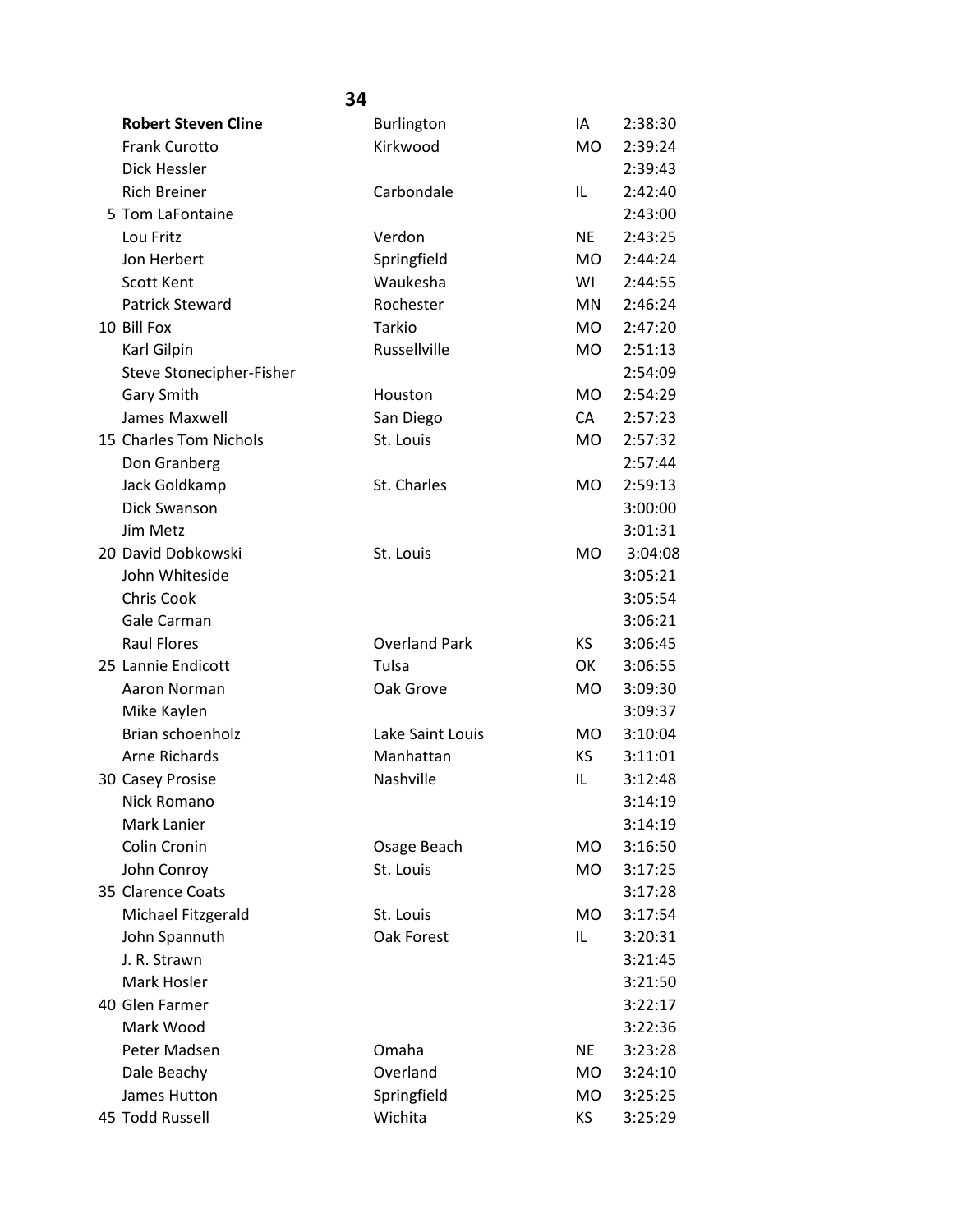| <b>Robert Steven Cline</b> | <b>Burlington</b>    | IA             | 2:38:30 |
|----------------------------|----------------------|----------------|---------|
| <b>Frank Curotto</b>       | Kirkwood             | <b>MO</b>      | 2:39:24 |
| Dick Hessler               |                      |                | 2:39:43 |
| <b>Rich Breiner</b>        | Carbondale           | IL             | 2:42:40 |
| 5 Tom LaFontaine           |                      |                | 2:43:00 |
| Lou Fritz                  | Verdon               | <b>NE</b>      | 2:43:25 |
| Jon Herbert                | Springfield          | MO.            | 2:44:24 |
| <b>Scott Kent</b>          | Waukesha             | WI             | 2:44:55 |
| <b>Patrick Steward</b>     | Rochester            | <b>MN</b>      | 2:46:24 |
| 10 Bill Fox                | Tarkio               | <b>MO</b>      | 2:47:20 |
| Karl Gilpin                | Russellville         | <b>MO</b>      | 2:51:13 |
| Steve Stonecipher-Fisher   |                      |                | 2:54:09 |
| Gary Smith                 | Houston              | <b>MO</b>      | 2:54:29 |
| <b>James Maxwell</b>       | San Diego            | CA             | 2:57:23 |
| 15 Charles Tom Nichols     | St. Louis            | <b>MO</b>      | 2:57:32 |
| Don Granberg               |                      |                | 2:57:44 |
| Jack Goldkamp              | St. Charles          | <b>MO</b>      | 2:59:13 |
| Dick Swanson               |                      |                | 3:00:00 |
| Jim Metz                   |                      |                | 3:01:31 |
| 20 David Dobkowski         | St. Louis            | <b>MO</b>      | 3:04:08 |
| John Whiteside             |                      |                | 3:05:21 |
| <b>Chris Cook</b>          |                      |                | 3:05:54 |
| Gale Carman                |                      |                | 3:06:21 |
| <b>Raul Flores</b>         | <b>Overland Park</b> | KS.            | 3:06:45 |
| 25 Lannie Endicott         | Tulsa                | OK             | 3:06:55 |
| Aaron Norman               | Oak Grove            | <b>MO</b>      | 3:09:30 |
| Mike Kaylen                |                      |                | 3:09:37 |
| Brian schoenholz           | Lake Saint Louis     | M <sub>O</sub> | 3:10:04 |
| <b>Arne Richards</b>       | Manhattan            | KS             | 3:11:01 |
| 30 Casey Prosise           | Nashville            | IL             | 3:12:48 |
| Nick Romano                |                      |                | 3:14:19 |
| Mark Lanier                |                      |                | 3:14:19 |
| Colin Cronin               | Osage Beach          | <b>MO</b>      | 3:16:50 |
| John Conroy                | St. Louis            | <b>MO</b>      | 3:17:25 |
| 35 Clarence Coats          |                      |                | 3:17:28 |
| Michael Fitzgerald         | St. Louis            | <b>MO</b>      | 3:17:54 |
| John Spannuth              | Oak Forest           | IL             | 3:20:31 |
| J. R. Strawn               |                      |                | 3:21:45 |
| Mark Hosler                |                      |                | 3:21:50 |
| 40 Glen Farmer             |                      |                | 3:22:17 |
| Mark Wood                  |                      |                | 3:22:36 |
| Peter Madsen               | Omaha                | <b>NE</b>      | 3:23:28 |
| Dale Beachy                | Overland             | МO             | 3:24:10 |
| James Hutton               | Springfield          | MO             | 3:25:25 |
| 45 Todd Russell            | Wichita              | ΚS             | 3:25:29 |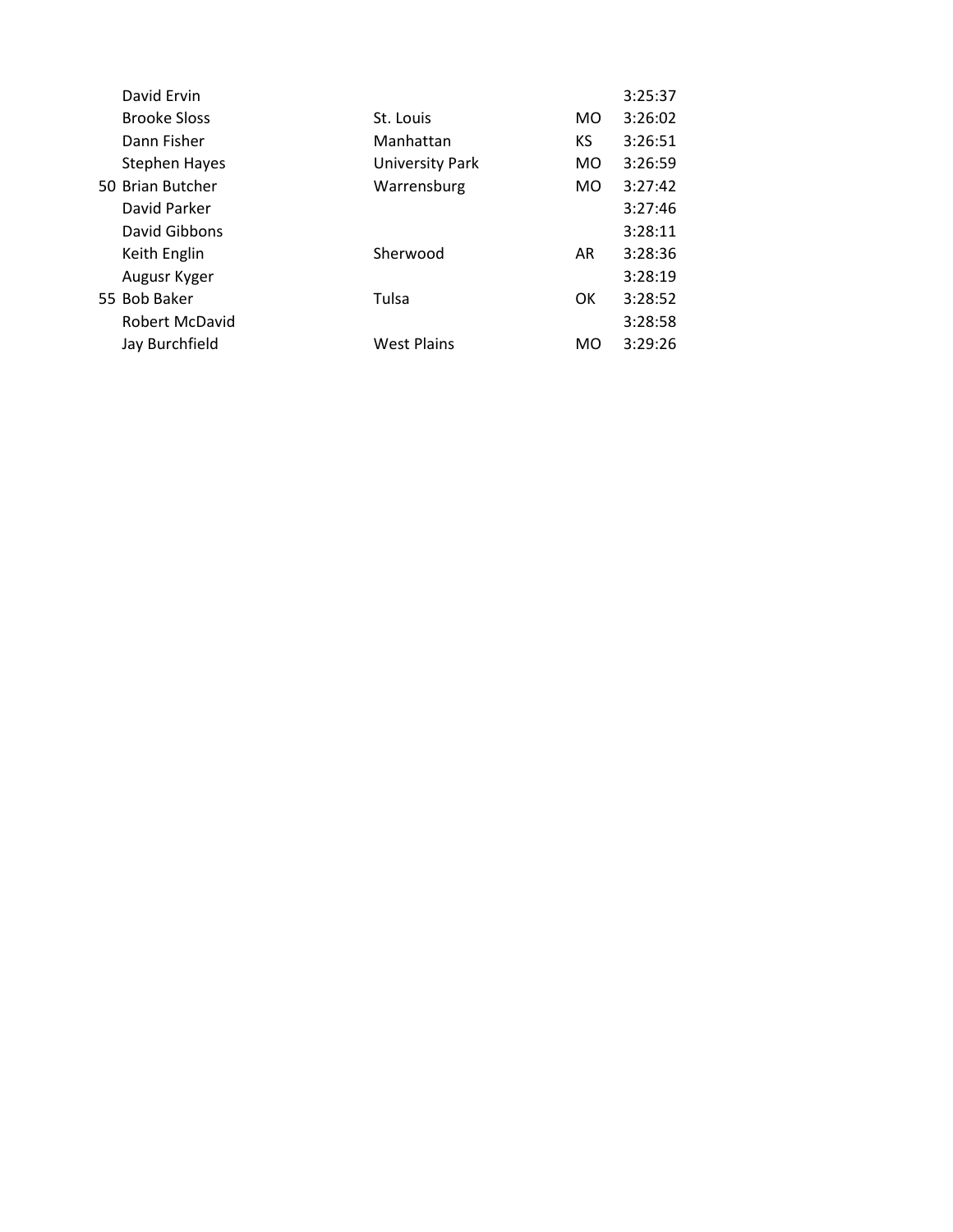| David Ervin          |                        |                | 3:25:37 |
|----------------------|------------------------|----------------|---------|
| <b>Brooke Sloss</b>  | St. Louis              | M <sub>O</sub> | 3:26:02 |
| Dann Fisher          | Manhattan              | <b>KS</b>      | 3:26:51 |
| <b>Stephen Hayes</b> | <b>University Park</b> | MO.            | 3:26:59 |
| 50 Brian Butcher     | Warrensburg            | MO.            | 3:27:42 |
| David Parker         |                        |                | 3:27:46 |
| David Gibbons        |                        |                | 3:28:11 |
| Keith Englin         | Sherwood               | AR             | 3:28:36 |
| Augusr Kyger         |                        |                | 3:28:19 |
| 55 Bob Baker         | Tulsa                  | OK.            | 3:28:52 |
| Robert McDavid       |                        |                | 3:28:58 |
| Jay Burchfield       | <b>West Plains</b>     | MO             | 3:29:26 |
|                      |                        |                |         |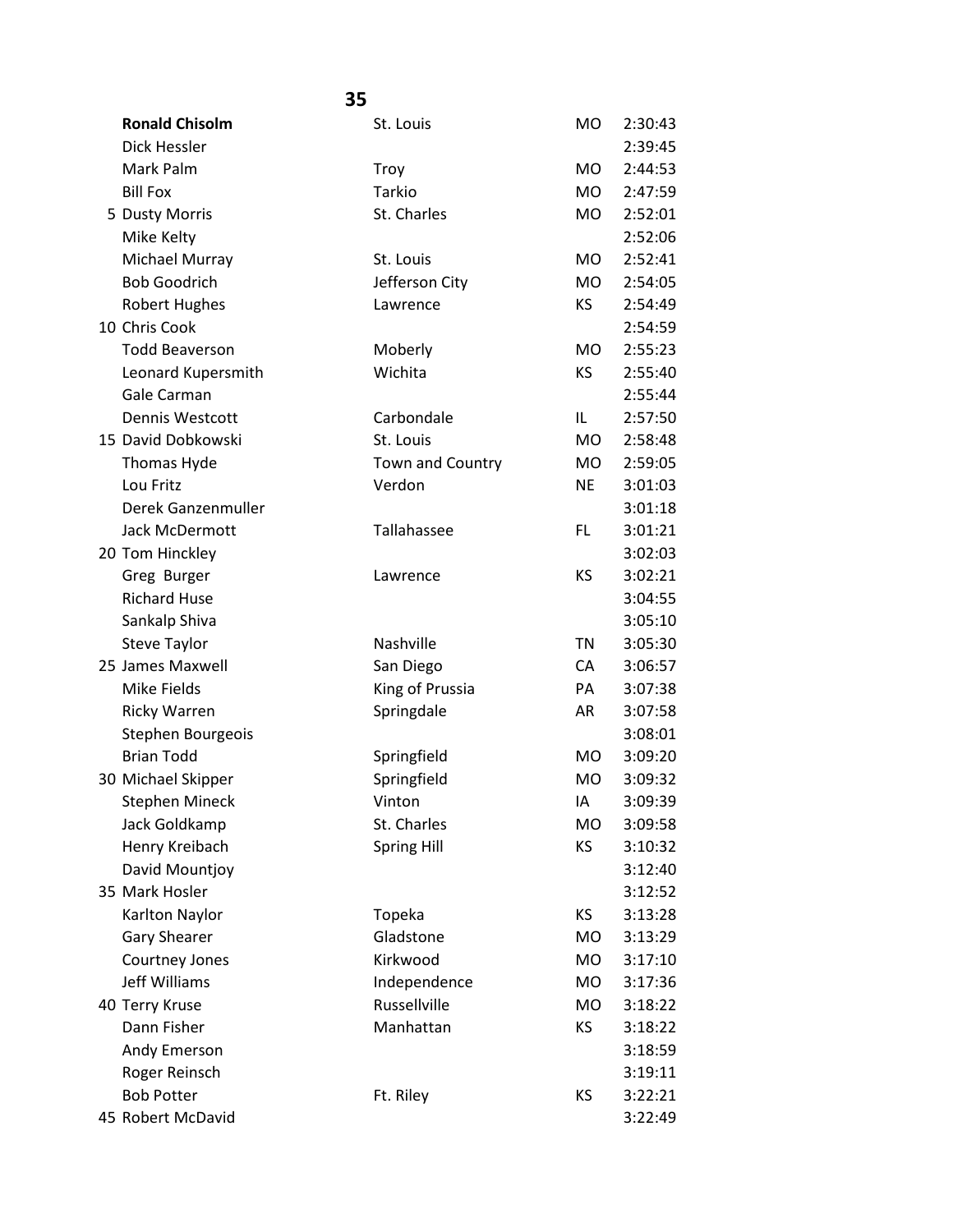#### **35 Ronald Chisolm** St. Louis MO 2:30:43 Dick Hessler 2:39:45 Mark Palm Motor Christian Control of Troy Troy Motor 2:44:53 Bill Fox **Tarkio** MO 2:47:59 5 Dusty Morris **St. Charles** St. Charles MO 2:52:01 Mike Kelty 2:52:06 Michael Murray St. Louis MO 2:52:41 Bob Goodrich Jefferson City MO 2:54:05 Robert Hughes **Lawrence Lawrence KS** 2:54:49 10 Chris Cook 2:54:59 Todd Beaverson Moberly MO 2:55:23 Leonard Kupersmith Wichita KS 2:55:40 Gale Carman 2:55:44 Dennis Westcott Carbondale IL 2:57:50 15 David Dobkowski St. Louis MO 2:58:48 Thomas Hyde Town and Country MO 2:59:05 Lou Fritz Verdon NE 3:01:03 Derek Ganzenmuller 3:01:18 Jack McDermott Tallahassee FL 3:01:21 20 Tom Hinckley 3:02:03 Greg Burger **Lawrence CONSISTENT** Lawrence **KS** 3:02:21 Richard Huse 3:04:55 Sankalp Shiva 3:05:10 Steve Taylor **Nashville** Nashville TN 3:05:30 25 James Maxwell San Diego CA 3:06:57 Mike Fields **King of Prussia** PA 3:07:38 Ricky Warren Springdale AR 3:07:58 Stephen Bourgeois 3:08:01 Brian Todd Springfield MO 3:09:20 30 Michael Skipper Springfield MO 3:09:32 Stephen Mineck **Vinton** Vinton IA 3:09:39 Jack Goldkamp St. Charles MO 3:09:58 Henry Kreibach Spring Hill KS 3:10:32 David Mountjoy 3:12:40 35 Mark Hosler 3:12:52 Karlton Naylor **Topeka** KS 3:13:28 Gary Shearer Gladstone Gladstone MO 3:13:29 Courtney Jones **Kirkwood** MO 3:17:10 Jeff Williams **Independence** MO 3:17:36 40 Terry Kruse Russellville MO 3:18:22 Dann Fisher Manhattan KS 3:18:22 Andy Emerson 3:18:59 Roger Reinsch 3:19:11 Bob Potter Ft. Riley KS 3:22:21 45 Robert McDavid 3:22:49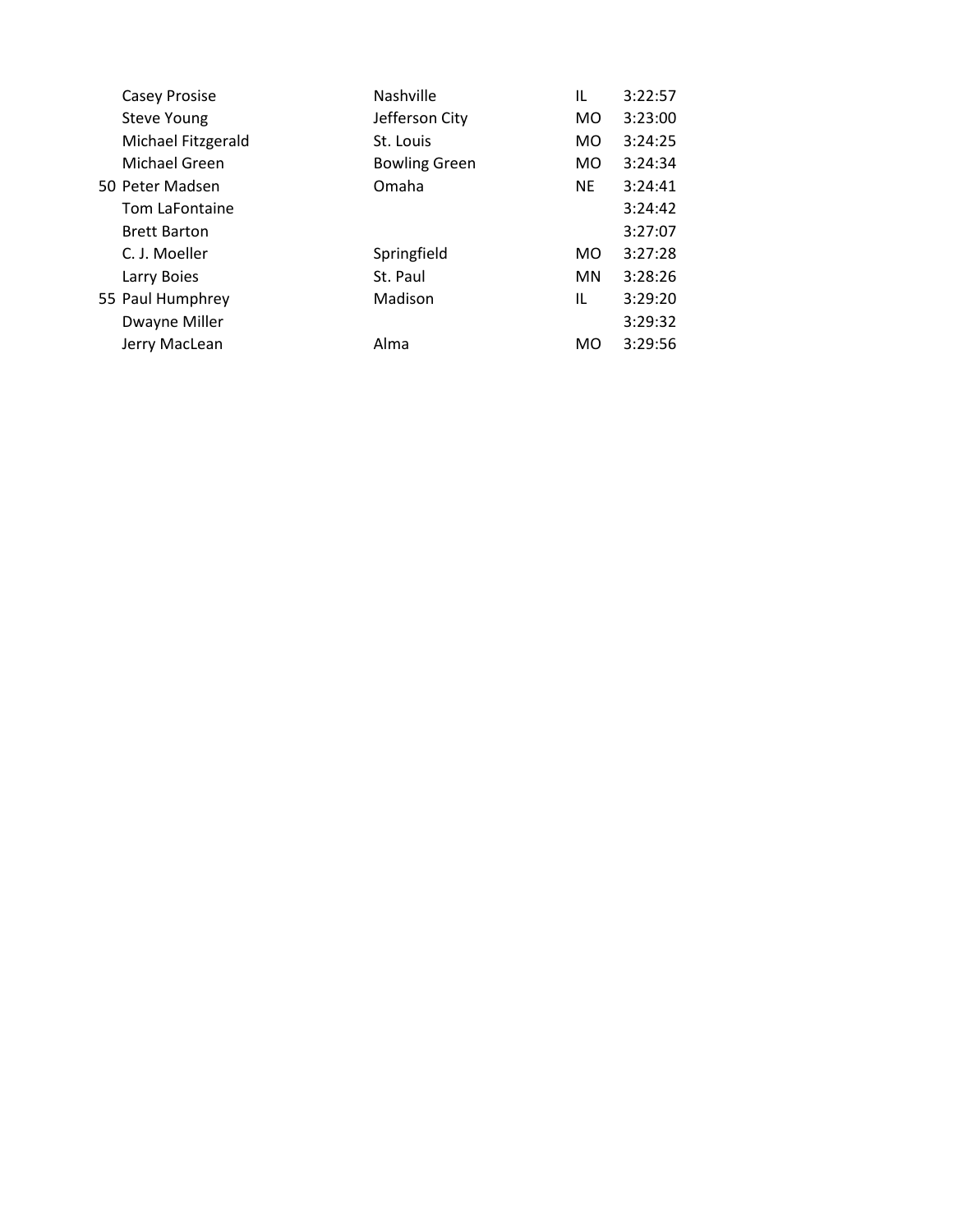| <b>Casey Prosise</b> | <b>Nashville</b>     | IL        | 3:22:57 |
|----------------------|----------------------|-----------|---------|
| <b>Steve Young</b>   | Jefferson City       | MO        | 3:23:00 |
| Michael Fitzgerald   | St. Louis            | MO        | 3:24:25 |
| Michael Green        | <b>Bowling Green</b> | MO.       | 3:24:34 |
| 50 Peter Madsen      | Omaha                | <b>NE</b> | 3:24:41 |
| Tom LaFontaine       |                      |           | 3:24:42 |
| <b>Brett Barton</b>  |                      |           | 3:27:07 |
| C. J. Moeller        | Springfield          | MO.       | 3:27:28 |
| Larry Boies          | St. Paul             | MN.       | 3:28:26 |
| 55 Paul Humphrey     | Madison              | IL        | 3:29:20 |
| Dwayne Miller        |                      |           | 3:29:32 |
| Jerry MacLean        | Alma                 | MO        | 3:29:56 |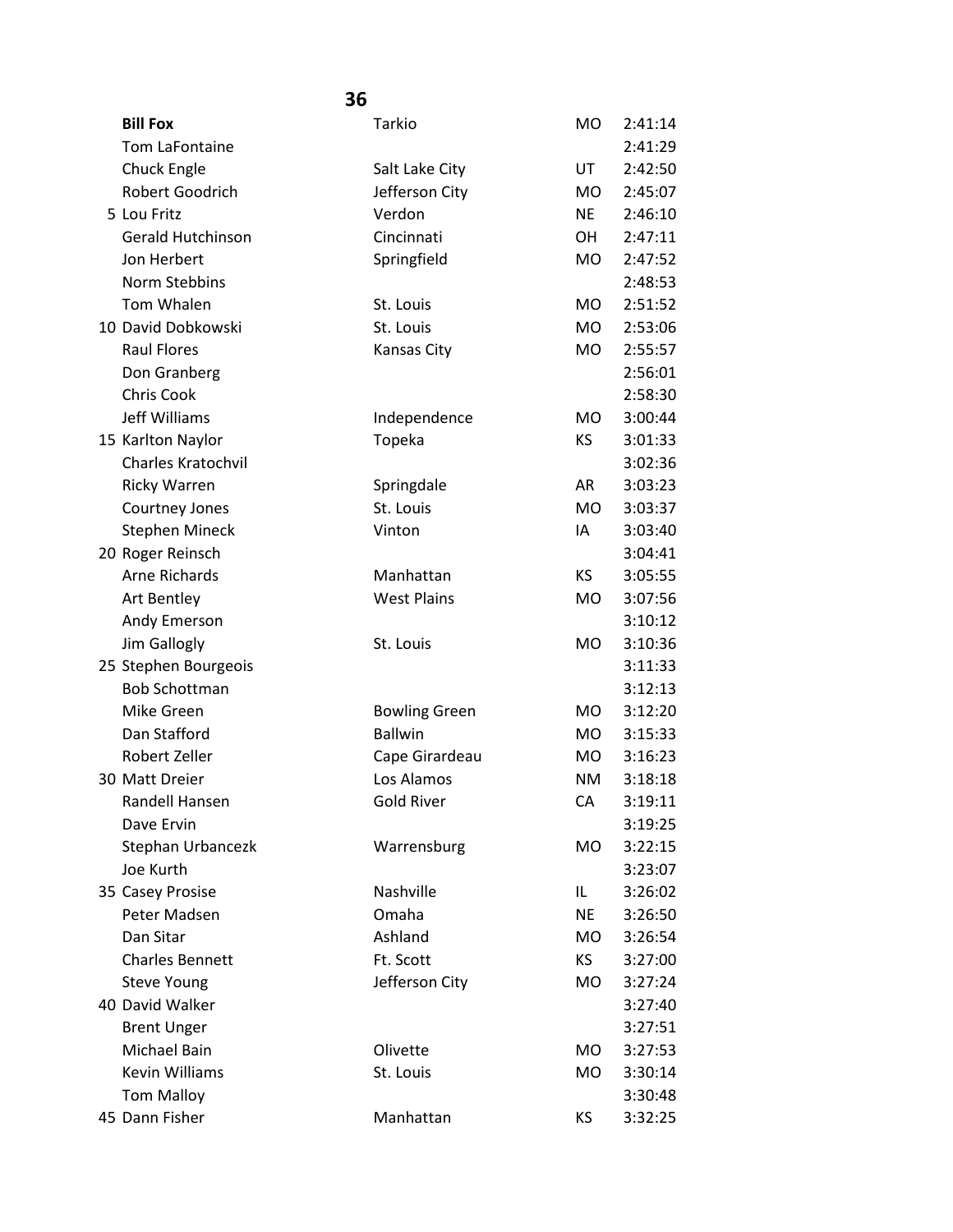| <b>Bill Fox</b>        | Tarkio               | <b>MO</b> | 2:41:14 |
|------------------------|----------------------|-----------|---------|
| Tom LaFontaine         |                      |           | 2:41:29 |
| Chuck Engle            | Salt Lake City       | UT        | 2:42:50 |
| Robert Goodrich        | Jefferson City       | <b>MO</b> | 2:45:07 |
| 5 Lou Fritz            | Verdon               | <b>NE</b> | 2:46:10 |
| Gerald Hutchinson      | Cincinnati           | <b>OH</b> | 2:47:11 |
| Jon Herbert            | Springfield          | <b>MO</b> | 2:47:52 |
| Norm Stebbins          |                      |           | 2:48:53 |
| Tom Whalen             | St. Louis            | <b>MO</b> | 2:51:52 |
| 10 David Dobkowski     | St. Louis            | <b>MO</b> | 2:53:06 |
| <b>Raul Flores</b>     | Kansas City          | <b>MO</b> | 2:55:57 |
| Don Granberg           |                      |           | 2:56:01 |
| <b>Chris Cook</b>      |                      |           | 2:58:30 |
| Jeff Williams          | Independence         | <b>MO</b> | 3:00:44 |
| 15 Karlton Naylor      | Topeka               | KS        | 3:01:33 |
| Charles Kratochvil     |                      |           | 3:02:36 |
| <b>Ricky Warren</b>    | Springdale           | AR        | 3:03:23 |
| Courtney Jones         | St. Louis            | <b>MO</b> | 3:03:37 |
| <b>Stephen Mineck</b>  | Vinton               | IA        | 3:03:40 |
| 20 Roger Reinsch       |                      |           | 3:04:41 |
| <b>Arne Richards</b>   | Manhattan            | <b>KS</b> | 3:05:55 |
| Art Bentley            | <b>West Plains</b>   | <b>MO</b> | 3:07:56 |
| Andy Emerson           |                      |           | 3:10:12 |
| Jim Gallogly           | St. Louis            | <b>MO</b> | 3:10:36 |
| 25 Stephen Bourgeois   |                      |           | 3:11:33 |
| <b>Bob Schottman</b>   |                      |           | 3:12:13 |
| Mike Green             | <b>Bowling Green</b> | <b>MO</b> | 3:12:20 |
| Dan Stafford           | <b>Ballwin</b>       | MO.       | 3:15:33 |
| Robert Zeller          | Cape Girardeau       | MO        | 3:16:23 |
| 30 Matt Dreier         | Los Alamos           | <b>NM</b> | 3:18:18 |
| Randell Hansen         | <b>Gold River</b>    | СA        | 3:19:11 |
| Dave Ervin             |                      |           | 3:19:25 |
| Stephan Urbancezk      | Warrensburg          | <b>MO</b> | 3:22:15 |
| Joe Kurth              |                      |           | 3:23:07 |
| 35 Casey Prosise       | Nashville            | IL.       | 3:26:02 |
| Peter Madsen           | Omaha                | <b>NE</b> | 3:26:50 |
| Dan Sitar              | Ashland              | <b>MO</b> | 3:26:54 |
| <b>Charles Bennett</b> | Ft. Scott            | KS        | 3:27:00 |
| <b>Steve Young</b>     | Jefferson City       | MO        | 3:27:24 |
| 40 David Walker        |                      |           | 3:27:40 |
| <b>Brent Unger</b>     |                      |           | 3:27:51 |
| Michael Bain           | Olivette             | MO.       | 3:27:53 |
| <b>Kevin Williams</b>  | St. Louis            | <b>MO</b> | 3:30:14 |
| <b>Tom Malloy</b>      |                      |           | 3:30:48 |
| 45 Dann Fisher         | Manhattan            | KS        | 3:32:25 |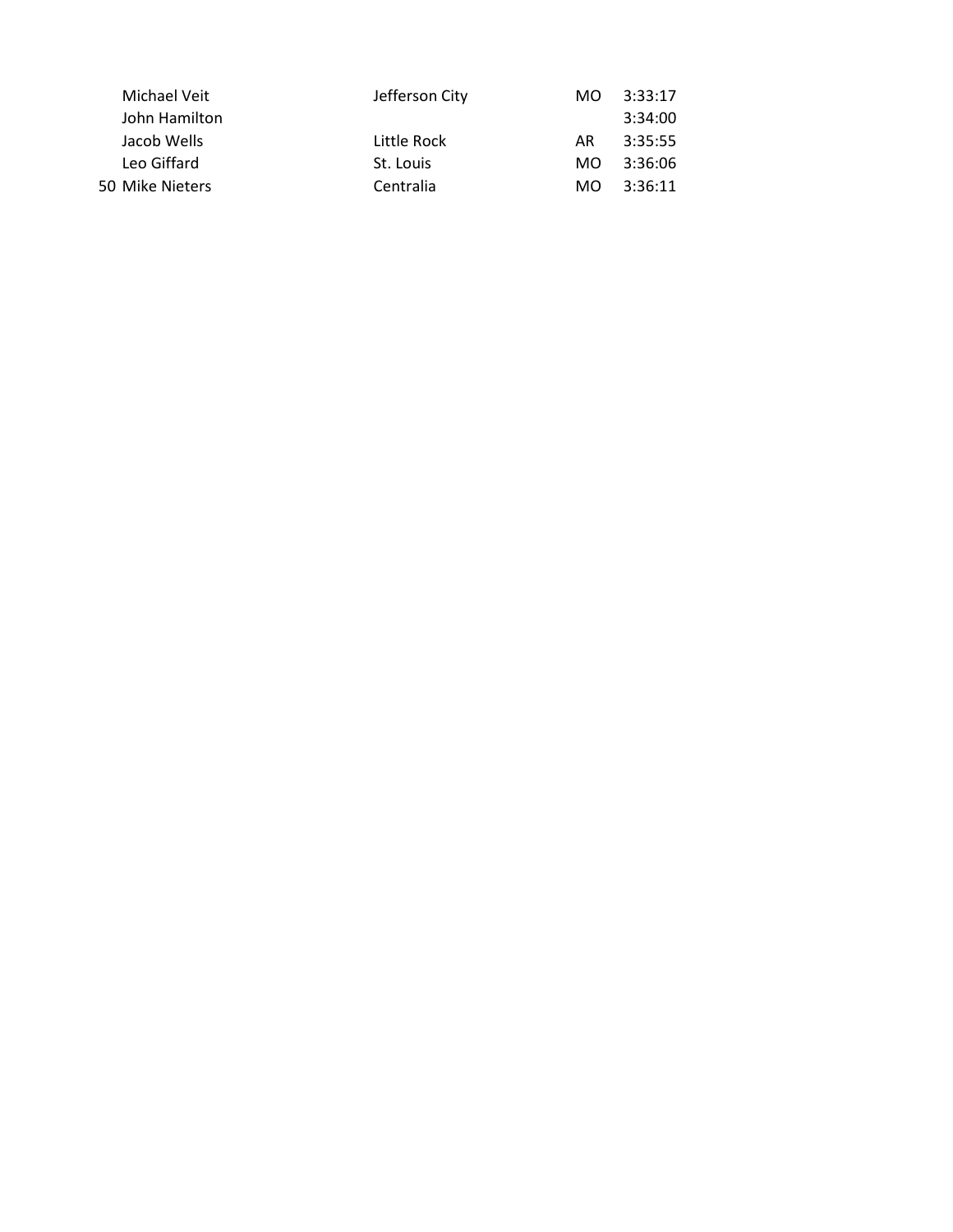| Michael Veit    | Jefferson City | MO. | 3:33:17 |
|-----------------|----------------|-----|---------|
| John Hamilton   |                |     | 3:34:00 |
| Jacob Wells     | Little Rock    | AR. | 3:35:55 |
| Leo Giffard     | St. Louis      | MO. | 3:36:06 |
| 50 Mike Nieters | Centralia      | MO. | 3:36:11 |
|                 |                |     |         |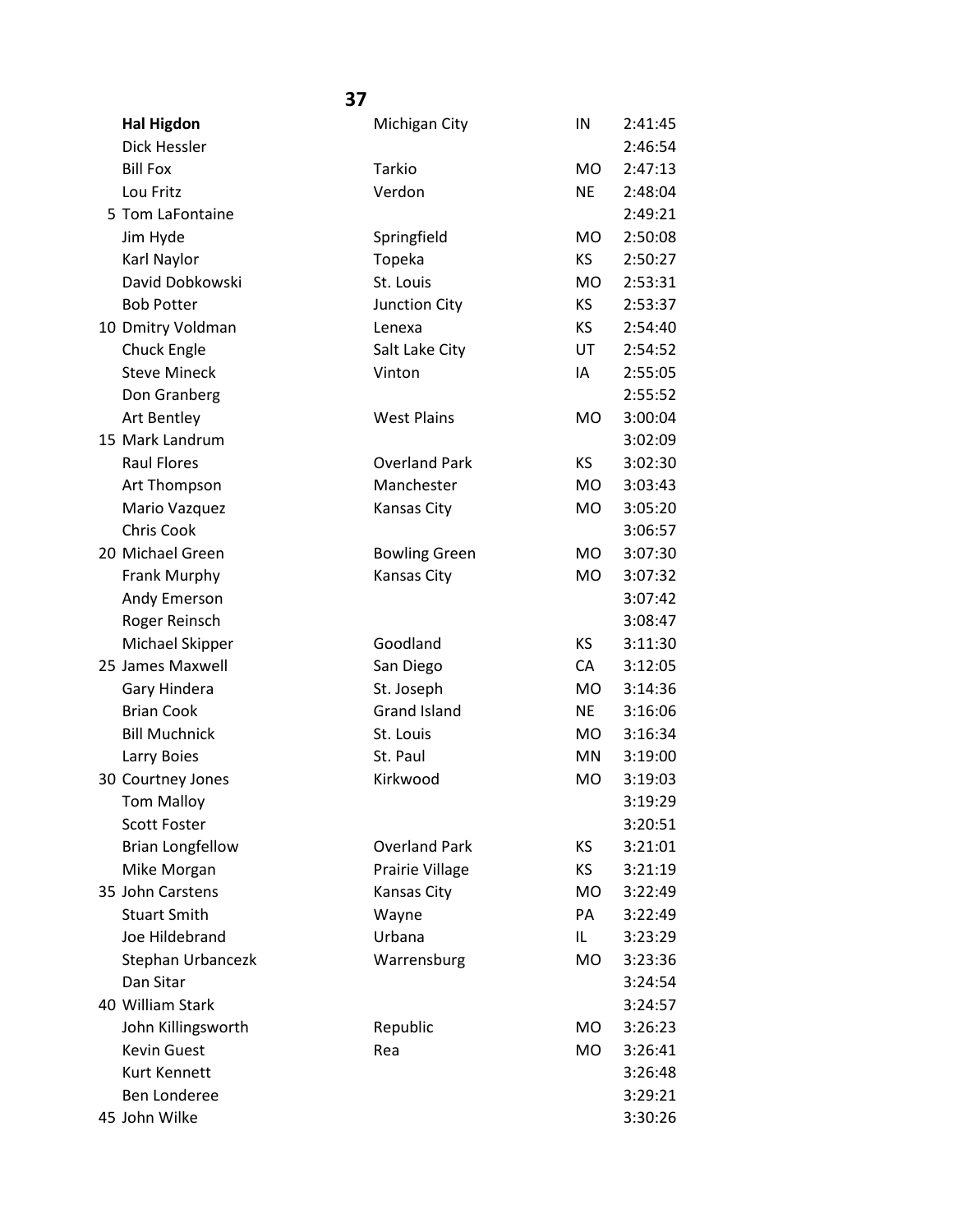| <b>Hal Higdon</b>       | Michigan City        | IN        | 2:41:45 |
|-------------------------|----------------------|-----------|---------|
| Dick Hessler            |                      |           | 2:46:54 |
| <b>Bill Fox</b>         | Tarkio               | <b>MO</b> | 2:47:13 |
| Lou Fritz               | Verdon               | <b>NE</b> | 2:48:04 |
| 5 Tom LaFontaine        |                      |           | 2:49:21 |
| Jim Hyde                | Springfield          | <b>MO</b> | 2:50:08 |
| Karl Naylor             | Topeka               | <b>KS</b> | 2:50:27 |
| David Dobkowski         | St. Louis            | <b>MO</b> | 2:53:31 |
| <b>Bob Potter</b>       | Junction City        | KS        | 2:53:37 |
| 10 Dmitry Voldman       | Lenexa               | KS.       | 2:54:40 |
| Chuck Engle             | Salt Lake City       | UT        | 2:54:52 |
| <b>Steve Mineck</b>     | Vinton               | IA        | 2:55:05 |
| Don Granberg            |                      |           | 2:55:52 |
| Art Bentley             | <b>West Plains</b>   | <b>MO</b> | 3:00:04 |
| 15 Mark Landrum         |                      |           | 3:02:09 |
| <b>Raul Flores</b>      | <b>Overland Park</b> | <b>KS</b> | 3:02:30 |
| Art Thompson            | Manchester           | <b>MO</b> | 3:03:43 |
| Mario Vazquez           | Kansas City          | <b>MO</b> | 3:05:20 |
| <b>Chris Cook</b>       |                      |           | 3:06:57 |
| 20 Michael Green        | <b>Bowling Green</b> | <b>MO</b> | 3:07:30 |
| Frank Murphy            | Kansas City          | <b>MO</b> | 3:07:32 |
| Andy Emerson            |                      |           | 3:07:42 |
| Roger Reinsch           |                      |           | 3:08:47 |
| Michael Skipper         | Goodland             | <b>KS</b> | 3:11:30 |
| 25 James Maxwell        | San Diego            | CA        | 3:12:05 |
| Gary Hindera            | St. Joseph           | <b>MO</b> | 3:14:36 |
| <b>Brian Cook</b>       | <b>Grand Island</b>  | <b>NE</b> | 3:16:06 |
| <b>Bill Muchnick</b>    | St. Louis            | <b>MO</b> | 3:16:34 |
| Larry Boies             | St. Paul             | MN        | 3:19:00 |
| 30 Courtney Jones       | Kirkwood             | <b>MO</b> | 3:19:03 |
| <b>Tom Malloy</b>       |                      |           | 3:19:29 |
| <b>Scott Foster</b>     |                      |           | 3:20:51 |
| <b>Brian Longfellow</b> | <b>Overland Park</b> | KS        | 3:21:01 |
| Mike Morgan             | Prairie Village      | <b>KS</b> | 3:21:19 |
| 35 John Carstens        | <b>Kansas City</b>   | <b>MO</b> | 3:22:49 |
| <b>Stuart Smith</b>     | Wayne                | PA        | 3:22:49 |
| Joe Hildebrand          | Urbana               | IL        | 3:23:29 |
| Stephan Urbancezk       | Warrensburg          | <b>MO</b> | 3:23:36 |
| Dan Sitar               |                      |           | 3:24:54 |
| 40 William Stark        |                      |           | 3:24:57 |
| John Killingsworth      | Republic             | <b>MO</b> | 3:26:23 |
| <b>Kevin Guest</b>      | Rea                  | MO        | 3:26:41 |
| Kurt Kennett            |                      |           | 3:26:48 |
| <b>Ben Londeree</b>     |                      |           | 3:29:21 |
| 45 John Wilke           |                      |           | 3:30:26 |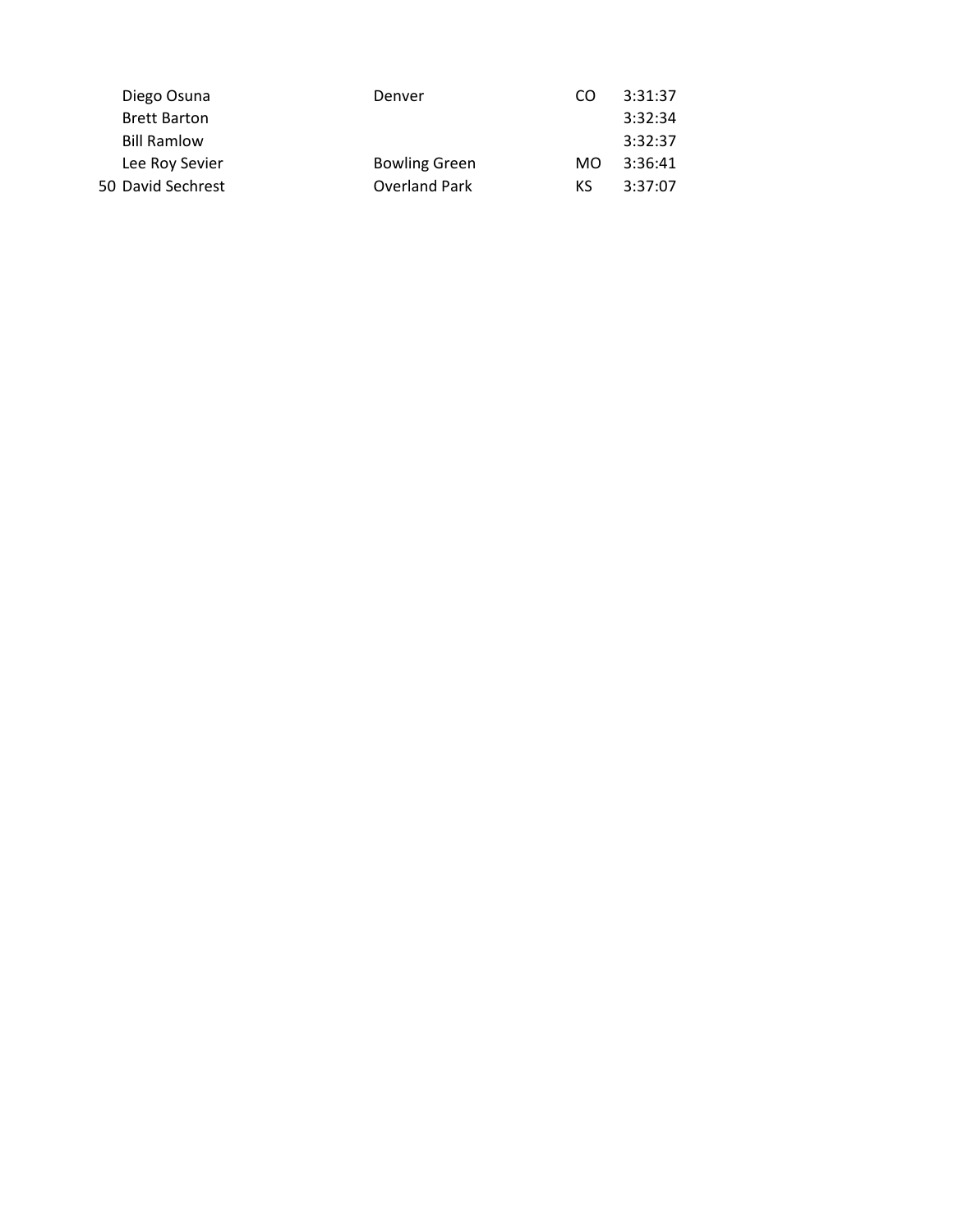| Diego Osuna<br>Denver                  | CO  | 3:31:37 |
|----------------------------------------|-----|---------|
| <b>Brett Barton</b>                    |     | 3:32:34 |
| <b>Bill Ramlow</b>                     |     | 3:32:37 |
| <b>Bowling Green</b><br>Lee Roy Sevier | MO. | 3:36:41 |
| Overland Park<br>50 David Sechrest     | KS. | 3:37:07 |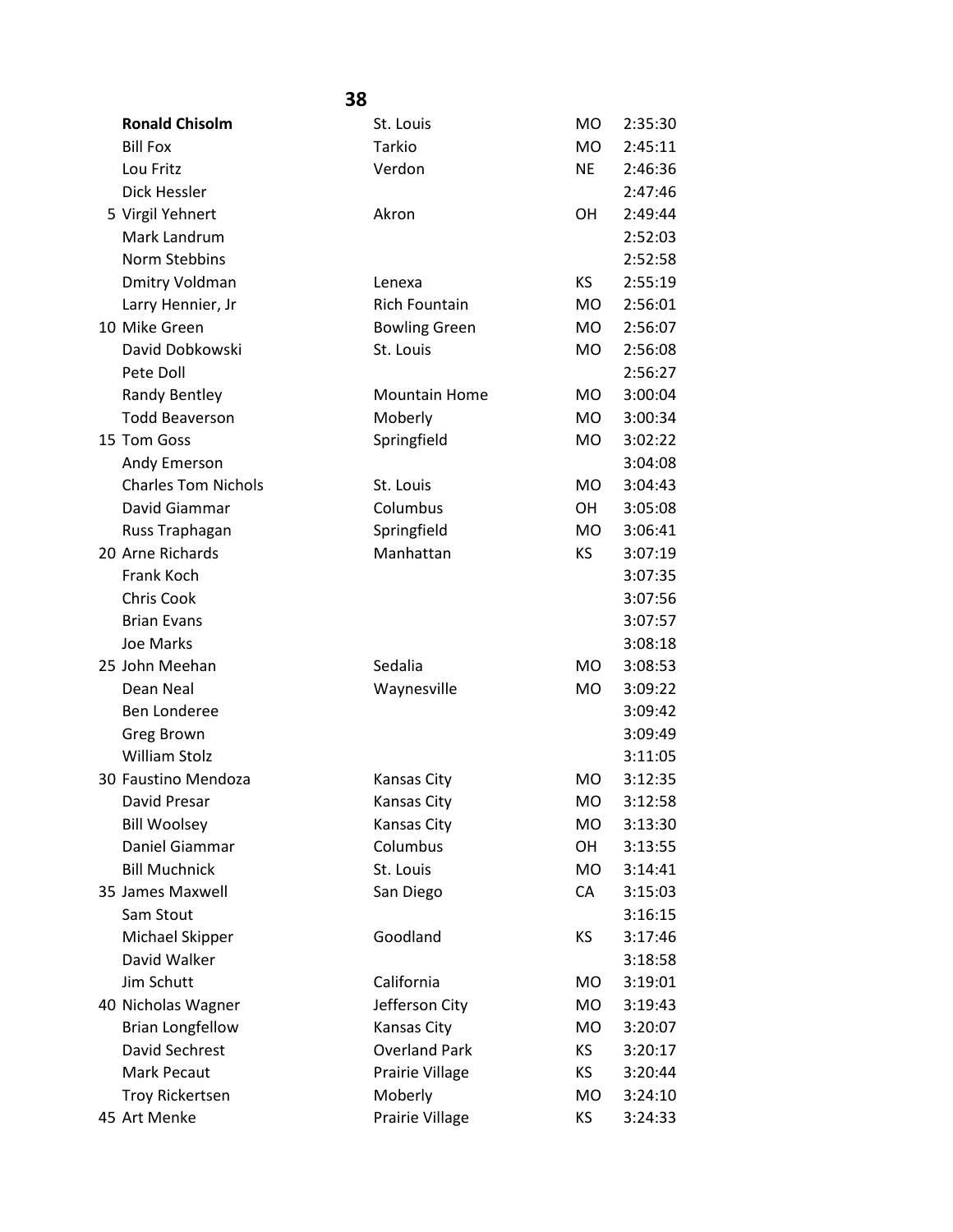|                            | 38                   |           |         |
|----------------------------|----------------------|-----------|---------|
| <b>Ronald Chisolm</b>      | St. Louis            | MO.       | 2:35:30 |
| <b>Bill Fox</b>            | Tarkio               | <b>MO</b> | 2:45:11 |
| Lou Fritz                  | Verdon               | <b>NE</b> | 2:46:36 |
| Dick Hessler               |                      |           | 2:47:46 |
| 5 Virgil Yehnert           | Akron                | OН        | 2:49:44 |
| Mark Landrum               |                      |           | 2:52:03 |
| <b>Norm Stebbins</b>       |                      |           | 2:52:58 |
| Dmitry Voldman             | Lenexa               | KS        | 2:55:19 |
| Larry Hennier, Jr          | <b>Rich Fountain</b> | <b>MO</b> | 2:56:01 |
| 10 Mike Green              | <b>Bowling Green</b> | MO.       | 2:56:07 |
| David Dobkowski            | St. Louis            | <b>MO</b> | 2:56:08 |
| Pete Doll                  |                      |           | 2:56:27 |
| Randy Bentley              | <b>Mountain Home</b> | MO.       | 3:00:04 |
| <b>Todd Beaverson</b>      | Moberly              | <b>MO</b> | 3:00:34 |
| 15 Tom Goss                | Springfield          | MO        | 3:02:22 |
| Andy Emerson               |                      |           | 3:04:08 |
| <b>Charles Tom Nichols</b> | St. Louis            | <b>MO</b> | 3:04:43 |
| David Giammar              | Columbus             | OН        | 3:05:08 |
| Russ Traphagan             | Springfield          | <b>MO</b> | 3:06:41 |
| 20 Arne Richards           | Manhattan            | KS        | 3:07:19 |
| Frank Koch                 |                      |           | 3:07:35 |
| <b>Chris Cook</b>          |                      |           | 3:07:56 |
| <b>Brian Evans</b>         |                      |           | 3:07:57 |
| Joe Marks                  |                      |           | 3:08:18 |
| 25 John Meehan             | Sedalia              | <b>MO</b> | 3:08:53 |
| Dean Neal                  | Waynesville          | <b>MO</b> | 3:09:22 |
| Ben Londeree               |                      |           | 3:09:42 |
| Greg Brown                 |                      |           | 3:09:49 |
| <b>William Stolz</b>       |                      |           | 3:11:05 |
| 30 Faustino Mendoza        | <b>Kansas City</b>   | <b>MO</b> | 3:12:35 |
| David Presar               | <b>Kansas City</b>   | <b>MO</b> | 3:12:58 |
| <b>Bill Woolsey</b>        | Kansas City          | MO        | 3:13:30 |
| Daniel Giammar             | Columbus             | OН        | 3:13:55 |
| <b>Bill Muchnick</b>       | St. Louis            | <b>MO</b> | 3:14:41 |
| 35 James Maxwell           | San Diego            | CA        | 3:15:03 |
| Sam Stout                  |                      |           | 3:16:15 |
| Michael Skipper            | Goodland             | ΚS        | 3:17:46 |
| David Walker               |                      |           | 3:18:58 |
| Jim Schutt                 | California           | MO        | 3:19:01 |
| 40 Nicholas Wagner         | Jefferson City       | MO        | 3:19:43 |
| <b>Brian Longfellow</b>    | Kansas City          | MO        | 3:20:07 |
| David Sechrest             | <b>Overland Park</b> | ΚS        | 3:20:17 |
| Mark Pecaut                | Prairie Village      | KS.       | 3:20:44 |
| <b>Troy Rickertsen</b>     | Moberly              | МO        | 3:24:10 |
| 45 Art Menke               | Prairie Village      | KS.       | 3:24:33 |
|                            |                      |           |         |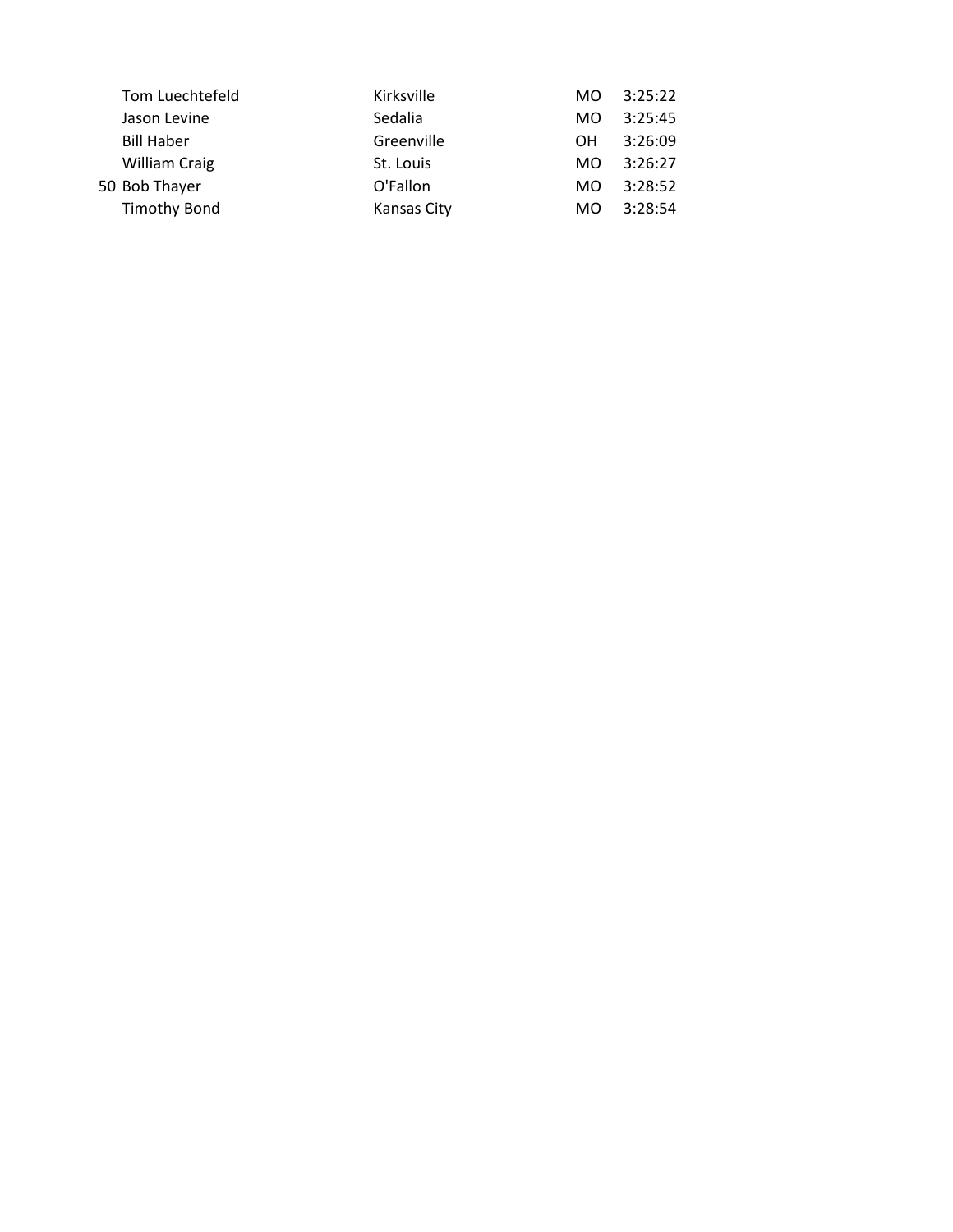| Kirksville                                                                                                           | MO. | 3:25:22 |
|----------------------------------------------------------------------------------------------------------------------|-----|---------|
| Sedalia                                                                                                              | MO. | 3:25:45 |
| Greenville                                                                                                           | OН  | 3:26:09 |
| St. Louis                                                                                                            | MO. | 3:26:27 |
| O'Fallon                                                                                                             | MO. | 3:28:52 |
| Kansas City                                                                                                          | MO. | 3:28:54 |
| Tom Luechtefeld<br>Jason Levine<br><b>Bill Haber</b><br><b>William Craig</b><br>50 Bob Thayer<br><b>Timothy Bond</b> |     |         |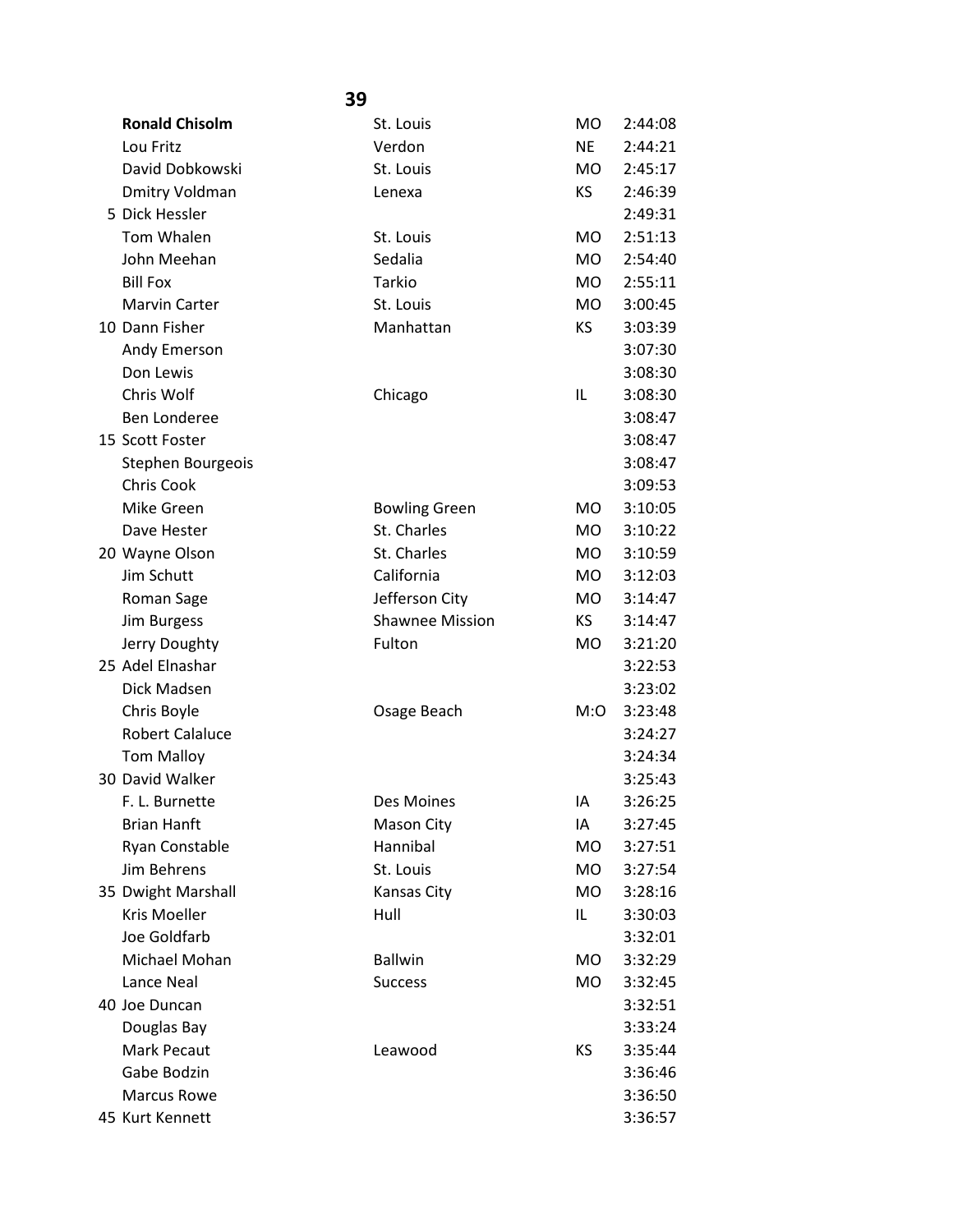|                        | 39                     |           |         |
|------------------------|------------------------|-----------|---------|
| <b>Ronald Chisolm</b>  | St. Louis              | <b>MO</b> | 2:44:08 |
| Lou Fritz              | Verdon                 | <b>NE</b> | 2:44:21 |
| David Dobkowski        | St. Louis              | <b>MO</b> | 2:45:17 |
| Dmitry Voldman         | Lenexa                 | <b>KS</b> | 2:46:39 |
| 5 Dick Hessler         |                        |           | 2:49:31 |
| Tom Whalen             | St. Louis              | <b>MO</b> | 2:51:13 |
| John Meehan            | Sedalia                | <b>MO</b> | 2:54:40 |
| <b>Bill Fox</b>        | Tarkio                 | <b>MO</b> | 2:55:11 |
| <b>Marvin Carter</b>   | St. Louis              | <b>MO</b> | 3:00:45 |
| 10 Dann Fisher         | Manhattan              | KS        | 3:03:39 |
| Andy Emerson           |                        |           | 3:07:30 |
| Don Lewis              |                        |           | 3:08:30 |
| Chris Wolf             | Chicago                | IL        | 3:08:30 |
| <b>Ben Londeree</b>    |                        |           | 3:08:47 |
| 15 Scott Foster        |                        |           | 3:08:47 |
| Stephen Bourgeois      |                        |           | 3:08:47 |
| Chris Cook             |                        |           | 3:09:53 |
| Mike Green             | <b>Bowling Green</b>   | MO.       | 3:10:05 |
| Dave Hester            | St. Charles            | MO.       | 3:10:22 |
| 20 Wayne Olson         | St. Charles            | <b>MO</b> | 3:10:59 |
| Jim Schutt             | California             | <b>MO</b> | 3:12:03 |
| Roman Sage             | Jefferson City         | <b>MO</b> | 3:14:47 |
| Jim Burgess            | <b>Shawnee Mission</b> | <b>KS</b> | 3:14:47 |
| Jerry Doughty          | Fulton                 | MO.       | 3:21:20 |
| 25 Adel Elnashar       |                        |           | 3:22:53 |
| Dick Madsen            |                        |           | 3:23:02 |
| Chris Boyle            | Osage Beach            | M:O       | 3:23:48 |
| <b>Robert Calaluce</b> |                        |           | 3:24:27 |
| <b>Tom Malloy</b>      |                        |           | 3:24:34 |
| 30 David Walker        |                        |           | 3:25:43 |
| F. L. Burnette         | Des Moines             | IA        | 3:26:25 |
| <b>Brian Hanft</b>     | Mason City             | IA        | 3:27:45 |
| Ryan Constable         | Hannibal               | <b>MO</b> | 3:27:51 |
| Jim Behrens            | St. Louis              | <b>MO</b> | 3:27:54 |
| 35 Dwight Marshall     | Kansas City            | <b>MO</b> | 3:28:16 |
| <b>Kris Moeller</b>    | Hull                   | IL        | 3:30:03 |
| Joe Goldfarb           |                        |           | 3:32:01 |
| Michael Mohan          | <b>Ballwin</b>         | <b>MO</b> | 3:32:29 |
| Lance Neal             | <b>Success</b>         | <b>MO</b> | 3:32:45 |
| 40 Joe Duncan          |                        |           | 3:32:51 |
| Douglas Bay            |                        |           | 3:33:24 |
| <b>Mark Pecaut</b>     | Leawood                | KS        | 3:35:44 |
| Gabe Bodzin            |                        |           | 3:36:46 |
| <b>Marcus Rowe</b>     |                        |           | 3:36:50 |
| 45 Kurt Kennett        |                        |           | 3:36:57 |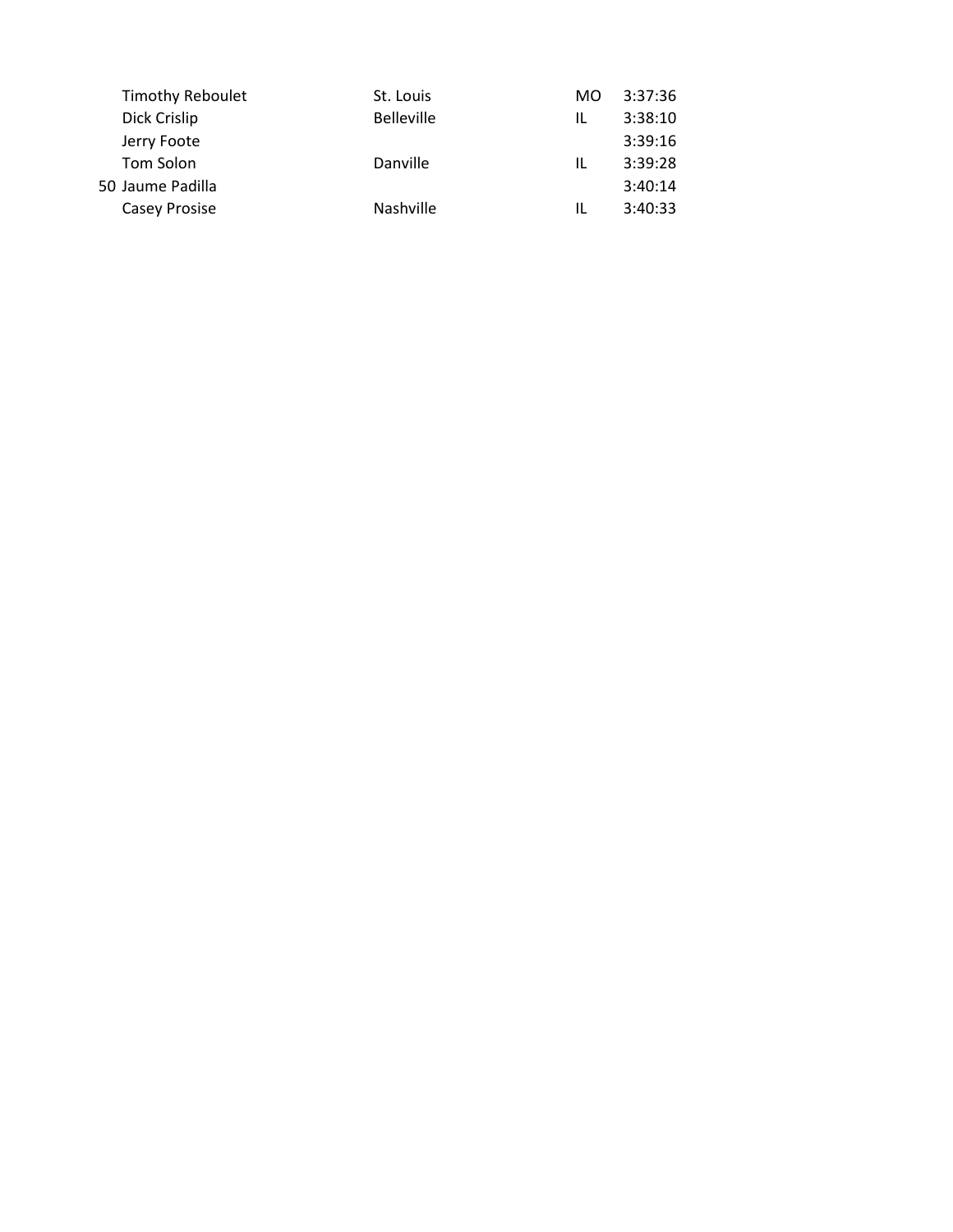| <b>Timothy Reboulet</b> | St. Louis         | MO. | 3:37:36 |
|-------------------------|-------------------|-----|---------|
| Dick Crislip            | <b>Belleville</b> | IL  | 3:38:10 |
| Jerry Foote             |                   |     | 3:39:16 |
| Tom Solon               | Danville          | IL  | 3:39:28 |
|                         |                   |     | 3:40:14 |
| Casey Prosise           | Nashville         | IL  | 3:40:33 |
|                         | 50 Jaume Padilla  |     |         |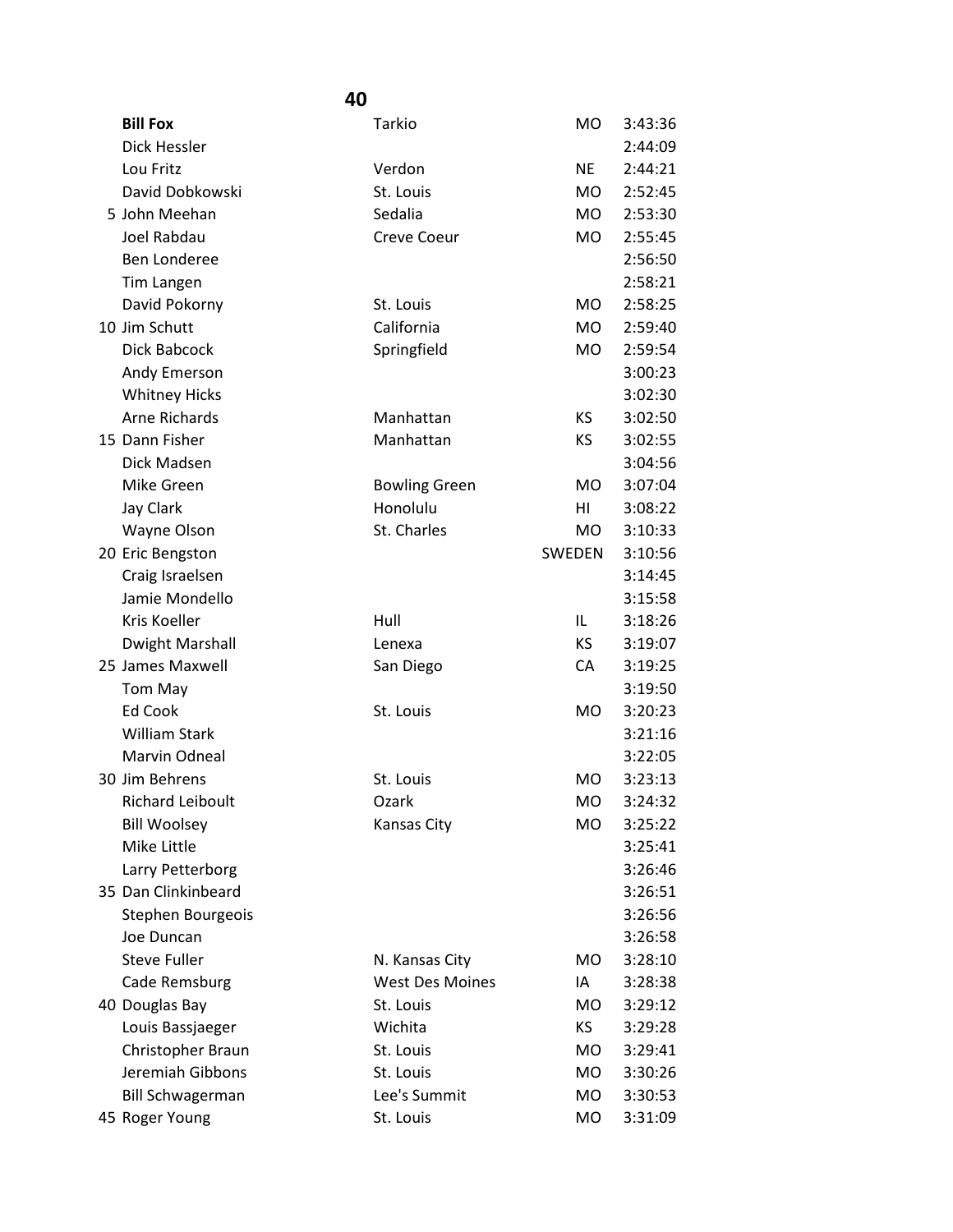| <b>Bill Fox</b>         | Tarkio                 | <b>MO</b> | 3:43:36 |
|-------------------------|------------------------|-----------|---------|
| Dick Hessler            |                        |           | 2:44:09 |
| Lou Fritz               | Verdon                 | <b>NE</b> | 2:44:21 |
| David Dobkowski         | St. Louis              | <b>MO</b> | 2:52:45 |
| 5 John Meehan           | Sedalia                | <b>MO</b> | 2:53:30 |
| Joel Rabdau             | <b>Creve Coeur</b>     | <b>MO</b> | 2:55:45 |
| <b>Ben Londeree</b>     |                        |           | 2:56:50 |
| Tim Langen              |                        |           | 2:58:21 |
| David Pokorny           | St. Louis              | <b>MO</b> | 2:58:25 |
| 10 Jim Schutt           | California             | <b>MO</b> | 2:59:40 |
| Dick Babcock            | Springfield            | MO        | 2:59:54 |
| Andy Emerson            |                        |           | 3:00:23 |
| <b>Whitney Hicks</b>    |                        |           | 3:02:30 |
| <b>Arne Richards</b>    | Manhattan              | KS        | 3:02:50 |
| 15 Dann Fisher          | Manhattan              | <b>KS</b> | 3:02:55 |
| Dick Madsen             |                        |           | 3:04:56 |
| Mike Green              | <b>Bowling Green</b>   | <b>MO</b> | 3:07:04 |
| Jay Clark               | Honolulu               | HI        | 3:08:22 |
| Wayne Olson             | St. Charles            | <b>MO</b> | 3:10:33 |
| 20 Eric Bengston        |                        | SWEDEN    | 3:10:56 |
| Craig Israelsen         |                        |           | 3:14:45 |
| Jamie Mondello          |                        |           | 3:15:58 |
| Kris Koeller            | Hull                   | IL        | 3:18:26 |
| <b>Dwight Marshall</b>  | Lenexa                 | KS.       | 3:19:07 |
| 25 James Maxwell        | San Diego              | CA        | 3:19:25 |
| Tom May                 |                        |           | 3:19:50 |
| Ed Cook                 | St. Louis              | <b>MO</b> | 3:20:23 |
| <b>William Stark</b>    |                        |           | 3:21:16 |
| Marvin Odneal           |                        |           | 3:22:05 |
| 30 Jim Behrens          | St. Louis              | <b>MO</b> | 3:23:13 |
| Richard Leiboult        | Ozark                  | MO.       | 3:24:32 |
| <b>Bill Woolsey</b>     | <b>Kansas City</b>     | <b>MO</b> | 3:25:22 |
| Mike Little             |                        |           | 3:25:41 |
| Larry Petterborg        |                        |           | 3:26:46 |
| 35 Dan Clinkinbeard     |                        |           | 3:26:51 |
| Stephen Bourgeois       |                        |           | 3:26:56 |
| Joe Duncan              |                        |           | 3:26:58 |
| <b>Steve Fuller</b>     | N. Kansas City         | MO.       | 3:28:10 |
| Cade Remsburg           | <b>West Des Moines</b> | IA        | 3:28:38 |
| 40 Douglas Bay          | St. Louis              | <b>MO</b> | 3:29:12 |
| Louis Bassjaeger        | Wichita                | KS        | 3:29:28 |
| Christopher Braun       | St. Louis              | MO        | 3:29:41 |
| Jeremiah Gibbons        | St. Louis              | <b>MO</b> | 3:30:26 |
| <b>Bill Schwagerman</b> | Lee's Summit           | <b>MO</b> | 3:30:53 |
| 45 Roger Young          | St. Louis              | MO        | 3:31:09 |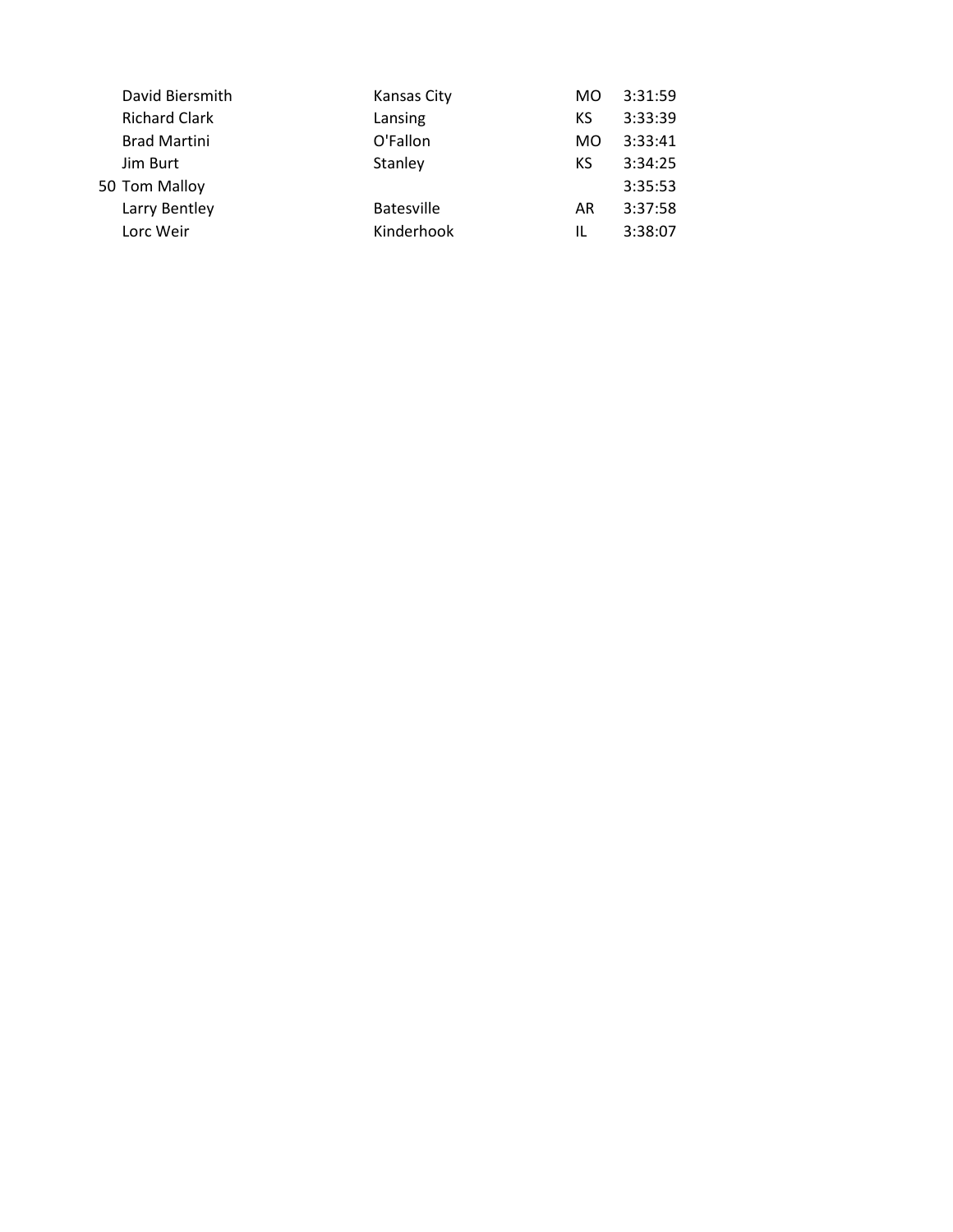| David Biersmith      | Kansas City       | MO. | 3:31:59 |
|----------------------|-------------------|-----|---------|
| <b>Richard Clark</b> | Lansing           | КS  | 3:33:39 |
| <b>Brad Martini</b>  | O'Fallon          | MO. | 3:33:41 |
| Jim Burt             | Stanley           | КS  | 3:34:25 |
| 50 Tom Malloy        |                   |     | 3:35:53 |
| Larry Bentley        | <b>Batesville</b> | AR  | 3:37:58 |
| Lorc Weir            | Kinderhook        | IL  | 3:38:07 |
|                      |                   |     |         |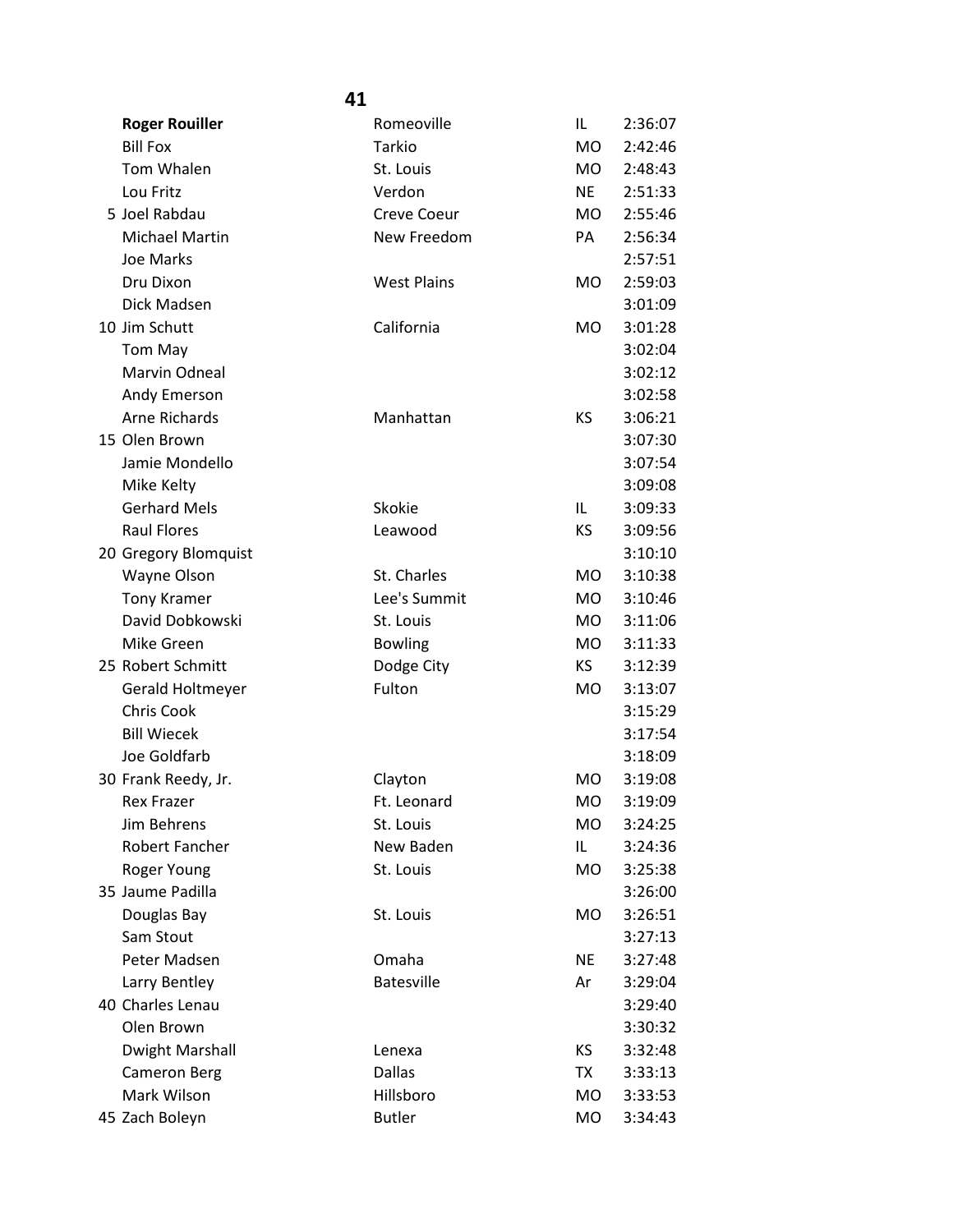|                        | 41                 |                |         |
|------------------------|--------------------|----------------|---------|
| <b>Roger Rouiller</b>  | Romeoville         | IL             | 2:36:07 |
| <b>Bill Fox</b>        | Tarkio             | <b>MO</b>      | 2:42:46 |
| Tom Whalen             | St. Louis          | MO.            | 2:48:43 |
| Lou Fritz              | Verdon             | <b>NE</b>      | 2:51:33 |
| 5 Joel Rabdau          | <b>Creve Coeur</b> | MO.            | 2:55:46 |
| Michael Martin         | New Freedom        | PA             | 2:56:34 |
| <b>Joe Marks</b>       |                    |                | 2:57:51 |
| Dru Dixon              | <b>West Plains</b> | MO.            | 2:59:03 |
| Dick Madsen            |                    |                | 3:01:09 |
| 10 Jim Schutt          | California         | MO.            | 3:01:28 |
| Tom May                |                    |                | 3:02:04 |
| Marvin Odneal          |                    |                | 3:02:12 |
| Andy Emerson           |                    |                | 3:02:58 |
| <b>Arne Richards</b>   | Manhattan          | KS             | 3:06:21 |
| 15 Olen Brown          |                    |                | 3:07:30 |
| Jamie Mondello         |                    |                | 3:07:54 |
| Mike Kelty             |                    |                | 3:09:08 |
| <b>Gerhard Mels</b>    | Skokie             | IL             | 3:09:33 |
| <b>Raul Flores</b>     | Leawood            | <b>KS</b>      | 3:09:56 |
| 20 Gregory Blomquist   |                    |                | 3:10:10 |
| Wayne Olson            | St. Charles        | MO.            | 3:10:38 |
| <b>Tony Kramer</b>     | Lee's Summit       | M <sub>O</sub> | 3:10:46 |
| David Dobkowski        | St. Louis          | MO.            | 3:11:06 |
| Mike Green             | <b>Bowling</b>     | MO.            | 3:11:33 |
| 25 Robert Schmitt      | Dodge City         | KS.            | 3:12:39 |
| Gerald Holtmeyer       | Fulton             | <b>MO</b>      | 3:13:07 |
| Chris Cook             |                    |                | 3:15:29 |
| <b>Bill Wiecek</b>     |                    |                | 3:17:54 |
| Joe Goldfarb           |                    |                | 3:18:09 |
| 30 Frank Reedy, Jr.    | Clayton            | <b>MO</b>      | 3:19:08 |
| <b>Rex Frazer</b>      | Ft. Leonard        | MO             | 3:19:09 |
| Jim Behrens            | St. Louis          | MO.            | 3:24:25 |
| Robert Fancher         | New Baden          | IL             | 3:24:36 |
| Roger Young            | St. Louis          | MO             | 3:25:38 |
| 35 Jaume Padilla       |                    |                | 3:26:00 |
| Douglas Bay            | St. Louis          | MO             | 3:26:51 |
| Sam Stout              |                    |                | 3:27:13 |
| Peter Madsen           | Omaha              | <b>NE</b>      | 3:27:48 |
| Larry Bentley          | <b>Batesville</b>  | Ar             | 3:29:04 |
| 40 Charles Lenau       |                    |                | 3:29:40 |
| Olen Brown             |                    |                | 3:30:32 |
| <b>Dwight Marshall</b> | Lenexa             | KS.            | 3:32:48 |
| <b>Cameron Berg</b>    | <b>Dallas</b>      | TX             | 3:33:13 |
| Mark Wilson            | Hillsboro          | MO.            | 3:33:53 |
| 45 Zach Boleyn         | <b>Butler</b>      | MO             | 3:34:43 |
|                        |                    |                |         |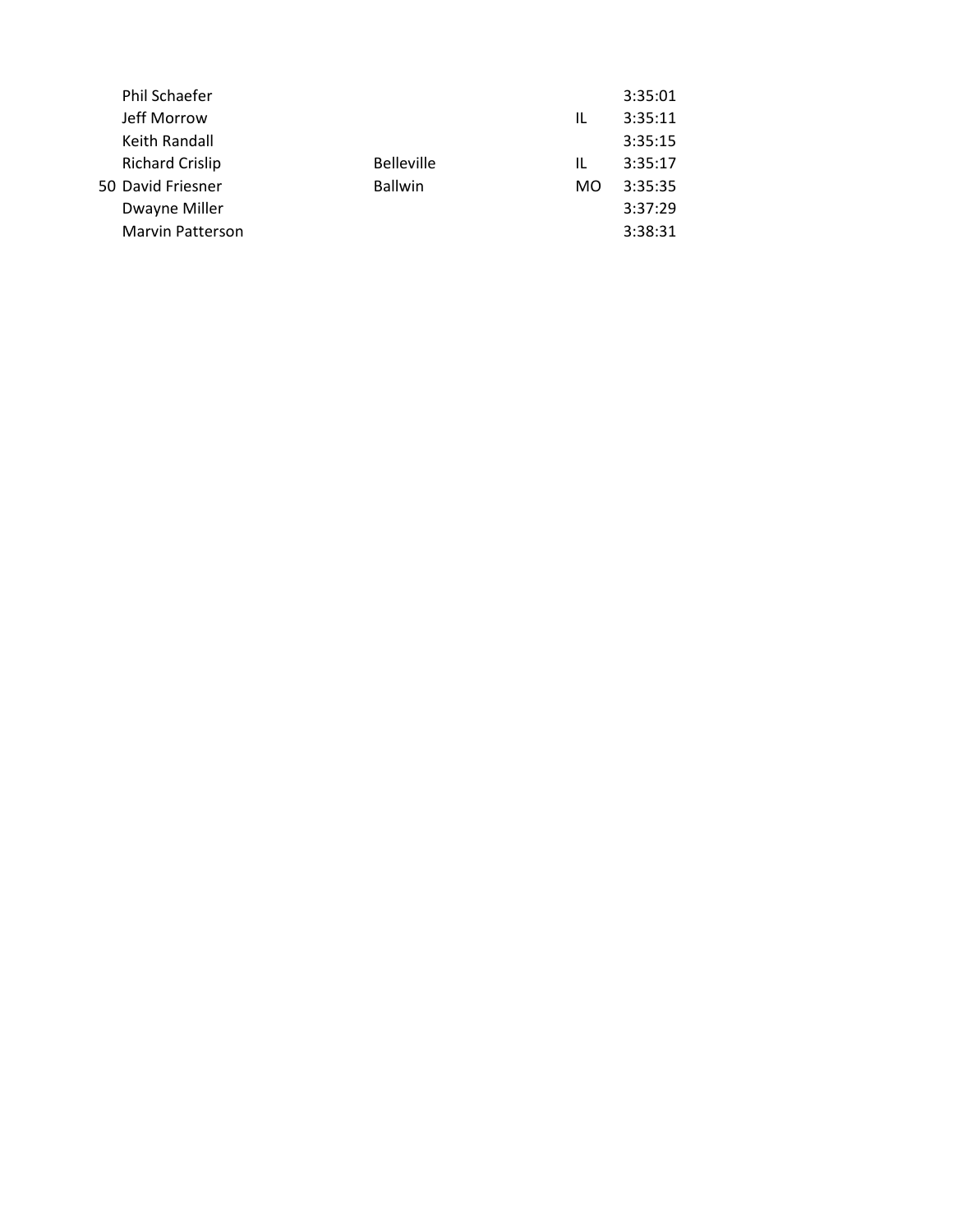| Phil Schaefer           |                   |    | 3:35:01 |
|-------------------------|-------------------|----|---------|
| Jeff Morrow             |                   | IL | 3:35:11 |
| Keith Randall           |                   |    | 3:35:15 |
| <b>Richard Crislip</b>  | <b>Belleville</b> | IL | 3:35:17 |
| 50 David Friesner       | <b>Ballwin</b>    | MO | 3:35:35 |
| Dwayne Miller           |                   |    | 3:37:29 |
| <b>Marvin Patterson</b> |                   |    | 3:38:31 |
|                         |                   |    |         |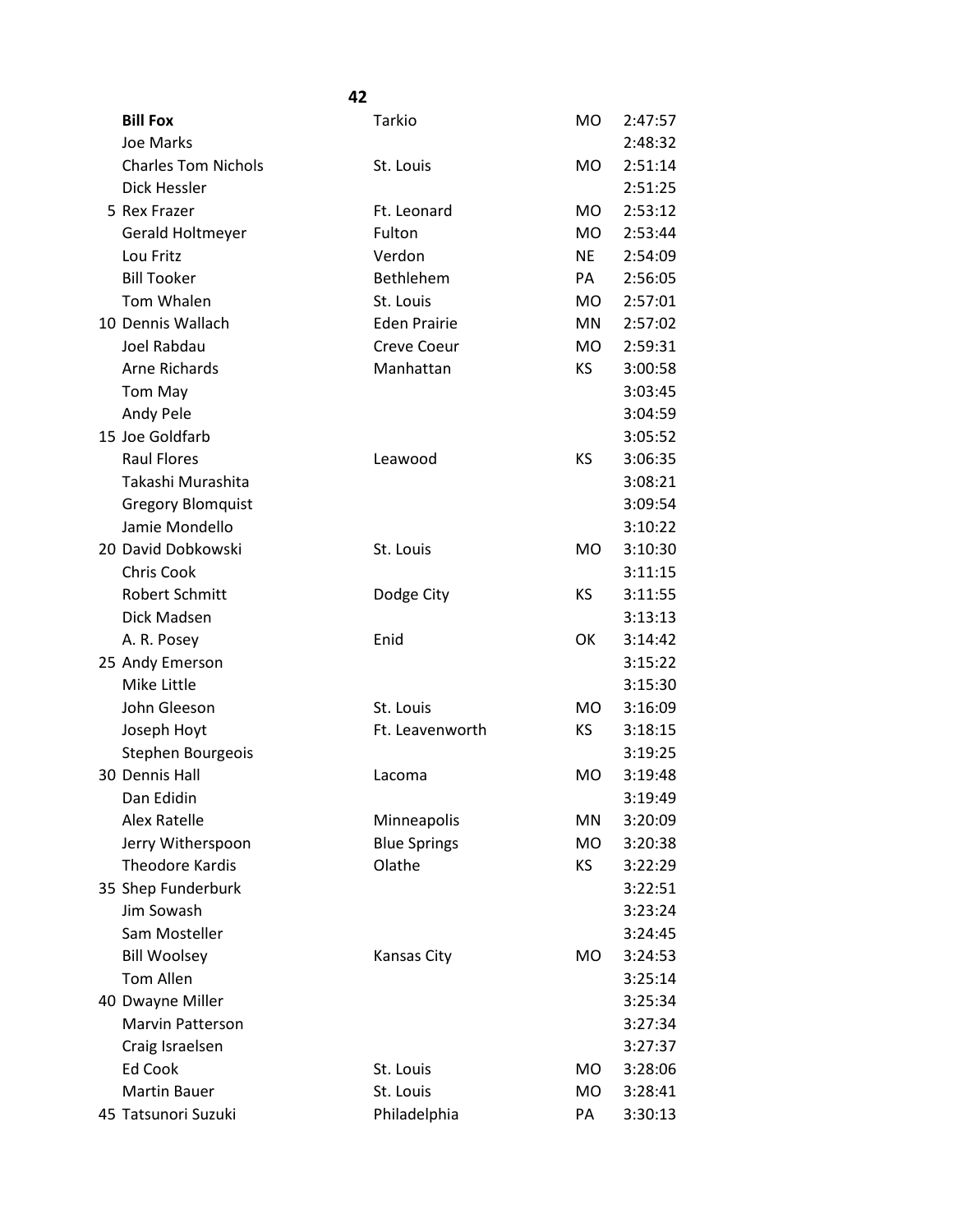|                            | 42                  |           |         |
|----------------------------|---------------------|-----------|---------|
| <b>Bill Fox</b>            | Tarkio              | MO.       | 2:47:57 |
| Joe Marks                  |                     |           | 2:48:32 |
| <b>Charles Tom Nichols</b> | St. Louis           | MO.       | 2:51:14 |
| Dick Hessler               |                     |           | 2:51:25 |
| 5 Rex Frazer               | Ft. Leonard         | MO.       | 2:53:12 |
| Gerald Holtmeyer           | Fulton              | MO.       | 2:53:44 |
| Lou Fritz                  | Verdon              | <b>NE</b> | 2:54:09 |
| <b>Bill Tooker</b>         | Bethlehem           | PA        | 2:56:05 |
| Tom Whalen                 | St. Louis           | <b>MO</b> | 2:57:01 |
| 10 Dennis Wallach          | <b>Eden Prairie</b> | MN        | 2:57:02 |
| Joel Rabdau                | <b>Creve Coeur</b>  | <b>MO</b> | 2:59:31 |
| <b>Arne Richards</b>       | Manhattan           | KS.       | 3:00:58 |
| Tom May                    |                     |           | 3:03:45 |
| Andy Pele                  |                     |           | 3:04:59 |
| 15 Joe Goldfarb            |                     |           | 3:05:52 |
| <b>Raul Flores</b>         | Leawood             | <b>KS</b> | 3:06:35 |
| Takashi Murashita          |                     |           | 3:08:21 |
| <b>Gregory Blomquist</b>   |                     |           | 3:09:54 |
| Jamie Mondello             |                     |           | 3:10:22 |
| 20 David Dobkowski         | St. Louis           | MO.       | 3:10:30 |
| <b>Chris Cook</b>          |                     |           | 3:11:15 |
| <b>Robert Schmitt</b>      | Dodge City          | <b>KS</b> | 3:11:55 |
| Dick Madsen                |                     |           | 3:13:13 |
| A. R. Posey                | Enid                | OK        | 3:14:42 |
| 25 Andy Emerson            |                     |           | 3:15:22 |
| Mike Little                |                     |           | 3:15:30 |
| John Gleeson               | St. Louis           | MO.       | 3:16:09 |
| Joseph Hoyt                | Ft. Leavenworth     | ΚS        | 3:18:15 |
| Stephen Bourgeois          |                     |           | 3:19:25 |
| 30 Dennis Hall             | Lacoma              | <b>MO</b> | 3:19:48 |
| Dan Edidin                 |                     |           | 3:19:49 |
| <b>Alex Ratelle</b>        | Minneapolis         | MN        | 3:20:09 |
| Jerry Witherspoon          | <b>Blue Springs</b> | MO.       | 3:20:38 |
| <b>Theodore Kardis</b>     | Olathe              | ΚS        | 3:22:29 |
| 35 Shep Funderburk         |                     |           | 3:22:51 |
| Jim Sowash                 |                     |           | 3:23:24 |
| Sam Mosteller              |                     |           | 3:24:45 |
| <b>Bill Woolsey</b>        | <b>Kansas City</b>  | MO.       | 3:24:53 |
| <b>Tom Allen</b>           |                     |           | 3:25:14 |
| 40 Dwayne Miller           |                     |           | 3:25:34 |
| Marvin Patterson           |                     |           | 3:27:34 |
| Craig Israelsen            |                     |           | 3:27:37 |
| Ed Cook                    | St. Louis           | MO.       | 3:28:06 |
| <b>Martin Bauer</b>        | St. Louis           | MO.       | 3:28:41 |
| 45 Tatsunori Suzuki        | Philadelphia        | PA        | 3:30:13 |
|                            |                     |           |         |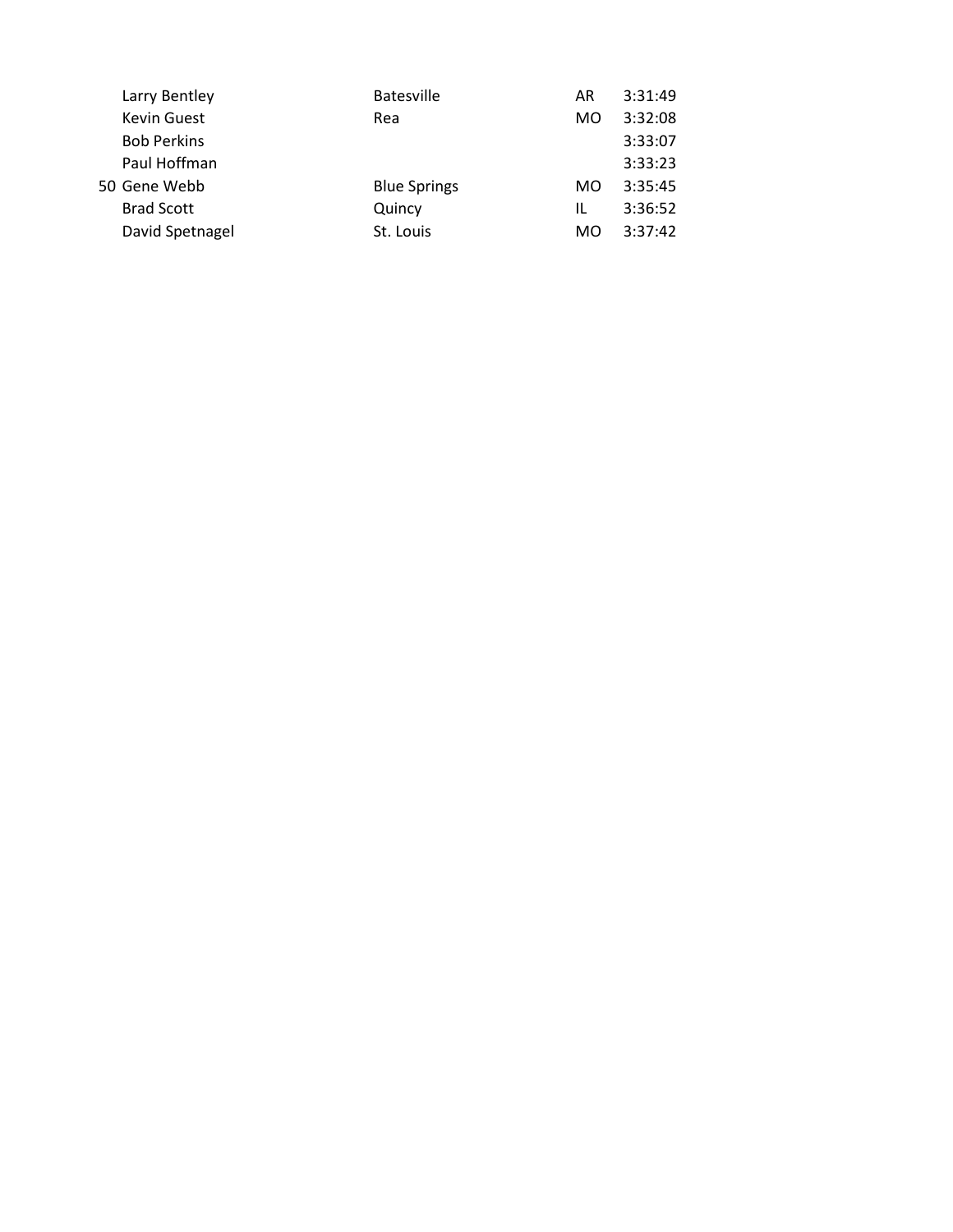| Larry Bentley      | <b>Batesville</b>   | AR  | 3:31:49 |
|--------------------|---------------------|-----|---------|
| <b>Kevin Guest</b> | Rea                 | MO. | 3:32:08 |
| <b>Bob Perkins</b> |                     |     | 3:33:07 |
| Paul Hoffman       |                     |     | 3:33:23 |
| 50 Gene Webb       | <b>Blue Springs</b> | MO. | 3:35:45 |
| <b>Brad Scott</b>  | Quincy              | IL  | 3:36:52 |
| David Spetnagel    | St. Louis           | MO  | 3:37:42 |
|                    |                     |     |         |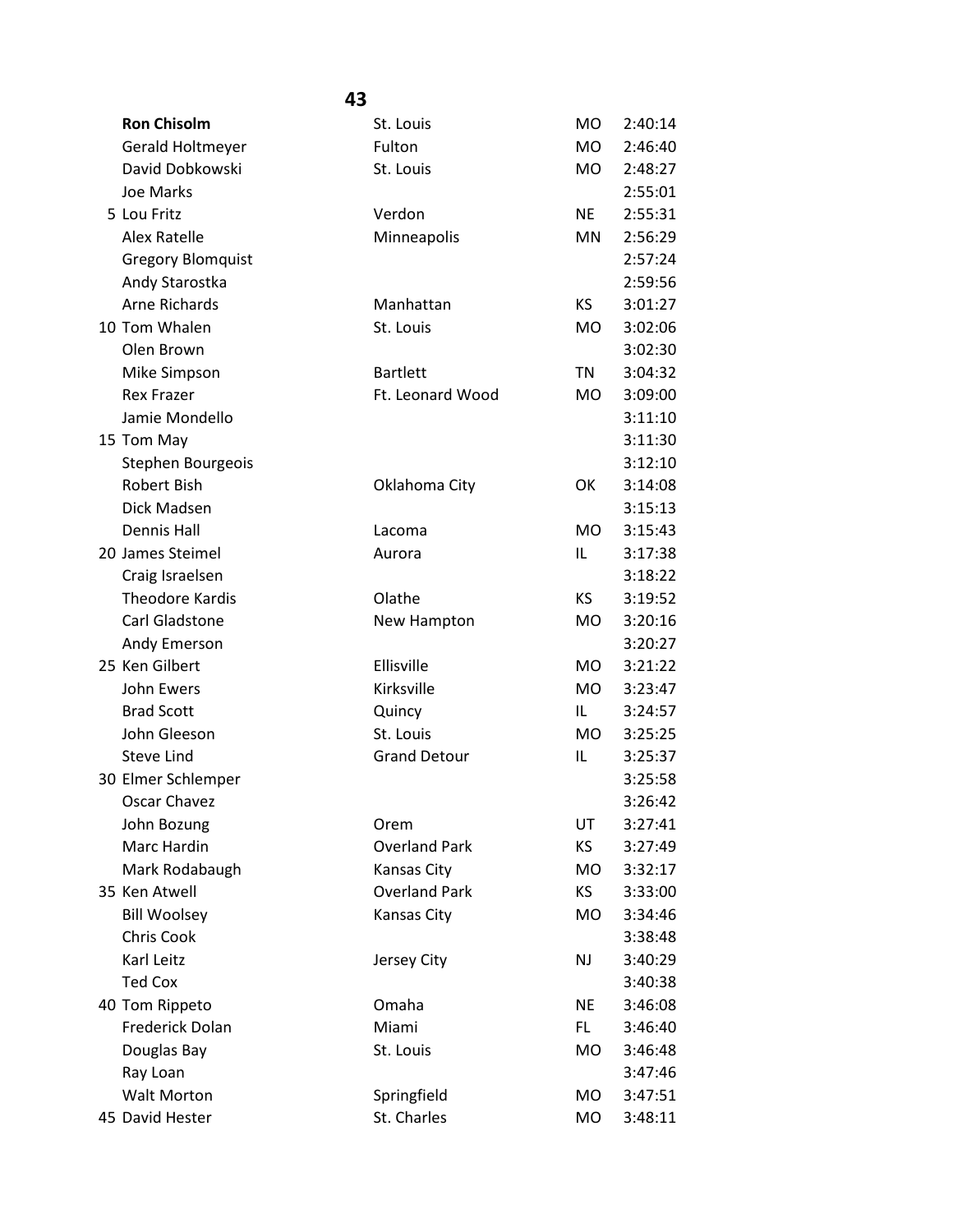| <b>Ron Chisolm</b>       | St. Louis            | <b>MO</b> | 2:40:14 |
|--------------------------|----------------------|-----------|---------|
| Gerald Holtmeyer         | Fulton               | <b>MO</b> | 2:46:40 |
| David Dobkowski          | St. Louis            | <b>MO</b> | 2:48:27 |
| Joe Marks                |                      |           | 2:55:01 |
| 5 Lou Fritz              | Verdon               | <b>NE</b> | 2:55:31 |
| <b>Alex Ratelle</b>      | Minneapolis          | MN        | 2:56:29 |
| <b>Gregory Blomquist</b> |                      |           | 2:57:24 |
| Andy Starostka           |                      |           | 2:59:56 |
| <b>Arne Richards</b>     | Manhattan            | <b>KS</b> | 3:01:27 |
| 10 Tom Whalen            | St. Louis            | <b>MO</b> | 3:02:06 |
| Olen Brown               |                      |           | 3:02:30 |
| Mike Simpson             | <b>Bartlett</b>      | TN        | 3:04:32 |
| <b>Rex Frazer</b>        | Ft. Leonard Wood     | <b>MO</b> | 3:09:00 |
| Jamie Mondello           |                      |           | 3:11:10 |
| 15 Tom May               |                      |           | 3:11:30 |
| Stephen Bourgeois        |                      |           | 3:12:10 |
| Robert Bish              | Oklahoma City        | OK        | 3:14:08 |
| Dick Madsen              |                      |           | 3:15:13 |
| <b>Dennis Hall</b>       | Lacoma               | <b>MO</b> | 3:15:43 |
| 20 James Steimel         | Aurora               | IL        | 3:17:38 |
| Craig Israelsen          |                      |           | 3:18:22 |
| <b>Theodore Kardis</b>   | Olathe               | <b>KS</b> | 3:19:52 |
| Carl Gladstone           | New Hampton          | <b>MO</b> | 3:20:16 |
| Andy Emerson             |                      |           | 3:20:27 |
| 25 Ken Gilbert           | Ellisville           | <b>MO</b> | 3:21:22 |
| John Ewers               | Kirksville           | <b>MO</b> | 3:23:47 |
| <b>Brad Scott</b>        | Quincy               | IL.       | 3:24:57 |
| John Gleeson             | St. Louis            | <b>MO</b> | 3:25:25 |
| <b>Steve Lind</b>        | <b>Grand Detour</b>  | IL        | 3:25:37 |
| 30 Elmer Schlemper       |                      |           | 3:25:58 |
| Oscar Chavez             |                      |           | 3:26:42 |
| John Bozung              | Orem                 | UT        | 3:27:41 |
| Marc Hardin              | <b>Overland Park</b> | KS        | 3:27:49 |
| Mark Rodabaugh           | Kansas City          | <b>MO</b> | 3:32:17 |
| 35 Ken Atwell            | <b>Overland Park</b> | KS        | 3:33:00 |
| <b>Bill Woolsey</b>      | Kansas City          | MO        | 3:34:46 |
| Chris Cook               |                      |           | 3:38:48 |
| Karl Leitz               | Jersey City          | <b>NJ</b> | 3:40:29 |
| <b>Ted Cox</b>           |                      |           | 3:40:38 |
| 40 Tom Rippeto           | Omaha                | <b>NE</b> | 3:46:08 |
| Frederick Dolan          | Miami                | FL.       | 3:46:40 |
| Douglas Bay              | St. Louis            | MO        | 3:46:48 |
| Ray Loan                 |                      |           | 3:47:46 |
| <b>Walt Morton</b>       | Springfield          | MO        | 3:47:51 |
| 45 David Hester          | St. Charles          | MO        | 3:48:11 |
|                          |                      |           |         |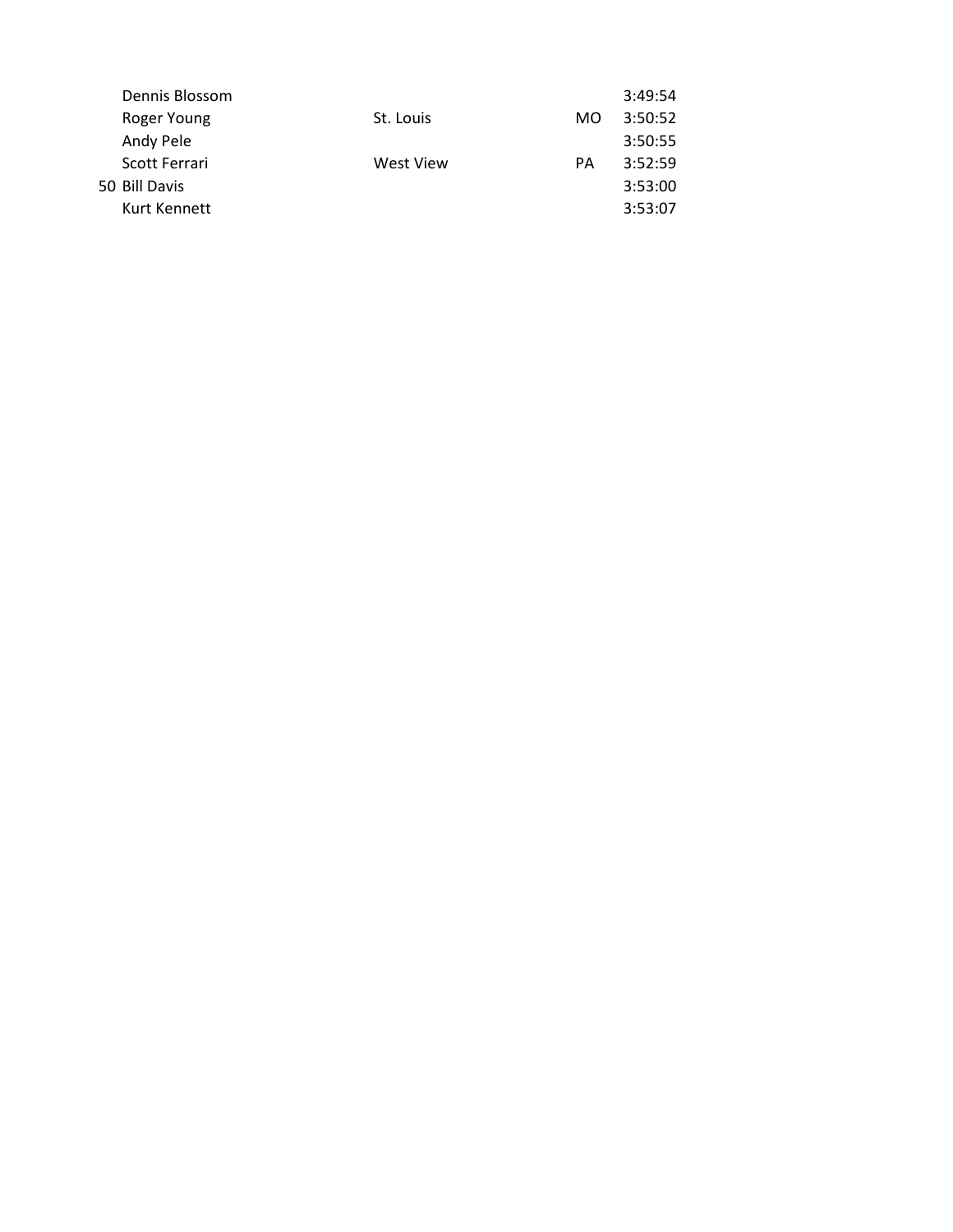| Dennis Blossom |                        | 3:49:54 |
|----------------|------------------------|---------|
| Roger Young    | MO.                    | 3:50:52 |
| Andy Pele      |                        | 3:50:55 |
| Scott Ferrari  | PА                     | 3:52:59 |
| 50 Bill Davis  |                        | 3:53:00 |
| Kurt Kennett   |                        | 3:53:07 |
|                | St. Louis<br>West View |         |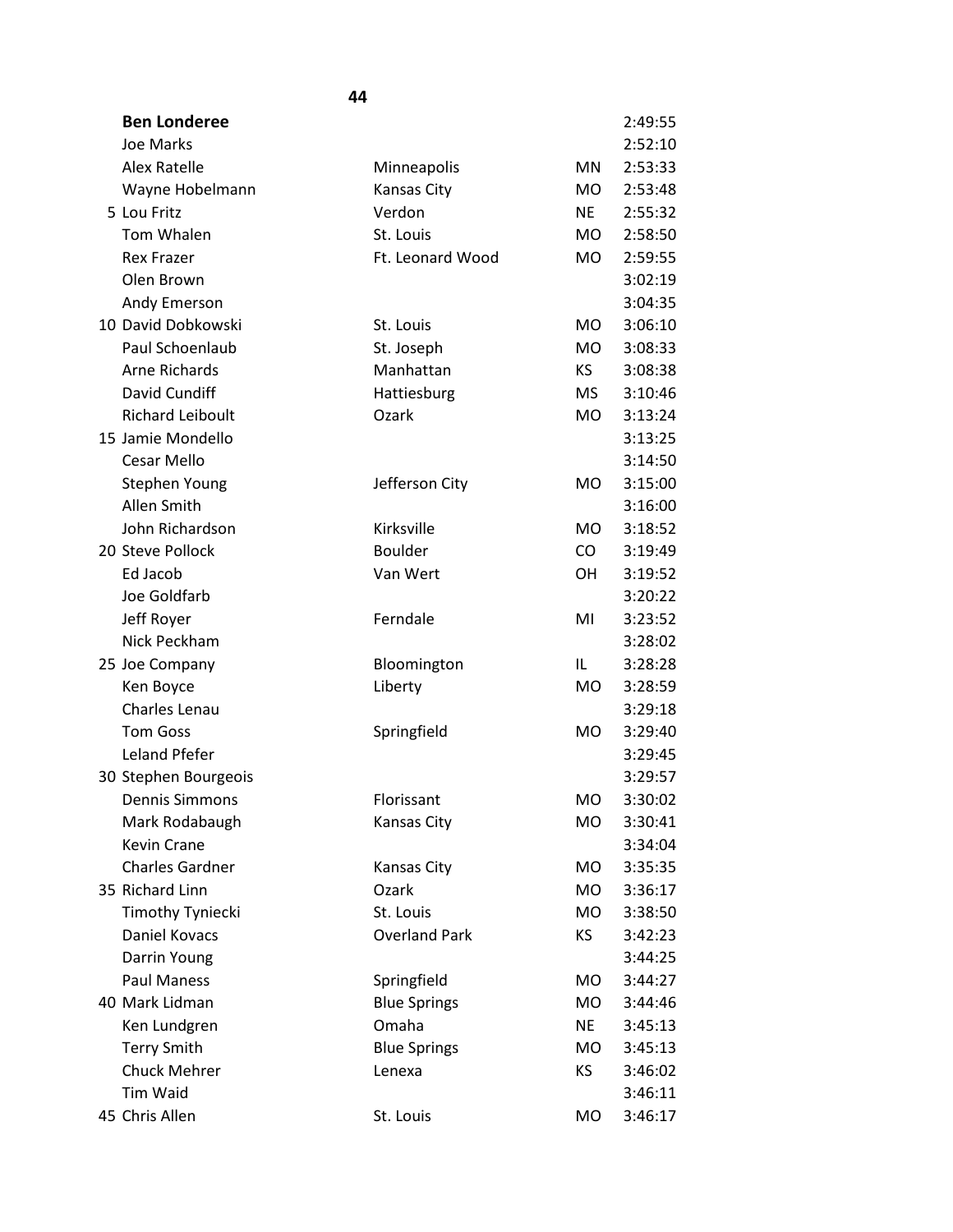| <b>Ben Londeree</b>     |                      |           | 2:49:55 |
|-------------------------|----------------------|-----------|---------|
| Joe Marks               |                      |           | 2:52:10 |
| <b>Alex Ratelle</b>     | Minneapolis          | <b>MN</b> | 2:53:33 |
| Wayne Hobelmann         | Kansas City          | <b>MO</b> | 2:53:48 |
| 5 Lou Fritz             | Verdon               | <b>NE</b> | 2:55:32 |
| Tom Whalen              | St. Louis            | <b>MO</b> | 2:58:50 |
| <b>Rex Frazer</b>       | Ft. Leonard Wood     | <b>MO</b> | 2:59:55 |
| Olen Brown              |                      |           | 3:02:19 |
| Andy Emerson            |                      |           | 3:04:35 |
| 10 David Dobkowski      | St. Louis            | <b>MO</b> | 3:06:10 |
| Paul Schoenlaub         | St. Joseph           | <b>MO</b> | 3:08:33 |
| <b>Arne Richards</b>    | Manhattan            | KS.       | 3:08:38 |
| David Cundiff           | Hattiesburg          | <b>MS</b> | 3:10:46 |
| <b>Richard Leiboult</b> | Ozark                | <b>MO</b> | 3:13:24 |
| 15 Jamie Mondello       |                      |           | 3:13:25 |
| Cesar Mello             |                      |           | 3:14:50 |
| <b>Stephen Young</b>    | Jefferson City       | <b>MO</b> | 3:15:00 |
| Allen Smith             |                      |           | 3:16:00 |
| John Richardson         | Kirksville           | <b>MO</b> | 3:18:52 |
| 20 Steve Pollock        | <b>Boulder</b>       | CO        | 3:19:49 |
| Ed Jacob                | Van Wert             | <b>OH</b> | 3:19:52 |
| Joe Goldfarb            |                      |           | 3:20:22 |
| Jeff Royer              | Ferndale             | MI        | 3:23:52 |
| Nick Peckham            |                      |           | 3:28:02 |
| 25 Joe Company          | Bloomington          | IL        | 3:28:28 |
| Ken Boyce               | Liberty              | <b>MO</b> | 3:28:59 |
| Charles Lenau           |                      |           | 3:29:18 |
| <b>Tom Goss</b>         | Springfield          | <b>MO</b> | 3:29:40 |
| Leland Pfefer           |                      |           | 3:29:45 |
| 30 Stephen Bourgeois    |                      |           | 3:29:57 |
| <b>Dennis Simmons</b>   | Florissant           | <b>MO</b> | 3:30:02 |
| Mark Rodabaugh          | Kansas City          | <b>MO</b> | 3:30:41 |
| Kevin Crane             |                      |           | 3:34:04 |
| <b>Charles Gardner</b>  | Kansas City          | <b>MO</b> | 3:35:35 |
| 35 Richard Linn         | Ozark                | <b>MO</b> | 3:36:17 |
| Timothy Tyniecki        | St. Louis            | <b>MO</b> | 3:38:50 |
| <b>Daniel Kovacs</b>    | <b>Overland Park</b> | ΚS        | 3:42:23 |
| Darrin Young            |                      |           | 3:44:25 |
| Paul Maness             | Springfield          | <b>MO</b> | 3:44:27 |
| 40 Mark Lidman          | <b>Blue Springs</b>  | <b>MO</b> | 3:44:46 |
| Ken Lundgren            | Omaha                | <b>NE</b> | 3:45:13 |
| <b>Terry Smith</b>      | <b>Blue Springs</b>  | <b>MO</b> | 3:45:13 |
| <b>Chuck Mehrer</b>     | Lenexa               | KS        | 3:46:02 |
| Tim Waid                |                      |           | 3:46:11 |
| 45 Chris Allen          | St. Louis            | <b>MO</b> | 3:46:17 |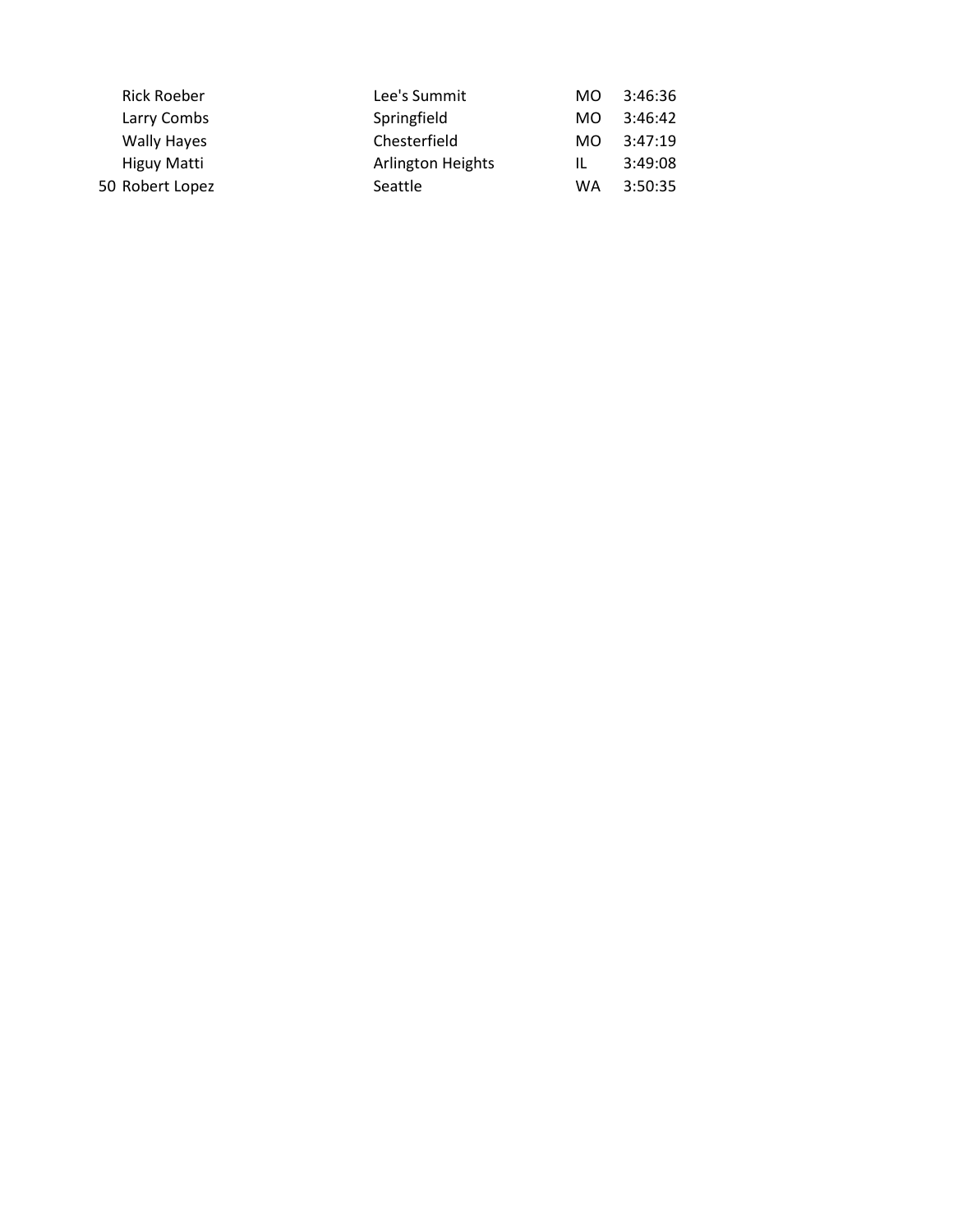| <b>Rick Roeber</b> | Lee's Summit      | MO.       | 3:46:36 |
|--------------------|-------------------|-----------|---------|
| Larry Combs        | Springfield       | MO.       | 3:46:42 |
| <b>Wally Hayes</b> | Chesterfield      | MO.       | 3:47:19 |
| Higuy Matti        | Arlington Heights | IL        | 3:49:08 |
| 50 Robert Lopez    | Seattle           | <b>WA</b> | 3:50:35 |
|                    |                   |           |         |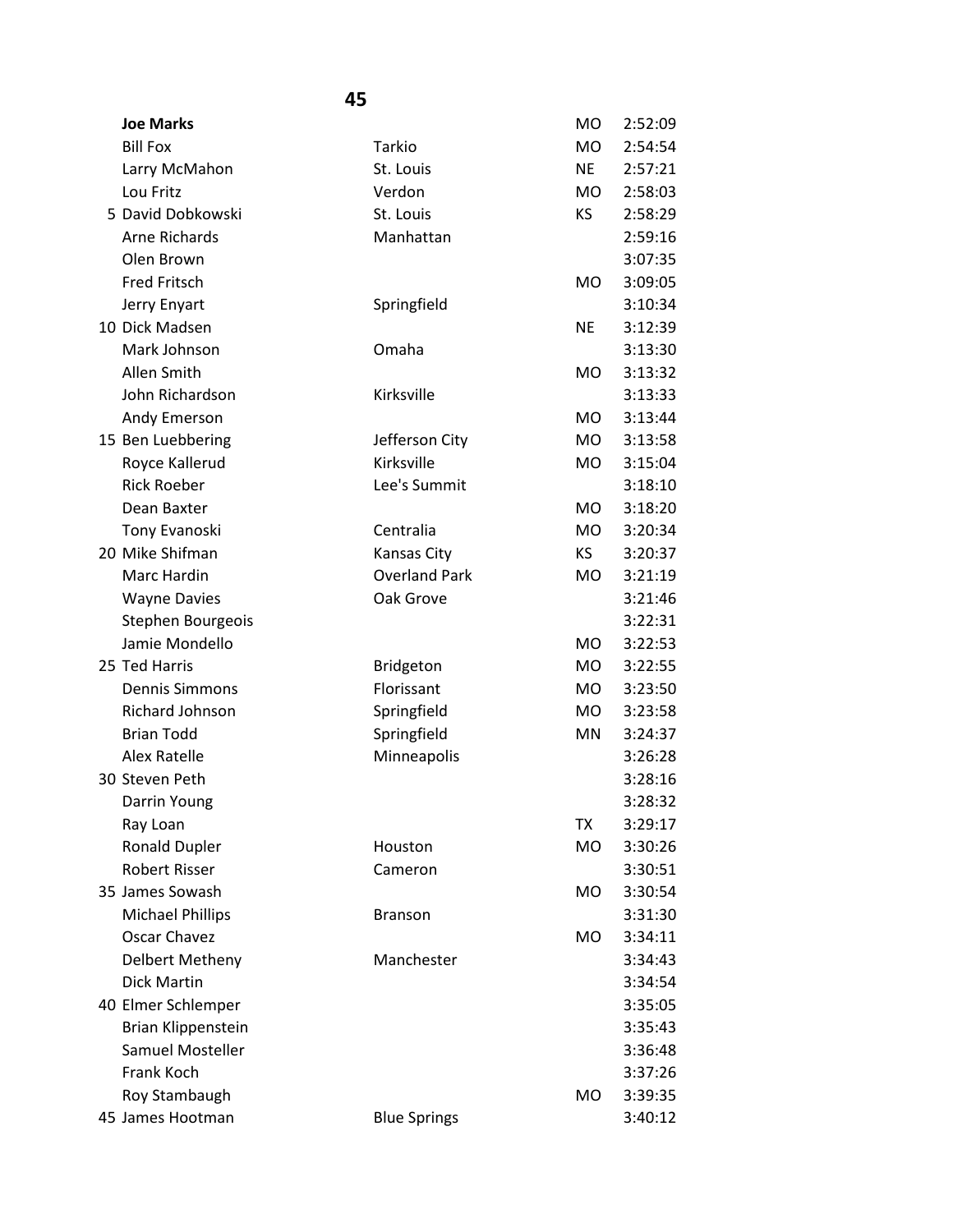| <b>Joe Marks</b>        |                      | M <sub>O</sub> | 2:52:09 |
|-------------------------|----------------------|----------------|---------|
| <b>Bill Fox</b>         | Tarkio               | <b>MO</b>      | 2:54:54 |
| Larry McMahon           | St. Louis            | <b>NE</b>      | 2:57:21 |
| Lou Fritz               | Verdon               | <b>MO</b>      | 2:58:03 |
| 5 David Dobkowski       | St. Louis            | KS             | 2:58:29 |
| Arne Richards           | Manhattan            |                | 2:59:16 |
| Olen Brown              |                      |                | 3:07:35 |
| <b>Fred Fritsch</b>     |                      | <b>MO</b>      | 3:09:05 |
| Jerry Enyart            | Springfield          |                | 3:10:34 |
| 10 Dick Madsen          |                      | <b>NE</b>      | 3:12:39 |
| Mark Johnson            | Omaha                |                | 3:13:30 |
| Allen Smith             |                      | <b>MO</b>      | 3:13:32 |
| John Richardson         | Kirksville           |                | 3:13:33 |
| Andy Emerson            |                      | <b>MO</b>      | 3:13:44 |
| 15 Ben Luebbering       | Jefferson City       | <b>MO</b>      | 3:13:58 |
| Royce Kallerud          | Kirksville           | <b>MO</b>      | 3:15:04 |
| <b>Rick Roeber</b>      | Lee's Summit         |                | 3:18:10 |
| Dean Baxter             |                      | <b>MO</b>      | 3:18:20 |
| Tony Evanoski           | Centralia            | <b>MO</b>      | 3:20:34 |
| 20 Mike Shifman         | Kansas City          | KS.            | 3:20:37 |
| Marc Hardin             | <b>Overland Park</b> | <b>MO</b>      | 3:21:19 |
| <b>Wayne Davies</b>     | Oak Grove            |                | 3:21:46 |
| Stephen Bourgeois       |                      |                | 3:22:31 |
| Jamie Mondello          |                      | <b>MO</b>      | 3:22:53 |
| 25 Ted Harris           | <b>Bridgeton</b>     | <b>MO</b>      | 3:22:55 |
| <b>Dennis Simmons</b>   | Florissant           | <b>MO</b>      | 3:23:50 |
| Richard Johnson         | Springfield          | MO             | 3:23:58 |
| <b>Brian Todd</b>       | Springfield          | MN             | 3:24:37 |
| <b>Alex Ratelle</b>     | Minneapolis          |                | 3:26:28 |
| 30 Steven Peth          |                      |                | 3:28:16 |
| Darrin Young            |                      |                | 3:28:32 |
| Ray Loan                |                      | TX             | 3:29:17 |
| <b>Ronald Dupler</b>    | Houston              | <b>MO</b>      | 3:30:26 |
| <b>Robert Risser</b>    | Cameron              |                | 3:30:51 |
| 35 James Sowash         |                      | <b>MO</b>      | 3:30:54 |
| <b>Michael Phillips</b> | <b>Branson</b>       |                | 3:31:30 |
| Oscar Chavez            |                      | <b>MO</b>      | 3:34:11 |
| Delbert Metheny         | Manchester           |                | 3:34:43 |
| <b>Dick Martin</b>      |                      |                | 3:34:54 |
| 40 Elmer Schlemper      |                      |                | 3:35:05 |
| Brian Klippenstein      |                      |                | 3:35:43 |
| Samuel Mosteller        |                      |                | 3:36:48 |
| Frank Koch              |                      |                | 3:37:26 |
| Roy Stambaugh           |                      | <b>MO</b>      | 3:39:35 |
| 45 James Hootman        | <b>Blue Springs</b>  |                | 3:40:12 |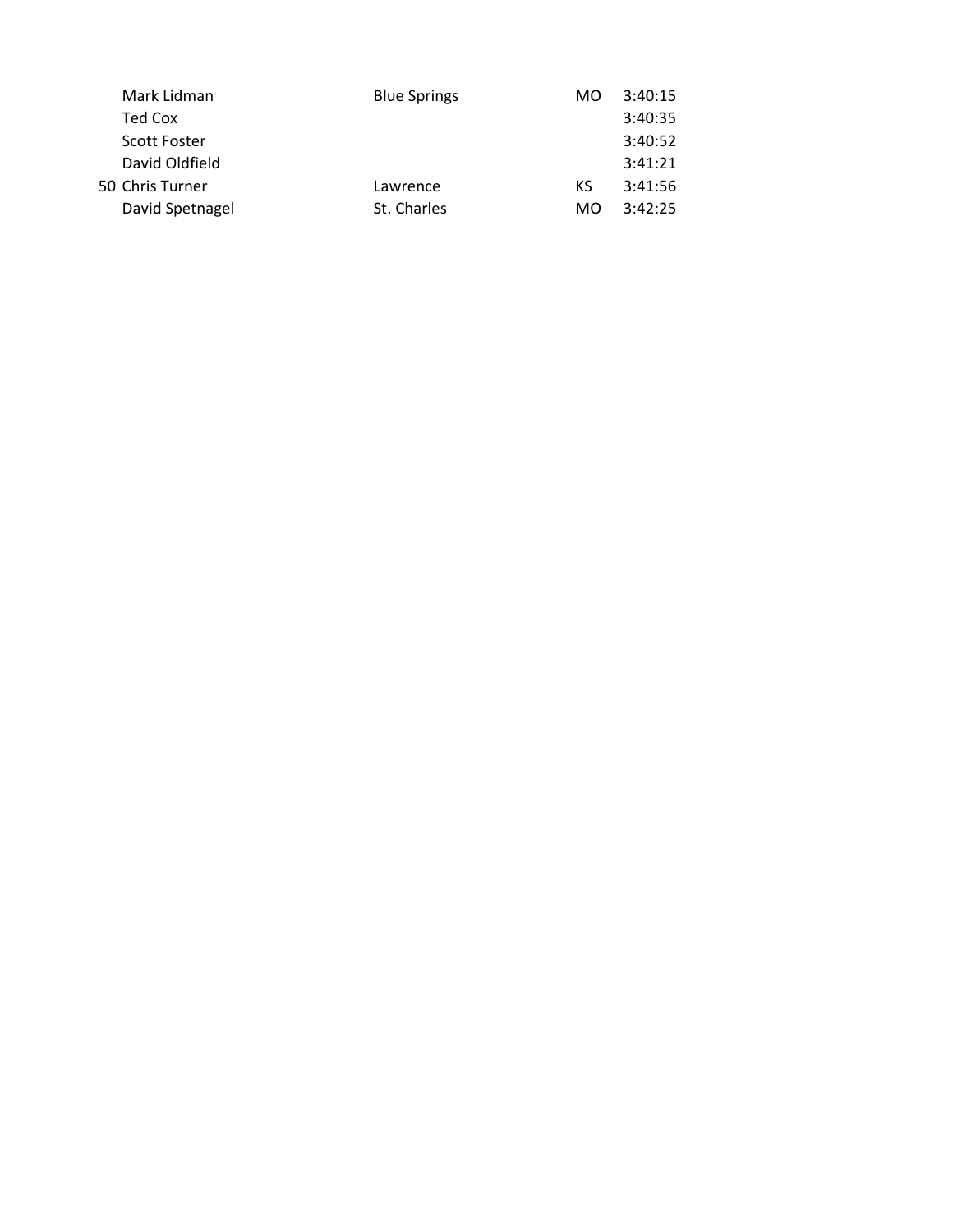| Mark Lidman     |          | MO                                 | 3:40:15 |
|-----------------|----------|------------------------------------|---------|
| Ted Cox         |          |                                    | 3:40:35 |
| Scott Foster    |          |                                    | 3:40:52 |
| David Oldfield  |          |                                    | 3:41:21 |
| 50 Chris Turner | Lawrence | КS                                 | 3:41:56 |
| David Spetnagel |          | MO.                                | 3:42:25 |
|                 |          | <b>Blue Springs</b><br>St. Charles |         |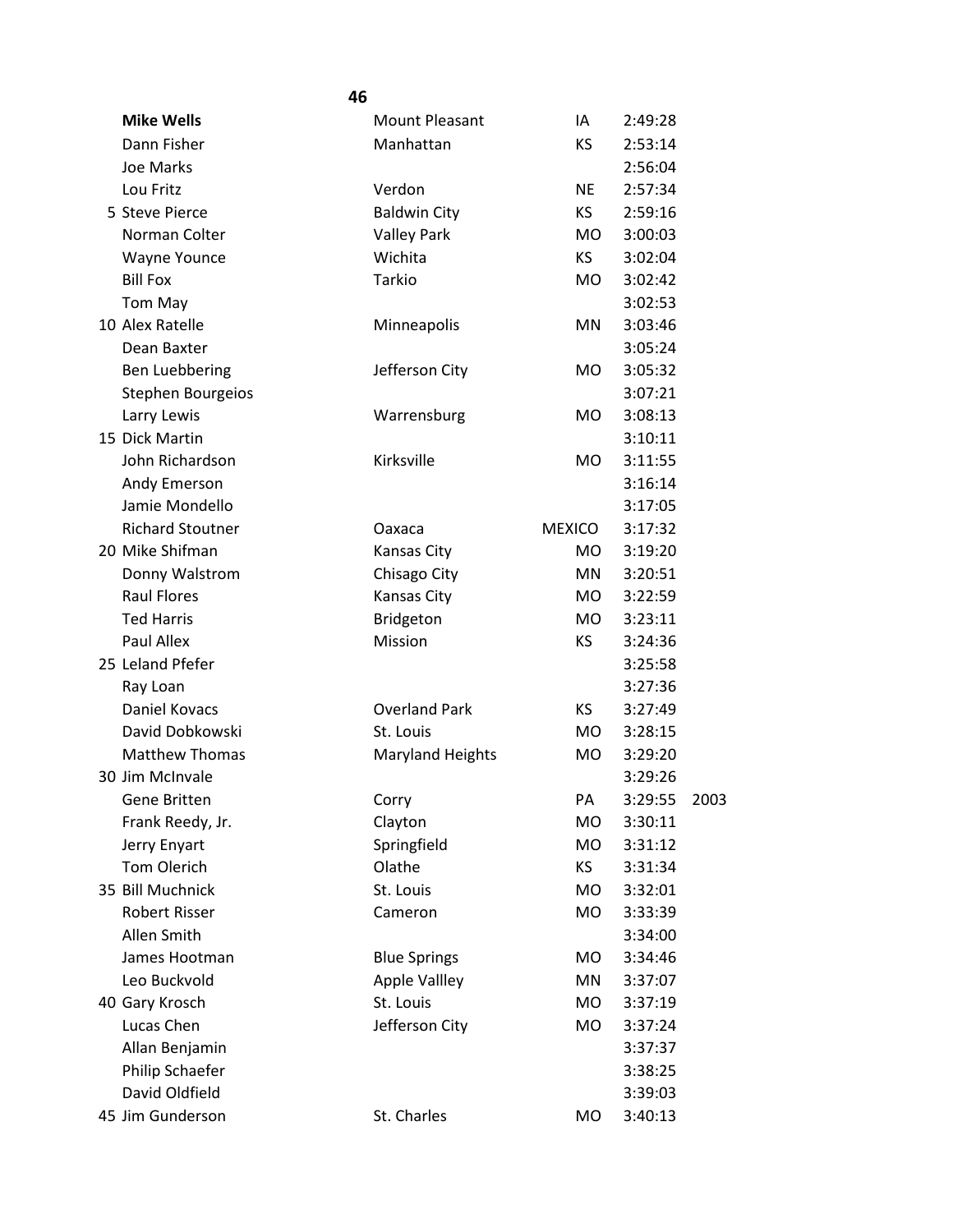|                          | 46 |                         |               |         |      |
|--------------------------|----|-------------------------|---------------|---------|------|
| <b>Mike Wells</b>        |    | Mount Pleasant          | IA            | 2:49:28 |      |
| Dann Fisher              |    | Manhattan               | ΚS            | 2:53:14 |      |
| Joe Marks                |    |                         |               | 2:56:04 |      |
| Lou Fritz                |    | Verdon                  | <b>NE</b>     | 2:57:34 |      |
| 5 Steve Pierce           |    | <b>Baldwin City</b>     | KS            | 2:59:16 |      |
| Norman Colter            |    | <b>Valley Park</b>      | <b>MO</b>     | 3:00:03 |      |
| <b>Wayne Younce</b>      |    | Wichita                 | KS            | 3:02:04 |      |
| <b>Bill Fox</b>          |    | <b>Tarkio</b>           | <b>MO</b>     | 3:02:42 |      |
| Tom May                  |    |                         |               | 3:02:53 |      |
| 10 Alex Ratelle          |    | Minneapolis             | MN            | 3:03:46 |      |
| Dean Baxter              |    |                         |               | 3:05:24 |      |
| <b>Ben Luebbering</b>    |    | Jefferson City          | <b>MO</b>     | 3:05:32 |      |
| <b>Stephen Bourgeios</b> |    |                         |               | 3:07:21 |      |
| Larry Lewis              |    | Warrensburg             | <b>MO</b>     | 3:08:13 |      |
| 15 Dick Martin           |    |                         |               | 3:10:11 |      |
| John Richardson          |    | Kirksville              | <b>MO</b>     | 3:11:55 |      |
| Andy Emerson             |    |                         |               | 3:16:14 |      |
| Jamie Mondello           |    |                         |               | 3:17:05 |      |
| <b>Richard Stoutner</b>  |    | Oaxaca                  | <b>MEXICO</b> | 3:17:32 |      |
| 20 Mike Shifman          |    | Kansas City             | MO.           | 3:19:20 |      |
| Donny Walstrom           |    | Chisago City            | MN            | 3:20:51 |      |
| <b>Raul Flores</b>       |    | Kansas City             | MO.           | 3:22:59 |      |
| <b>Ted Harris</b>        |    | Bridgeton               | MO.           | 3:23:11 |      |
| Paul Allex               |    | Mission                 | <b>KS</b>     | 3:24:36 |      |
| 25 Leland Pfefer         |    |                         |               | 3:25:58 |      |
| Ray Loan                 |    |                         |               | 3:27:36 |      |
| <b>Daniel Kovacs</b>     |    | <b>Overland Park</b>    | KS.           | 3:27:49 |      |
| David Dobkowski          |    | St. Louis               | <b>MO</b>     | 3:28:15 |      |
| <b>Matthew Thomas</b>    |    | <b>Maryland Heights</b> | MO            | 3:29:20 |      |
| 30 Jim McInvale          |    |                         |               | 3:29:26 |      |
| Gene Britten             |    | Corry                   | PA            | 3:29:55 | 2003 |
| Frank Reedy, Jr.         |    | Clayton                 | MO            | 3:30:11 |      |
| Jerry Enyart             |    | Springfield             | <b>MO</b>     | 3:31:12 |      |
| Tom Olerich              |    | Olathe                  | KS.           | 3:31:34 |      |
| 35 Bill Muchnick         |    | St. Louis               | MO            | 3:32:01 |      |
| <b>Robert Risser</b>     |    | Cameron                 | <b>MO</b>     | 3:33:39 |      |
| Allen Smith              |    |                         |               | 3:34:00 |      |
| James Hootman            |    | <b>Blue Springs</b>     | <b>MO</b>     | 3:34:46 |      |
| Leo Buckvold             |    | <b>Apple Vallley</b>    | MN            | 3:37:07 |      |
| 40 Gary Krosch           |    | St. Louis               | MO            | 3:37:19 |      |
| Lucas Chen               |    | Jefferson City          | MO            | 3:37:24 |      |
| Allan Benjamin           |    |                         |               | 3:37:37 |      |
| Philip Schaefer          |    |                         |               | 3:38:25 |      |
| David Oldfield           |    |                         |               | 3:39:03 |      |
| 45 Jim Gunderson         |    | St. Charles             | MO            | 3:40:13 |      |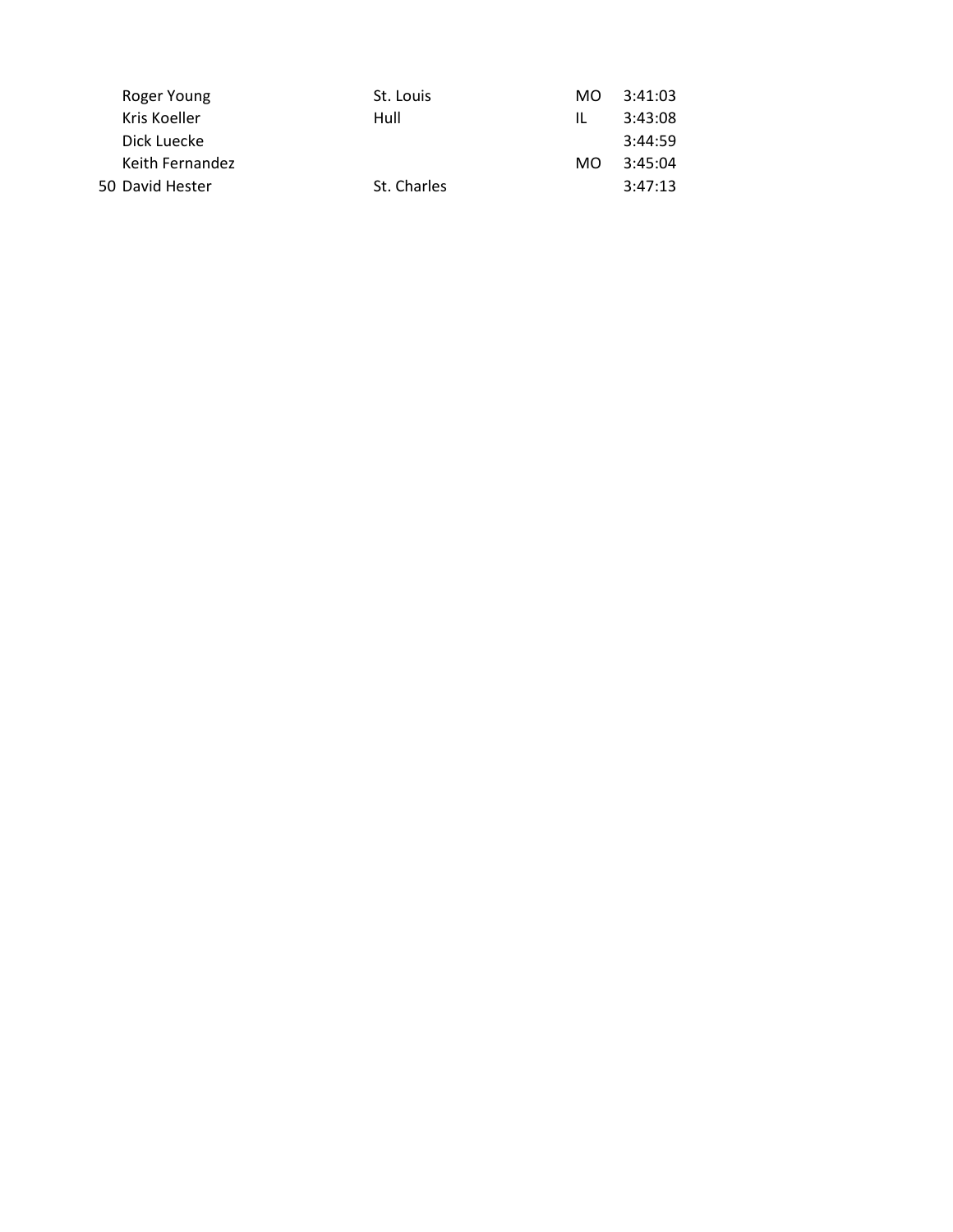| Roger Young     | St. Louis   | MO. | 3:41:03 |
|-----------------|-------------|-----|---------|
| Kris Koeller    | Hull        | Ш.  | 3:43:08 |
| Dick Luecke     |             |     | 3:44:59 |
| Keith Fernandez |             | MO. | 3:45:04 |
| 50 David Hester | St. Charles |     | 3:47:13 |
|                 |             |     |         |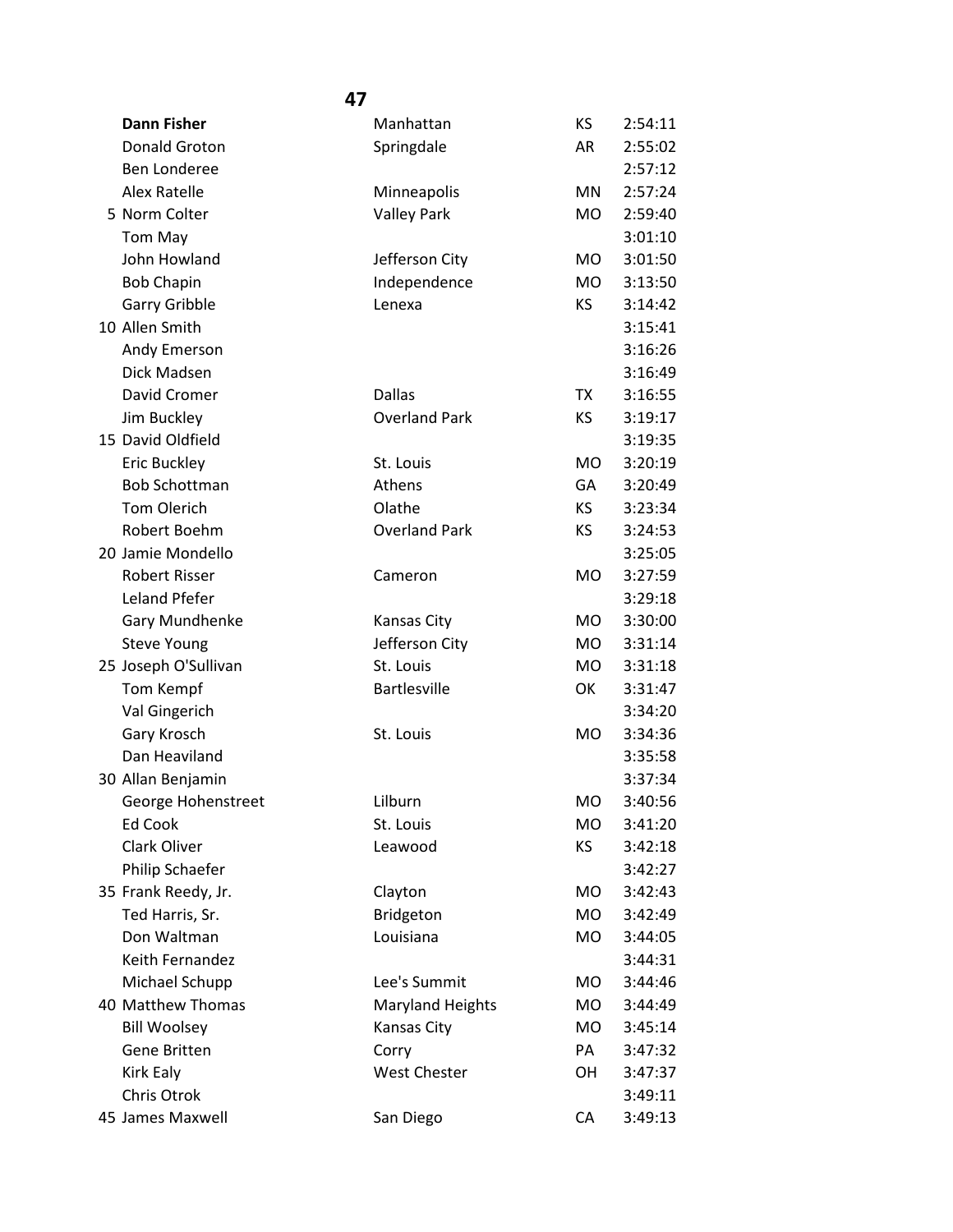| <b>Dann Fisher</b>   | Manhattan               | KS        | 2:54:11 |
|----------------------|-------------------------|-----------|---------|
| Donald Groton        | Springdale              | AR        | 2:55:02 |
| <b>Ben Londeree</b>  |                         |           | 2:57:12 |
| Alex Ratelle         | Minneapolis             | MN        | 2:57:24 |
| 5 Norm Colter        | <b>Valley Park</b>      | <b>MO</b> | 2:59:40 |
| Tom May              |                         |           | 3:01:10 |
| John Howland         | Jefferson City          | <b>MO</b> | 3:01:50 |
| <b>Bob Chapin</b>    | Independence            | <b>MO</b> | 3:13:50 |
| Garry Gribble        | Lenexa                  | KS        | 3:14:42 |
| 10 Allen Smith       |                         |           | 3:15:41 |
| Andy Emerson         |                         |           | 3:16:26 |
| Dick Madsen          |                         |           | 3:16:49 |
| David Cromer         | <b>Dallas</b>           | TX        | 3:16:55 |
| Jim Buckley          | <b>Overland Park</b>    | KS        | 3:19:17 |
| 15 David Oldfield    |                         |           | 3:19:35 |
| Eric Buckley         | St. Louis               | <b>MO</b> | 3:20:19 |
| <b>Bob Schottman</b> | Athens                  | GA        | 3:20:49 |
| <b>Tom Olerich</b>   | Olathe                  | KS.       | 3:23:34 |
| Robert Boehm         | <b>Overland Park</b>    | KS        | 3:24:53 |
| 20 Jamie Mondello    |                         |           | 3:25:05 |
| <b>Robert Risser</b> | Cameron                 | <b>MO</b> | 3:27:59 |
| Leland Pfefer        |                         |           | 3:29:18 |
| Gary Mundhenke       | <b>Kansas City</b>      | <b>MO</b> | 3:30:00 |
| <b>Steve Young</b>   | Jefferson City          | MO        | 3:31:14 |
| 25 Joseph O'Sullivan | St. Louis               | <b>MO</b> | 3:31:18 |
| Tom Kempf            | <b>Bartlesville</b>     | OK        | 3:31:47 |
| Val Gingerich        |                         |           | 3:34:20 |
| Gary Krosch          | St. Louis               | <b>MO</b> | 3:34:36 |
| Dan Heaviland        |                         |           | 3:35:58 |
| 30 Allan Benjamin    |                         |           | 3:37:34 |
| George Hohenstreet   | Lilburn                 | MO        | 3:40:56 |
| Ed Cook              | St. Louis               | MO.       | 3:41:20 |
| Clark Oliver         | Leawood                 | ΚS        | 3:42:18 |
| Philip Schaefer      |                         |           | 3:42:27 |
| 35 Frank Reedy, Jr.  | Clayton                 | <b>MO</b> | 3:42:43 |
| Ted Harris, Sr.      | Bridgeton               | MO        | 3:42:49 |
| Don Waltman          | Louisiana               | MO        | 3:44:05 |
| Keith Fernandez      |                         |           | 3:44:31 |
| Michael Schupp       | Lee's Summit            | MO.       | 3:44:46 |
| 40 Matthew Thomas    | <b>Maryland Heights</b> | <b>MO</b> | 3:44:49 |
| <b>Bill Woolsey</b>  | Kansas City             | <b>MO</b> | 3:45:14 |
| <b>Gene Britten</b>  | Corry                   | PA        | 3:47:32 |
| Kirk Ealy            | <b>West Chester</b>     | OH        | 3:47:37 |
| Chris Otrok          |                         |           | 3:49:11 |
| 45 James Maxwell     | San Diego               | CA        | 3:49:13 |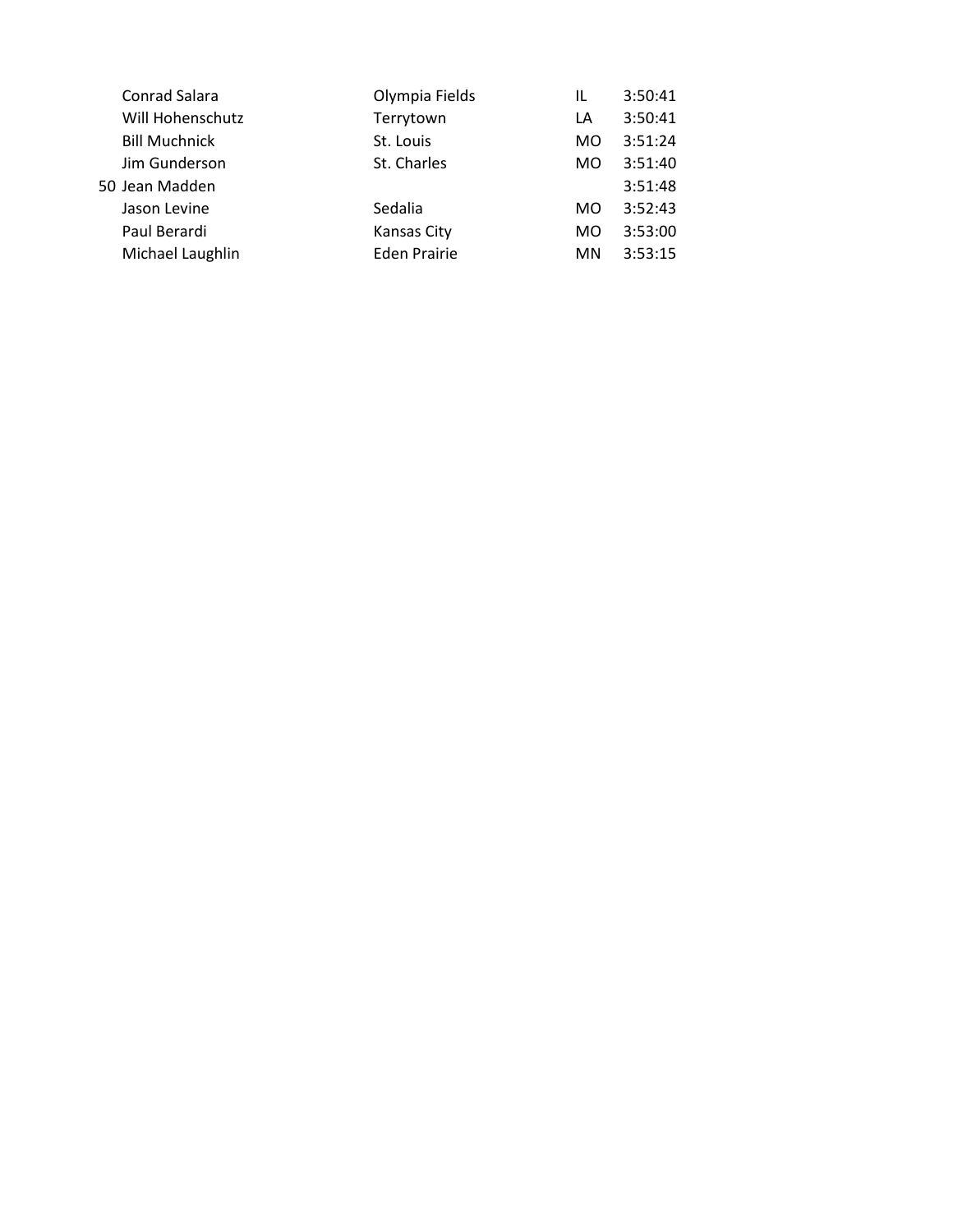| Conrad Salara        | Olympia Fields      | IL  | 3:50:41 |
|----------------------|---------------------|-----|---------|
| Will Hohenschutz     | Terrytown           | LA  | 3:50:41 |
| <b>Bill Muchnick</b> | St. Louis           | MO. | 3:51:24 |
| Jim Gunderson        | St. Charles         | MO. | 3:51:40 |
| 50 Jean Madden       |                     |     | 3:51:48 |
| Jason Levine         | Sedalia             | MO. | 3:52:43 |
| Paul Berardi         | <b>Kansas City</b>  | MO. | 3:53:00 |
| Michael Laughlin     | <b>Eden Prairie</b> | MN. | 3:53:15 |
|                      |                     |     |         |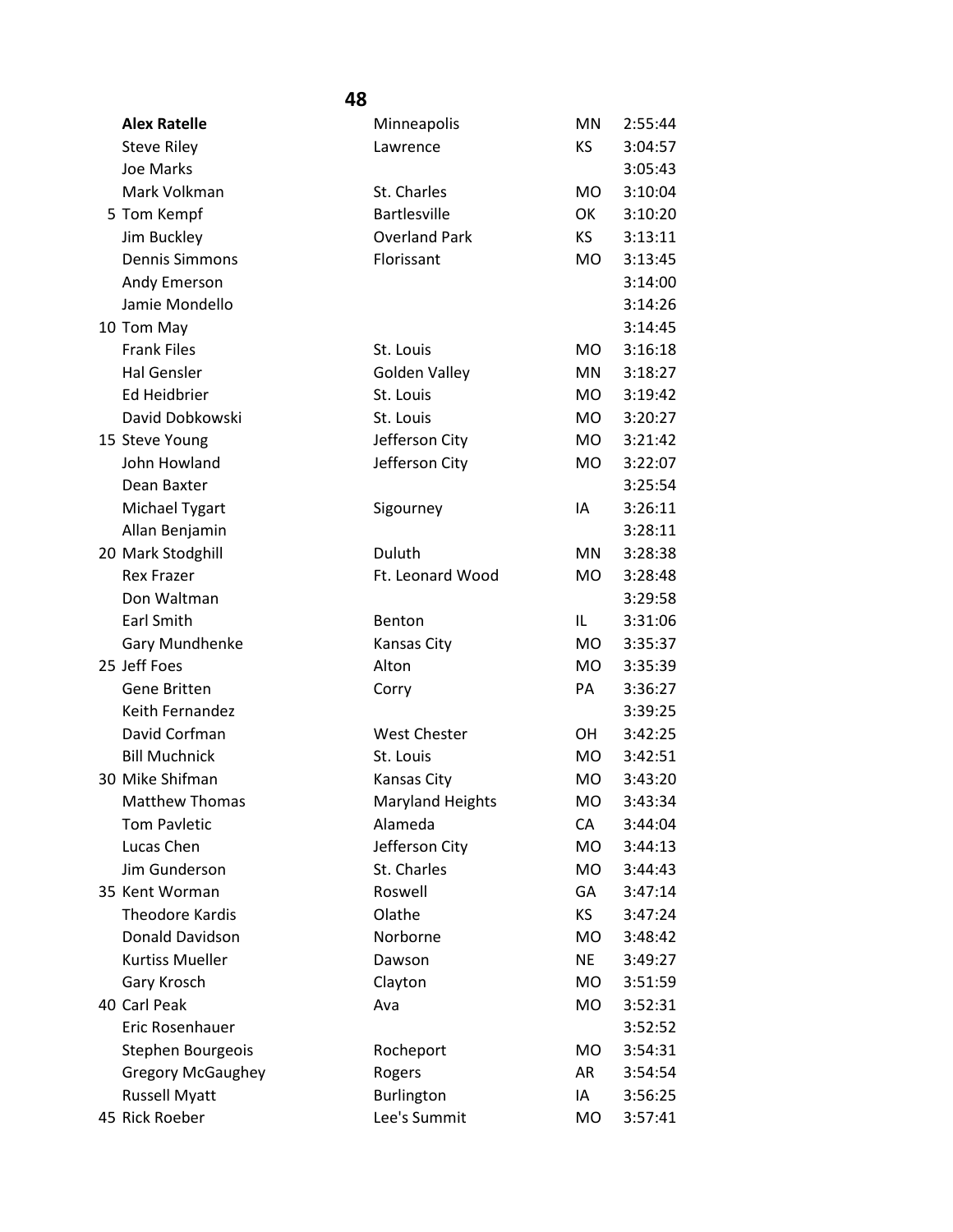| <b>Alex Ratelle</b>      | Minneapolis             | <b>MN</b> | 2:55:44 |
|--------------------------|-------------------------|-----------|---------|
| <b>Steve Riley</b>       | Lawrence                | KS        | 3:04:57 |
| Joe Marks                |                         |           | 3:05:43 |
| Mark Volkman             | St. Charles             | <b>MO</b> | 3:10:04 |
| 5 Tom Kempf              | <b>Bartlesville</b>     | OK        | 3:10:20 |
| Jim Buckley              | <b>Overland Park</b>    | <b>KS</b> | 3:13:11 |
| <b>Dennis Simmons</b>    | Florissant              | <b>MO</b> | 3:13:45 |
| Andy Emerson             |                         |           | 3:14:00 |
| Jamie Mondello           |                         |           | 3:14:26 |
| 10 Tom May               |                         |           | 3:14:45 |
| <b>Frank Files</b>       | St. Louis               | <b>MO</b> | 3:16:18 |
| <b>Hal Gensler</b>       | Golden Valley           | MN        | 3:18:27 |
| Ed Heidbrier             | St. Louis               | <b>MO</b> | 3:19:42 |
| David Dobkowski          | St. Louis               | <b>MO</b> | 3:20:27 |
| 15 Steve Young           | Jefferson City          | <b>MO</b> | 3:21:42 |
| John Howland             | Jefferson City          | MO        | 3:22:07 |
| Dean Baxter              |                         |           | 3:25:54 |
| Michael Tygart           | Sigourney               | IA        | 3:26:11 |
| Allan Benjamin           |                         |           | 3:28:11 |
| 20 Mark Stodghill        | Duluth                  | <b>MN</b> | 3:28:38 |
| <b>Rex Frazer</b>        | Ft. Leonard Wood        | <b>MO</b> | 3:28:48 |
| Don Waltman              |                         |           | 3:29:58 |
| Earl Smith               | Benton                  | IL        | 3:31:06 |
| Gary Mundhenke           | Kansas City             | <b>MO</b> | 3:35:37 |
| 25 Jeff Foes             | Alton                   | <b>MO</b> | 3:35:39 |
| Gene Britten             | Corry                   | PA        | 3:36:27 |
| <b>Keith Fernandez</b>   |                         |           | 3:39:25 |
| David Corfman            | <b>West Chester</b>     | <b>OH</b> | 3:42:25 |
| <b>Bill Muchnick</b>     | St. Louis               | <b>MO</b> | 3:42:51 |
| 30 Mike Shifman          | Kansas City             | <b>MO</b> | 3:43:20 |
| <b>Matthew Thomas</b>    | <b>Maryland Heights</b> | MO.       | 3:43:34 |
| <b>Tom Pavletic</b>      | Alameda                 | CA        | 3:44:04 |
| Lucas Chen               | Jefferson City          | <b>MO</b> | 3:44:13 |
| Jim Gunderson            | St. Charles             | <b>MO</b> | 3:44:43 |
| 35 Kent Worman           | Roswell                 | GA        | 3:47:14 |
| <b>Theodore Kardis</b>   | Olathe                  | KS        | 3:47:24 |
| Donald Davidson          | Norborne                | <b>MO</b> | 3:48:42 |
| <b>Kurtiss Mueller</b>   | Dawson                  | <b>NE</b> | 3:49:27 |
| Gary Krosch              | Clayton                 | <b>MO</b> | 3:51:59 |
| 40 Carl Peak             | Ava                     | <b>MO</b> | 3:52:31 |
| Eric Rosenhauer          |                         |           | 3:52:52 |
| Stephen Bourgeois        | Rocheport               | MO        | 3:54:31 |
| <b>Gregory McGaughey</b> | Rogers                  | AR        | 3:54:54 |
| <b>Russell Myatt</b>     | Burlington              | IA        | 3:56:25 |
| 45 Rick Roeber           | Lee's Summit            | MO        | 3:57:41 |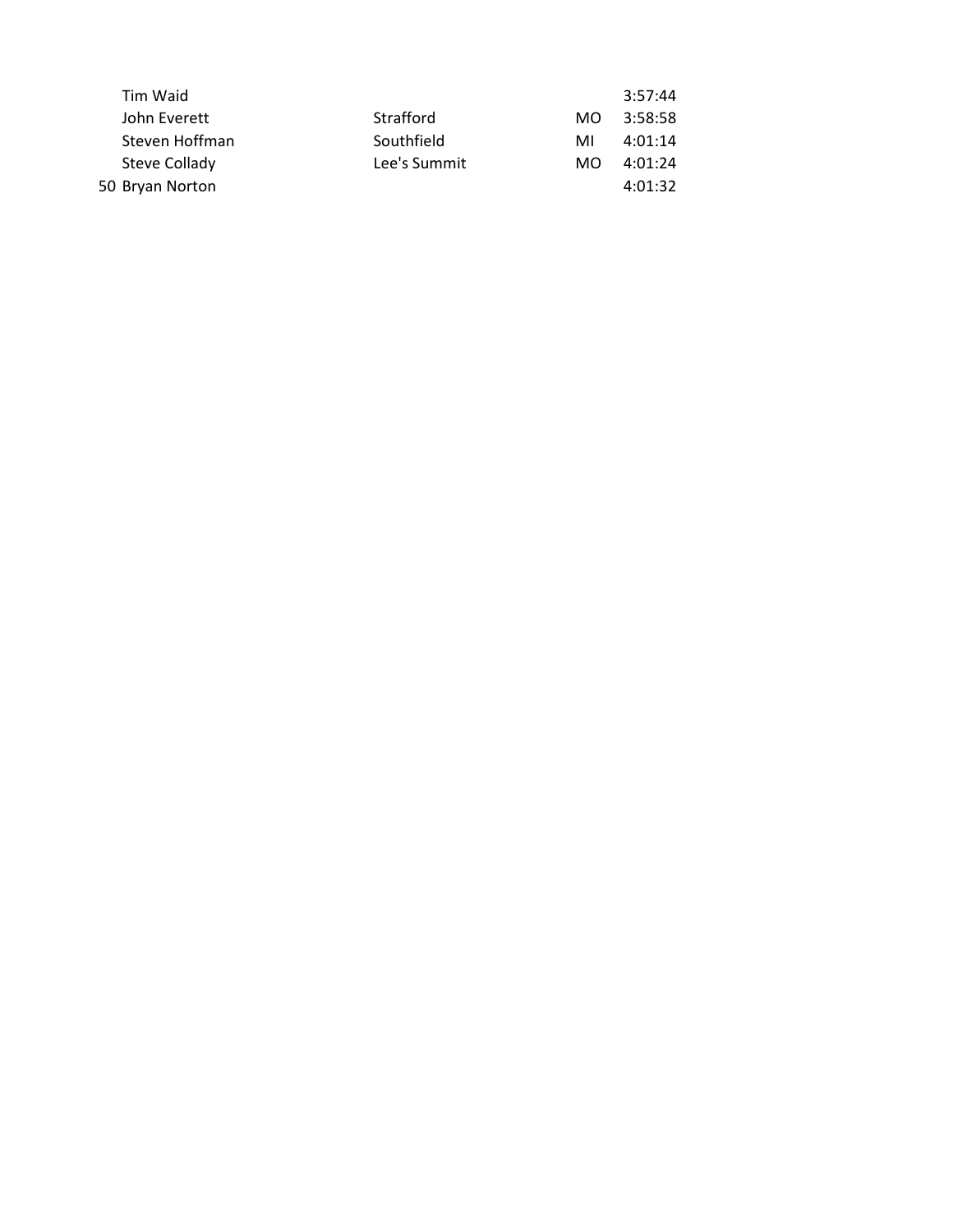|              |     | 3:57:44 |  |
|--------------|-----|---------|--|
| Strafford    | MO. | 3:58:58 |  |
| Southfield   | MI  | 4:01:14 |  |
| Lee's Summit | MO. | 4:01:24 |  |
|              |     | 4:01:32 |  |
|              |     |         |  |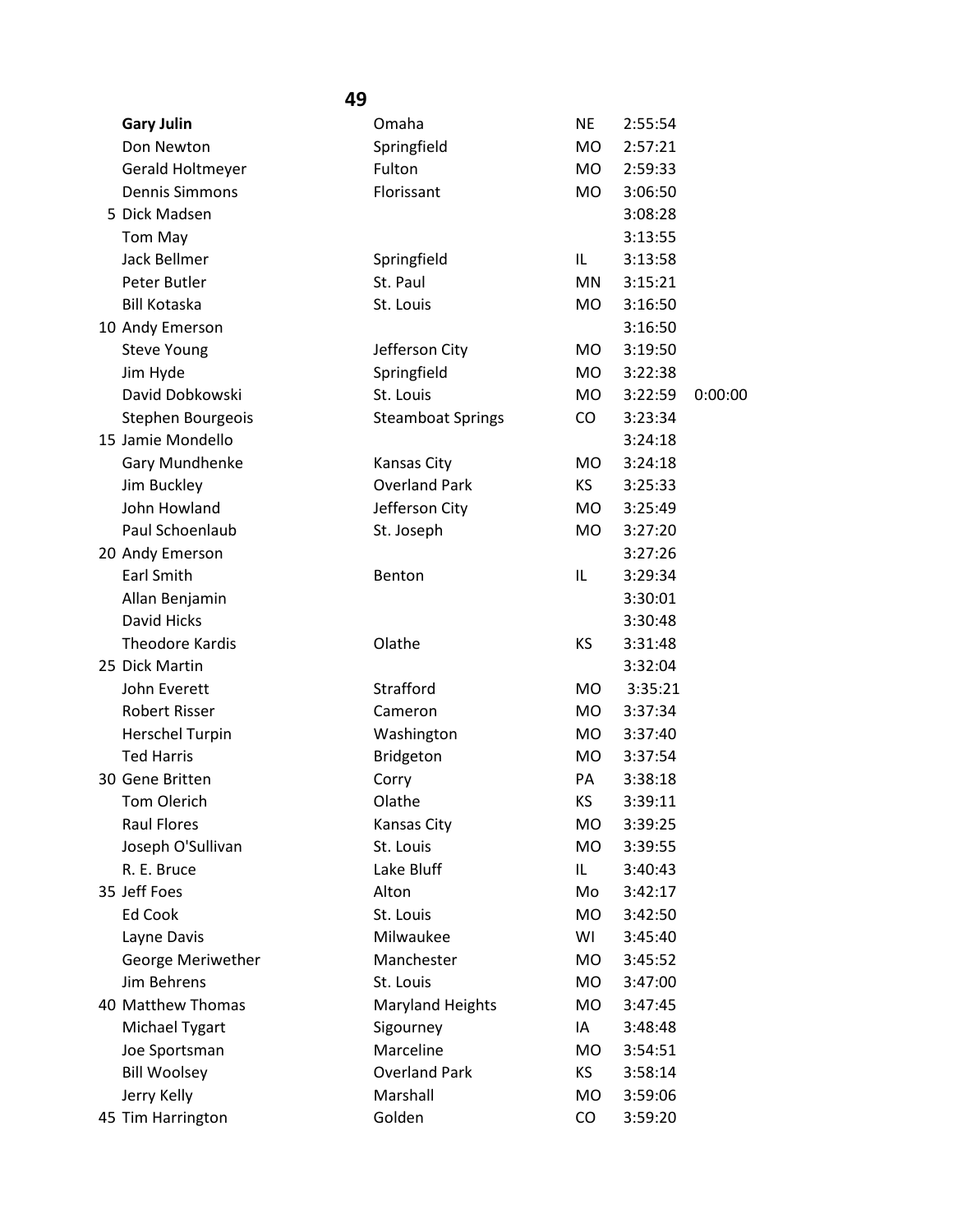| 49 |                        |                          |           |         |         |
|----|------------------------|--------------------------|-----------|---------|---------|
|    | <b>Gary Julin</b>      | Omaha                    | <b>NE</b> | 2:55:54 |         |
|    | Don Newton             | Springfield              | MO        | 2:57:21 |         |
|    | Gerald Holtmeyer       | Fulton                   | MO.       | 2:59:33 |         |
|    | <b>Dennis Simmons</b>  | Florissant               | MO.       | 3:06:50 |         |
|    | 5 Dick Madsen          |                          |           | 3:08:28 |         |
|    | Tom May                |                          |           | 3:13:55 |         |
|    | <b>Jack Bellmer</b>    | Springfield              | IL        | 3:13:58 |         |
|    | Peter Butler           | St. Paul                 | MN.       | 3:15:21 |         |
|    | <b>Bill Kotaska</b>    | St. Louis                | MO.       | 3:16:50 |         |
|    | 10 Andy Emerson        |                          |           | 3:16:50 |         |
|    | <b>Steve Young</b>     | Jefferson City           | MO.       | 3:19:50 |         |
|    | Jim Hyde               | Springfield              | MO.       | 3:22:38 |         |
|    | David Dobkowski        | St. Louis                | MO.       | 3:22:59 | 0:00:00 |
|    | Stephen Bourgeois      | <b>Steamboat Springs</b> | $\rm CO$  | 3:23:34 |         |
|    | 15 Jamie Mondello      |                          |           | 3:24:18 |         |
|    | Gary Mundhenke         | Kansas City              | MO.       | 3:24:18 |         |
|    | Jim Buckley            | <b>Overland Park</b>     | KS        | 3:25:33 |         |
|    | John Howland           | Jefferson City           | MO.       | 3:25:49 |         |
|    | Paul Schoenlaub        | St. Joseph               | MO        | 3:27:20 |         |
|    | 20 Andy Emerson        |                          |           | 3:27:26 |         |
|    | <b>Earl Smith</b>      | Benton                   | IL        | 3:29:34 |         |
|    | Allan Benjamin         |                          |           | 3:30:01 |         |
|    | David Hicks            |                          |           | 3:30:48 |         |
|    | <b>Theodore Kardis</b> | Olathe                   | KS        | 3:31:48 |         |
|    | 25 Dick Martin         |                          |           | 3:32:04 |         |
|    | John Everett           | Strafford                | MO.       | 3:35:21 |         |
|    | <b>Robert Risser</b>   | Cameron                  | MO.       | 3:37:34 |         |
|    | <b>Herschel Turpin</b> | Washington               | <b>MO</b> | 3:37:40 |         |
|    | <b>Ted Harris</b>      | Bridgeton                | <b>MO</b> | 3:37:54 |         |
|    | 30 Gene Britten        | Corry                    | PA        | 3:38:18 |         |
|    | Tom Olerich            | Olathe                   | KS        | 3:39:11 |         |
|    | <b>Raul Flores</b>     | Kansas City              | MO        | 3:39:25 |         |
|    | Joseph O'Sullivan      | St. Louis                | MO        | 3:39:55 |         |
|    | R. E. Bruce            | Lake Bluff               | IL.       | 3:40:43 |         |
|    | 35 Jeff Foes           | Alton                    | Mo        | 3:42:17 |         |
|    | <b>Ed Cook</b>         | St. Louis                | MO        | 3:42:50 |         |
|    | Layne Davis            | Milwaukee                | WI        | 3:45:40 |         |
|    | George Meriwether      | Manchester               | MO        | 3:45:52 |         |
|    | Jim Behrens            | St. Louis                | MO.       | 3:47:00 |         |
|    | 40 Matthew Thomas      | <b>Maryland Heights</b>  | MO        | 3:47:45 |         |
|    | Michael Tygart         | Sigourney                | ΙA        | 3:48:48 |         |
|    | Joe Sportsman          | Marceline                | MO        | 3:54:51 |         |
|    | <b>Bill Woolsey</b>    | <b>Overland Park</b>     | KS.       | 3:58:14 |         |
|    | Jerry Kelly            | Marshall                 | MO.       | 3:59:06 |         |
|    | 45 Tim Harrington      | Golden                   | CO        | 3:59:20 |         |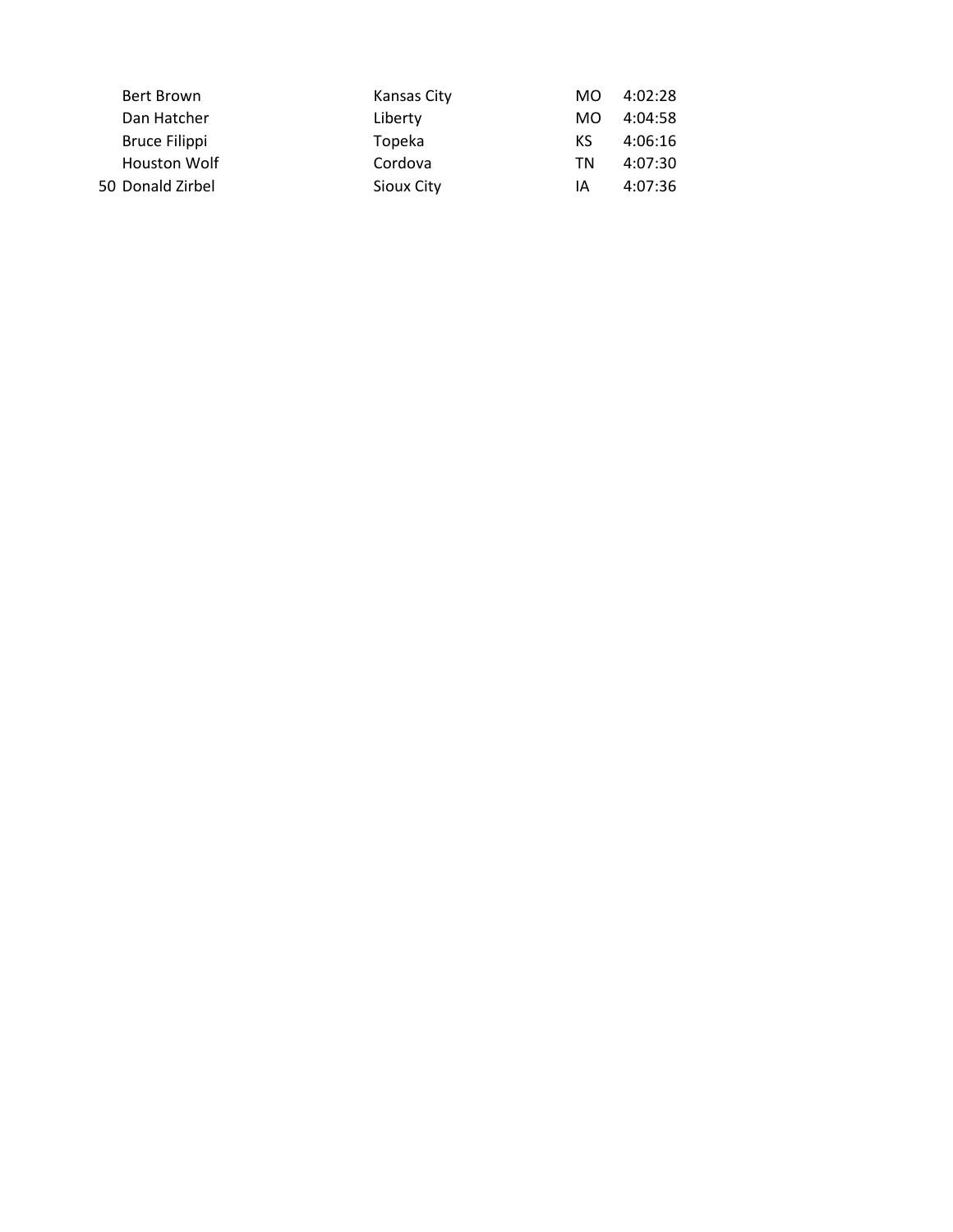| Bert Brown<br>Kansas City      | MO. | 4:02:28 |
|--------------------------------|-----|---------|
| Dan Hatcher<br>Liberty         | MO. | 4:04:58 |
| <b>Bruce Filippi</b><br>Topeka | KS. | 4:06:16 |
| <b>Houston Wolf</b><br>Cordova | ΤN  | 4:07:30 |
| 50 Donald Zirbel<br>Sioux City | ΙA  | 4:07:36 |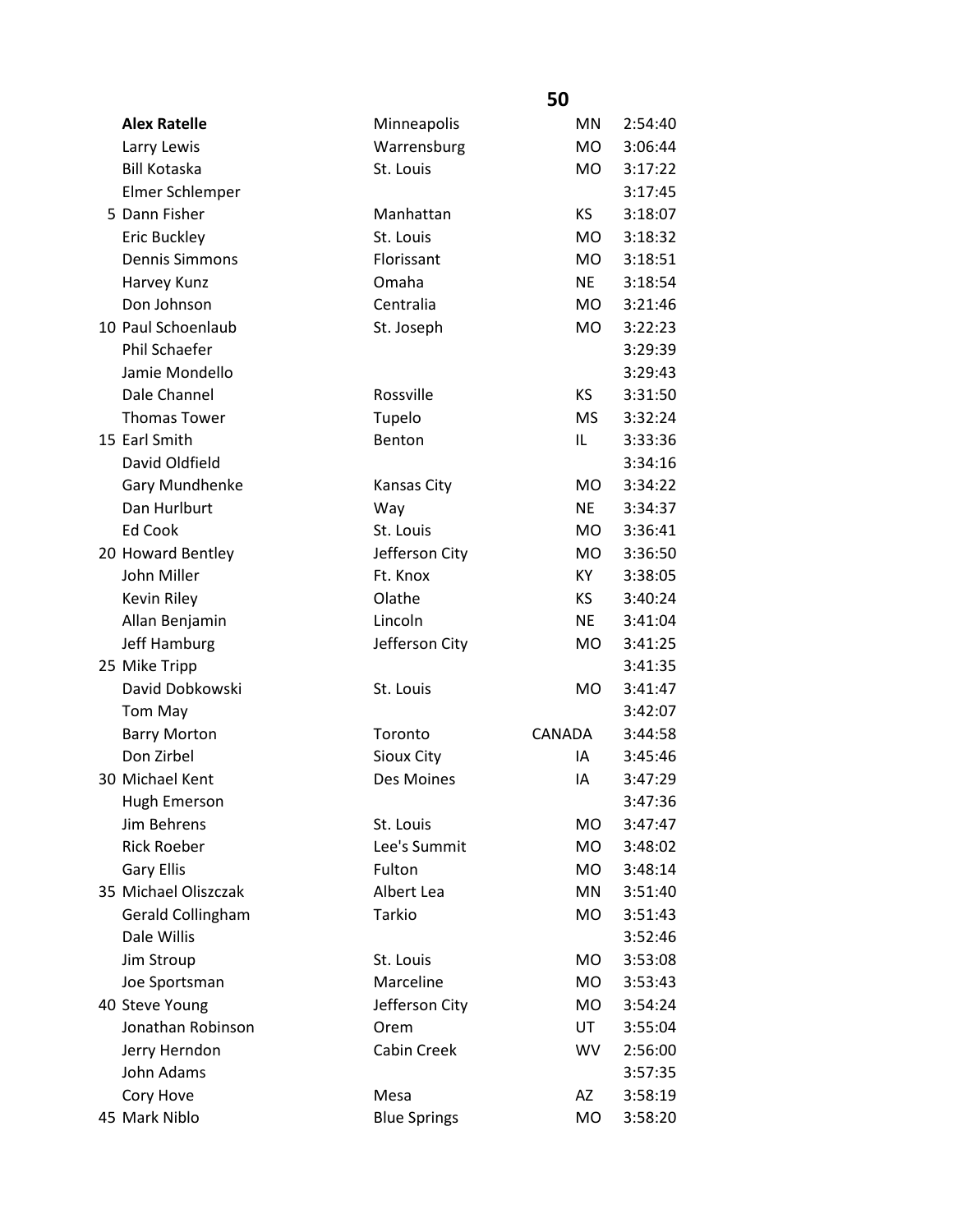|                       |                     | 50             |         |
|-----------------------|---------------------|----------------|---------|
| <b>Alex Ratelle</b>   | Minneapolis         | <b>MN</b>      | 2:54:40 |
| Larry Lewis           | Warrensburg         | <b>MO</b>      | 3:06:44 |
| <b>Bill Kotaska</b>   | St. Louis           | <b>MO</b>      | 3:17:22 |
| Elmer Schlemper       |                     |                | 3:17:45 |
| 5 Dann Fisher         | Manhattan           | KS.            | 3:18:07 |
| Eric Buckley          | St. Louis           | MO.            | 3:18:32 |
| <b>Dennis Simmons</b> | Florissant          | M <sub>O</sub> | 3:18:51 |
| Harvey Kunz           | Omaha               | <b>NE</b>      | 3:18:54 |
| Don Johnson           | Centralia           | MO.            | 3:21:46 |
| 10 Paul Schoenlaub    | St. Joseph          | MO.            | 3:22:23 |
| Phil Schaefer         |                     |                | 3:29:39 |
| Jamie Mondello        |                     |                | 3:29:43 |
| Dale Channel          | Rossville           | <b>KS</b>      | 3:31:50 |
| <b>Thomas Tower</b>   | Tupelo              | <b>MS</b>      | 3:32:24 |
| 15 Earl Smith         | Benton              | IL             | 3:33:36 |
| David Oldfield        |                     |                | 3:34:16 |
| Gary Mundhenke        | <b>Kansas City</b>  | MO.            | 3:34:22 |
| Dan Hurlburt          | Way                 | <b>NE</b>      | 3:34:37 |
| Ed Cook               | St. Louis           | MO.            | 3:36:41 |
| 20 Howard Bentley     | Jefferson City      | MO.            | 3:36:50 |
| John Miller           | Ft. Knox            | KY.            | 3:38:05 |
| Kevin Riley           | Olathe              | KS             | 3:40:24 |
| Allan Benjamin        | Lincoln             | <b>NE</b>      | 3:41:04 |
| Jeff Hamburg          | Jefferson City      | MO.            | 3:41:25 |
| 25 Mike Tripp         |                     |                | 3:41:35 |
| David Dobkowski       | St. Louis           | <b>MO</b>      | 3:41:47 |
| Tom May               |                     |                | 3:42:07 |
| <b>Barry Morton</b>   | Toronto             | CANADA         | 3:44:58 |
| Don Zirbel            | Sioux City          | IA             | 3:45:46 |
| 30 Michael Kent       | Des Moines          | ΙA             | 3:47:29 |
| <b>Hugh Emerson</b>   |                     |                | 3:47:36 |
| Jim Behrens           | St. Louis           | MO             | 3:47:47 |
| <b>Rick Roeber</b>    | Lee's Summit        | MO.            | 3:48:02 |
| <b>Gary Ellis</b>     | Fulton              | MO.            | 3:48:14 |
| 35 Michael Oliszczak  | Albert Lea          | MN             | 3:51:40 |
| Gerald Collingham     | Tarkio              | <b>MO</b>      | 3:51:43 |
| Dale Willis           |                     |                | 3:52:46 |
| Jim Stroup            | St. Louis           | <b>MO</b>      | 3:53:08 |
| Joe Sportsman         | Marceline           | <b>MO</b>      | 3:53:43 |
| 40 Steve Young        | Jefferson City      | MO.            | 3:54:24 |
| Jonathan Robinson     | Orem                | UT             | 3:55:04 |
| Jerry Herndon         | Cabin Creek         | <b>WV</b>      | 2:56:00 |
| John Adams            |                     |                | 3:57:35 |
| Cory Hove             | Mesa                | AZ             | 3:58:19 |
| 45 Mark Niblo         | <b>Blue Springs</b> | <b>MO</b>      | 3:58:20 |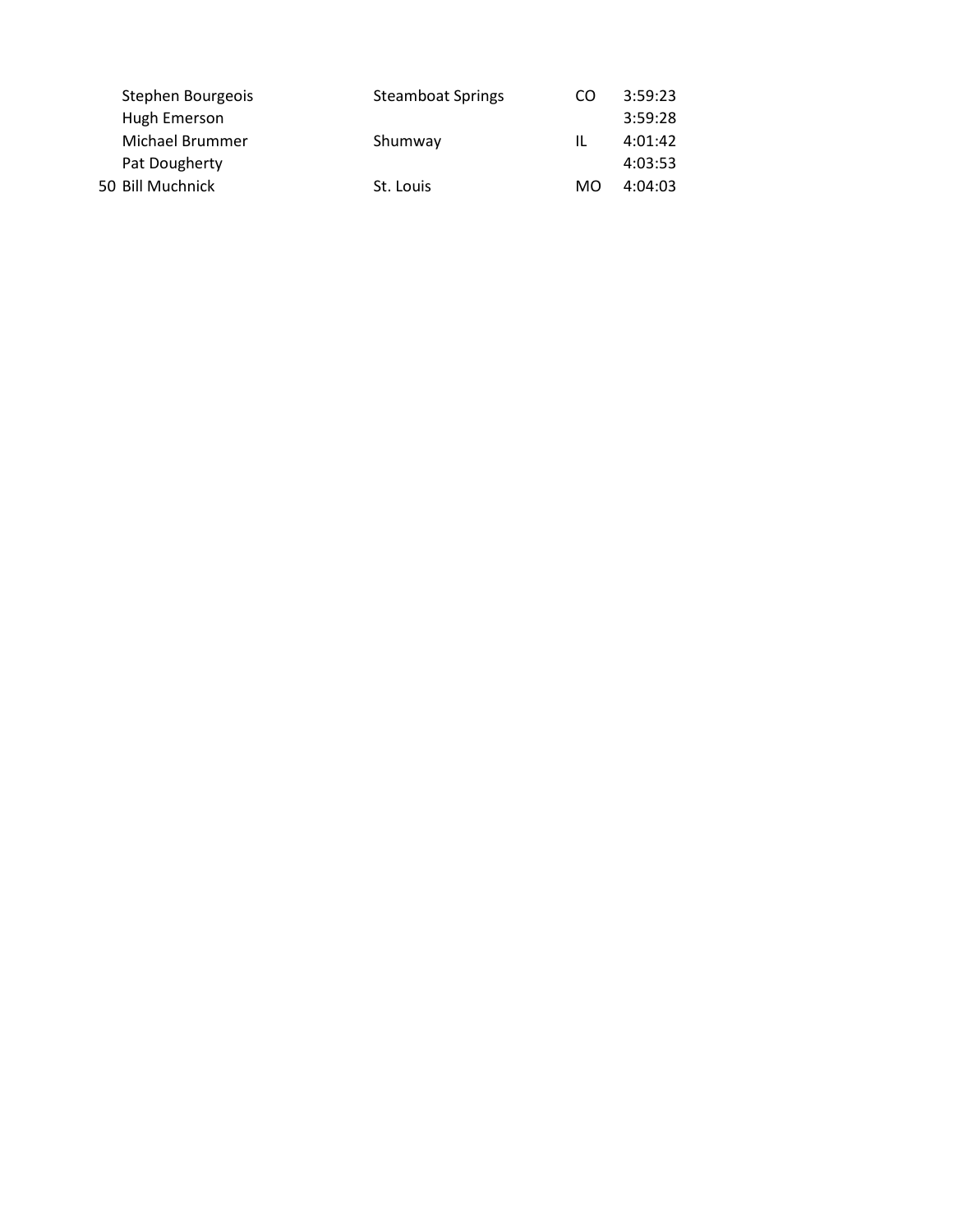| Stephen Bourgeois | <b>Steamboat Springs</b> | CO. | 3:59:23 |
|-------------------|--------------------------|-----|---------|
| Hugh Emerson      |                          |     | 3:59:28 |
| Michael Brummer   | Shumway                  | IL  | 4:01:42 |
| Pat Dougherty     |                          |     | 4:03:53 |
| 50 Bill Muchnick  | St. Louis                | MO. | 4:04:03 |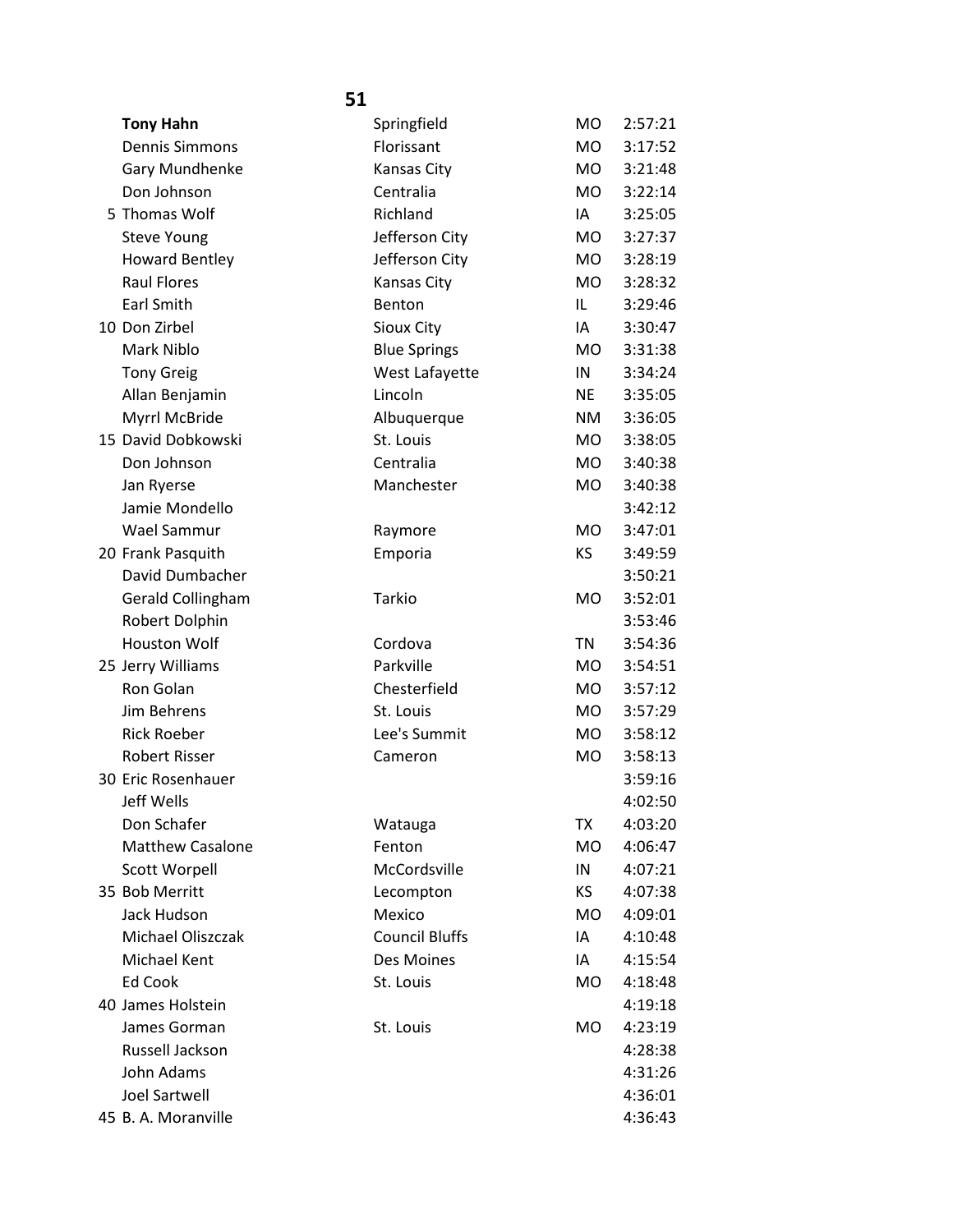| <b>Tony Hahn</b>        | Springfield           | MO        | 2:57:21 |
|-------------------------|-----------------------|-----------|---------|
| <b>Dennis Simmons</b>   | Florissant            | <b>MO</b> | 3:17:52 |
| Gary Mundhenke          | Kansas City           | MO.       | 3:21:48 |
| Don Johnson             | Centralia             | MO.       | 3:22:14 |
| 5 Thomas Wolf           | Richland              | IA        | 3:25:05 |
| <b>Steve Young</b>      | Jefferson City        | MO.       | 3:27:37 |
| <b>Howard Bentley</b>   | Jefferson City        | <b>MO</b> | 3:28:19 |
| <b>Raul Flores</b>      | <b>Kansas City</b>    | <b>MO</b> | 3:28:32 |
| Earl Smith              | Benton                | IL.       | 3:29:46 |
| 10 Don Zirbel           | Sioux City            | IA        | 3:30:47 |
| Mark Niblo              | <b>Blue Springs</b>   | MO.       | 3:31:38 |
| <b>Tony Greig</b>       | West Lafayette        | IN        | 3:34:24 |
| Allan Benjamin          | Lincoln               | <b>NE</b> | 3:35:05 |
| Myrrl McBride           | Albuquerque           | NM        | 3:36:05 |
| 15 David Dobkowski      | St. Louis             | MO.       | 3:38:05 |
| Don Johnson             | Centralia             | <b>MO</b> | 3:40:38 |
| Jan Ryerse              | Manchester            | <b>MO</b> | 3:40:38 |
| Jamie Mondello          |                       |           | 3:42:12 |
| Wael Sammur             | Raymore               | <b>MO</b> | 3:47:01 |
| 20 Frank Pasquith       | Emporia               | KS        | 3:49:59 |
| David Dumbacher         |                       |           | 3:50:21 |
| Gerald Collingham       | Tarkio                | <b>MO</b> | 3:52:01 |
| Robert Dolphin          |                       |           | 3:53:46 |
| <b>Houston Wolf</b>     | Cordova               | <b>TN</b> | 3:54:36 |
| 25 Jerry Williams       | Parkville             | MO.       | 3:54:51 |
| Ron Golan               | Chesterfield          | <b>MO</b> | 3:57:12 |
| Jim Behrens             | St. Louis             | MO.       | 3:57:29 |
| <b>Rick Roeber</b>      | Lee's Summit          | MO.       | 3:58:12 |
| <b>Robert Risser</b>    | Cameron               | <b>MO</b> | 3:58:13 |
| 30 Eric Rosenhauer      |                       |           | 3:59:16 |
| Jeff Wells              |                       |           | 4:02:50 |
| Don Schafer             | Watauga               | <b>TX</b> | 4:03:20 |
| <b>Matthew Casalone</b> | Fenton                | <b>MO</b> | 4:06:47 |
| <b>Scott Worpell</b>    | McCordsville          | IN        | 4:07:21 |
| 35 Bob Merritt          | Lecompton             | KS        | 4:07:38 |
| Jack Hudson             | Mexico                | MO.       | 4:09:01 |
| Michael Oliszczak       | <b>Council Bluffs</b> | IA        | 4:10:48 |
| Michael Kent            | Des Moines            | IA        | 4:15:54 |
| Ed Cook                 | St. Louis             | MO.       | 4:18:48 |
| 40 James Holstein       |                       |           | 4:19:18 |
| James Gorman            | St. Louis             | MO        | 4:23:19 |
| Russell Jackson         |                       |           | 4:28:38 |
| John Adams              |                       |           | 4:31:26 |
| <b>Joel Sartwell</b>    |                       |           | 4:36:01 |
| 45 B. A. Moranville     |                       |           | 4:36:43 |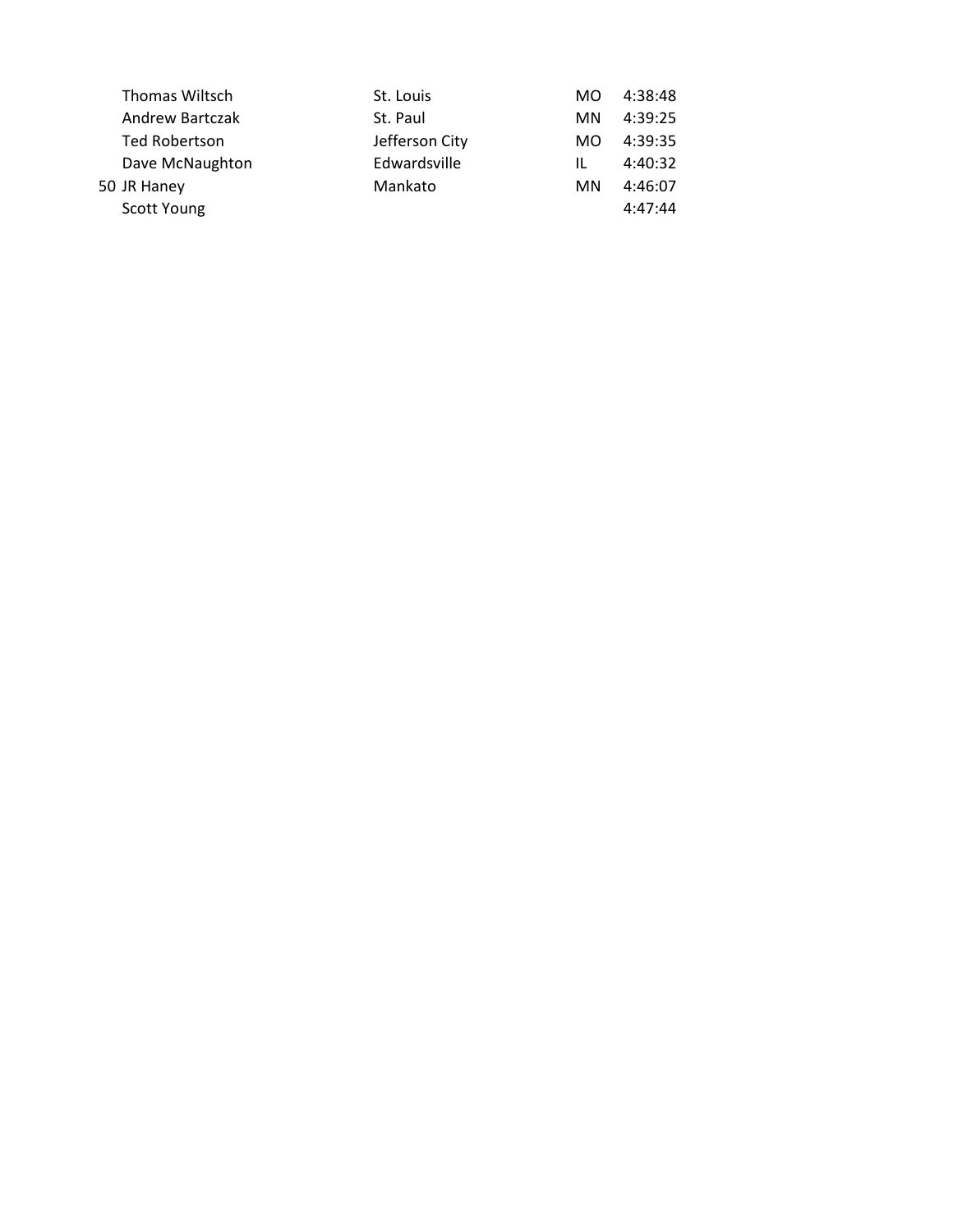| <b>Thomas Wiltsch</b> | St. Louis      | MO. | 4:38:48 |
|-----------------------|----------------|-----|---------|
| Andrew Bartczak       | St. Paul       | MN. | 4:39:25 |
| Ted Robertson         | Jefferson City | MO. | 4:39:35 |
| Dave McNaughton       | Edwardsville   | IL  | 4:40:32 |
| 50 JR Haney           | Mankato        | MN. | 4:46:07 |
| Scott Young           |                |     | 4:47:44 |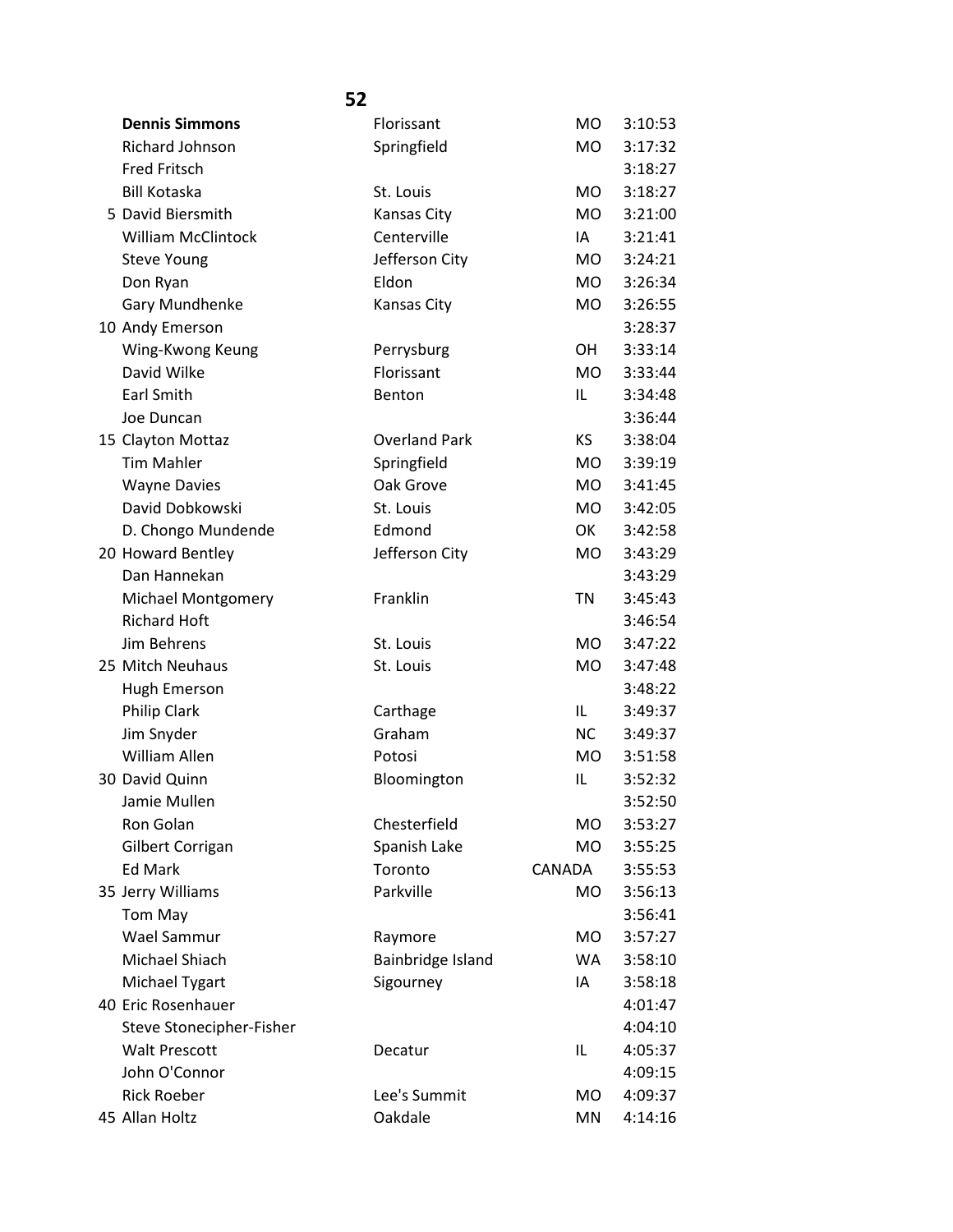| <b>Dennis Simmons</b>     | Florissant           | <b>MO</b> | 3:10:53 |
|---------------------------|----------------------|-----------|---------|
| Richard Johnson           | Springfield          | <b>MO</b> | 3:17:32 |
| <b>Fred Fritsch</b>       |                      |           | 3:18:27 |
| <b>Bill Kotaska</b>       | St. Louis            | <b>MO</b> | 3:18:27 |
| 5 David Biersmith         | Kansas City          | <b>MO</b> | 3:21:00 |
| <b>William McClintock</b> | Centerville          | IA        | 3:21:41 |
| <b>Steve Young</b>        | Jefferson City       | <b>MO</b> | 3:24:21 |
| Don Ryan                  | Eldon                | MO.       | 3:26:34 |
| Gary Mundhenke            | Kansas City          | MO.       | 3:26:55 |
| 10 Andy Emerson           |                      |           | 3:28:37 |
| Wing-Kwong Keung          | Perrysburg           | OН        | 3:33:14 |
| David Wilke               | Florissant           | <b>MO</b> | 3:33:44 |
| <b>Earl Smith</b>         | Benton               | IL        | 3:34:48 |
| Joe Duncan                |                      |           | 3:36:44 |
| 15 Clayton Mottaz         | <b>Overland Park</b> | <b>KS</b> | 3:38:04 |
| <b>Tim Mahler</b>         | Springfield          | <b>MO</b> | 3:39:19 |
| <b>Wayne Davies</b>       | Oak Grove            | <b>MO</b> | 3:41:45 |
| David Dobkowski           | St. Louis            | <b>MO</b> | 3:42:05 |
| D. Chongo Mundende        | Edmond               | OK        | 3:42:58 |
| 20 Howard Bentley         | Jefferson City       | MO        | 3:43:29 |
| Dan Hannekan              |                      |           | 3:43:29 |
| Michael Montgomery        | Franklin             | <b>TN</b> | 3:45:43 |
| <b>Richard Hoft</b>       |                      |           | 3:46:54 |
| Jim Behrens               | St. Louis            | <b>MO</b> | 3:47:22 |
| 25 Mitch Neuhaus          | St. Louis            | <b>MO</b> | 3:47:48 |
| Hugh Emerson              |                      |           | 3:48:22 |
| Philip Clark              | Carthage             | IL.       | 3:49:37 |
| Jim Snyder                | Graham               | <b>NC</b> | 3:49:37 |
| <b>William Allen</b>      | Potosi               | MO.       | 3:51:58 |
| 30 David Quinn            | Bloomington          | IL        | 3:52:32 |
| Jamie Mullen              |                      |           | 3:52:50 |
| Ron Golan                 | Chesterfield         | MO        | 3:53:27 |
| Gilbert Corrigan          | Spanish Lake         | MO        | 3:55:25 |
| <b>Ed Mark</b>            | Toronto              | CANADA    | 3:55:53 |
| 35 Jerry Williams         | Parkville            | MO.       | 3:56:13 |
| Tom May                   |                      |           | 3:56:41 |
| Wael Sammur               | Raymore              | MO        | 3:57:27 |
| Michael Shiach            | Bainbridge Island    | <b>WA</b> | 3:58:10 |
| Michael Tygart            | Sigourney            | IA        | 3:58:18 |
| 40 Eric Rosenhauer        |                      |           | 4:01:47 |
| Steve Stonecipher-Fisher  |                      |           | 4:04:10 |
| <b>Walt Prescott</b>      | Decatur              | IL        | 4:05:37 |
| John O'Connor             |                      |           | 4:09:15 |
| <b>Rick Roeber</b>        | Lee's Summit         | <b>MO</b> | 4:09:37 |
| 45 Allan Holtz            | Oakdale              | MN        | 4:14:16 |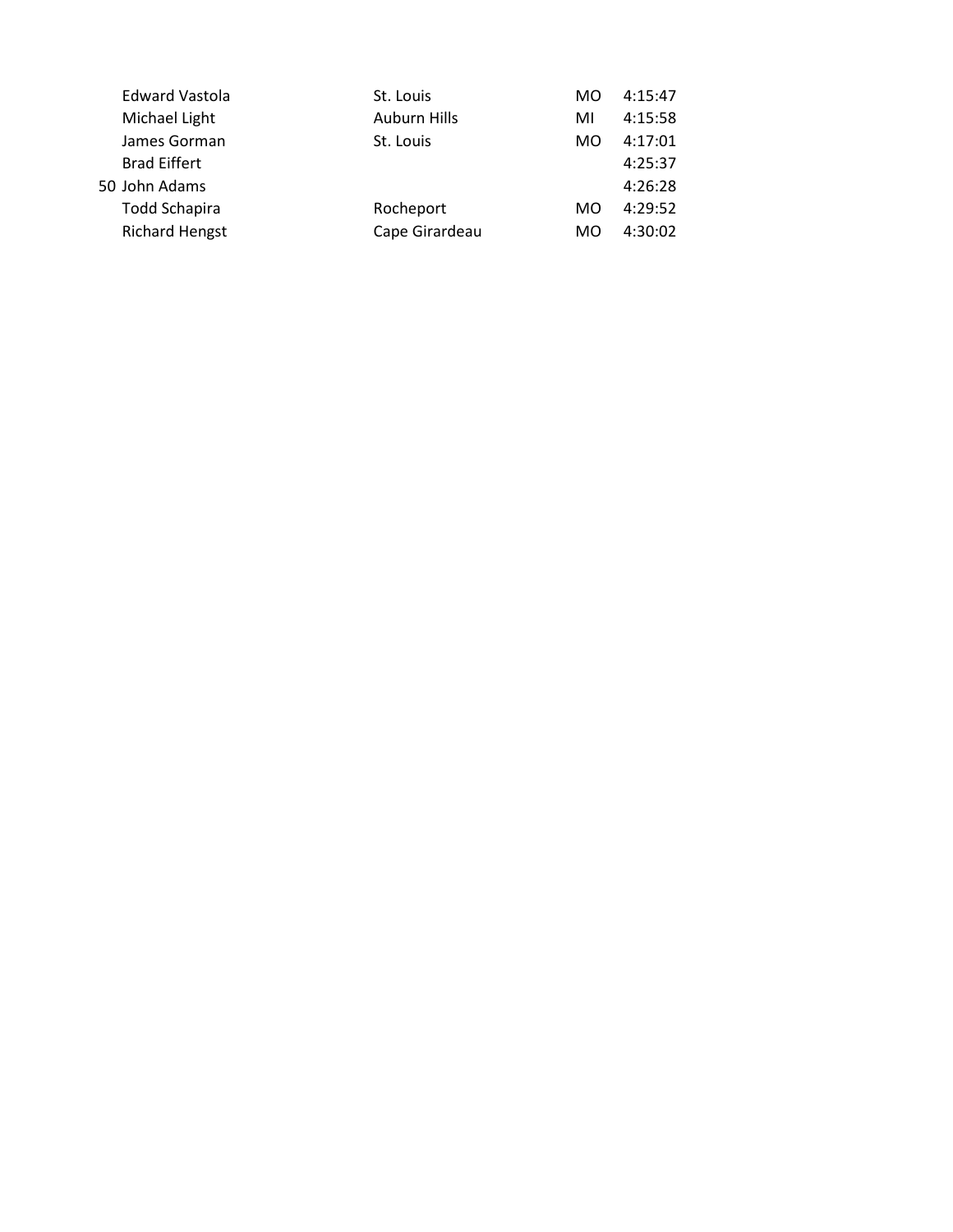| <b>Edward Vastola</b> | St. Louis           | MO        | 4:15:47 |
|-----------------------|---------------------|-----------|---------|
| Michael Light         | <b>Auburn Hills</b> | MI        | 4:15:58 |
| James Gorman          | St. Louis           | <b>MO</b> | 4:17:01 |
| <b>Brad Eiffert</b>   |                     |           | 4:25:37 |
| 50 John Adams         |                     |           | 4:26:28 |
| <b>Todd Schapira</b>  | Rocheport           | MO        | 4:29:52 |
| <b>Richard Hengst</b> | Cape Girardeau      | MO        | 4:30:02 |
|                       |                     |           |         |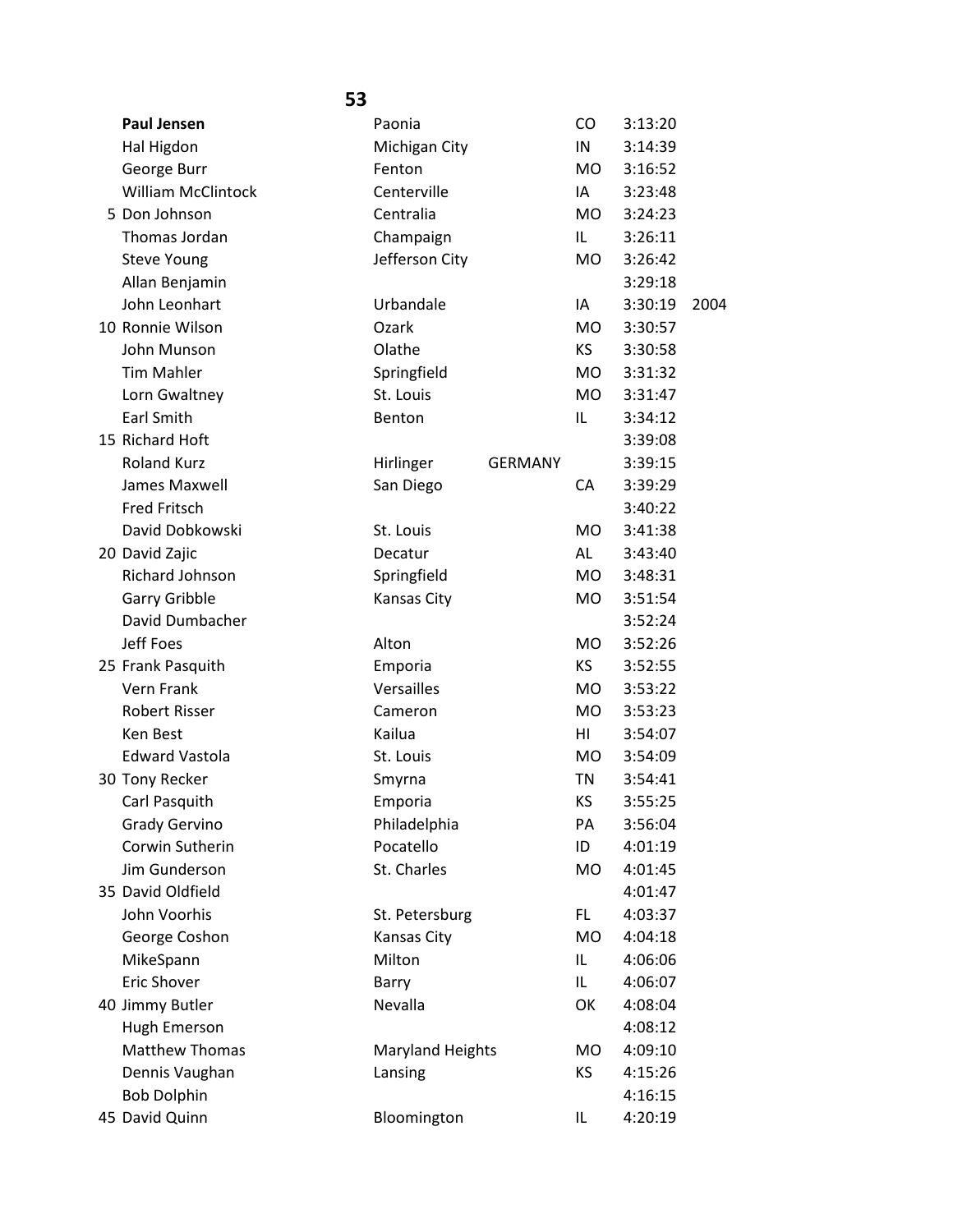| <b>Paul Jensen</b>        | Paonia                  |                | <b>CO</b> | 3:13:20 |      |
|---------------------------|-------------------------|----------------|-----------|---------|------|
| Hal Higdon                | Michigan City           |                | IN        | 3:14:39 |      |
| George Burr               | Fenton                  |                | <b>MO</b> | 3:16:52 |      |
| <b>William McClintock</b> | Centerville             |                | IA        | 3:23:48 |      |
| 5 Don Johnson             | Centralia               |                | MO.       | 3:24:23 |      |
| Thomas Jordan             | Champaign               |                | IL        | 3:26:11 |      |
| <b>Steve Young</b>        | Jefferson City          |                | <b>MO</b> | 3:26:42 |      |
| Allan Benjamin            |                         |                |           | 3:29:18 |      |
| John Leonhart             | Urbandale               |                | IA        | 3:30:19 | 2004 |
| 10 Ronnie Wilson          | Ozark                   |                | <b>MO</b> | 3:30:57 |      |
| John Munson               | Olathe                  |                | KS.       | 3:30:58 |      |
| <b>Tim Mahler</b>         | Springfield             |                | MO        | 3:31:32 |      |
| Lorn Gwaltney             | St. Louis               |                | MO.       | 3:31:47 |      |
| <b>Earl Smith</b>         | Benton                  |                | IL        | 3:34:12 |      |
| 15 Richard Hoft           |                         |                |           | 3:39:08 |      |
| <b>Roland Kurz</b>        | Hirlinger               | <b>GERMANY</b> |           | 3:39:15 |      |
| James Maxwell             | San Diego               |                | CA        | 3:39:29 |      |
| <b>Fred Fritsch</b>       |                         |                |           | 3:40:22 |      |
| David Dobkowski           | St. Louis               |                | MO.       | 3:41:38 |      |
| 20 David Zajic            | Decatur                 |                | AL        | 3:43:40 |      |
| Richard Johnson           | Springfield             |                | MO.       | 3:48:31 |      |
| Garry Gribble             | Kansas City             |                | <b>MO</b> | 3:51:54 |      |
| David Dumbacher           |                         |                |           | 3:52:24 |      |
| <b>Jeff Foes</b>          | Alton                   |                | <b>MO</b> | 3:52:26 |      |
| 25 Frank Pasquith         | Emporia                 |                | KS        | 3:52:55 |      |
| <b>Vern Frank</b>         | Versailles              |                | <b>MO</b> | 3:53:22 |      |
| <b>Robert Risser</b>      | Cameron                 |                | <b>MO</b> | 3:53:23 |      |
| Ken Best                  | Kailua                  |                | HI        | 3:54:07 |      |
| <b>Edward Vastola</b>     | St. Louis               |                | <b>MO</b> | 3:54:09 |      |
| 30 Tony Recker            | Smyrna                  |                | TN        | 3:54:41 |      |
| Carl Pasquith             | Emporia                 |                | ΚS        | 3:55:25 |      |
| <b>Grady Gervino</b>      | Philadelphia            |                | PA        | 3:56:04 |      |
| Corwin Sutherin           | Pocatello               |                | ID        | 4:01:19 |      |
| Jim Gunderson             | St. Charles             |                | <b>MO</b> | 4:01:45 |      |
| 35 David Oldfield         |                         |                |           | 4:01:47 |      |
| John Voorhis              | St. Petersburg          |                | FL.       | 4:03:37 |      |
| George Coshon             | Kansas City             |                | MO        | 4:04:18 |      |
| MikeSpann                 | Milton                  |                | IL        | 4:06:06 |      |
| Eric Shover               | Barry                   |                | IL.       | 4:06:07 |      |
| 40 Jimmy Butler           | Nevalla                 |                | OK        | 4:08:04 |      |
| Hugh Emerson              |                         |                |           | 4:08:12 |      |
| <b>Matthew Thomas</b>     | <b>Maryland Heights</b> |                | MO        | 4:09:10 |      |
| Dennis Vaughan            | Lansing                 |                | ΚS        | 4:15:26 |      |
| <b>Bob Dolphin</b>        |                         |                |           | 4:16:15 |      |
| 45 David Quinn            | Bloomington             |                | IL        | 4:20:19 |      |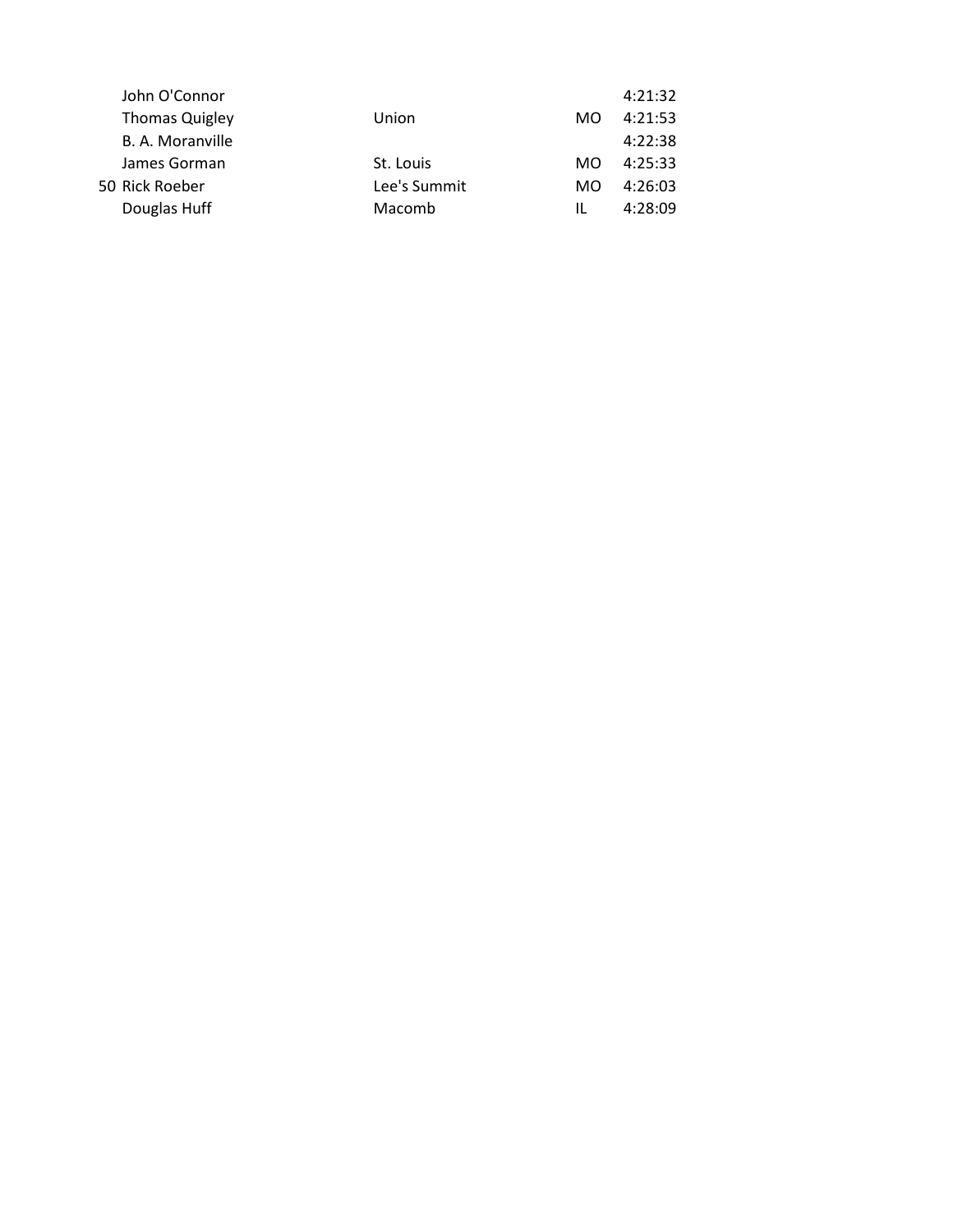| John O'Connor         |              |     | 4:21:32 |
|-----------------------|--------------|-----|---------|
| <b>Thomas Quigley</b> | Union        | MO. | 4:21:53 |
| B. A. Moranville      |              |     | 4:22:38 |
| James Gorman          | St. Louis    | MO. | 4:25:33 |
| 50 Rick Roeber        | Lee's Summit | MO. | 4:26:03 |
| Douglas Huff          | Macomb       | Ш.  | 4:28:09 |
|                       |              |     |         |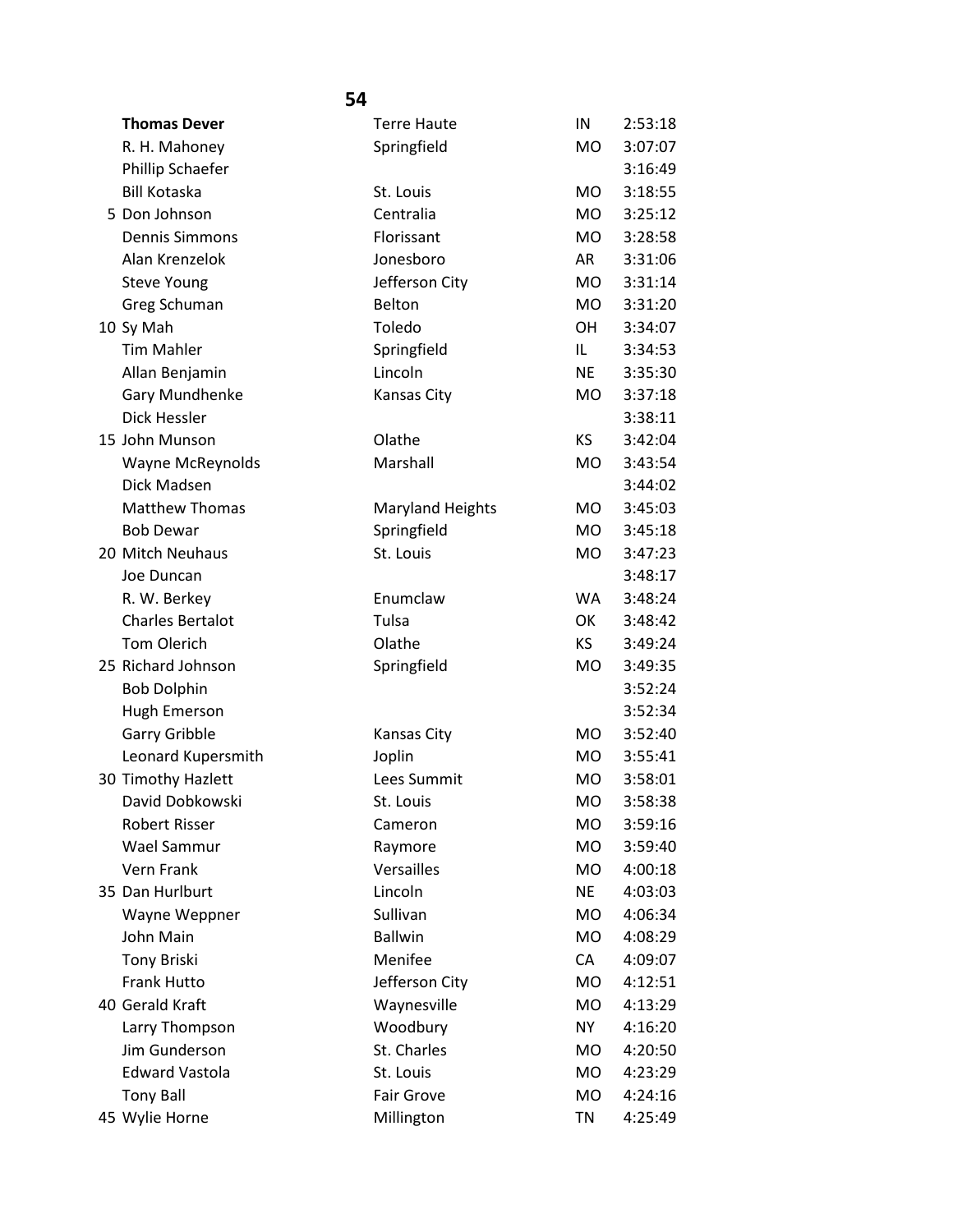| <b>Thomas Dever</b>     | <b>Terre Haute</b>      | IN        | 2:53:18 |
|-------------------------|-------------------------|-----------|---------|
| R. H. Mahoney           | Springfield             | <b>MO</b> | 3:07:07 |
| Phillip Schaefer        |                         |           | 3:16:49 |
| <b>Bill Kotaska</b>     | St. Louis               | MO.       | 3:18:55 |
| 5 Don Johnson           | Centralia               | <b>MO</b> | 3:25:12 |
| <b>Dennis Simmons</b>   | Florissant              | MO        | 3:28:58 |
| Alan Krenzelok          | Jonesboro               | AR        | 3:31:06 |
| <b>Steve Young</b>      | Jefferson City          | <b>MO</b> | 3:31:14 |
| Greg Schuman            | Belton                  | MO        | 3:31:20 |
| 10 Sy Mah               | Toledo                  | <b>OH</b> | 3:34:07 |
| <b>Tim Mahler</b>       | Springfield             | IL        | 3:34:53 |
| Allan Benjamin          | Lincoln                 | NE        | 3:35:30 |
| Gary Mundhenke          | Kansas City             | MO.       | 3:37:18 |
| Dick Hessler            |                         |           | 3:38:11 |
| 15 John Munson          | Olathe                  | ΚS        | 3:42:04 |
| <b>Wayne McReynolds</b> | Marshall                | MO        | 3:43:54 |
| Dick Madsen             |                         |           | 3:44:02 |
| <b>Matthew Thomas</b>   | <b>Maryland Heights</b> | MO.       | 3:45:03 |
| <b>Bob Dewar</b>        | Springfield             | <b>MO</b> | 3:45:18 |
| 20 Mitch Neuhaus        | St. Louis               | MO        | 3:47:23 |
| Joe Duncan              |                         |           | 3:48:17 |
| R. W. Berkey            | Enumclaw                | <b>WA</b> | 3:48:24 |
| <b>Charles Bertalot</b> | Tulsa                   | OK        | 3:48:42 |
| <b>Tom Olerich</b>      | Olathe                  | KS.       | 3:49:24 |
| 25 Richard Johnson      | Springfield             | MO        | 3:49:35 |
| <b>Bob Dolphin</b>      |                         |           | 3:52:24 |
| Hugh Emerson            |                         |           | 3:52:34 |
| <b>Garry Gribble</b>    | <b>Kansas City</b>      | <b>MO</b> | 3:52:40 |
| Leonard Kupersmith      | Joplin                  | <b>MO</b> | 3:55:41 |
| 30 Timothy Hazlett      | Lees Summit             | MO.       | 3:58:01 |
| David Dobkowski         | St. Louis               | <b>MO</b> | 3:58:38 |
| <b>Robert Risser</b>    | Cameron                 | МO        | 3:59:16 |
| Wael Sammur             | Raymore                 | MO        | 3:59:40 |
| Vern Frank              | Versailles              | MO        | 4:00:18 |
| 35 Dan Hurlburt         | Lincoln                 | NE        | 4:03:03 |
| Wayne Weppner           | Sullivan                | <b>MO</b> | 4:06:34 |
| John Main               | <b>Ballwin</b>          | MO        | 4:08:29 |
| <b>Tony Briski</b>      | Menifee                 | CA        | 4:09:07 |
| Frank Hutto             | Jefferson City          | MO        | 4:12:51 |
| 40 Gerald Kraft         | Waynesville             | <b>MO</b> | 4:13:29 |
| Larry Thompson          | Woodbury                | NY.       | 4:16:20 |
| Jim Gunderson           | St. Charles             | МO        | 4:20:50 |
| <b>Edward Vastola</b>   | St. Louis               | <b>MO</b> | 4:23:29 |
| <b>Tony Ball</b>        | <b>Fair Grove</b>       | MO        | 4:24:16 |
| 45 Wylie Horne          | Millington              | <b>TN</b> | 4:25:49 |
|                         |                         |           |         |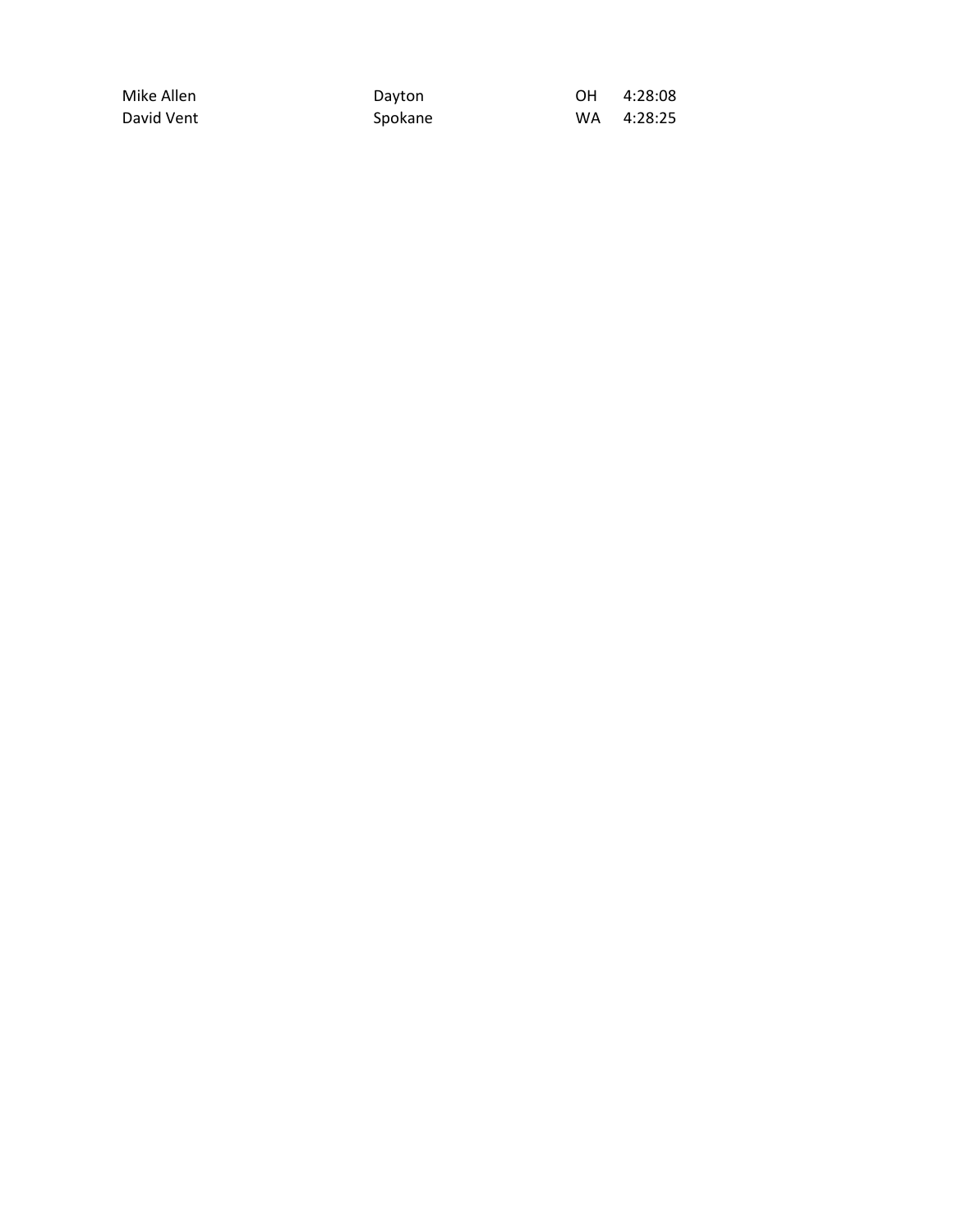| Mike Allen | Dayton  | OH. | 4:28:08 |
|------------|---------|-----|---------|
| David Vent | Spokane | WA. | 4:28:25 |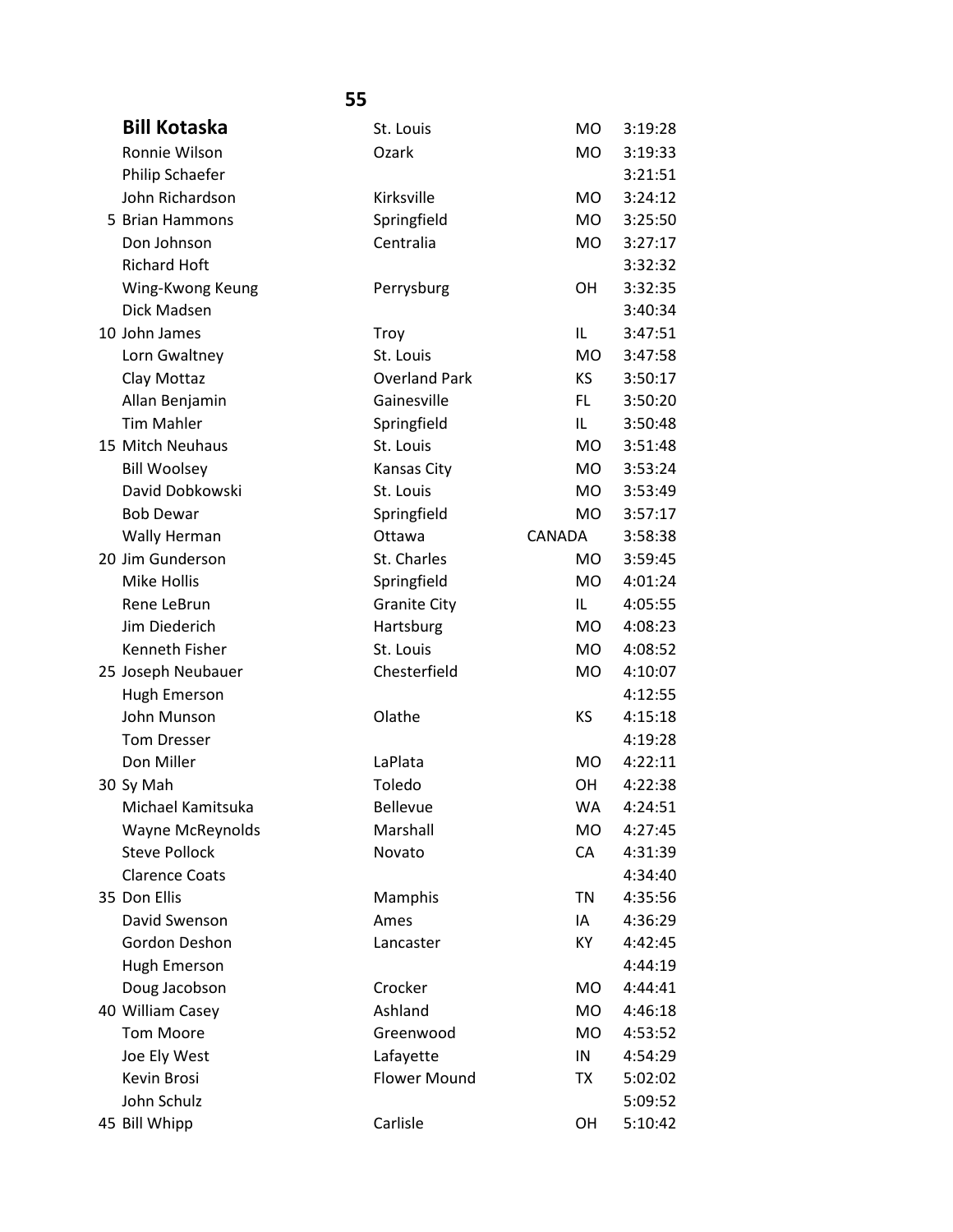| <b>Bill Kotaska</b>   | St. Louis            | <b>MO</b> | 3:19:28 |
|-----------------------|----------------------|-----------|---------|
| Ronnie Wilson         | Ozark                | <b>MO</b> | 3:19:33 |
| Philip Schaefer       |                      |           | 3:21:51 |
| John Richardson       | Kirksville           | <b>MO</b> | 3:24:12 |
| 5 Brian Hammons       | Springfield          | <b>MO</b> | 3:25:50 |
| Don Johnson           | Centralia            | <b>MO</b> | 3:27:17 |
| <b>Richard Hoft</b>   |                      |           | 3:32:32 |
| Wing-Kwong Keung      | Perrysburg           | <b>OH</b> | 3:32:35 |
| Dick Madsen           |                      |           | 3:40:34 |
| 10 John James         | Troy                 | IL        | 3:47:51 |
| Lorn Gwaltney         | St. Louis            | <b>MO</b> | 3:47:58 |
| Clay Mottaz           | <b>Overland Park</b> | KS.       | 3:50:17 |
| Allan Benjamin        | Gainesville          | FL.       | 3:50:20 |
| <b>Tim Mahler</b>     | Springfield          | IL.       | 3:50:48 |
| 15 Mitch Neuhaus      | St. Louis            | <b>MO</b> | 3:51:48 |
| <b>Bill Woolsey</b>   | Kansas City          | <b>MO</b> | 3:53:24 |
| David Dobkowski       | St. Louis            | <b>MO</b> | 3:53:49 |
| <b>Bob Dewar</b>      | Springfield          | <b>MO</b> | 3:57:17 |
| Wally Herman          | Ottawa               | CANADA    | 3:58:38 |
| 20 Jim Gunderson      | St. Charles          | <b>MO</b> | 3:59:45 |
| Mike Hollis           | Springfield          | <b>MO</b> | 4:01:24 |
| Rene LeBrun           | <b>Granite City</b>  | IL        | 4:05:55 |
| Jim Diederich         | Hartsburg            | <b>MO</b> | 4:08:23 |
| Kenneth Fisher        | St. Louis            | <b>MO</b> | 4:08:52 |
| 25 Joseph Neubauer    | Chesterfield         | MO        | 4:10:07 |
| Hugh Emerson          |                      |           | 4:12:55 |
| John Munson           | Olathe               | <b>KS</b> | 4:15:18 |
| <b>Tom Dresser</b>    |                      |           | 4:19:28 |
| Don Miller            | LaPlata              | <b>MO</b> | 4:22:11 |
| 30 Sy Mah             | Toledo               | <b>OH</b> | 4:22:38 |
| Michael Kamitsuka     | <b>Bellevue</b>      | WA        | 4:24:51 |
| Wayne McReynolds      | Marshall             | <b>MO</b> | 4:27:45 |
| <b>Steve Pollock</b>  | Novato               | CA        | 4:31:39 |
| <b>Clarence Coats</b> |                      |           | 4:34:40 |
| 35 Don Ellis          | Mamphis              | <b>TN</b> | 4:35:56 |
| David Swenson         | Ames                 | IA        | 4:36:29 |
| Gordon Deshon         | Lancaster            | KY        | 4:42:45 |
| Hugh Emerson          |                      |           | 4:44:19 |
| Doug Jacobson         | Crocker              | <b>MO</b> | 4:44:41 |
| 40 William Casey      | Ashland              | <b>MO</b> | 4:46:18 |
| <b>Tom Moore</b>      | Greenwood            | <b>MO</b> | 4:53:52 |
| Joe Ely West          | Lafayette            | IN        | 4:54:29 |
| Kevin Brosi           | <b>Flower Mound</b>  | TX        | 5:02:02 |
| John Schulz           |                      |           | 5:09:52 |
| 45 Bill Whipp         | Carlisle             | OH        | 5:10:42 |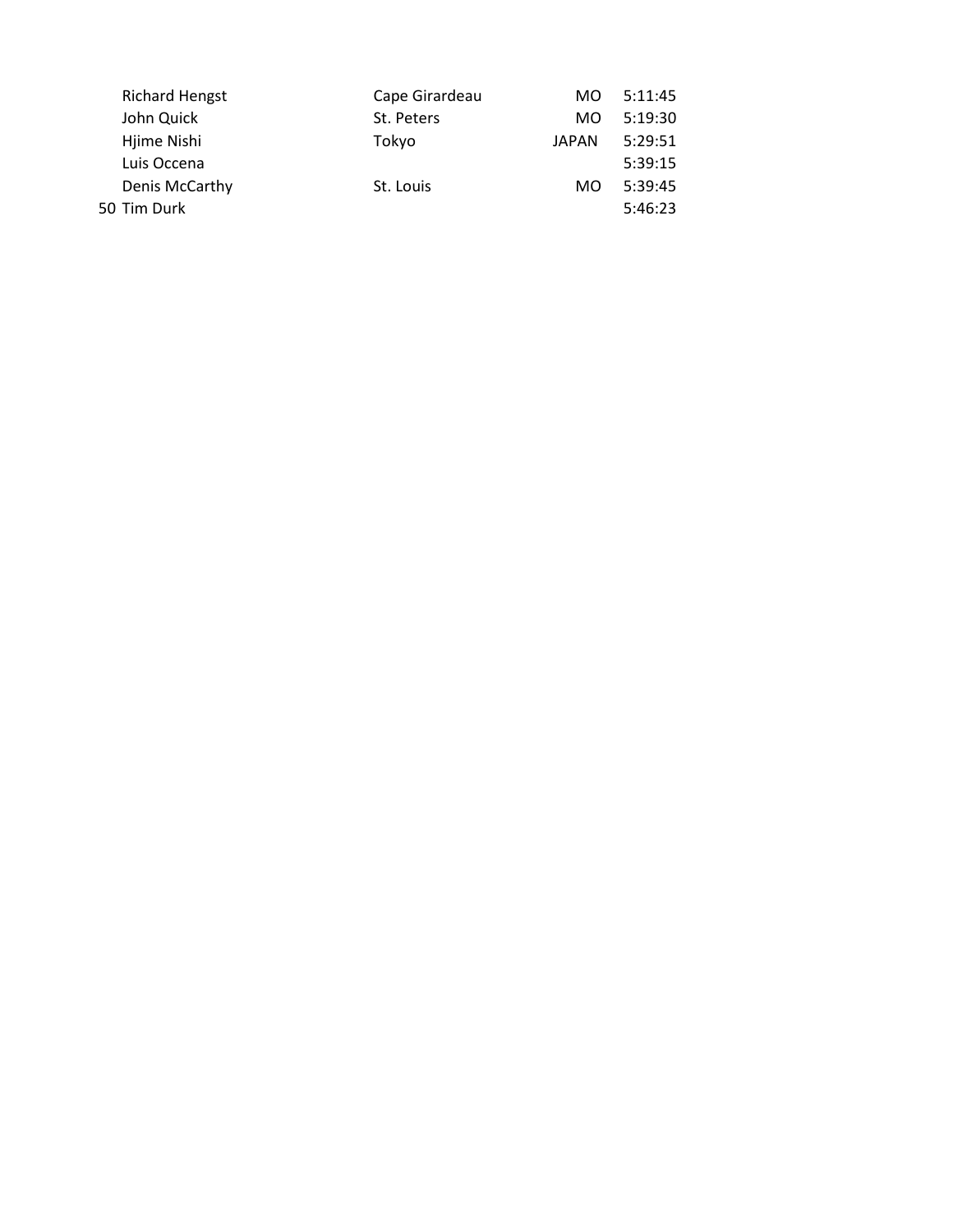| <b>Richard Hengst</b><br>Cape Girardeau | MO.   | 5:11:45 |
|-----------------------------------------|-------|---------|
| John Quick<br>St. Peters                | MO.   | 5:19:30 |
| Hjime Nishi<br>Tokyo                    | JAPAN | 5:29:51 |
| Luis Occena                             |       | 5:39:15 |
| Denis McCarthy<br>St. Louis             | MO.   | 5:39:45 |
| 50 Tim Durk                             |       | 5:46:23 |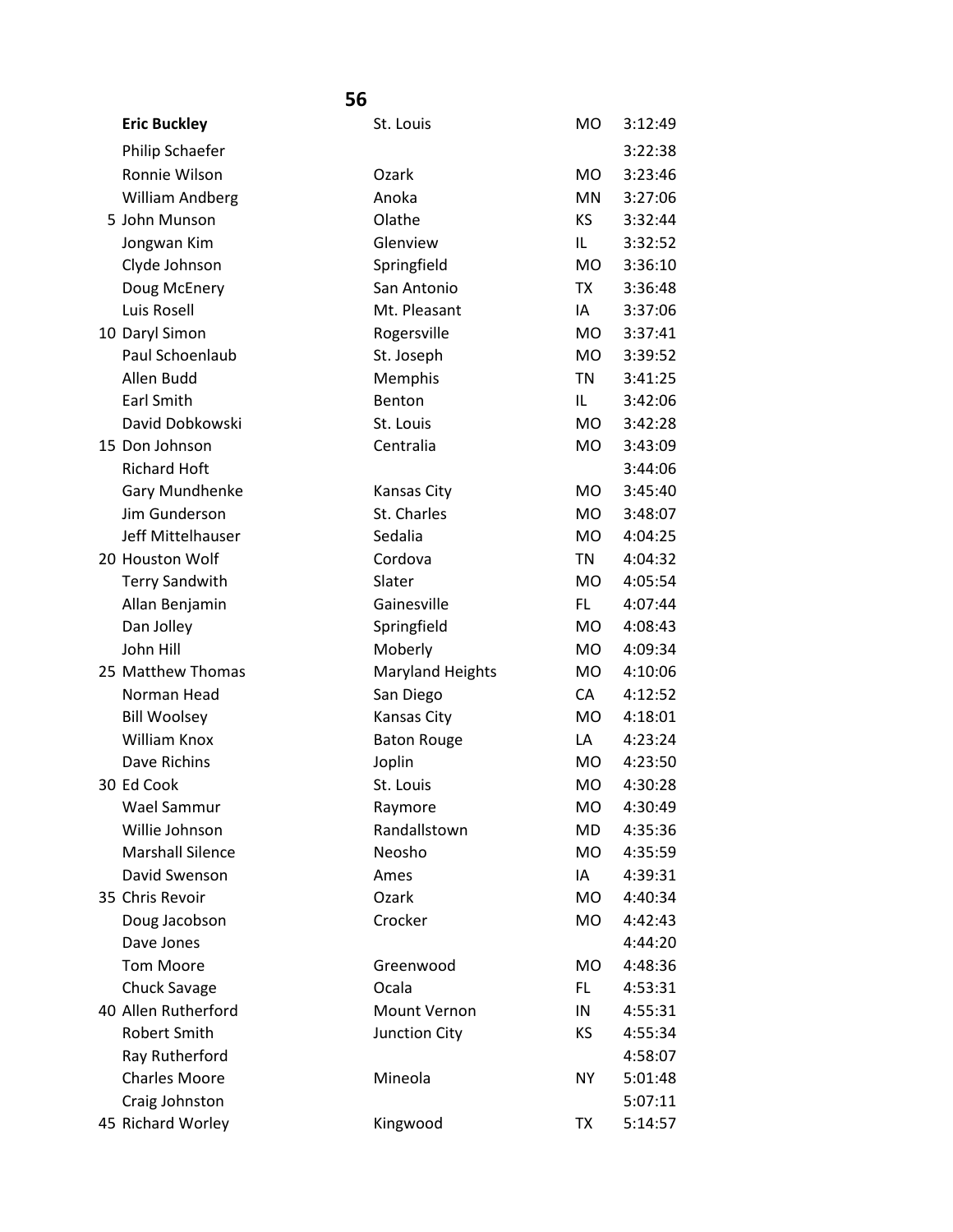| <b>Eric Buckley</b>     | St. Louis               | MO             | 3:12:49 |
|-------------------------|-------------------------|----------------|---------|
| Philip Schaefer         |                         |                | 3:22:38 |
| Ronnie Wilson           | Ozark                   | <b>MO</b>      | 3:23:46 |
| William Andberg         | Anoka                   | <b>MN</b>      | 3:27:06 |
| 5 John Munson           | Olathe                  | ΚS             | 3:32:44 |
| Jongwan Kim             | Glenview                | IL             | 3:32:52 |
| Clyde Johnson           | Springfield             | MO.            | 3:36:10 |
| Doug McEnery            | San Antonio             | TX             | 3:36:48 |
| Luis Rosell             | Mt. Pleasant            | IA             | 3:37:06 |
|                         |                         |                |         |
| 10 Daryl Simon          | Rogersville             | MO.            | 3:37:41 |
| Paul Schoenlaub         | St. Joseph              | MO.            | 3:39:52 |
| Allen Budd              | Memphis                 | TN             | 3:41:25 |
| <b>Earl Smith</b>       | Benton                  | IL.            | 3:42:06 |
| David Dobkowski         | St. Louis               | <b>MO</b>      | 3:42:28 |
| 15 Don Johnson          | Centralia               | <b>MO</b>      | 3:43:09 |
| <b>Richard Hoft</b>     |                         |                | 3:44:06 |
| <b>Gary Mundhenke</b>   | Kansas City             | MO.            | 3:45:40 |
| Jim Gunderson           | St. Charles             | MO.            | 3:48:07 |
| Jeff Mittelhauser       | Sedalia                 | <b>MO</b>      | 4:04:25 |
| 20 Houston Wolf         | Cordova                 | ΤN             | 4:04:32 |
| <b>Terry Sandwith</b>   | Slater                  | M <sub>O</sub> | 4:05:54 |
| Allan Benjamin          | Gainesville             | FL.            | 4:07:44 |
| Dan Jolley              | Springfield             | <b>MO</b>      | 4:08:43 |
| John Hill               | Moberly                 | <b>MO</b>      | 4:09:34 |
| 25 Matthew Thomas       | <b>Maryland Heights</b> | MO             | 4:10:06 |
| Norman Head             | San Diego               | CA             | 4:12:52 |
| <b>Bill Woolsey</b>     | Kansas City             | <b>MO</b>      | 4:18:01 |
| William Knox            | <b>Baton Rouge</b>      | LA             | 4:23:24 |
| Dave Richins            | Joplin                  | MO.            | 4:23:50 |
| 30 Ed Cook              | St. Louis               | <b>MO</b>      | 4:30:28 |
| Wael Sammur             | Raymore                 | MO             | 4:30:49 |
| Willie Johnson          | Randallstown            | MD             | 4:35:36 |
| <b>Marshall Silence</b> | Neosho                  | <b>MO</b>      | 4:35:59 |
| David Swenson           | Ames                    | IA             | 4:39:31 |
| 35 Chris Revoir         | Ozark                   | <b>MO</b>      | 4:40:34 |
| Doug Jacobson           | Crocker                 | <b>MO</b>      | 4:42:43 |
| Dave Jones              |                         |                | 4:44:20 |
| <b>Tom Moore</b>        | Greenwood               | <b>MO</b>      | 4:48:36 |
| <b>Chuck Savage</b>     | Ocala                   | FL.            | 4:53:31 |
| 40 Allen Rutherford     | Mount Vernon            | IN             | 4:55:31 |
| <b>Robert Smith</b>     | Junction City           | ΚS             | 4:55:34 |
| Ray Rutherford          |                         |                | 4:58:07 |
| <b>Charles Moore</b>    | Mineola                 | <b>NY</b>      | 5:01:48 |
| Craig Johnston          |                         |                | 5:07:11 |
| 45 Richard Worley       | Kingwood                | TX             | 5:14:57 |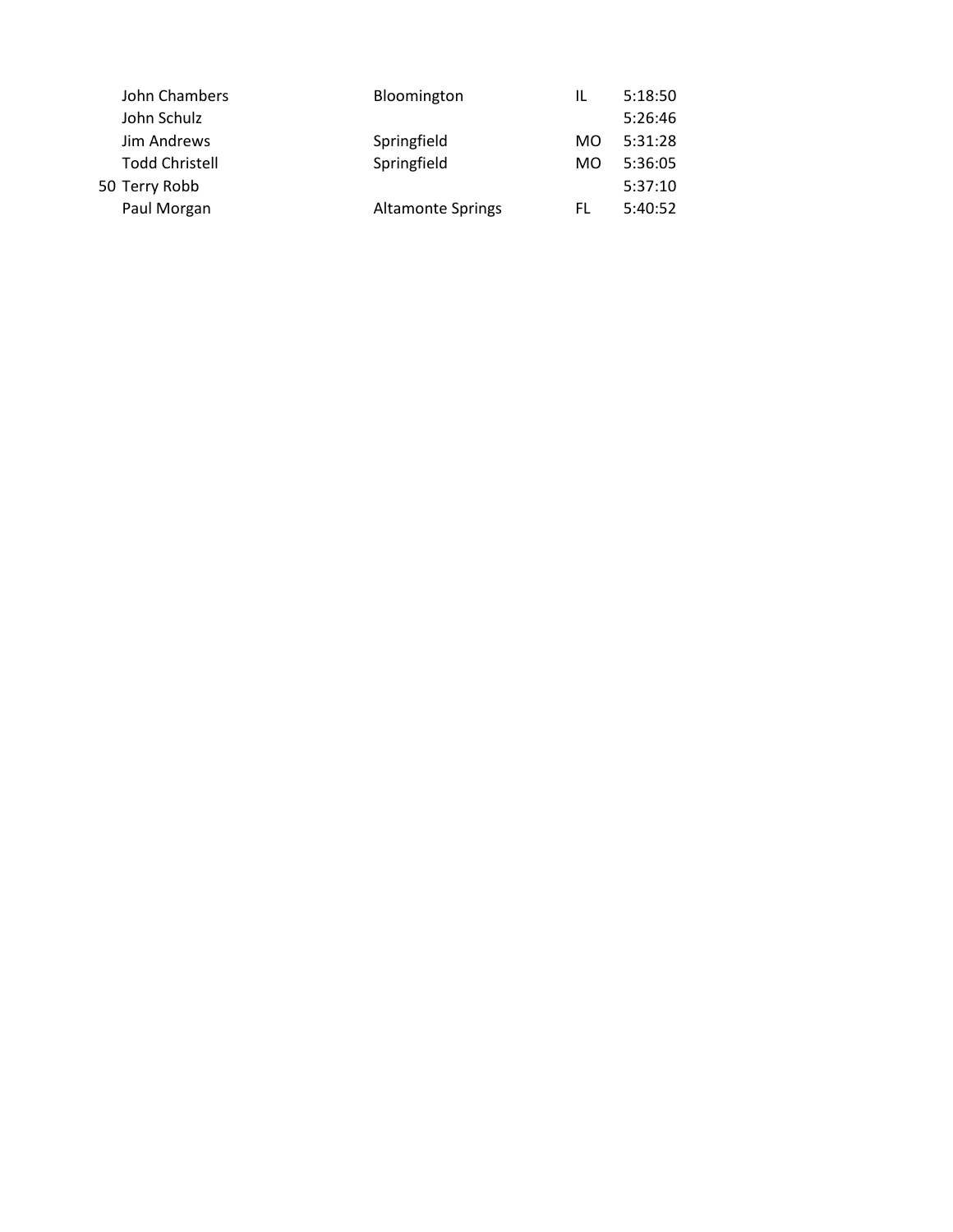| 5:18:50 |
|---------|
| 5:26:46 |
| 5:31:28 |
| 5:36:05 |
| 5:37:10 |
| 5:40:52 |
|         |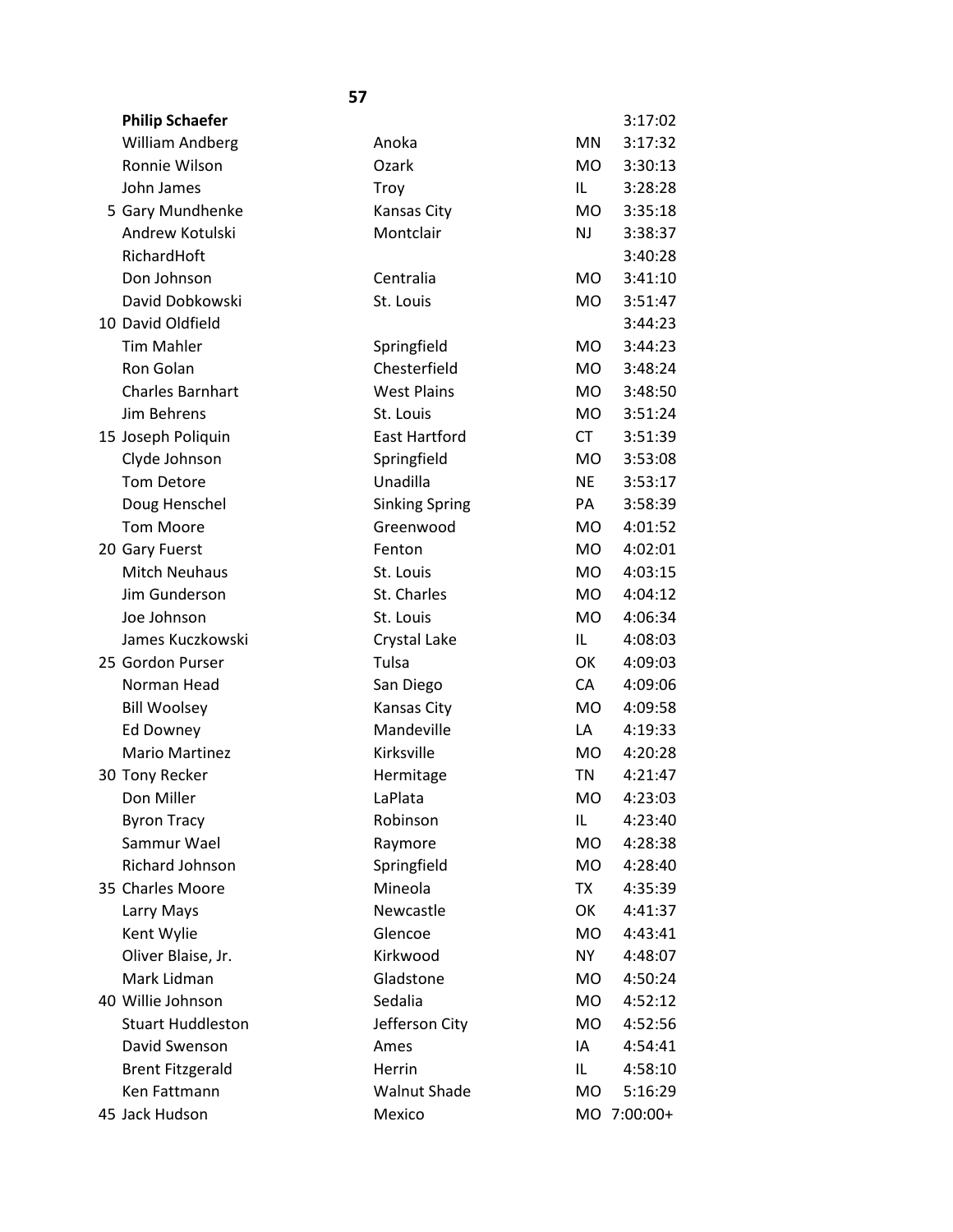| <b>Philip Schaefer</b>   |                       |                | 3:17:02     |
|--------------------------|-----------------------|----------------|-------------|
| William Andberg          | Anoka                 | <b>MN</b>      | 3:17:32     |
| Ronnie Wilson            | Ozark                 | MO.            | 3:30:13     |
| John James               | Troy                  | IL             | 3:28:28     |
| 5 Gary Mundhenke         | Kansas City           | <b>MO</b>      | 3:35:18     |
| Andrew Kotulski          | Montclair             | <b>NJ</b>      | 3:38:37     |
| RichardHoft              |                       |                | 3:40:28     |
| Don Johnson              | Centralia             | M <sub>O</sub> | 3:41:10     |
| David Dobkowski          | St. Louis             | MO.            | 3:51:47     |
| 10 David Oldfield        |                       |                | 3:44:23     |
| <b>Tim Mahler</b>        | Springfield           | MO             | 3:44:23     |
| Ron Golan                | Chesterfield          | <b>MO</b>      | 3:48:24     |
| <b>Charles Barnhart</b>  | <b>West Plains</b>    | MO.            | 3:48:50     |
| Jim Behrens              | St. Louis             | MO             | 3:51:24     |
| 15 Joseph Poliquin       | <b>East Hartford</b>  | <b>CT</b>      | 3:51:39     |
| Clyde Johnson            | Springfield           | MO.            | 3:53:08     |
| <b>Tom Detore</b>        | Unadilla              | <b>NE</b>      | 3:53:17     |
| Doug Henschel            | <b>Sinking Spring</b> | PA             | 3:58:39     |
| <b>Tom Moore</b>         | Greenwood             | MO.            | 4:01:52     |
| 20 Gary Fuerst           | Fenton                | MO             | 4:02:01     |
| <b>Mitch Neuhaus</b>     | St. Louis             | <b>MO</b>      | 4:03:15     |
| Jim Gunderson            | St. Charles           | MO.            | 4:04:12     |
| Joe Johnson              | St. Louis             | MO.            | 4:06:34     |
| James Kuczkowski         | Crystal Lake          | IL             | 4:08:03     |
| 25 Gordon Purser         | Tulsa                 | OK             | 4:09:03     |
| Norman Head              | San Diego             | CA             | 4:09:06     |
| <b>Bill Woolsey</b>      | Kansas City           | <b>MO</b>      | 4:09:58     |
| Ed Downey                | Mandeville            | LA             | 4:19:33     |
| <b>Mario Martinez</b>    | Kirksville            | M <sub>O</sub> | 4:20:28     |
| 30 Tony Recker           | Hermitage             | <b>TN</b>      | 4:21:47     |
| Don Miller               | LaPlata               | MO             | 4:23:03     |
| <b>Byron Tracy</b>       | Robinson              | IL             | 4:23:40     |
| Sammur Wael              | Raymore               | <b>MO</b>      | 4:28:38     |
| Richard Johnson          | Springfield           | MO.            | 4:28:40     |
| 35 Charles Moore         | Mineola               | TX             | 4:35:39     |
| Larry Mays               | Newcastle             | OK             | 4:41:37     |
| Kent Wylie               | Glencoe               | MO             | 4:43:41     |
| Oliver Blaise, Jr.       | Kirkwood              | <b>NY</b>      | 4:48:07     |
| Mark Lidman              | Gladstone             | <b>MO</b>      | 4:50:24     |
| 40 Willie Johnson        | Sedalia               | MO.            | 4:52:12     |
| <b>Stuart Huddleston</b> | Jefferson City        | MO             | 4:52:56     |
| David Swenson            | Ames                  | IA             | 4:54:41     |
| <b>Brent Fitzgerald</b>  | Herrin                | IL.            | 4:58:10     |
| Ken Fattmann             | <b>Walnut Shade</b>   | <b>MO</b>      | 5:16:29     |
| 45 Jack Hudson           | Mexico                |                | MO 7:00:00+ |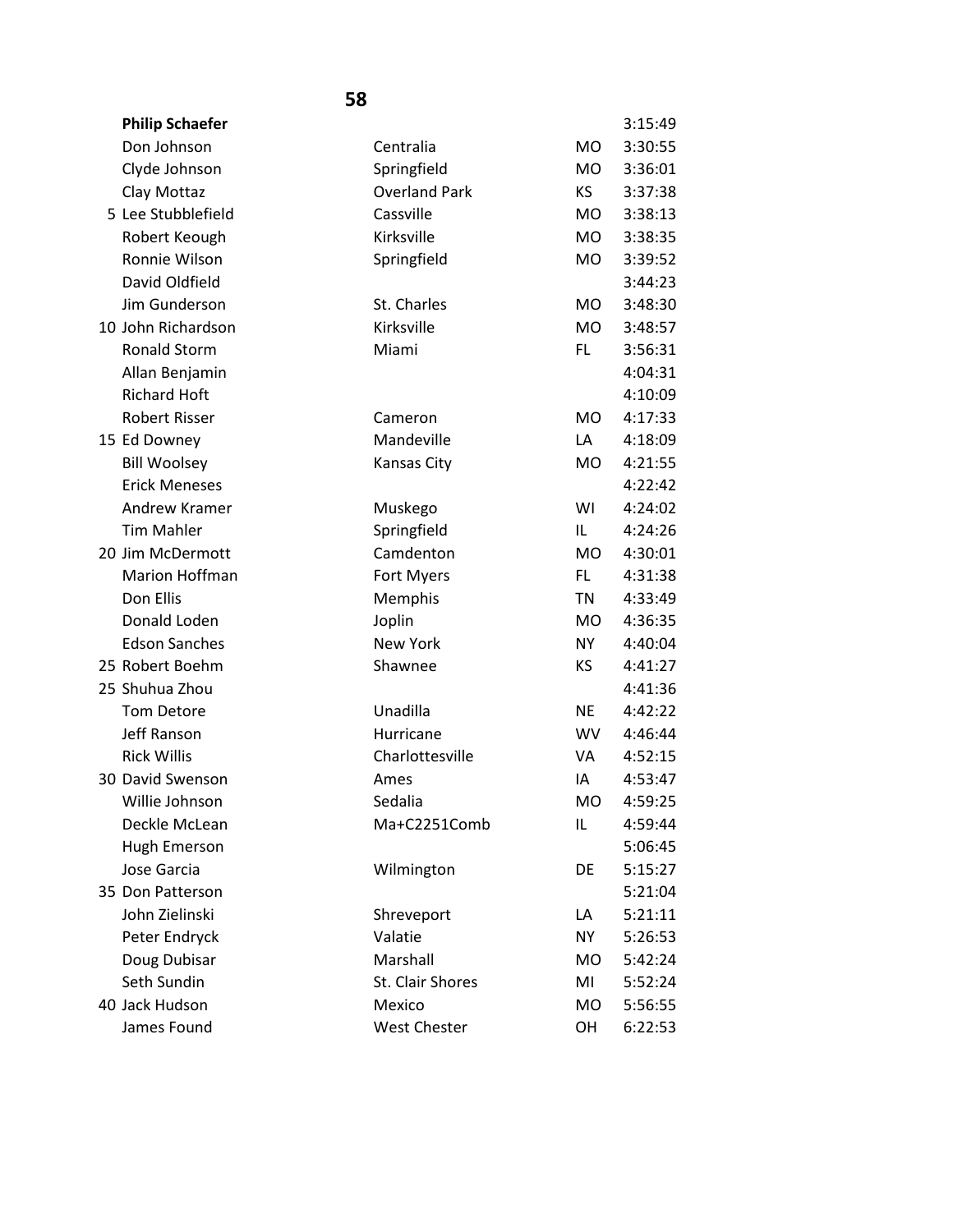| <b>Philip Schaefer</b> |                      |                | 3:15:49 |
|------------------------|----------------------|----------------|---------|
| Don Johnson            | Centralia            | M <sub>O</sub> | 3:30:55 |
| Clyde Johnson          | Springfield          | M <sub>O</sub> | 3:36:01 |
| Clay Mottaz            | <b>Overland Park</b> | KS             | 3:37:38 |
| 5 Lee Stubblefield     | Cassville            | <b>MO</b>      | 3:38:13 |
| Robert Keough          | Kirksville           | <b>MO</b>      | 3:38:35 |
| Ronnie Wilson          | Springfield          | <b>MO</b>      | 3:39:52 |
| David Oldfield         |                      |                | 3:44:23 |
| Jim Gunderson          | St. Charles          | M <sub>O</sub> | 3:48:30 |
| 10 John Richardson     | Kirksville           | <b>MO</b>      | 3:48:57 |
| <b>Ronald Storm</b>    | Miami                | FL.            | 3:56:31 |
| Allan Benjamin         |                      |                | 4:04:31 |
| <b>Richard Hoft</b>    |                      |                | 4:10:09 |
| <b>Robert Risser</b>   | Cameron              | <b>MO</b>      | 4:17:33 |
| 15 Ed Downey           | Mandeville           | LA             | 4:18:09 |
| <b>Bill Woolsey</b>    | <b>Kansas City</b>   | M <sub>O</sub> | 4:21:55 |
| <b>Erick Meneses</b>   |                      |                | 4:22:42 |
| Andrew Kramer          | Muskego              | WI             | 4:24:02 |
| <b>Tim Mahler</b>      | Springfield          | IL.            | 4:24:26 |
| 20 Jim McDermott       | Camdenton            | <b>MO</b>      | 4:30:01 |
| Marion Hoffman         | Fort Myers           | FL.            | 4:31:38 |
| Don Ellis              | Memphis              | TN             | 4:33:49 |
| Donald Loden           | Joplin               | <b>MO</b>      | 4:36:35 |
| <b>Edson Sanches</b>   | <b>New York</b>      | NY.            | 4:40:04 |
| 25 Robert Boehm        | Shawnee              | KS             | 4:41:27 |
| 25 Shuhua Zhou         |                      |                | 4:41:36 |
| Tom Detore             | Unadilla             | <b>NE</b>      | 4:42:22 |
| Jeff Ranson            | Hurricane            | <b>WV</b>      | 4:46:44 |
| <b>Rick Willis</b>     | Charlottesville      | VA             | 4:52:15 |
| 30 David Swenson       | Ames                 | IA             | 4:53:47 |
| Willie Johnson         | Sedalia              | <b>MO</b>      | 4:59:25 |
| Deckle McLean          | Ma+C2251Comb         | IL             | 4:59:44 |
| Hugh Emerson           |                      |                | 5:06:45 |
| Jose Garcia            | Wilmington           | DE             | 5:15:27 |
| 35 Don Patterson       |                      |                | 5:21:04 |
| John Zielinski         | Shreveport           | LA             | 5:21:11 |
| Peter Endryck          | Valatie              | NY.            | 5:26:53 |
| Doug Dubisar           | Marshall             | MO             | 5:42:24 |
| Seth Sundin            | St. Clair Shores     | MI             | 5:52:24 |
| 40 Jack Hudson         | Mexico               | MO             | 5:56:55 |
| James Found            | <b>West Chester</b>  | OH             | 6:22:53 |
|                        |                      |                |         |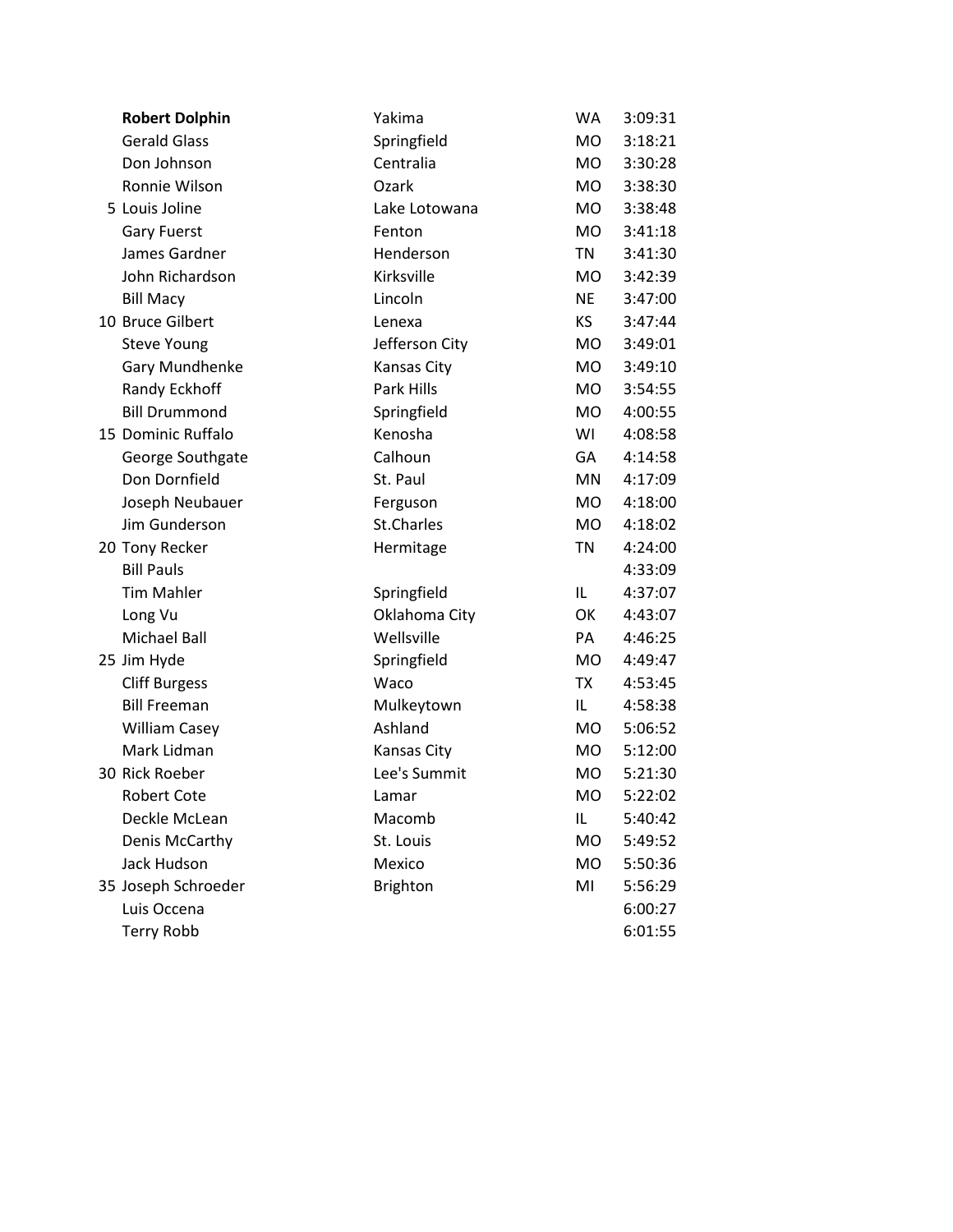| <b>Robert Dolphin</b> | Yakima         | WA        | 3:09:31 |
|-----------------------|----------------|-----------|---------|
| <b>Gerald Glass</b>   | Springfield    | MO        | 3:18:21 |
| Don Johnson           | Centralia      | MO        | 3:30:28 |
| Ronnie Wilson         | Ozark          | MO.       | 3:38:30 |
| 5 Louis Joline        | Lake Lotowana  | <b>MO</b> | 3:38:48 |
| <b>Gary Fuerst</b>    | Fenton         | MO        | 3:41:18 |
| James Gardner         | Henderson      | <b>TN</b> | 3:41:30 |
| John Richardson       | Kirksville     | MO.       | 3:42:39 |
| <b>Bill Macy</b>      | Lincoln        | <b>NE</b> | 3:47:00 |
| 10 Bruce Gilbert      | Lenexa         | KS        | 3:47:44 |
| <b>Steve Young</b>    | Jefferson City | MO        | 3:49:01 |
| Gary Mundhenke        | Kansas City    | MO        | 3:49:10 |
| Randy Eckhoff         | Park Hills     | MO        | 3:54:55 |
| <b>Bill Drummond</b>  | Springfield    | MO        | 4:00:55 |
| 15 Dominic Ruffalo    | Kenosha        | WI        | 4:08:58 |
| George Southgate      | Calhoun        | GA        | 4:14:58 |
| Don Dornfield         | St. Paul       | <b>MN</b> | 4:17:09 |
| Joseph Neubauer       | Ferguson       | <b>MO</b> | 4:18:00 |
| Jim Gunderson         | St.Charles     | MO        | 4:18:02 |
| 20 Tony Recker        | Hermitage      | <b>TN</b> | 4:24:00 |
| <b>Bill Pauls</b>     |                |           | 4:33:09 |
| <b>Tim Mahler</b>     | Springfield    | IL.       | 4:37:07 |
| Long Vu               | Oklahoma City  | OK        | 4:43:07 |
| <b>Michael Ball</b>   | Wellsville     | PA        | 4:46:25 |
| 25 Jim Hyde           | Springfield    | MO        | 4:49:47 |
| <b>Cliff Burgess</b>  | Waco           | <b>TX</b> | 4:53:45 |
| <b>Bill Freeman</b>   | Mulkeytown     | IL.       | 4:58:38 |
| <b>William Casey</b>  | Ashland        | MO        | 5:06:52 |
| Mark Lidman           | Kansas City    | MO        | 5:12:00 |
| 30 Rick Roeber        | Lee's Summit   | MO        | 5:21:30 |
| <b>Robert Cote</b>    | Lamar          | <b>MO</b> | 5:22:02 |
| Deckle McLean         | Macomb         | IL        | 5:40:42 |
| Denis McCarthy        | St. Louis      | <b>MO</b> | 5:49:52 |
| Jack Hudson           | Mexico         | <b>MO</b> | 5:50:36 |
| 35 Joseph Schroeder   | Brighton       | MI        | 5:56:29 |
| Luis Occena           |                |           | 6:00:27 |
| <b>Terry Robb</b>     |                |           | 6:01:55 |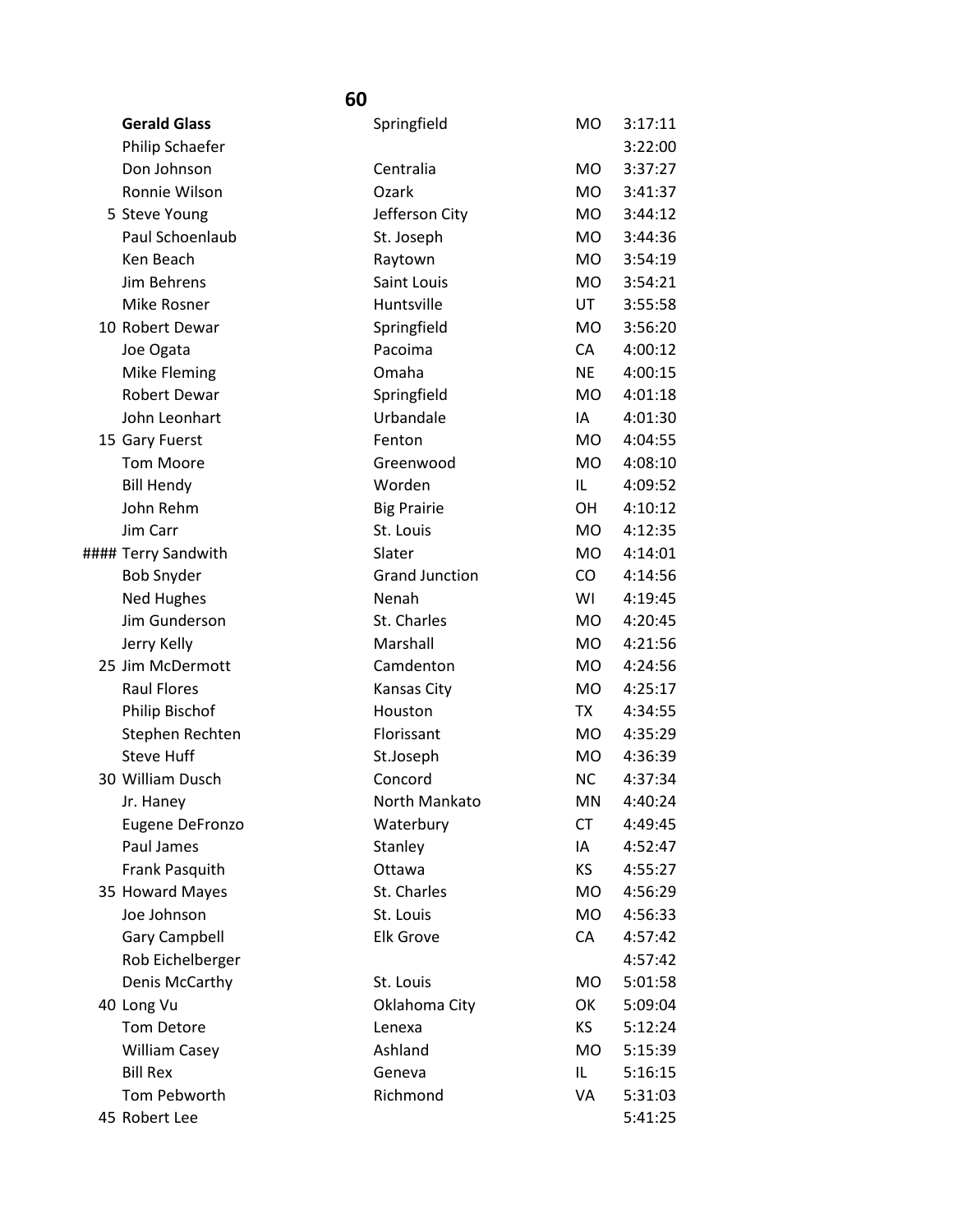| <b>Gerald Glass</b>            | Springfield            | <b>MO</b>        | 3:17:11<br>3:22:00 |
|--------------------------------|------------------------|------------------|--------------------|
| Philip Schaefer<br>Don Johnson | Centralia              | <b>MO</b>        | 3:37:27            |
| Ronnie Wilson                  | Ozark                  | MO.              | 3:41:37            |
| 5 Steve Young                  | Jefferson City         | <b>MO</b>        | 3:44:12            |
| Paul Schoenlaub                |                        | MO.              | 3:44:36            |
| Ken Beach                      | St. Joseph             |                  |                    |
| Jim Behrens                    | Raytown<br>Saint Louis | <b>MO</b><br>MO. | 3:54:19<br>3:54:21 |
|                                | Huntsville             |                  |                    |
| Mike Rosner                    |                        | UT               | 3:55:58            |
| 10 Robert Dewar                | Springfield            | <b>MO</b>        | 3:56:20            |
| Joe Ogata                      | Pacoima                | CA               | 4:00:12            |
| Mike Fleming                   | Omaha                  | <b>NE</b>        | 4:00:15            |
| Robert Dewar                   | Springfield            | <b>MO</b>        | 4:01:18            |
| John Leonhart                  | Urbandale              | IA               | 4:01:30            |
| 15 Gary Fuerst                 | Fenton                 | <b>MO</b>        | 4:04:55            |
| <b>Tom Moore</b>               | Greenwood              | <b>MO</b>        | 4:08:10            |
| <b>Bill Hendy</b>              | Worden                 | IL               | 4:09:52            |
| John Rehm                      | <b>Big Prairie</b>     | OН               | 4:10:12            |
| Jim Carr                       | St. Louis              | <b>MO</b>        | 4:12:35            |
| #### Terry Sandwith            | Slater                 | <b>MO</b>        | 4:14:01            |
| <b>Bob Snyder</b>              | <b>Grand Junction</b>  | CO               | 4:14:56            |
| <b>Ned Hughes</b>              | Nenah                  | WI               | 4:19:45            |
| Jim Gunderson                  | St. Charles            | MO.              | 4:20:45            |
| Jerry Kelly                    | Marshall               | <b>MO</b>        | 4:21:56            |
| 25 Jim McDermott               | Camdenton              | <b>MO</b>        | 4:24:56            |
| <b>Raul Flores</b>             | Kansas City            | <b>MO</b>        | 4:25:17            |
| Philip Bischof                 | Houston                | TX               | 4:34:55            |
| Stephen Rechten                | Florissant             | MO.              | 4:35:29            |
| <b>Steve Huff</b>              | St.Joseph              | <b>MO</b>        | 4:36:39            |
| 30 William Dusch               | Concord                | NC               | 4:37:34            |
| Jr. Hanev                      | North Mankato          | ΜN               | 4:40:24            |
| Eugene DeFronzo                | Waterbury              | <b>CT</b>        | 4:49:45            |
| Paul James                     | Stanley                | IA               | 4:52:47            |
| Frank Pasquith                 | Ottawa                 | <b>KS</b>        | 4:55:27            |
| 35 Howard Mayes                | St. Charles            | MO.              | 4:56:29            |
| Joe Johnson                    | St. Louis              | MO               | 4:56:33            |
| <b>Gary Campbell</b>           | <b>Elk Grove</b>       | CA               | 4:57:42            |
| Rob Eichelberger               |                        |                  | 4:57:42            |
| Denis McCarthy                 | St. Louis              | MO               | 5:01:58            |
| 40 Long Vu                     | Oklahoma City          | OK               | 5:09:04            |
| Tom Detore                     | Lenexa                 | KS               | 5:12:24            |
| <b>William Casey</b>           | Ashland                | MO.              | 5:15:39            |
| <b>Bill Rex</b>                | Geneva                 | IL               | 5:16:15            |
| Tom Pebworth                   | Richmond               | VA               | 5:31:03            |
| 45 Robert Lee                  |                        |                  | 5:41:25            |
|                                |                        |                  |                    |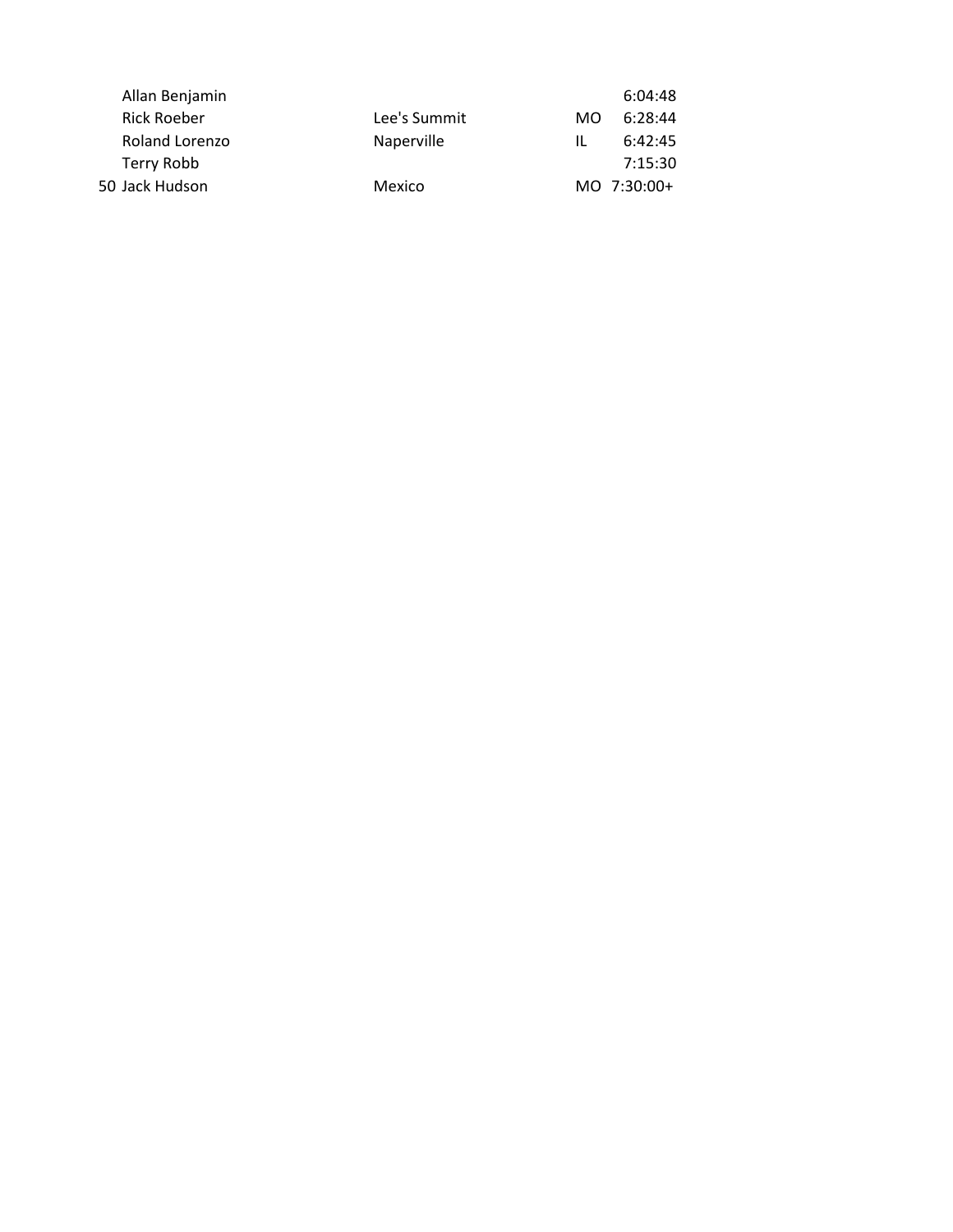|              | 6:04:48        |
|--------------|----------------|
| Lee's Summit | 6:28:44<br>MO. |
| Naperville   | 6:42:45<br>Ш.  |
|              | 7:15:30        |
| Mexico       | $MO$ 7:30:00+  |
|              |                |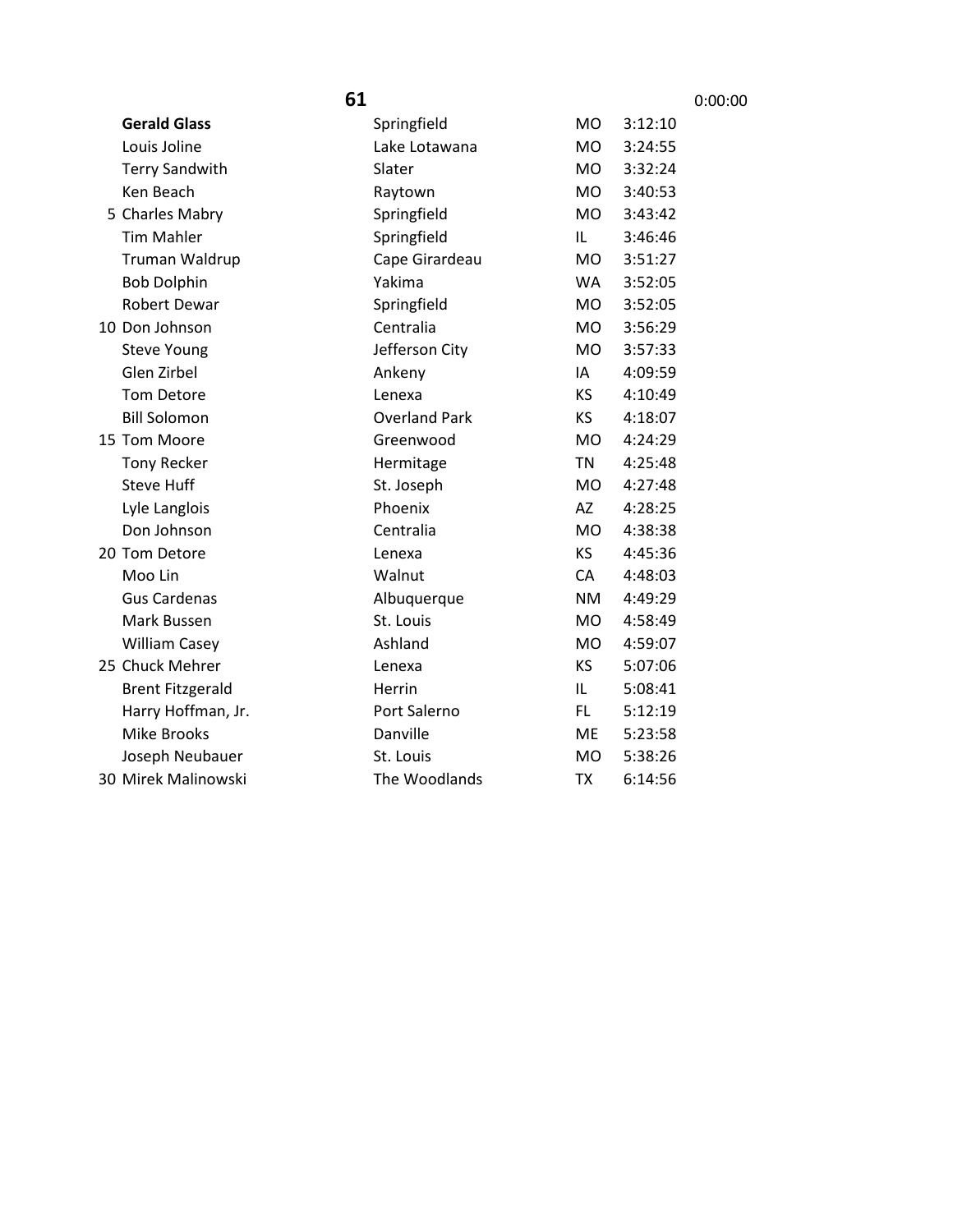|                         | 61                   |           |         | 0:00:00 |
|-------------------------|----------------------|-----------|---------|---------|
| <b>Gerald Glass</b>     | Springfield          | MO        | 3:12:10 |         |
| Louis Joline            | Lake Lotawana        | <b>MO</b> | 3:24:55 |         |
| <b>Terry Sandwith</b>   | Slater               | <b>MO</b> | 3:32:24 |         |
| Ken Beach               | Raytown              | <b>MO</b> | 3:40:53 |         |
| 5 Charles Mabry         | Springfield          | <b>MO</b> | 3:43:42 |         |
| <b>Tim Mahler</b>       | Springfield          | IL        | 3:46:46 |         |
| Truman Waldrup          | Cape Girardeau       | <b>MO</b> | 3:51:27 |         |
| <b>Bob Dolphin</b>      | Yakima               | <b>WA</b> | 3:52:05 |         |
| Robert Dewar            | Springfield          | <b>MO</b> | 3:52:05 |         |
| 10 Don Johnson          | Centralia            | <b>MO</b> | 3:56:29 |         |
| <b>Steve Young</b>      | Jefferson City       | <b>MO</b> | 3:57:33 |         |
| Glen Zirbel             | Ankeny               | IA        | 4:09:59 |         |
| <b>Tom Detore</b>       | Lenexa               | ΚS        | 4:10:49 |         |
| <b>Bill Solomon</b>     | <b>Overland Park</b> | KS        | 4:18:07 |         |
| 15 Tom Moore            | Greenwood            | <b>MO</b> | 4:24:29 |         |
| <b>Tony Recker</b>      | Hermitage            | <b>TN</b> | 4:25:48 |         |
| <b>Steve Huff</b>       | St. Joseph           | <b>MO</b> | 4:27:48 |         |
| Lyle Langlois           | Phoenix              | AZ        | 4:28:25 |         |
| Don Johnson             | Centralia            | <b>MO</b> | 4:38:38 |         |
| 20 Tom Detore           | Lenexa               | KS        | 4:45:36 |         |
| Moo Lin                 | Walnut               | CA        | 4:48:03 |         |
| <b>Gus Cardenas</b>     | Albuquerque          | <b>NM</b> | 4:49:29 |         |
| Mark Bussen             | St. Louis            | <b>MO</b> | 4:58:49 |         |
| <b>William Casey</b>    | Ashland              | <b>MO</b> | 4:59:07 |         |
| 25 Chuck Mehrer         | Lenexa               | KS        | 5:07:06 |         |
| <b>Brent Fitzgerald</b> | Herrin               | IL        | 5:08:41 |         |
| Harry Hoffman, Jr.      | Port Salerno         | FL.       | 5:12:19 |         |
| <b>Mike Brooks</b>      | Danville             | ME        | 5:23:58 |         |
| Joseph Neubauer         | St. Louis            | <b>MO</b> | 5:38:26 |         |
| 30 Mirek Malinowski     | The Woodlands        | <b>TX</b> | 6:14:56 |         |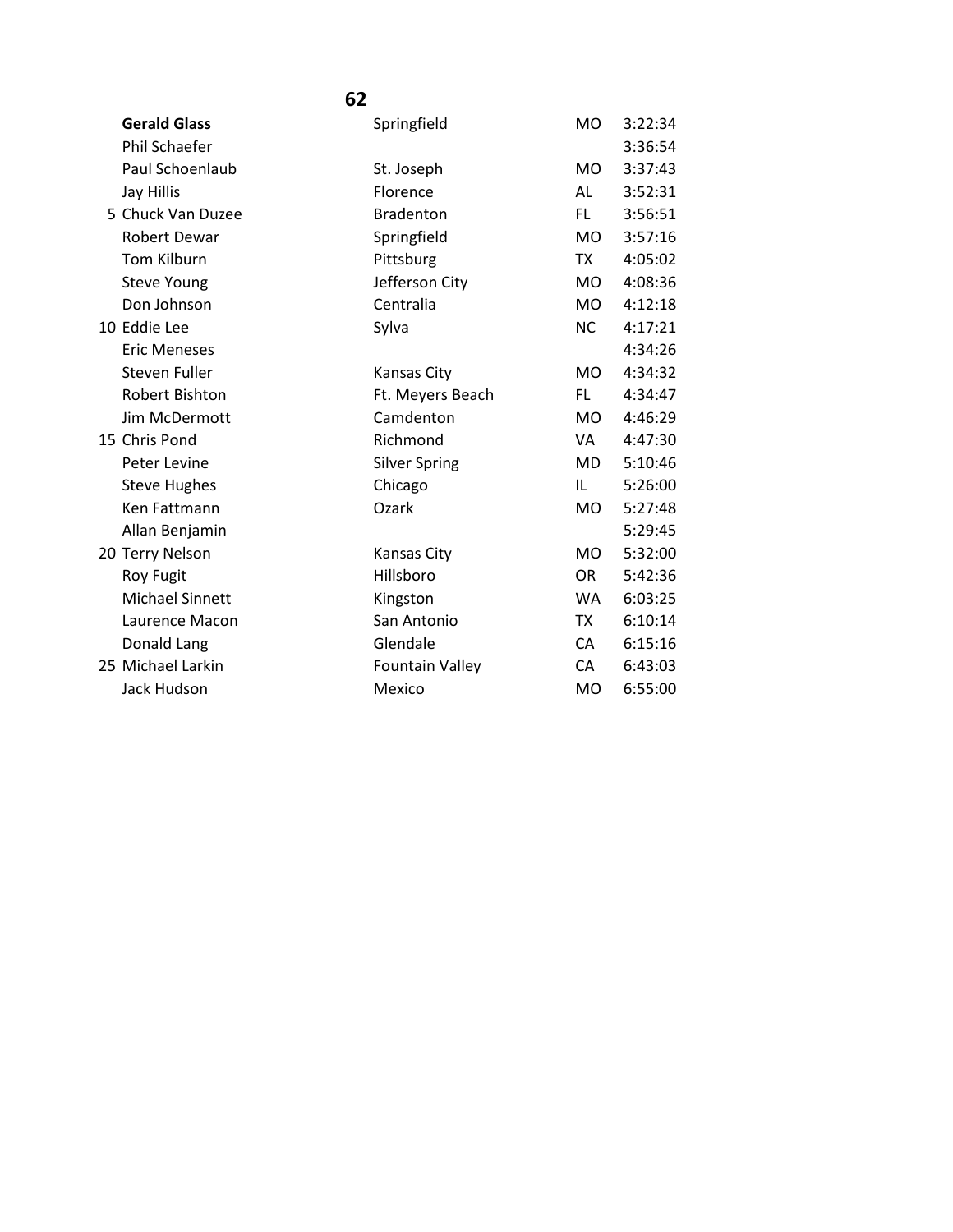| <b>Gerald Glass</b>    | Springfield            | <b>MO</b>      | 3:22:34 |
|------------------------|------------------------|----------------|---------|
| <b>Phil Schaefer</b>   |                        |                | 3:36:54 |
| Paul Schoenlaub        | St. Joseph             | <b>MO</b>      | 3:37:43 |
| Jay Hillis             | Florence               | AL             | 3:52:31 |
| 5 Chuck Van Duzee      | <b>Bradenton</b>       | FL.            | 3:56:51 |
| Robert Dewar           | Springfield            | <b>MO</b>      | 3:57:16 |
| <b>Tom Kilburn</b>     | Pittsburg              | <b>TX</b>      | 4:05:02 |
| <b>Steve Young</b>     | Jefferson City         | <b>MO</b>      | 4:08:36 |
| Don Johnson            | Centralia              | <b>MO</b>      | 4:12:18 |
| 10 Eddie Lee           | Sylva                  | <b>NC</b>      | 4:17:21 |
| <b>Eric Meneses</b>    |                        |                | 4:34:26 |
| Steven Fuller          | Kansas City            | <b>MO</b>      | 4:34:32 |
| Robert Bishton         | Ft. Meyers Beach       | FL.            | 4:34:47 |
| Jim McDermott          | Camdenton              | <b>MO</b>      | 4:46:29 |
| 15 Chris Pond          | Richmond               | VA.            | 4:47:30 |
| Peter Levine           | <b>Silver Spring</b>   | <b>MD</b>      | 5:10:46 |
| <b>Steve Hughes</b>    | Chicago                | IL             | 5:26:00 |
| Ken Fattmann           | Ozark                  | <b>MO</b>      | 5:27:48 |
| Allan Benjamin         |                        |                | 5:29:45 |
| 20 Terry Nelson        | <b>Kansas City</b>     | M <sub>O</sub> | 5:32:00 |
| <b>Roy Fugit</b>       | Hillsboro              | <b>OR</b>      | 5:42:36 |
| <b>Michael Sinnett</b> | Kingston               | <b>WA</b>      | 6:03:25 |
| Laurence Macon         | San Antonio            | TX             | 6:10:14 |
| Donald Lang            | Glendale               | CA             | 6:15:16 |
| 25 Michael Larkin      | <b>Fountain Valley</b> | CA             | 6:43:03 |
| Jack Hudson            | Mexico                 | M <sub>O</sub> | 6:55:00 |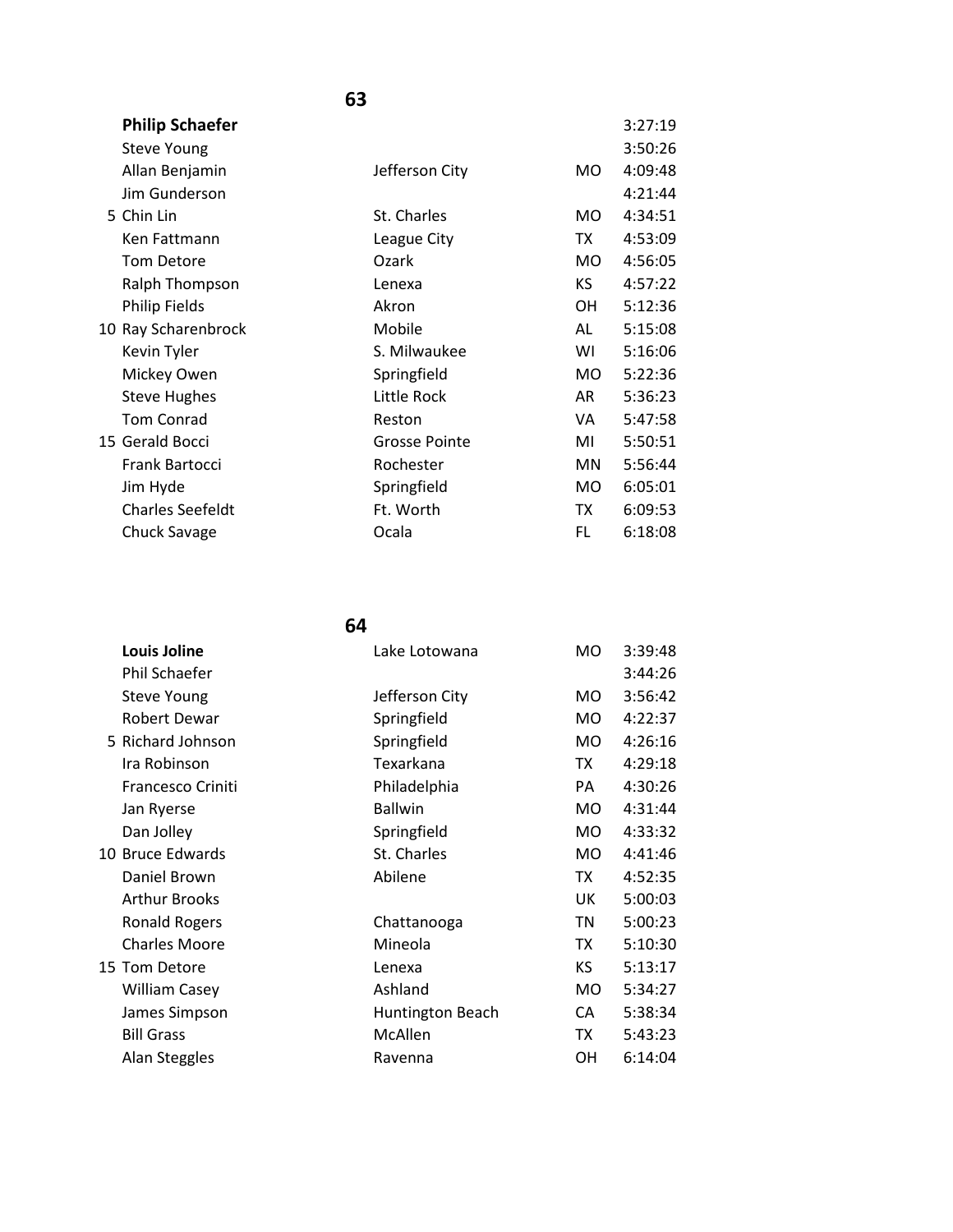| <b>Philip Schaefer</b>  |                      |           | 3:27:19 |
|-------------------------|----------------------|-----------|---------|
| <b>Steve Young</b>      |                      |           | 3:50:26 |
| Allan Benjamin          | Jefferson City       | MO.       | 4:09:48 |
| Jim Gunderson           |                      |           | 4:21:44 |
| 5 Chin Lin              | St. Charles          | MO.       | 4:34:51 |
| Ken Fattmann            | League City          | TX        | 4:53:09 |
| <b>Tom Detore</b>       | Ozark                | MO.       | 4:56:05 |
| Ralph Thompson          | Lenexa               | KS.       | 4:57:22 |
| <b>Philip Fields</b>    | Akron                | OH.       | 5:12:36 |
| 10 Ray Scharenbrock     | Mobile               | AL        | 5:15:08 |
| Kevin Tyler             | S. Milwaukee         | WI        | 5:16:06 |
| Mickey Owen             | Springfield          | <b>MO</b> | 5:22:36 |
| <b>Steve Hughes</b>     | Little Rock          | AR        | 5:36:23 |
| <b>Tom Conrad</b>       | Reston               | VA        | 5:47:58 |
| 15 Gerald Bocci         | <b>Grosse Pointe</b> | MI        | 5:50:51 |
| Frank Bartocci          | Rochester            | <b>MN</b> | 5:56:44 |
| Jim Hyde                | Springfield          | <b>MO</b> | 6:05:01 |
| <b>Charles Seefeldt</b> | Ft. Worth            | ТX        | 6:09:53 |
| Chuck Savage            | Ocala                | FL        | 6:18:08 |

| <b>Louis Joline</b>  | Lake Lotowana    | MO.       | 3:39:48 |
|----------------------|------------------|-----------|---------|
| Phil Schaefer        |                  |           | 3:44:26 |
| <b>Steve Young</b>   | Jefferson City   | MO.       | 3:56:42 |
| Robert Dewar         | Springfield      | MO.       | 4:22:37 |
| 5 Richard Johnson    | Springfield      | MO.       | 4:26:16 |
| Ira Robinson         | Texarkana        | TX        | 4:29:18 |
| Francesco Criniti    | Philadelphia     | PA        | 4:30:26 |
| Jan Ryerse           | <b>Ballwin</b>   | <b>MO</b> | 4:31:44 |
| Dan Jolley           | Springfield      | <b>MO</b> | 4:33:32 |
| 10 Bruce Edwards     | St. Charles      | MO.       | 4:41:46 |
| Daniel Brown         | Abilene          | TX        | 4:52:35 |
| <b>Arthur Brooks</b> |                  | UK.       | 5:00:03 |
| <b>Ronald Rogers</b> | Chattanooga      | ΤN        | 5:00:23 |
| <b>Charles Moore</b> | Mineola          | TX        | 5:10:30 |
| 15 Tom Detore        | Lenexa           | KS        | 5:13:17 |
| <b>William Casey</b> | Ashland          | MO.       | 5:34:27 |
| James Simpson        | Huntington Beach | CA        | 5:38:34 |
| <b>Bill Grass</b>    | McAllen          | TX        | 5:43:23 |
| Alan Steggles        | Ravenna          | OН        | 6:14:04 |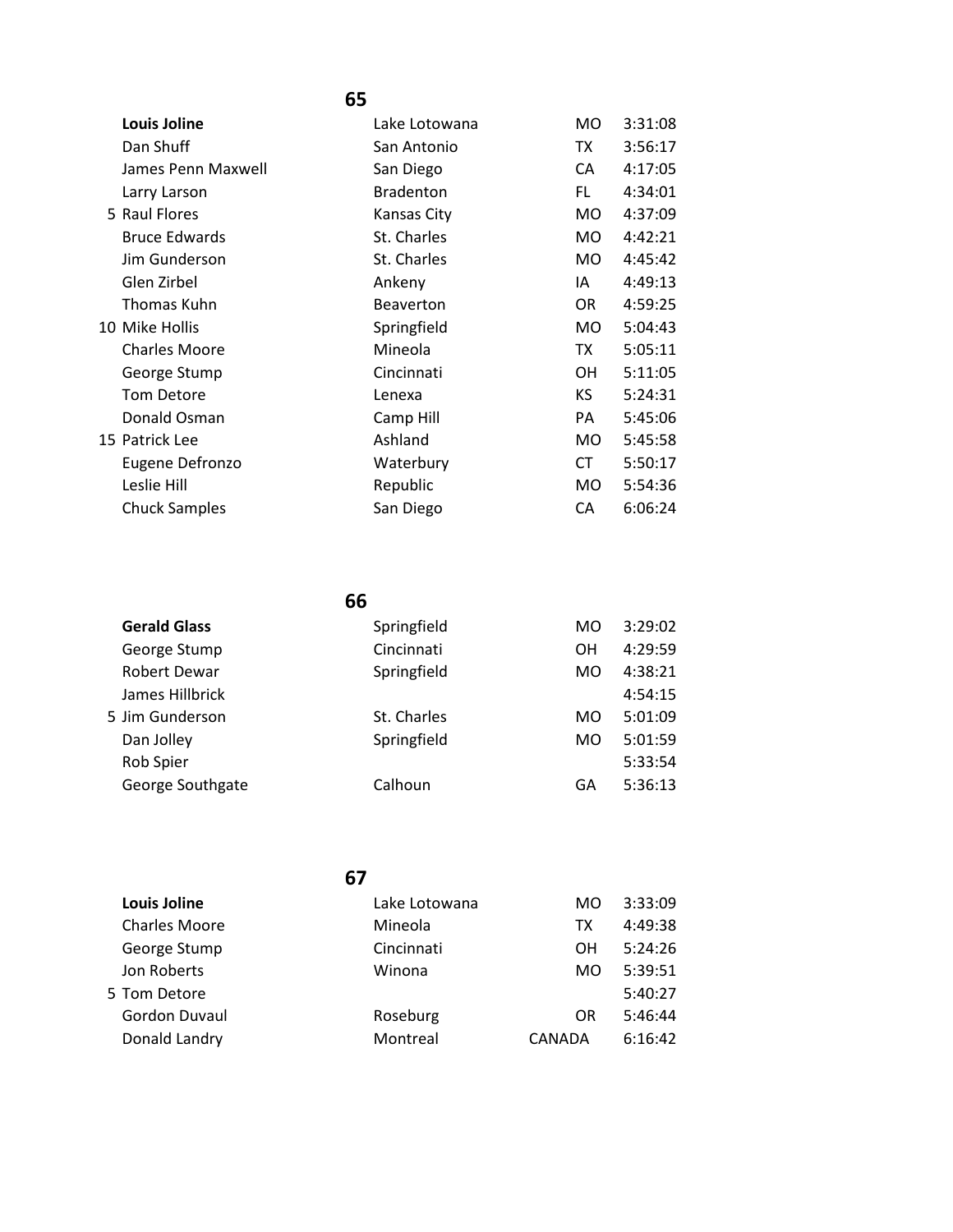| <b>Louis Joline</b>  | Lake Lotowana    | <b>MO</b> | 3:31:08 |
|----------------------|------------------|-----------|---------|
| Dan Shuff            | San Antonio      | TX        | 3:56:17 |
| James Penn Maxwell   | San Diego        | CA        | 4:17:05 |
| Larry Larson         | <b>Bradenton</b> | FL.       | 4:34:01 |
| 5 Raul Flores        | Kansas City      | MO.       | 4:37:09 |
| <b>Bruce Edwards</b> | St. Charles      | MO.       | 4:42:21 |
| Jim Gunderson        | St. Charles      | MO.       | 4:45:42 |
| Glen Zirbel          | Ankeny           | IA        | 4:49:13 |
| Thomas Kuhn          | Beaverton        | OR.       | 4:59:25 |
| 10 Mike Hollis       | Springfield      | MO.       | 5:04:43 |
| <b>Charles Moore</b> | Mineola          | TX        | 5:05:11 |
| George Stump         | Cincinnati       | OН        | 5:11:05 |
| Tom Detore           | Lenexa           | KS.       | 5:24:31 |
| Donald Osman         | Camp Hill        | PA        | 5:45:06 |
| 15 Patrick Lee       | Ashland          | MO.       | 5:45:58 |
| Eugene Defronzo      | Waterbury        | CT        | 5:50:17 |
| Leslie Hill          | Republic         | MO.       | 5:54:36 |
| <b>Chuck Samples</b> | San Diego        | CA        | 6:06:24 |

|  | <b>Gerald Glass</b> | Springfield | MO | 3:29:02 |
|--|---------------------|-------------|----|---------|
|  | George Stump        | Cincinnati  | OΗ | 4:29:59 |
|  | Robert Dewar        | Springfield | MO | 4:38:21 |
|  | James Hillbrick     |             |    | 4:54:15 |
|  | 5 Jim Gunderson     | St. Charles | MO | 5:01:09 |
|  | Dan Jolley          | Springfield | MO | 5:01:59 |
|  | Rob Spier           |             |    | 5:33:54 |
|  | George Southgate    | Calhoun     | GΑ | 5:36:13 |
|  |                     |             |    |         |

| <b>Louis Joline</b>  | Lake Lotowana | MO.    | 3:33:09 |
|----------------------|---------------|--------|---------|
| <b>Charles Moore</b> | Mineola       | ТX     | 4:49:38 |
| George Stump         | Cincinnati    | OН     | 5:24:26 |
| Jon Roberts          | Winona        | MO.    | 5:39:51 |
| 5 Tom Detore         |               |        | 5:40:27 |
| Gordon Duvaul        | Roseburg      | OR     | 5:46:44 |
| Donald Landry        | Montreal      | CANADA | 6:16:42 |
|                      |               |        |         |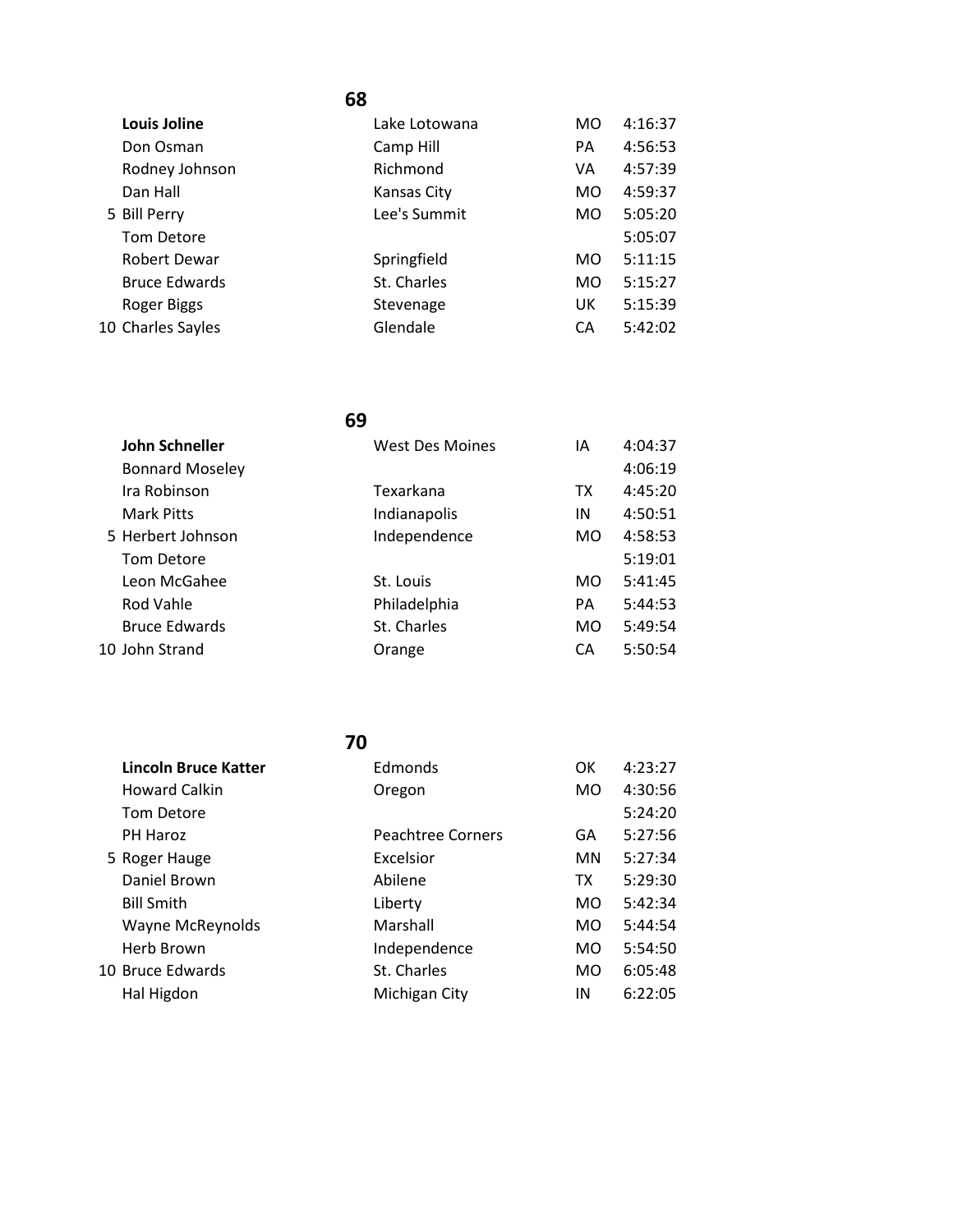| <b>Louis Joline</b>  | Lake Lotowana | <b>MO</b>      | 4:16:37 |
|----------------------|---------------|----------------|---------|
| Don Osman            | Camp Hill     | PA             | 4:56:53 |
| Rodney Johnson       | Richmond      | VA             | 4:57:39 |
| Dan Hall             | Kansas City   | M <sub>O</sub> | 4:59:37 |
| 5 Bill Perry         | Lee's Summit  | MO.            | 5:05:20 |
| <b>Tom Detore</b>    |               |                | 5:05:07 |
| Robert Dewar         | Springfield   | M <sub>O</sub> | 5:11:15 |
| <b>Bruce Edwards</b> | St. Charles   | MO.            | 5:15:27 |
| Roger Biggs          | Stevenage     | UK             | 5:15:39 |
| 10 Charles Sayles    | Glendale      | CA             | 5:42:02 |
|                      |               |                |         |

### **69**

| John Schneller         | <b>West Des Moines</b> | IΑ        | 4:04:37 |
|------------------------|------------------------|-----------|---------|
| <b>Bonnard Moseley</b> |                        |           | 4:06:19 |
| Ira Robinson           | Texarkana              | ТX        | 4:45:20 |
| Mark Pitts             | Indianapolis           | IN        | 4:50:51 |
| 5 Herbert Johnson      | Independence           | MO.       | 4:58:53 |
| Tom Detore             |                        |           | 5:19:01 |
| Leon McGahee           | St. Louis              | <b>MO</b> | 5:41:45 |
| Rod Vahle              | Philadelphia           | PA        | 5:44:53 |
| <b>Bruce Edwards</b>   | St. Charles            | <b>MO</b> | 5:49:54 |
| 10 John Strand         | Orange                 | CA        | 5:50:54 |
|                        |                        |           |         |

| <b>Lincoln Bruce Katter</b> | Edmonds           | OK        | 4:23:27 |
|-----------------------------|-------------------|-----------|---------|
|                             |                   |           |         |
| <b>Howard Calkin</b>        | Oregon            | MO.       | 4:30:56 |
| <b>Tom Detore</b>           |                   |           | 5:24:20 |
| PH Haroz                    | Peachtree Corners | GA        | 5:27:56 |
| 5 Roger Hauge               | Excelsior         | MN.       | 5:27:34 |
| Daniel Brown                | Abilene           | <b>TX</b> | 5:29:30 |
| <b>Bill Smith</b>           | Liberty           | MO.       | 5:42:34 |
| <b>Wayne McReynolds</b>     | Marshall          | MO.       | 5:44:54 |
| Herb Brown                  | Independence      | MO.       | 5:54:50 |
| 10 Bruce Edwards            | St. Charles       | MO.       | 6:05:48 |
| Hal Higdon                  | Michigan City     | IN        | 6:22:05 |
|                             |                   |           |         |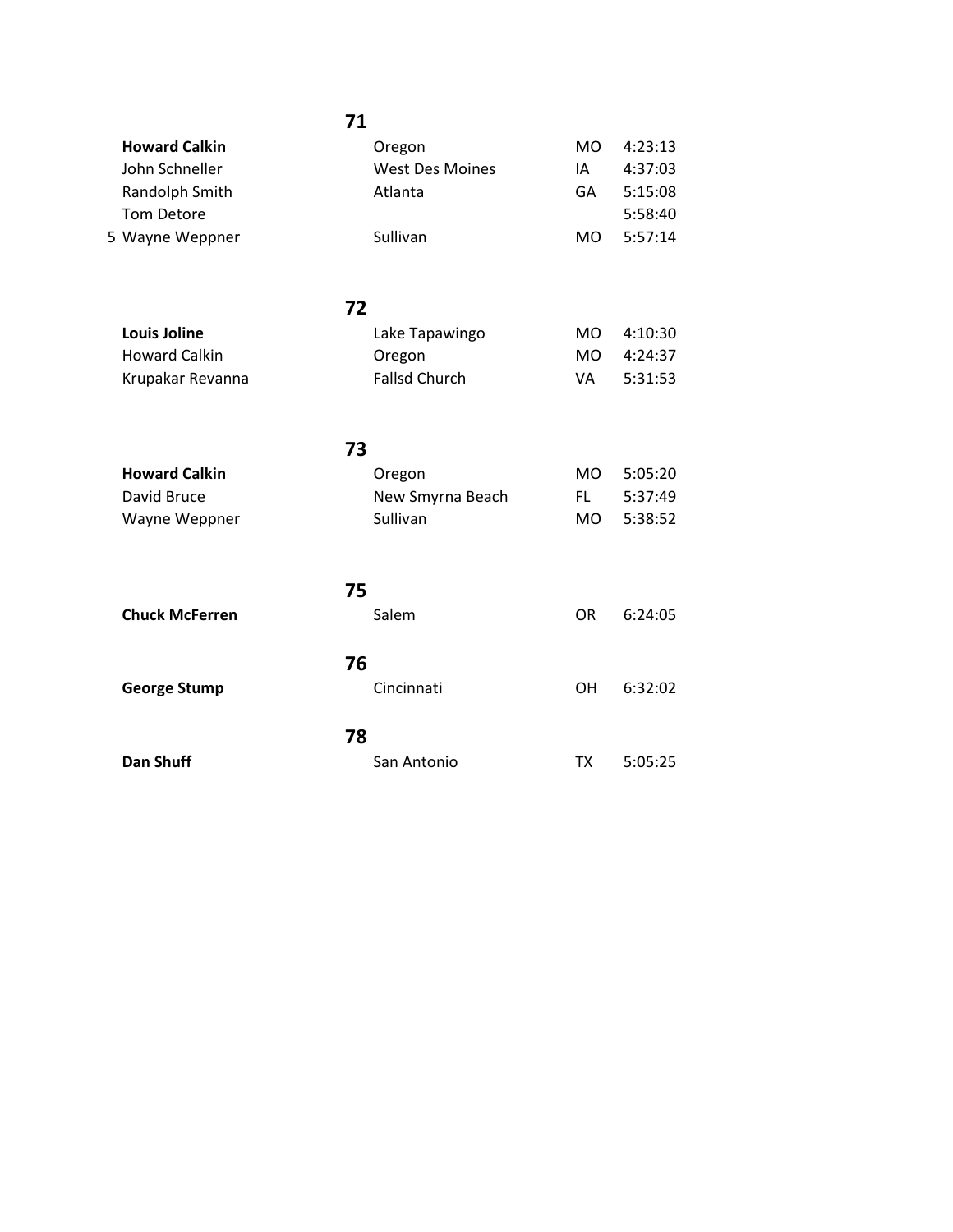| <b>Howard Calkin</b>  | Oregon                 | <b>MO</b> | 4:23:13 |
|-----------------------|------------------------|-----------|---------|
| John Schneller        | <b>West Des Moines</b> | IA        | 4:37:03 |
| Randolph Smith        | Atlanta                | GA        | 5:15:08 |
| Tom Detore            |                        |           | 5:58:40 |
| 5 Wayne Weppner       | Sullivan               | <b>MO</b> | 5:57:14 |
| 72                    |                        |           |         |
| <b>Louis Joline</b>   | Lake Tapawingo         | <b>MO</b> | 4:10:30 |
| <b>Howard Calkin</b>  | Oregon                 | <b>MO</b> | 4:24:37 |
| Krupakar Revanna      | <b>Fallsd Church</b>   | VA        | 5:31:53 |
| 73                    |                        |           |         |
| <b>Howard Calkin</b>  | Oregon                 | <b>MO</b> | 5:05:20 |
| David Bruce           | New Smyrna Beach       | FL.       | 5:37:49 |
| Wayne Weppner         | Sullivan               | <b>MO</b> | 5:38:52 |
| 75                    |                        |           |         |
| <b>Chuck McFerren</b> | Salem                  | <b>OR</b> | 6:24:05 |
| 76                    |                        |           |         |
| <b>George Stump</b>   | Cincinnati             | OН        | 6:32:02 |
| 78                    |                        |           |         |
| <b>Dan Shuff</b>      | San Antonio            | <b>TX</b> | 5:05:25 |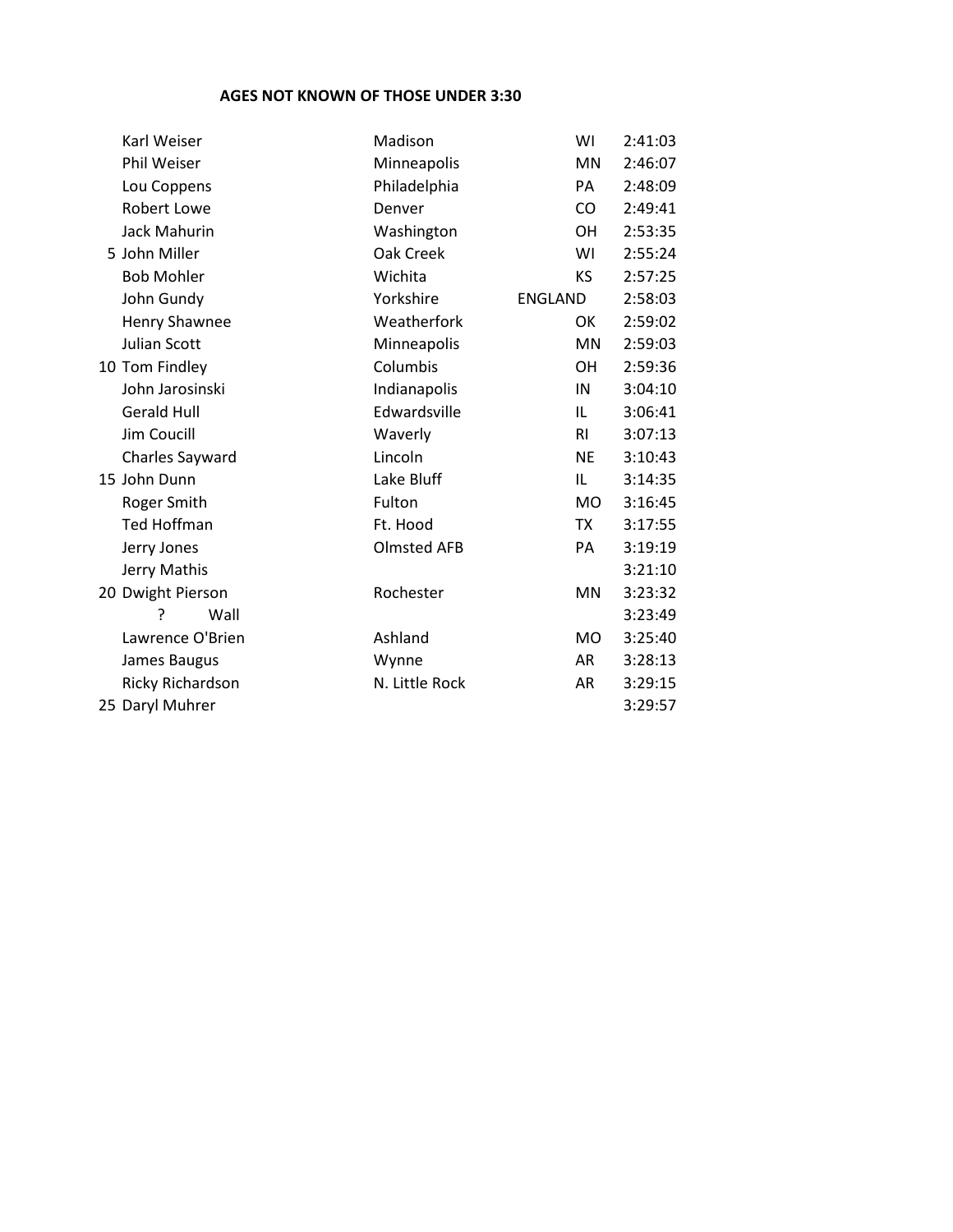#### **AGES NOT KNOWN OF THOSE UNDER 3:30**

| Karl Weiser         | Madison            | WI             | 2:41:03 |
|---------------------|--------------------|----------------|---------|
| Phil Weiser         | Minneapolis        | <b>MN</b>      | 2:46:07 |
| Lou Coppens         | Philadelphia       | PA             | 2:48:09 |
| <b>Robert Lowe</b>  | Denver             | CO             | 2:49:41 |
| <b>Jack Mahurin</b> | Washington         | <b>OH</b>      | 2:53:35 |
| 5 John Miller       | Oak Creek          | WI             | 2:55:24 |
| <b>Bob Mohler</b>   | Wichita            | KS             | 2:57:25 |
| John Gundy          | Yorkshire          | <b>ENGLAND</b> | 2:58:03 |
| Henry Shawnee       | Weatherfork        | OK             | 2:59:02 |
| <b>Julian Scott</b> | Minneapolis        | MN             | 2:59:03 |
| 10 Tom Findley      | Columbis           | <b>OH</b>      | 2:59:36 |
| John Jarosinski     | Indianapolis       | IN             | 3:04:10 |
| <b>Gerald Hull</b>  | Edwardsville       | IL             | 3:06:41 |
| Jim Coucill         | Waverly            | <b>RI</b>      | 3:07:13 |
| Charles Sayward     | Lincoln            | <b>NE</b>      | 3:10:43 |
| 15 John Dunn        | Lake Bluff         | IL             | 3:14:35 |
| Roger Smith         | Fulton             | <b>MO</b>      | 3:16:45 |
| <b>Ted Hoffman</b>  | Ft. Hood           | TX             | 3:17:55 |
| Jerry Jones         | <b>Olmsted AFB</b> | PA             | 3:19:19 |
| Jerry Mathis        |                    |                | 3:21:10 |
| 20 Dwight Pierson   | Rochester          | MN             | 3:23:32 |
| 5<br>Wall           |                    |                | 3:23:49 |
| Lawrence O'Brien    | Ashland            | <b>MO</b>      | 3:25:40 |
| James Baugus        | Wynne              | AR             | 3:28:13 |
| Ricky Richardson    | N. Little Rock     | AR             | 3:29:15 |
| 25 Daryl Muhrer     |                    |                | 3:29:57 |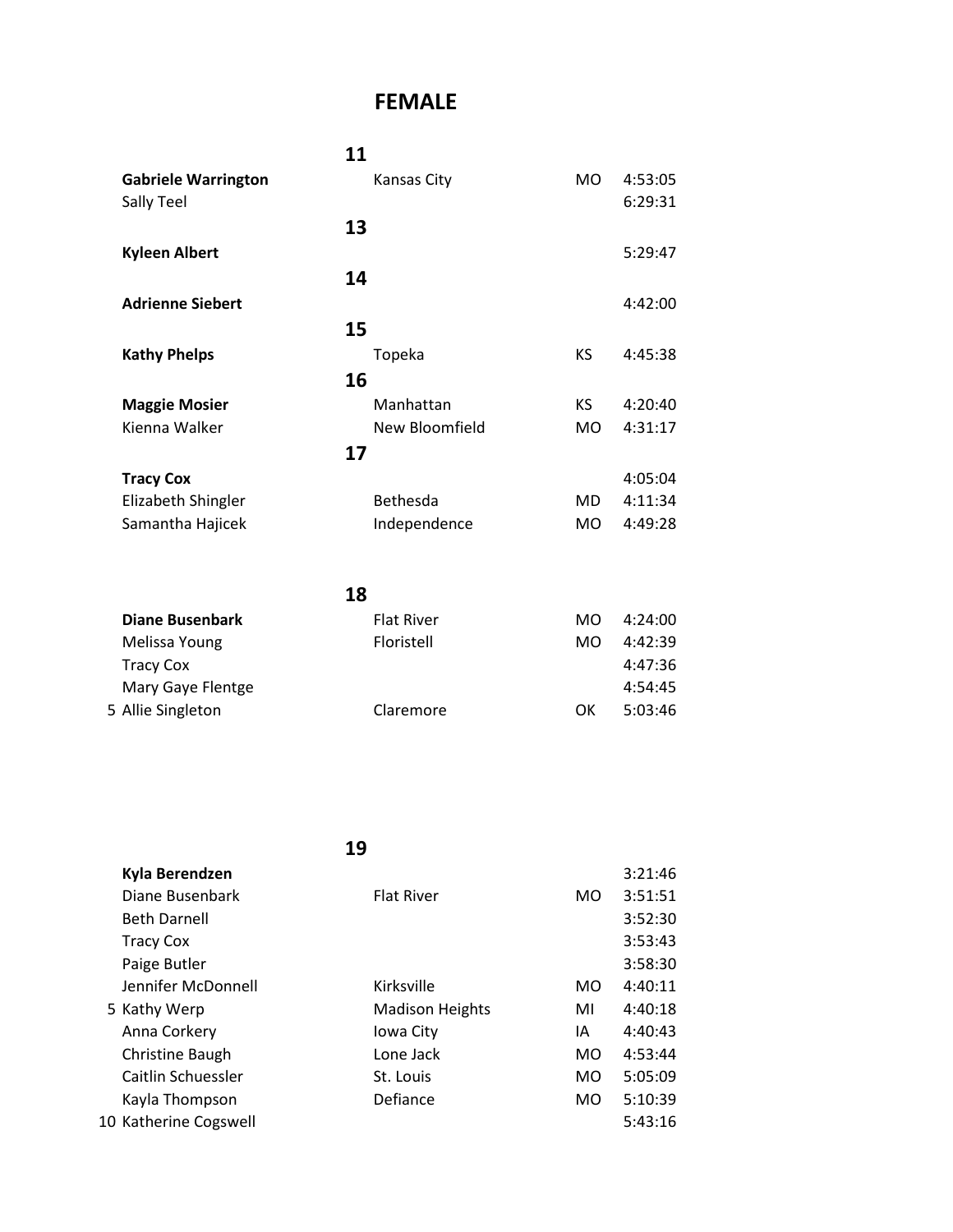## **FEMALE**

|                            | 11                 |           |         |
|----------------------------|--------------------|-----------|---------|
| <b>Gabriele Warrington</b> | <b>Kansas City</b> | MO.       | 4:53:05 |
| Sally Teel                 |                    |           | 6:29:31 |
|                            | 13                 |           |         |
| <b>Kyleen Albert</b>       |                    |           | 5:29:47 |
|                            | 14                 |           |         |
| <b>Adrienne Siebert</b>    |                    |           | 4:42:00 |
|                            | 15                 |           |         |
| <b>Kathy Phelps</b>        | Topeka             | <b>KS</b> | 4:45:38 |
|                            | 16                 |           |         |
| <b>Maggie Mosier</b>       | Manhattan          | KS.       | 4:20:40 |
| Kienna Walker              | New Bloomfield     | MO.       | 4:31:17 |
|                            | 17                 |           |         |
| <b>Tracy Cox</b>           |                    |           | 4:05:04 |
| Elizabeth Shingler         | Bethesda           | MD.       | 4:11:34 |
| Samantha Hajicek           | Independence       | MO        | 4:49:28 |
|                            |                    |           |         |
|                            |                    |           |         |
|                            | 18                 |           |         |

| <b>Diane Busenbark</b> | <b>Flat River</b> | MO. | 4:24:00 |
|------------------------|-------------------|-----|---------|
| Melissa Young          | Floristell        | MO. | 4:42:39 |
| <b>Tracy Cox</b>       |                   |     | 4:47:36 |
| Mary Gaye Flentge      |                   |     | 4:54:45 |
| 5 Allie Singleton      | Claremore         | OK  | 5:03:46 |
|                        |                   |     |         |

| Kyla Berendzen        |                        |           | 3:21:46 |
|-----------------------|------------------------|-----------|---------|
| Diane Busenbark       | <b>Flat River</b>      | MO.       | 3:51:51 |
| <b>Beth Darnell</b>   |                        |           | 3:52:30 |
| <b>Tracy Cox</b>      |                        |           | 3:53:43 |
| Paige Butler          |                        |           | 3:58:30 |
| Jennifer McDonnell    | Kirksville             | MO.       | 4:40:11 |
| 5 Kathy Werp          | <b>Madison Heights</b> | MI        | 4:40:18 |
| Anna Corkery          | Iowa City              | ΙA        | 4:40:43 |
| Christine Baugh       | Lone Jack              | MO.       | 4:53:44 |
| Caitlin Schuessler    | St. Louis              | MO.       | 5:05:09 |
| Kayla Thompson        | Defiance               | <b>MO</b> | 5:10:39 |
| 10 Katherine Cogswell |                        |           | 5:43:16 |
|                       |                        |           |         |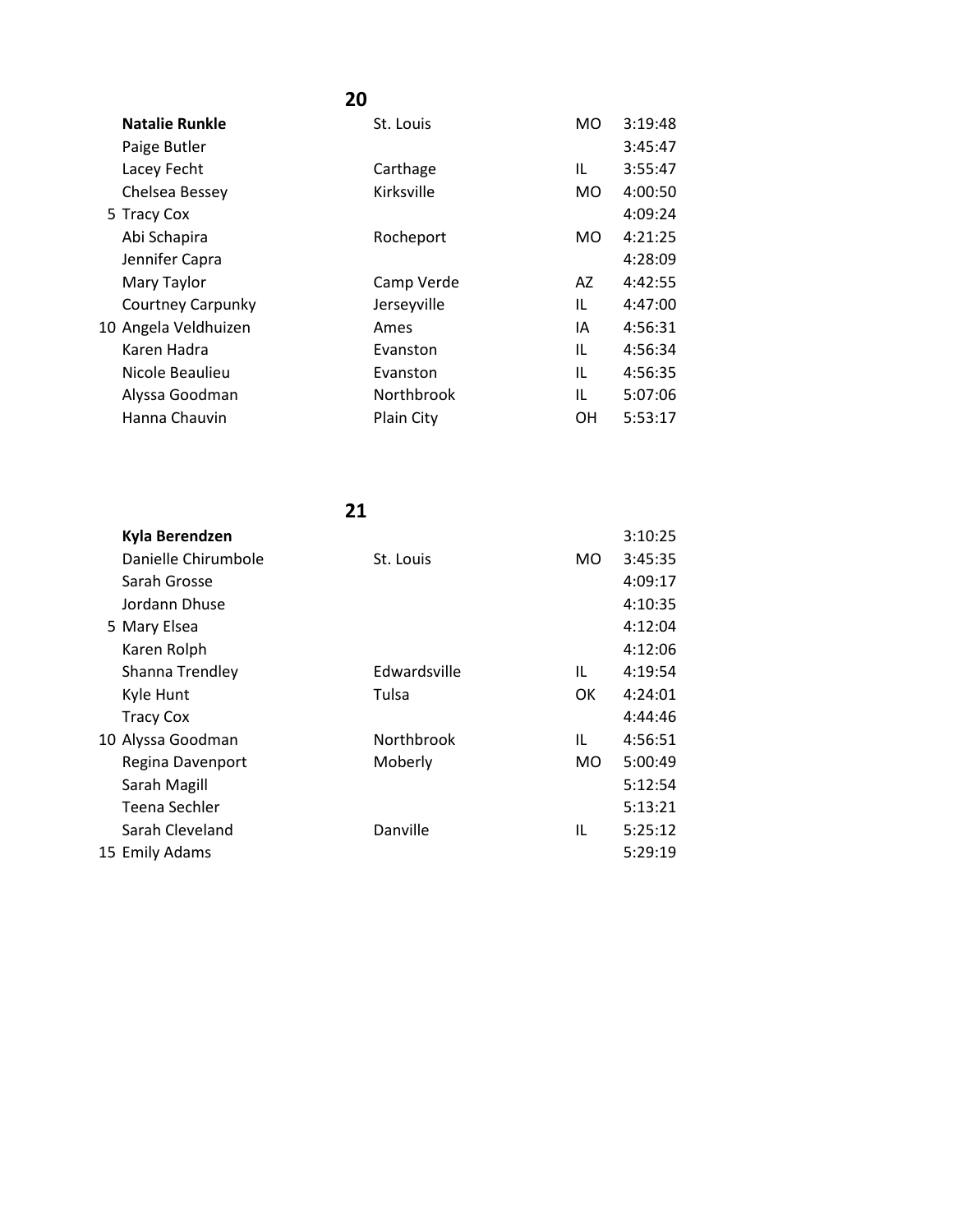| <b>Natalie Runkle</b>    | St. Louis   | <b>MO</b> | 3:19:48 |
|--------------------------|-------------|-----------|---------|
| Paige Butler             |             |           | 3:45:47 |
| Lacey Fecht              | Carthage    | IL        | 3:55:47 |
| Chelsea Bessey           | Kirksville  | MO.       | 4:00:50 |
| 5 Tracy Cox              |             |           | 4:09:24 |
| Abi Schapira             | Rocheport   | MO.       | 4:21:25 |
| Jennifer Capra           |             |           | 4:28:09 |
| Mary Taylor              | Camp Verde  | AZ        | 4:42:55 |
| <b>Courtney Carpunky</b> | Jerseyville | IL        | 4:47:00 |
| 10 Angela Veldhuizen     | Ames        | ΙA        | 4:56:31 |
| Karen Hadra              | Evanston    | IL        | 4:56:34 |
| Nicole Beaulieu          | Evanston    | IL        | 4:56:35 |
| Alyssa Goodman           | Northbrook  | IL        | 5:07:06 |
| Hanna Chauvin            | Plain City  | OН        | 5:53:17 |
|                          |             |           |         |

| Kyla Berendzen      |              |     | 3:10:25 |
|---------------------|--------------|-----|---------|
| Danielle Chirumbole | St. Louis    | MO. | 3:45:35 |
| Sarah Grosse        |              |     | 4:09:17 |
| Jordann Dhuse       |              |     | 4:10:35 |
| 5 Mary Elsea        |              |     | 4:12:04 |
| Karen Rolph         |              |     | 4:12:06 |
| Shanna Trendley     | Edwardsville | IL  | 4:19:54 |
| Kyle Hunt           | Tulsa        | 0K  | 4:24:01 |
| <b>Tracy Cox</b>    |              |     | 4:44:46 |
| 10 Alyssa Goodman   | Northbrook   | IL  | 4:56:51 |
| Regina Davenport    | Moberly      | MO. | 5:00:49 |
| Sarah Magill        |              |     | 5:12:54 |
| Teena Sechler       |              |     | 5:13:21 |
| Sarah Cleveland     | Danville     | IL  | 5:25:12 |
| 15 Emily Adams      |              |     | 5:29:19 |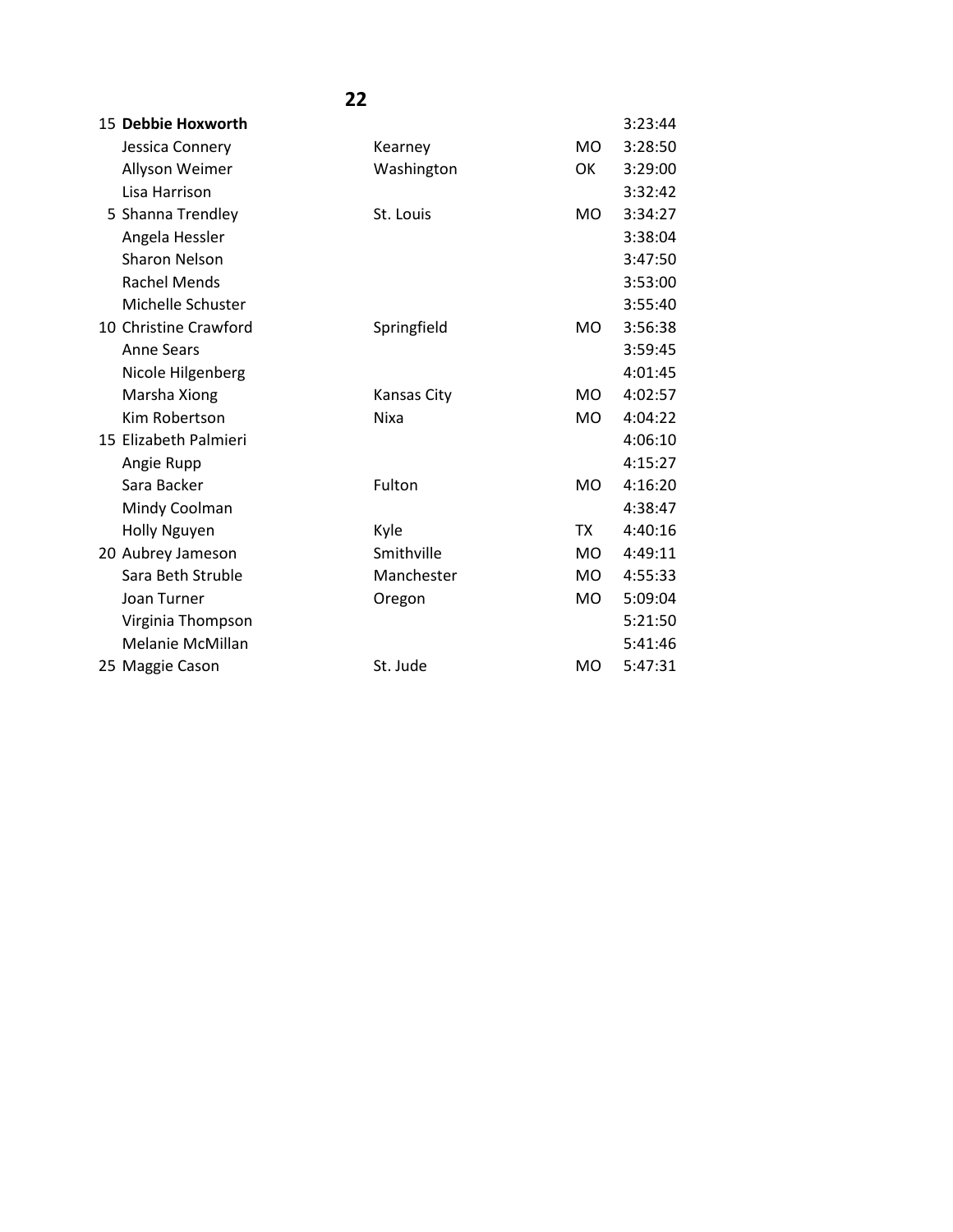| 15 Debbie Hoxworth    |                    |                | 3:23:44 |
|-----------------------|--------------------|----------------|---------|
| Jessica Connery       | Kearney            | <b>MO</b>      | 3:28:50 |
| Allyson Weimer        | Washington         | OK             | 3:29:00 |
| Lisa Harrison         |                    |                | 3:32:42 |
| 5 Shanna Trendley     | St. Louis          | <b>MO</b>      | 3:34:27 |
| Angela Hessler        |                    |                | 3:38:04 |
| <b>Sharon Nelson</b>  |                    |                | 3:47:50 |
| <b>Rachel Mends</b>   |                    |                | 3:53:00 |
| Michelle Schuster     |                    |                | 3:55:40 |
| 10 Christine Crawford | Springfield        | <b>MO</b>      | 3:56:38 |
| <b>Anne Sears</b>     |                    |                | 3:59:45 |
| Nicole Hilgenberg     |                    |                | 4:01:45 |
| Marsha Xiong          | <b>Kansas City</b> | M <sub>O</sub> | 4:02:57 |
| Kim Robertson         | Nixa               | <b>MO</b>      | 4:04:22 |
| 15 Elizabeth Palmieri |                    |                | 4:06:10 |
| Angie Rupp            |                    |                | 4:15:27 |
| Sara Backer           | Fulton             | <b>MO</b>      | 4:16:20 |
| Mindy Coolman         |                    |                | 4:38:47 |
| Holly Nguyen          | Kyle               | <b>TX</b>      | 4:40:16 |
| 20 Aubrey Jameson     | Smithville         | M <sub>O</sub> | 4:49:11 |
| Sara Beth Struble     | Manchester         | <b>MO</b>      | 4:55:33 |
| Joan Turner           | Oregon             | <b>MO</b>      | 5:09:04 |
| Virginia Thompson     |                    |                | 5:21:50 |
| Melanie McMillan      |                    |                | 5:41:46 |
| 25 Maggie Cason       | St. Jude           | <b>MO</b>      | 5:47:31 |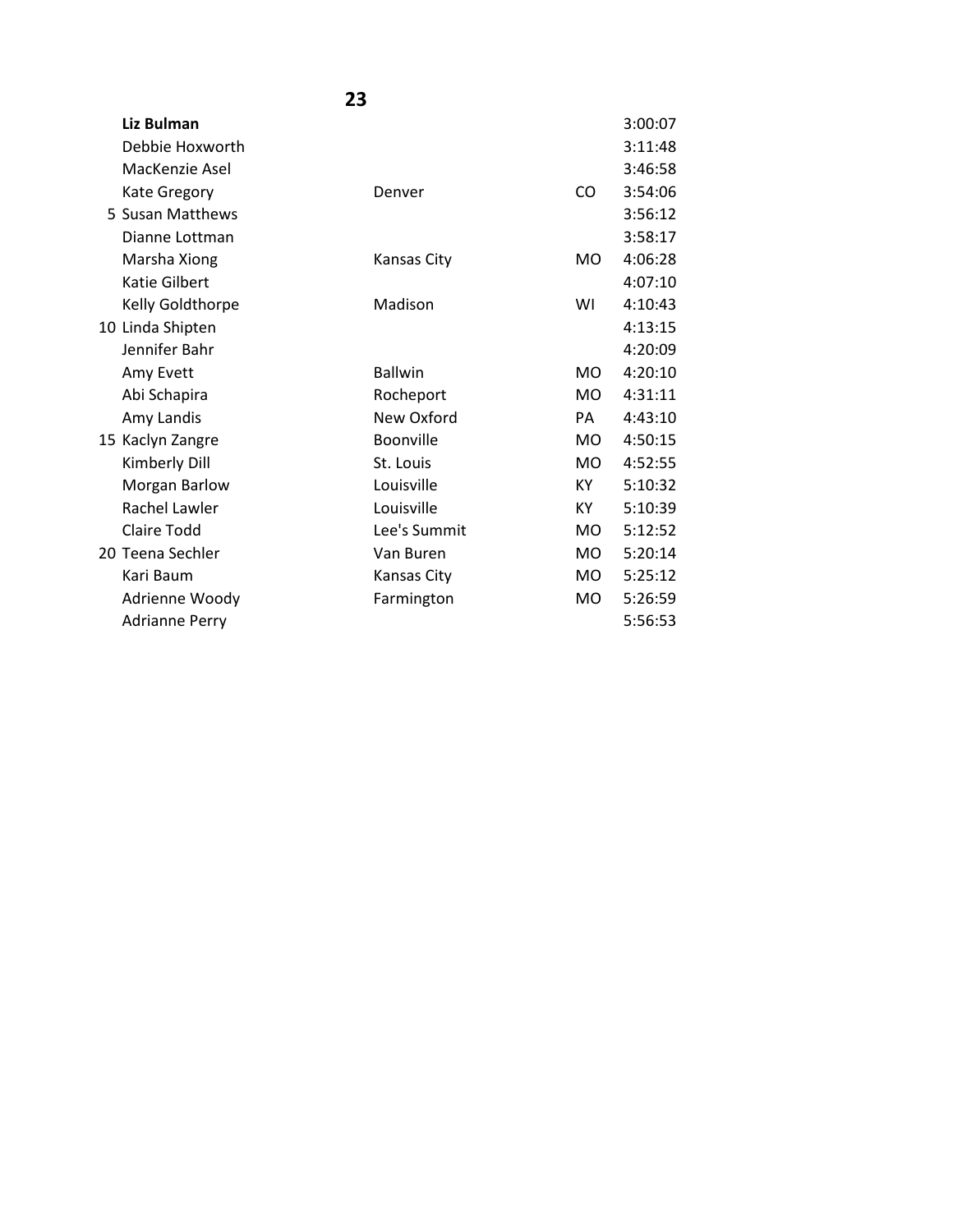|                       | 23             |                |         |
|-----------------------|----------------|----------------|---------|
| Liz Bulman            |                |                | 3:00:07 |
| Debbie Hoxworth       |                |                | 3:11:48 |
| MacKenzie Asel        |                |                | 3:46:58 |
| Kate Gregory          | Denver         | CO             | 3:54:06 |
| 5 Susan Matthews      |                |                | 3:56:12 |
| Dianne Lottman        |                |                | 3:58:17 |
| Marsha Xiong          | Kansas City    | <b>MO</b>      | 4:06:28 |
| <b>Katie Gilbert</b>  |                |                | 4:07:10 |
| Kelly Goldthorpe      | Madison        | WI             | 4:10:43 |
| 10 Linda Shipten      |                |                | 4:13:15 |
| Jennifer Bahr         |                |                | 4:20:09 |
| Amy Evett             | <b>Ballwin</b> | <b>MO</b>      | 4:20:10 |
| Abi Schapira          | Rocheport      | MO.            | 4:31:11 |
| Amy Landis            | New Oxford     | PA             | 4:43:10 |
| 15 Kaclyn Zangre      | Boonville      | MO.            | 4:50:15 |
| Kimberly Dill         | St. Louis      | M <sub>O</sub> | 4:52:55 |
| Morgan Barlow         | Louisville     | KY             | 5:10:32 |
| Rachel Lawler         | Louisville     | KY.            | 5:10:39 |
| <b>Claire Todd</b>    | Lee's Summit   | MO.            | 5:12:52 |
| 20 Teena Sechler      | Van Buren      | <b>MO</b>      | 5:20:14 |
| Kari Baum             | Kansas City    | <b>MO</b>      | 5:25:12 |
| Adrienne Woody        | Farmington     | <b>MO</b>      | 5:26:59 |
| <b>Adrianne Perry</b> |                |                | 5:56:53 |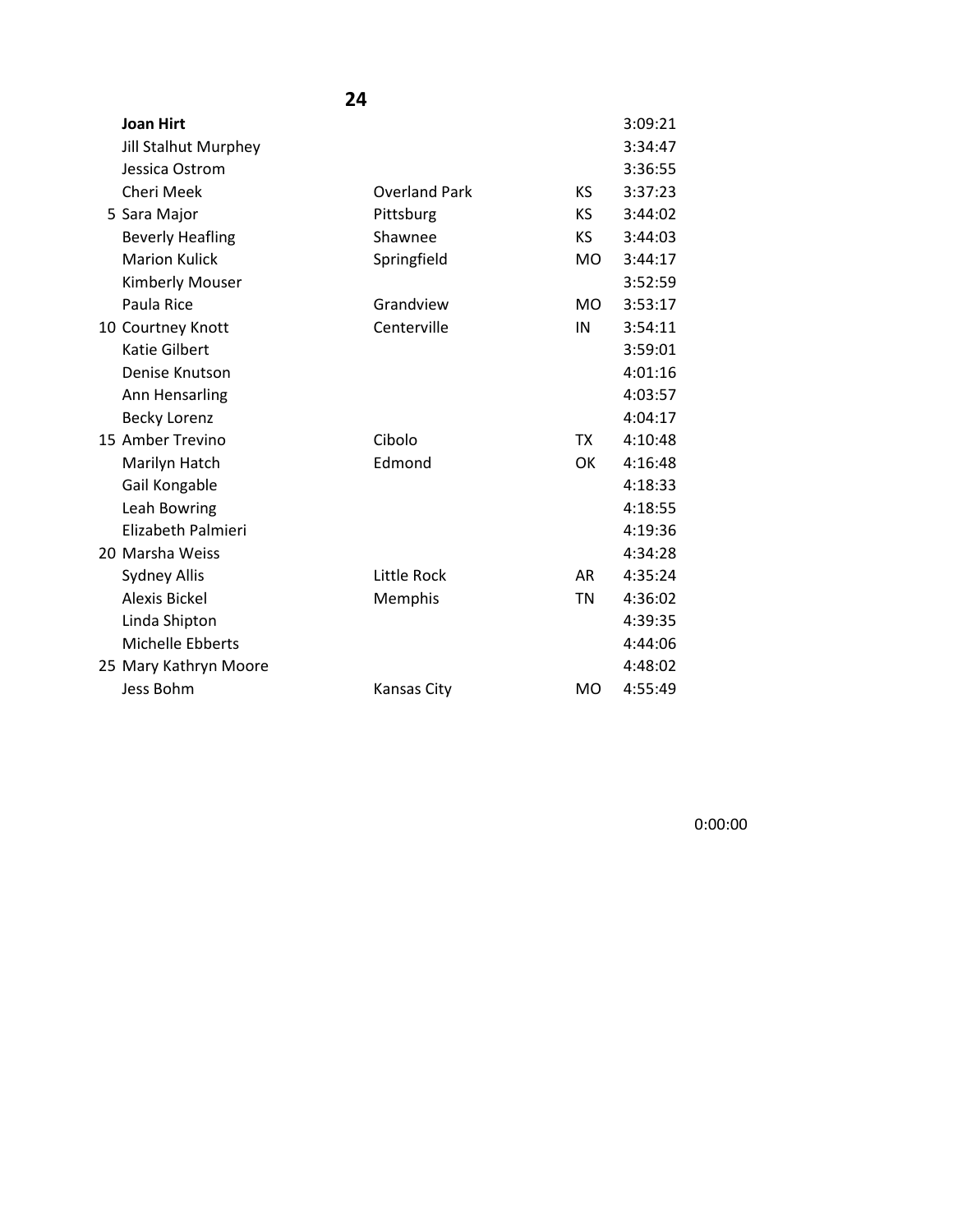| <b>Joan Hirt</b>            |                                                                                                   |           | 3:09:21 |
|-----------------------------|---------------------------------------------------------------------------------------------------|-----------|---------|
| <b>Jill Stalhut Murphey</b> |                                                                                                   |           | 3:34:47 |
| Jessica Ostrom              |                                                                                                   |           | 3:36:55 |
| Cheri Meek                  | <b>Overland Park</b>                                                                              | ΚS        | 3:37:23 |
|                             | Pittsburg                                                                                         | ΚS        | 3:44:02 |
| <b>Beverly Heafling</b>     | Shawnee                                                                                           | КS        | 3:44:03 |
| <b>Marion Kulick</b>        | Springfield                                                                                       | <b>MO</b> | 3:44:17 |
| <b>Kimberly Mouser</b>      |                                                                                                   |           | 3:52:59 |
| Paula Rice                  | Grandview                                                                                         | <b>MO</b> | 3:53:17 |
|                             | Centerville                                                                                       | IN        | 3:54:11 |
| <b>Katie Gilbert</b>        |                                                                                                   |           | 3:59:01 |
| Denise Knutson              |                                                                                                   |           | 4:01:16 |
| Ann Hensarling              |                                                                                                   |           | 4:03:57 |
| <b>Becky Lorenz</b>         |                                                                                                   |           | 4:04:17 |
|                             | Cibolo                                                                                            | <b>TX</b> | 4:10:48 |
| Marilyn Hatch               | Edmond                                                                                            | ОК        | 4:16:48 |
| Gail Kongable               |                                                                                                   |           | 4:18:33 |
| Leah Bowring                |                                                                                                   |           | 4:18:55 |
| Elizabeth Palmieri          |                                                                                                   |           | 4:19:36 |
|                             |                                                                                                   |           | 4:34:28 |
| <b>Sydney Allis</b>         | Little Rock                                                                                       | AR        | 4:35:24 |
| <b>Alexis Bickel</b>        | Memphis                                                                                           | ΤN        | 4:36:02 |
| Linda Shipton               |                                                                                                   |           | 4:39:35 |
| Michelle Ebberts            |                                                                                                   |           | 4:44:06 |
|                             |                                                                                                   |           | 4:48:02 |
| Jess Bohm                   | Kansas City                                                                                       | MO        | 4:55:49 |
|                             | 5 Sara Major<br>10 Courtney Knott<br>15 Amber Trevino<br>20 Marsha Weiss<br>25 Mary Kathryn Moore |           |         |

0:00:00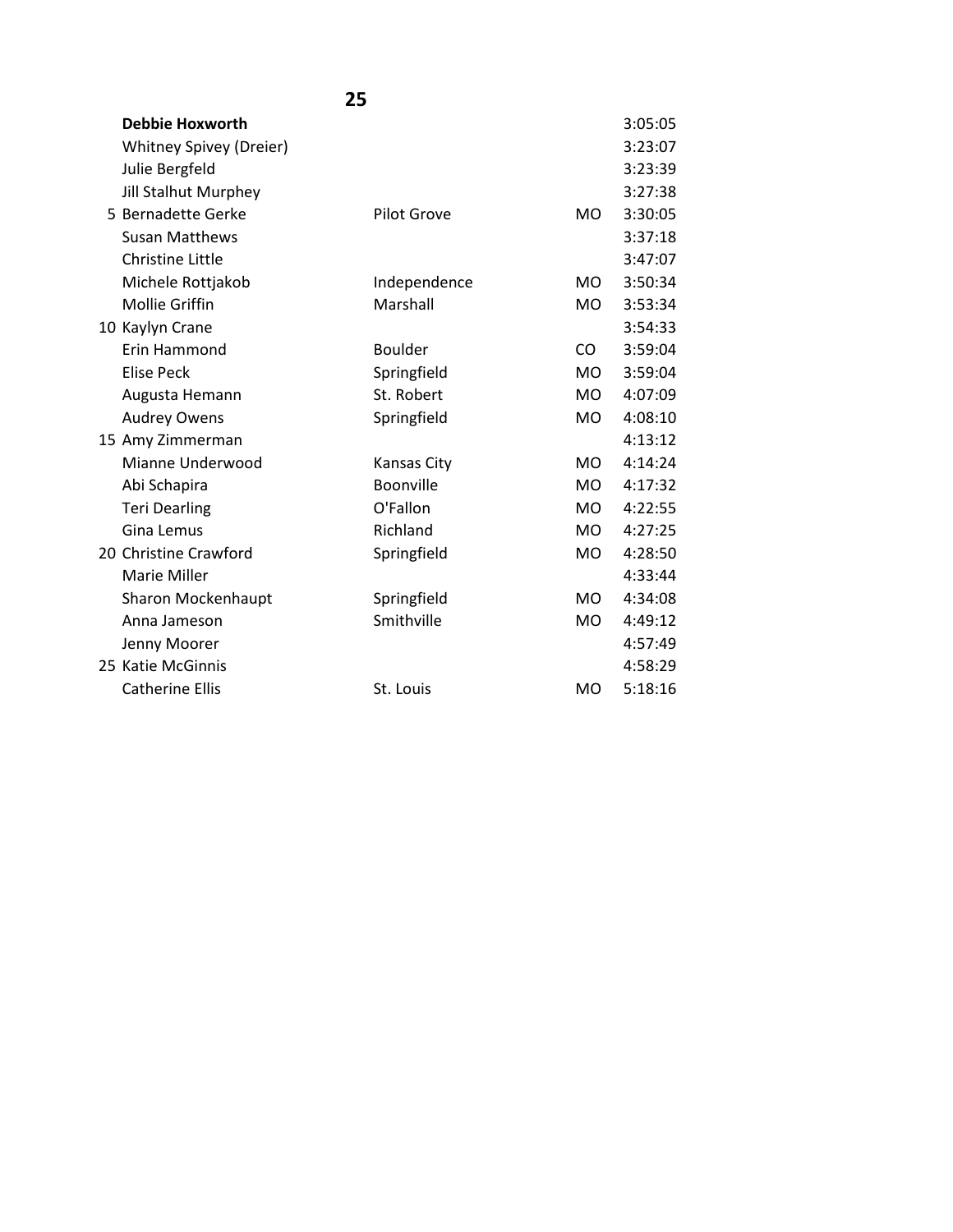| <b>Debbie Hoxworth</b>      |                    |                | 3:05:05 |
|-----------------------------|--------------------|----------------|---------|
| Whitney Spivey (Dreier)     |                    |                | 3:23:07 |
| Julie Bergfeld              |                    |                | 3:23:39 |
| <b>Jill Stalhut Murphey</b> |                    |                | 3:27:38 |
| 5 Bernadette Gerke          | <b>Pilot Grove</b> | <b>MO</b>      | 3:30:05 |
| <b>Susan Matthews</b>       |                    |                | 3:37:18 |
| <b>Christine Little</b>     |                    |                | 3:47:07 |
| Michele Rottjakob           | Independence       | MO.            | 3:50:34 |
| <b>Mollie Griffin</b>       | Marshall           | <b>MO</b>      | 3:53:34 |
| 10 Kaylyn Crane             |                    |                | 3:54:33 |
| Erin Hammond                | <b>Boulder</b>     | CO             | 3:59:04 |
| Elise Peck                  | Springfield        | M <sub>O</sub> | 3:59:04 |
| Augusta Hemann              | St. Robert         | <b>MO</b>      | 4:07:09 |
| <b>Audrey Owens</b>         | Springfield        | <b>MO</b>      | 4:08:10 |
| 15 Amy Zimmerman            |                    |                | 4:13:12 |
| Mianne Underwood            | <b>Kansas City</b> | <b>MO</b>      | 4:14:24 |
| Abi Schapira                | Boonville          | M <sub>O</sub> | 4:17:32 |
| <b>Teri Dearling</b>        | O'Fallon           | MO.            | 4:22:55 |
| Gina Lemus                  | Richland           | <b>MO</b>      | 4:27:25 |
| 20 Christine Crawford       | Springfield        | <b>MO</b>      | 4:28:50 |
| Marie Miller                |                    |                | 4:33:44 |
| Sharon Mockenhaupt          | Springfield        | M <sub>O</sub> | 4:34:08 |
| Anna Jameson                | Smithville         | <b>MO</b>      | 4:49:12 |
| Jenny Moorer                |                    |                | 4:57:49 |
| 25 Katie McGinnis           |                    |                | 4:58:29 |
| <b>Catherine Ellis</b>      | St. Louis          | <b>MO</b>      | 5:18:16 |
|                             |                    |                |         |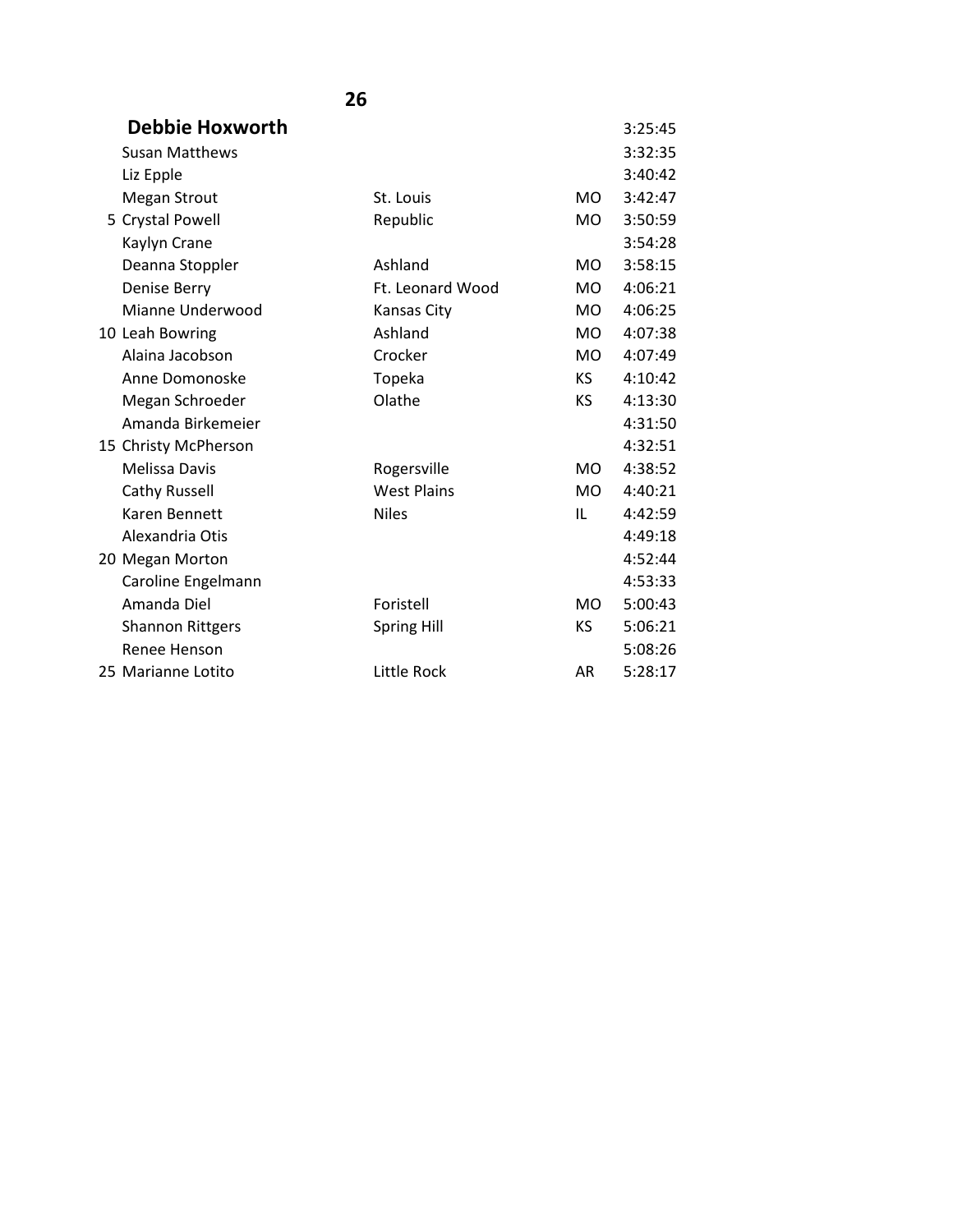| Debbie Hoxworth         |                    |                | 3:25:45 |
|-------------------------|--------------------|----------------|---------|
| <b>Susan Matthews</b>   |                    |                | 3:32:35 |
| Liz Epple               |                    |                | 3:40:42 |
| <b>Megan Strout</b>     | St. Louis          | <b>MO</b>      | 3:42:47 |
| 5 Crystal Powell        | Republic           | <b>MO</b>      | 3:50:59 |
| Kaylyn Crane            |                    |                | 3:54:28 |
| Deanna Stoppler         | Ashland            | <b>MO</b>      | 3:58:15 |
| Denise Berry            | Ft. Leonard Wood   | <b>MO</b>      | 4:06:21 |
| Mianne Underwood        | <b>Kansas City</b> | <b>MO</b>      | 4:06:25 |
| 10 Leah Bowring         | Ashland            | <b>MO</b>      | 4:07:38 |
| Alaina Jacobson         | Crocker            | <b>MO</b>      | 4:07:49 |
| Anne Domonoske          | Topeka             | KS.            | 4:10:42 |
| Megan Schroeder         | Olathe             | <b>KS</b>      | 4:13:30 |
| Amanda Birkemeier       |                    |                | 4:31:50 |
| 15 Christy McPherson    |                    |                | 4:32:51 |
| Melissa Davis           | Rogersville        | <b>MO</b>      | 4:38:52 |
| Cathy Russell           | <b>West Plains</b> | M <sub>O</sub> | 4:40:21 |
| Karen Bennett           | <b>Niles</b>       | IL             | 4:42:59 |
| Alexandria Otis         |                    |                | 4:49:18 |
| 20 Megan Morton         |                    |                | 4:52:44 |
| Caroline Engelmann      |                    |                | 4:53:33 |
| Amanda Diel             | Foristell          | <b>MO</b>      | 5:00:43 |
| <b>Shannon Rittgers</b> | <b>Spring Hill</b> | KS             | 5:06:21 |
| Renee Henson            |                    |                | 5:08:26 |
| 25 Marianne Lotito      | Little Rock        | AR             | 5:28:17 |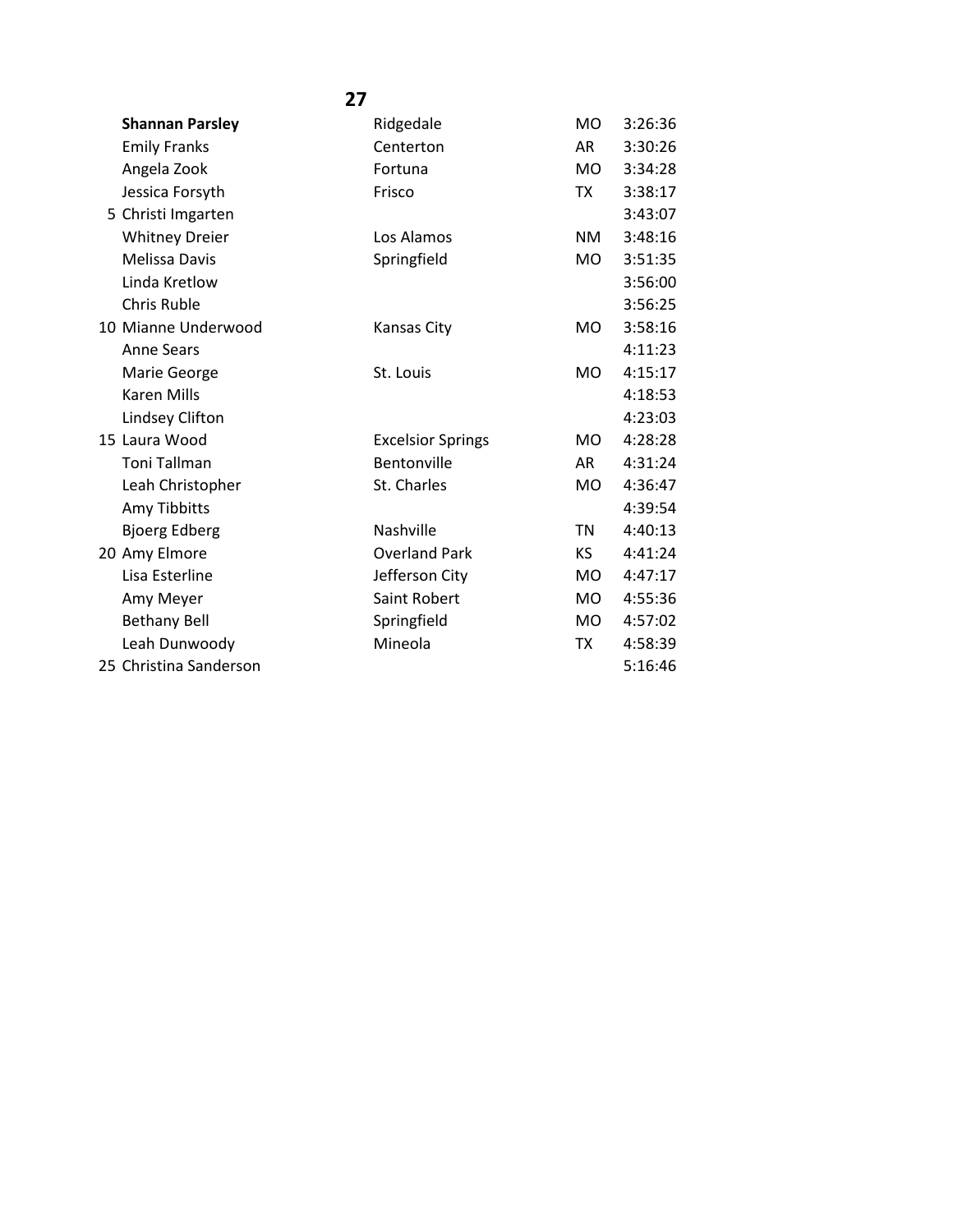|                        | 27                       |           |         |
|------------------------|--------------------------|-----------|---------|
| <b>Shannan Parsley</b> | Ridgedale                | MO.       | 3:26:36 |
| <b>Emily Franks</b>    | Centerton                | AR        | 3:30:26 |
| Angela Zook            | Fortuna                  | <b>MO</b> | 3:34:28 |
| Jessica Forsyth        | Frisco                   | TX        | 3:38:17 |
| 5 Christi Imgarten     |                          |           | 3:43:07 |
| <b>Whitney Dreier</b>  | Los Alamos               | <b>NM</b> | 3:48:16 |
| Melissa Davis          | Springfield              | <b>MO</b> | 3:51:35 |
| Linda Kretlow          |                          |           | 3:56:00 |
| <b>Chris Ruble</b>     |                          |           | 3:56:25 |
| 10 Mianne Underwood    | <b>Kansas City</b>       | <b>MO</b> | 3:58:16 |
| <b>Anne Sears</b>      |                          |           | 4:11:23 |
| Marie George           | St. Louis                | <b>MO</b> | 4:15:17 |
| <b>Karen Mills</b>     |                          |           | 4:18:53 |
| Lindsey Clifton        |                          |           | 4:23:03 |
| 15 Laura Wood          | <b>Excelsior Springs</b> | MO.       | 4:28:28 |
| <b>Toni Tallman</b>    | Bentonville              | AR        | 4:31:24 |
| Leah Christopher       | St. Charles              | <b>MO</b> | 4:36:47 |
| Amy Tibbitts           |                          |           | 4:39:54 |
| <b>Bjoerg Edberg</b>   | Nashville                | <b>TN</b> | 4:40:13 |
| 20 Amy Elmore          | <b>Overland Park</b>     | KS.       | 4:41:24 |
| Lisa Esterline         | Jefferson City           | MO.       | 4:47:17 |
| Amy Meyer              | Saint Robert             | <b>MO</b> | 4:55:36 |
| <b>Bethany Bell</b>    | Springfield              | <b>MO</b> | 4:57:02 |
| Leah Dunwoody          | Mineola                  | TX        | 4:58:39 |
| 25 Christina Sanderson |                          |           | 5:16:46 |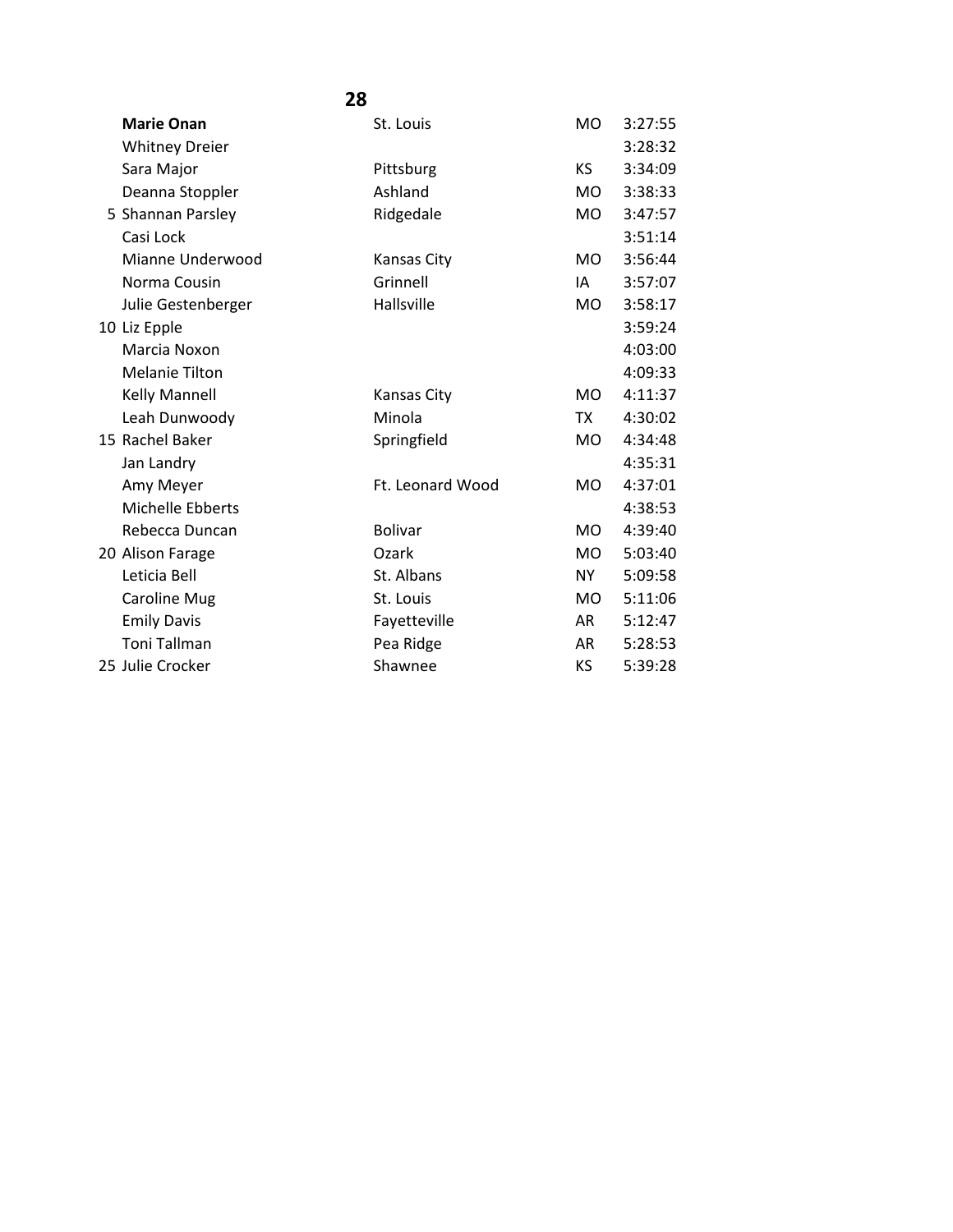| <b>Marie Onan</b>     | St. Louis          | <b>MO</b>      | 3:27:55 |
|-----------------------|--------------------|----------------|---------|
| <b>Whitney Dreier</b> |                    |                | 3:28:32 |
| Sara Major            | Pittsburg          | <b>KS</b>      | 3:34:09 |
| Deanna Stoppler       | Ashland            | <b>MO</b>      | 3:38:33 |
| 5 Shannan Parsley     | Ridgedale          | <b>MO</b>      | 3:47:57 |
| Casi Lock             |                    |                | 3:51:14 |
| Mianne Underwood      | <b>Kansas City</b> | MO.            | 3:56:44 |
| Norma Cousin          | Grinnell           | IA             | 3:57:07 |
| Julie Gestenberger    | Hallsville         | MO.            | 3:58:17 |
| 10 Liz Epple          |                    |                | 3:59:24 |
| Marcia Noxon          |                    |                | 4:03:00 |
| <b>Melanie Tilton</b> |                    |                | 4:09:33 |
| <b>Kelly Mannell</b>  | <b>Kansas City</b> | <b>MO</b>      | 4:11:37 |
| Leah Dunwoody         | Minola             | TX.            | 4:30:02 |
| 15 Rachel Baker       | Springfield        | MO.            | 4:34:48 |
| Jan Landry            |                    |                | 4:35:31 |
| Amy Meyer             | Ft. Leonard Wood   | <b>MO</b>      | 4:37:01 |
| Michelle Ebberts      |                    |                | 4:38:53 |
| Rebecca Duncan        | <b>Bolivar</b>     | <b>MO</b>      | 4:39:40 |
| 20 Alison Farage      | Ozark              | <b>MO</b>      | 5:03:40 |
| Leticia Bell          | St. Albans         | <b>NY</b>      | 5:09:58 |
| <b>Caroline Mug</b>   | St. Louis          | M <sub>O</sub> | 5:11:06 |
| <b>Emily Davis</b>    | Fayetteville       | AR             | 5:12:47 |
| <b>Toni Tallman</b>   | Pea Ridge          | <b>AR</b>      | 5:28:53 |
| 25 Julie Crocker      | Shawnee            | KS.            | 5:39:28 |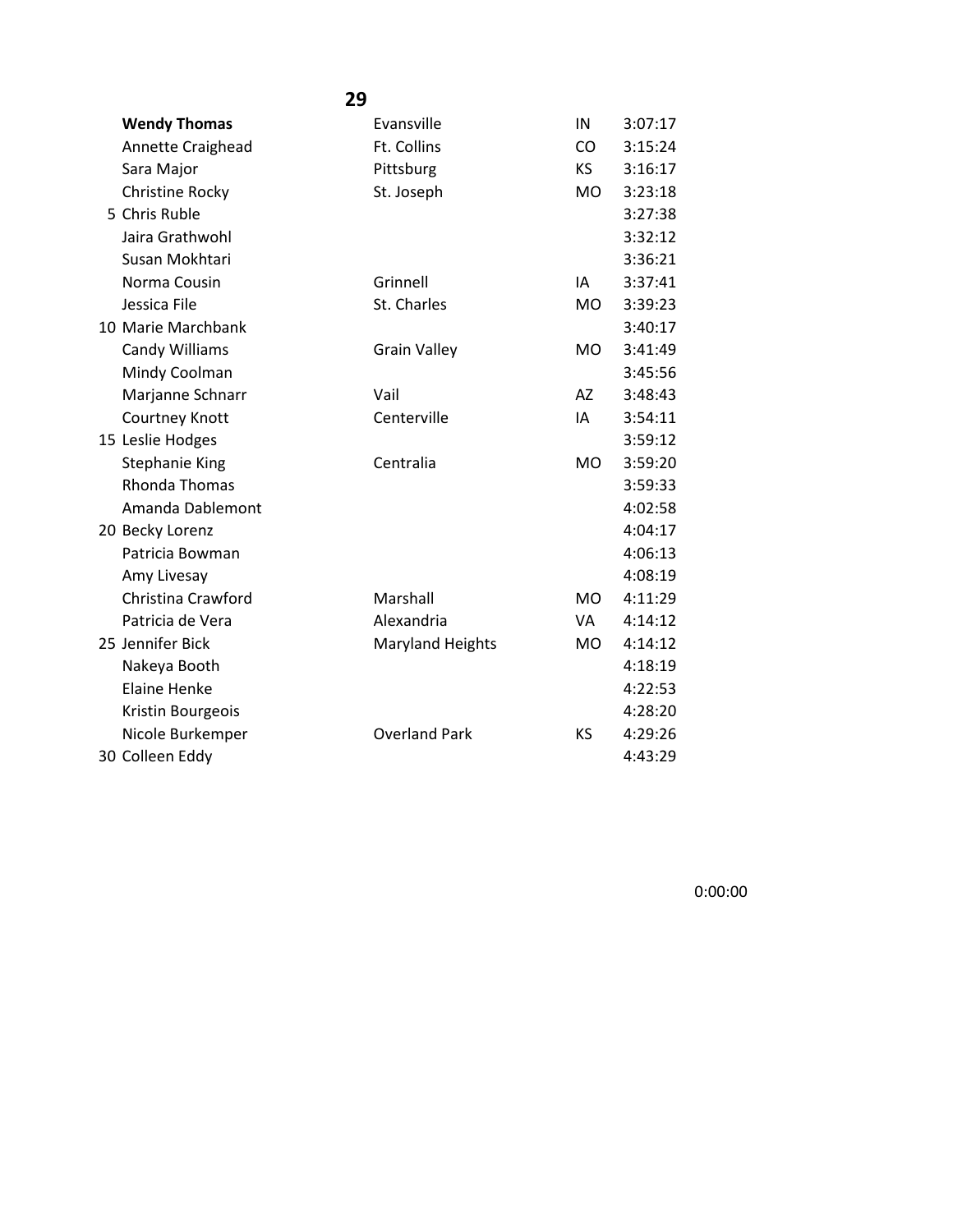|                       | 29                      |           |         |
|-----------------------|-------------------------|-----------|---------|
| <b>Wendy Thomas</b>   | Evansville              | IN        | 3:07:17 |
| Annette Craighead     | Ft. Collins             | CO        | 3:15:24 |
| Sara Major            | Pittsburg               | KS.       | 3:16:17 |
| Christine Rocky       | St. Joseph              | MO        | 3:23:18 |
| 5 Chris Ruble         |                         |           | 3:27:38 |
| Jaira Grathwohl       |                         |           | 3:32:12 |
| Susan Mokhtari        |                         |           | 3:36:21 |
| Norma Cousin          | Grinnell                | IA        | 3:37:41 |
| Jessica File          | St. Charles             | <b>MO</b> | 3:39:23 |
| 10 Marie Marchbank    |                         |           | 3:40:17 |
| <b>Candy Williams</b> | <b>Grain Valley</b>     | <b>MO</b> | 3:41:49 |
| Mindy Coolman         |                         |           | 3:45:56 |
| Marjanne Schnarr      | Vail                    | AZ        | 3:48:43 |
| Courtney Knott        | Centerville             | IA        | 3:54:11 |
| 15 Leslie Hodges      |                         |           | 3:59:12 |
| Stephanie King        | Centralia               | <b>MO</b> | 3:59:20 |
| <b>Rhonda Thomas</b>  |                         |           | 3:59:33 |
| Amanda Dablemont      |                         |           | 4:02:58 |
| 20 Becky Lorenz       |                         |           | 4:04:17 |
| Patricia Bowman       |                         |           | 4:06:13 |
| Amy Livesay           |                         |           | 4:08:19 |
| Christina Crawford    | Marshall                | <b>MO</b> | 4:11:29 |
| Patricia de Vera      | Alexandria              | VA        | 4:14:12 |
| 25 Jennifer Bick      | <b>Maryland Heights</b> | MO        | 4:14:12 |
| Nakeya Booth          |                         |           | 4:18:19 |
| <b>Elaine Henke</b>   |                         |           | 4:22:53 |
| Kristin Bourgeois     |                         |           | 4:28:20 |
| Nicole Burkemper      | <b>Overland Park</b>    | KS        | 4:29:26 |
| 30 Colleen Eddy       |                         |           | 4:43:29 |

0:00:00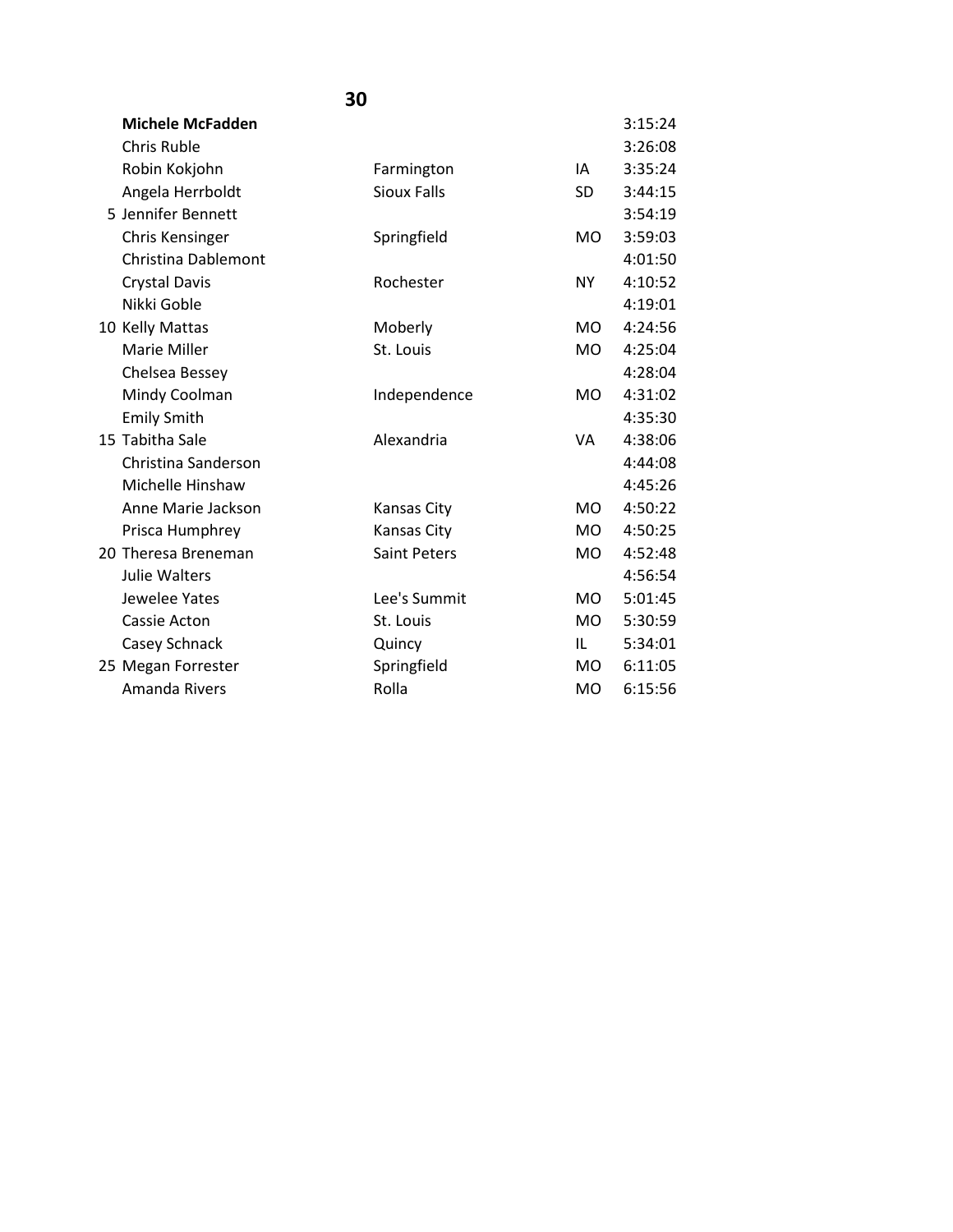| <b>Michele McFadden</b> |                     |                | 3:15:24 |
|-------------------------|---------------------|----------------|---------|
| <b>Chris Ruble</b>      |                     |                | 3:26:08 |
| Robin Kokjohn           | Farmington          | IA             | 3:35:24 |
| Angela Herrboldt        | <b>Sioux Falls</b>  | SD.            | 3:44:15 |
| 5 Jennifer Bennett      |                     |                | 3:54:19 |
| Chris Kensinger         | Springfield         | MO.            | 3:59:03 |
| Christina Dablemont     |                     |                | 4:01:50 |
| <b>Crystal Davis</b>    | Rochester           | NY             | 4:10:52 |
| Nikki Goble             |                     |                | 4:19:01 |
| 10 Kelly Mattas         | Moberly             | MO.            | 4:24:56 |
| Marie Miller            | St. Louis           | MO.            | 4:25:04 |
| Chelsea Bessey          |                     |                | 4:28:04 |
| Mindy Coolman           | Independence        | MO.            | 4:31:02 |
| <b>Emily Smith</b>      |                     |                | 4:35:30 |
| 15 Tabitha Sale         | Alexandria          | VA             | 4:38:06 |
| Christina Sanderson     |                     |                | 4:44:08 |
| Michelle Hinshaw        |                     |                | 4:45:26 |
| Anne Marie Jackson      | <b>Kansas City</b>  | M <sub>O</sub> | 4:50:22 |
| Prisca Humphrey         | Kansas City         | <b>MO</b>      | 4:50:25 |
| 20 Theresa Breneman     | <b>Saint Peters</b> | MO.            | 4:52:48 |
| <b>Julie Walters</b>    |                     |                | 4:56:54 |
| Jewelee Yates           | Lee's Summit        | M <sub>O</sub> | 5:01:45 |
| Cassie Acton            | St. Louis           | MO.            | 5:30:59 |
| Casey Schnack           | Quincy              | IL.            | 5:34:01 |
| 25 Megan Forrester      | Springfield         | <b>MO</b>      | 6:11:05 |
| <b>Amanda Rivers</b>    | Rolla               | <b>MO</b>      | 6:15:56 |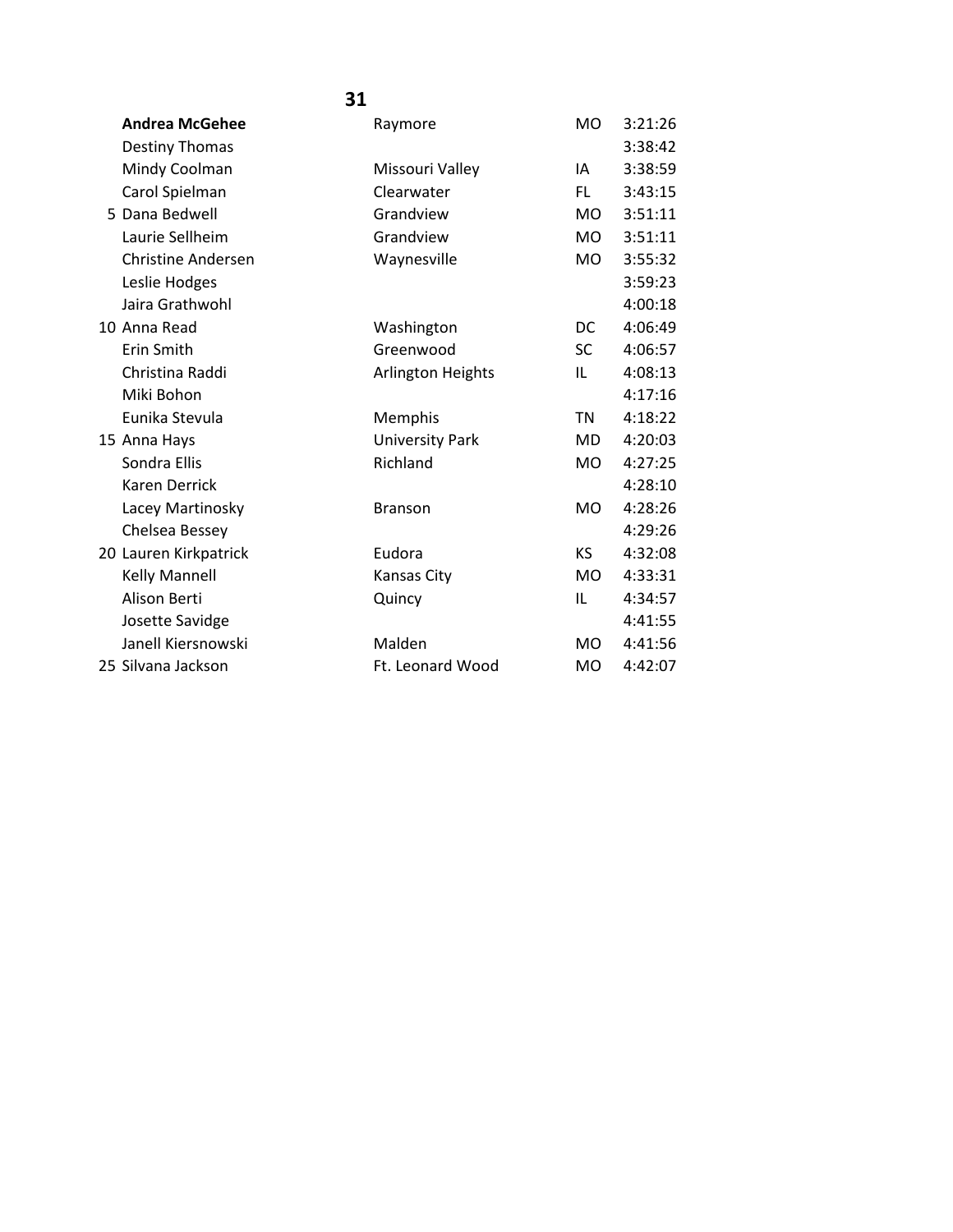| <b>Andrea McGehee</b>     | Raymore                  | <b>MO</b> | 3:21:26 |
|---------------------------|--------------------------|-----------|---------|
| <b>Destiny Thomas</b>     |                          |           | 3:38:42 |
| Mindy Coolman             | Missouri Valley          | IA        | 3:38:59 |
| Carol Spielman            | Clearwater               | FL.       | 3:43:15 |
| 5 Dana Bedwell            | Grandview                | MO.       | 3:51:11 |
| Laurie Sellheim           | Grandview                | <b>MO</b> | 3:51:11 |
| <b>Christine Andersen</b> | Waynesville              | <b>MO</b> | 3:55:32 |
| Leslie Hodges             |                          |           | 3:59:23 |
| Jaira Grathwohl           |                          |           | 4:00:18 |
| 10 Anna Read              | Washington               | DC        | 4:06:49 |
| Erin Smith                | Greenwood                | SC.       | 4:06:57 |
| Christina Raddi           | <b>Arlington Heights</b> | IL        | 4:08:13 |
| Miki Bohon                |                          |           | 4:17:16 |
| Eunika Stevula            | Memphis                  | <b>TN</b> | 4:18:22 |
| 15 Anna Hays              | <b>University Park</b>   | MD.       | 4:20:03 |
| Sondra Ellis              | Richland                 | <b>MO</b> | 4:27:25 |
| <b>Karen Derrick</b>      |                          |           | 4:28:10 |
| Lacey Martinosky          | <b>Branson</b>           | <b>MO</b> | 4:28:26 |
| Chelsea Bessey            |                          |           | 4:29:26 |
| 20 Lauren Kirkpatrick     | Eudora                   | <b>KS</b> | 4:32:08 |
| Kelly Mannell             | Kansas City              | MO.       | 4:33:31 |
| Alison Berti              | Quincy                   | IL        | 4:34:57 |
| Josette Savidge           |                          |           | 4:41:55 |
| Janell Kiersnowski        | Malden                   | <b>MO</b> | 4:41:56 |
| 25 Silvana Jackson        | Ft. Leonard Wood         | <b>MO</b> | 4:42:07 |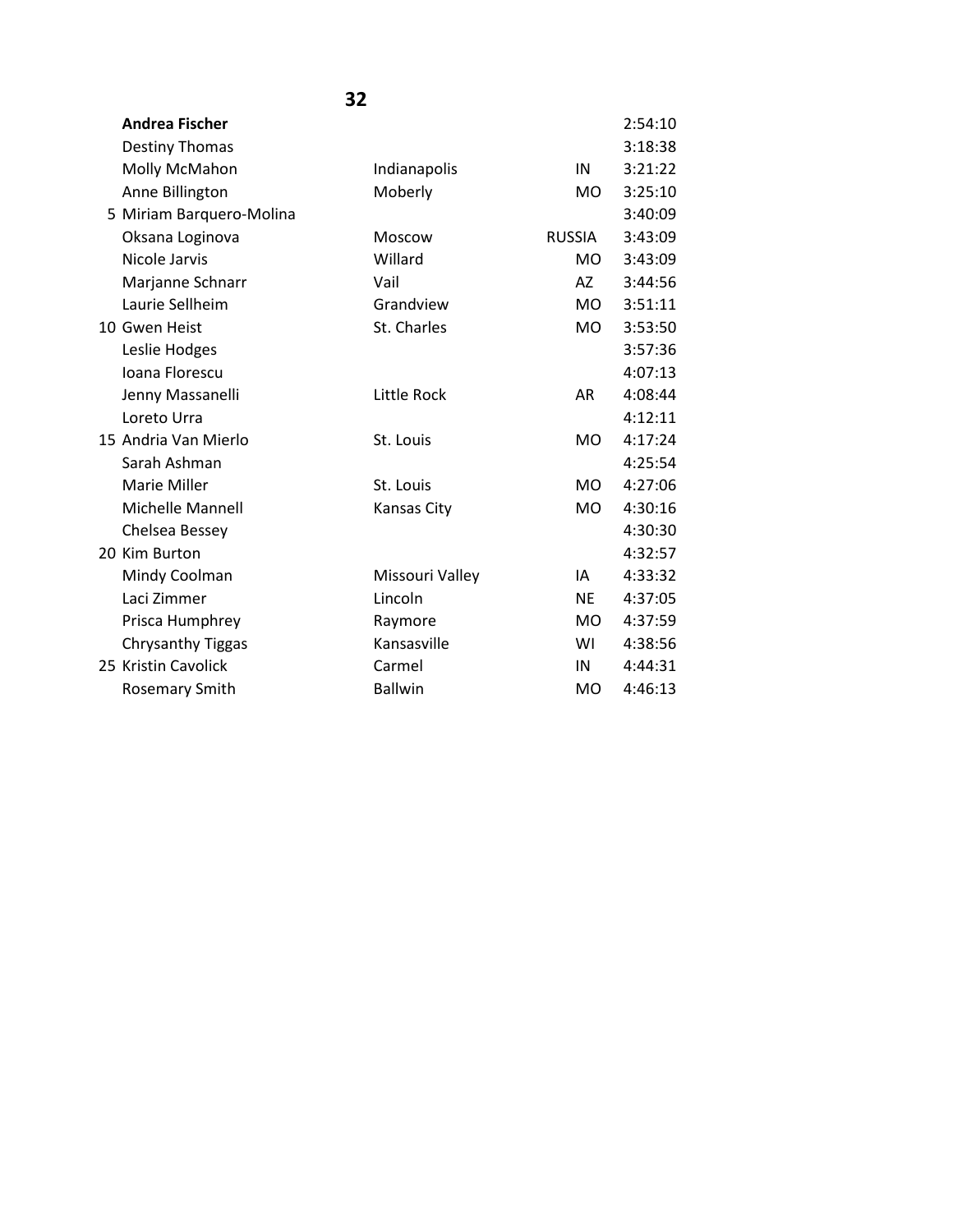|                          | 32                 |               |         |
|--------------------------|--------------------|---------------|---------|
| <b>Andrea Fischer</b>    |                    |               | 2:54:10 |
| Destiny Thomas           |                    |               | 3:18:38 |
| Molly McMahon            | Indianapolis       | IN            | 3:21:22 |
| Anne Billington          | Moberly            | MO.           | 3:25:10 |
| 5 Miriam Barquero-Molina |                    |               | 3:40:09 |
| Oksana Loginova          | Moscow             | <b>RUSSIA</b> | 3:43:09 |
| Nicole Jarvis            | Willard            | MO.           | 3:43:09 |
| Marjanne Schnarr         | Vail               | AZ —          | 3:44:56 |
| Laurie Sellheim          | Grandview          | MO -          | 3:51:11 |
| 10 Gwen Heist            | St. Charles        | <b>MO</b>     | 3:53:50 |
| Leslie Hodges            |                    |               | 3:57:36 |
| Ioana Florescu           |                    |               | 4:07:13 |
| Jenny Massanelli         | <b>Little Rock</b> | <b>AR</b>     | 4:08:44 |
| Loreto Urra              |                    |               | 4:12:11 |
| 15 Andria Van Mierlo     | St. Louis          | <b>MO</b>     | 4:17:24 |
| Sarah Ashman             |                    |               | 4:25:54 |
| <b>Marie Miller</b>      | St. Louis          | <b>MO</b>     | 4:27:06 |
| <b>Michelle Mannell</b>  | <b>Kansas City</b> | <b>MO</b>     | 4:30:16 |
| Chelsea Bessey           |                    |               | 4:30:30 |
| 20 Kim Burton            |                    |               | 4:32:57 |
| Mindy Coolman            | Missouri Valley    | IA            | 4:33:32 |
| Laci Zimmer              | Lincoln            | <b>NE</b>     | 4:37:05 |
| Prisca Humphrey          | Raymore            | MO -          | 4:37:59 |
| <b>Chrysanthy Tiggas</b> | Kansasville        | WI            | 4:38:56 |
| 25 Kristin Cavolick      | Carmel             | IN            | 4:44:31 |
| <b>Rosemary Smith</b>    | <b>Ballwin</b>     | <b>MO</b>     | 4:46:13 |
|                          |                    |               |         |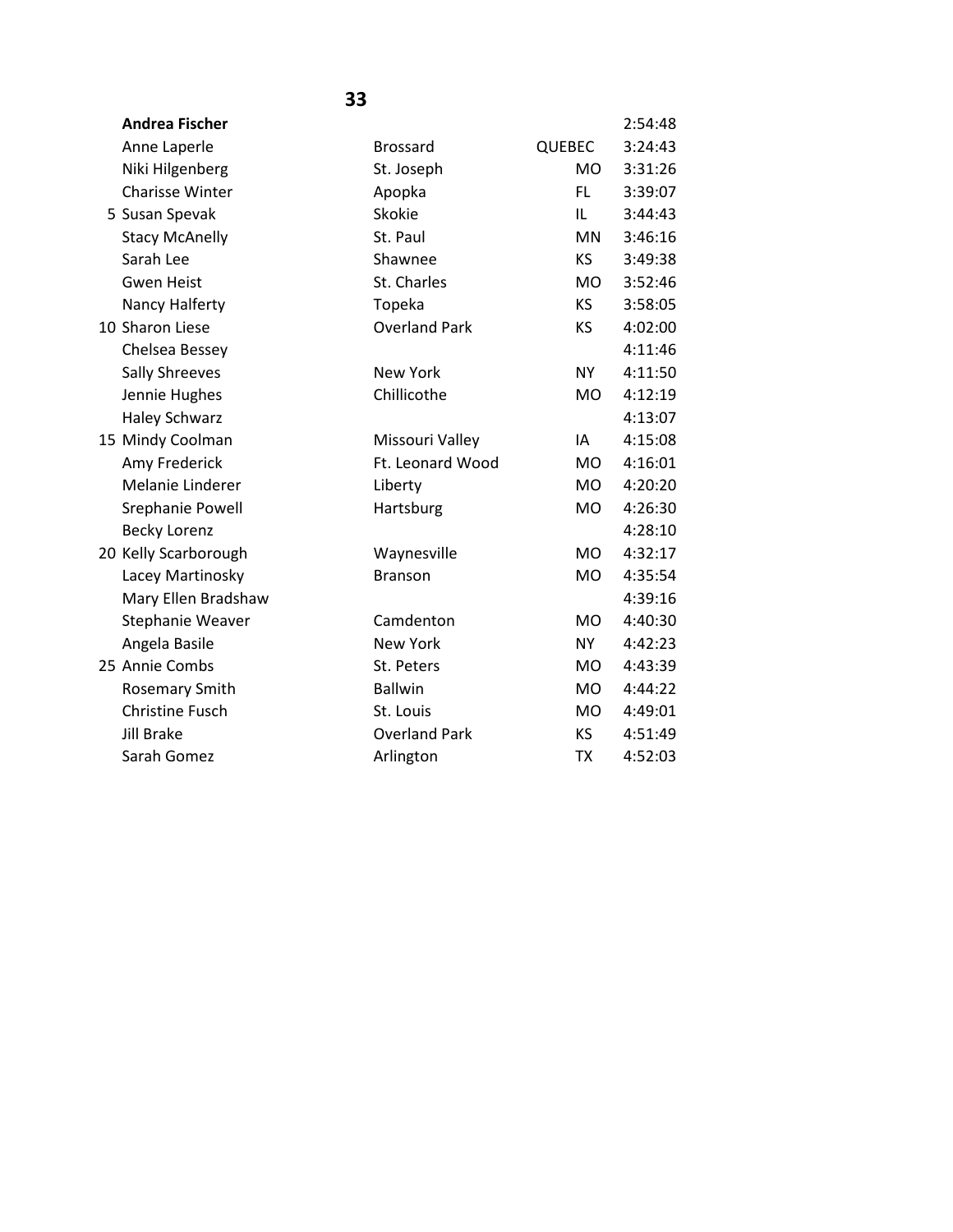| <b>Andrea Fischer</b>  |                      |                | 2:54:48 |
|------------------------|----------------------|----------------|---------|
| Anne Laperle           | <b>Brossard</b>      | <b>QUEBEC</b>  | 3:24:43 |
| Niki Hilgenberg        | St. Joseph           | <b>MO</b>      | 3:31:26 |
| <b>Charisse Winter</b> | Apopka               | FL.            | 3:39:07 |
| 5 Susan Spevak         | Skokie               | IL             | 3:44:43 |
| <b>Stacy McAnelly</b>  | St. Paul             | <b>MN</b>      | 3:46:16 |
| Sarah Lee              | Shawnee              | <b>KS</b>      | 3:49:38 |
| <b>Gwen Heist</b>      | St. Charles          | <b>MO</b>      | 3:52:46 |
| Nancy Halferty         | Topeka               | KS.            | 3:58:05 |
| 10 Sharon Liese        | <b>Overland Park</b> | KS             | 4:02:00 |
| Chelsea Bessey         |                      |                | 4:11:46 |
| <b>Sally Shreeves</b>  | <b>New York</b>      | <b>NY</b>      | 4:11:50 |
| Jennie Hughes          | Chillicothe          | M <sub>O</sub> | 4:12:19 |
| <b>Haley Schwarz</b>   |                      |                | 4:13:07 |
| 15 Mindy Coolman       | Missouri Valley      | IA             | 4:15:08 |
| Amy Frederick          | Ft. Leonard Wood     | <b>MO</b>      | 4:16:01 |
| Melanie Linderer       | Liberty              | <b>MO</b>      | 4:20:20 |
| Srephanie Powell       | Hartsburg            | <b>MO</b>      | 4:26:30 |
| <b>Becky Lorenz</b>    |                      |                | 4:28:10 |
| 20 Kelly Scarborough   | Waynesville          | <b>MO</b>      | 4:32:17 |
| Lacey Martinosky       | <b>Branson</b>       | <b>MO</b>      | 4:35:54 |
| Mary Ellen Bradshaw    |                      |                | 4:39:16 |
| Stephanie Weaver       | Camdenton            | <b>MO</b>      | 4:40:30 |
| Angela Basile          | <b>New York</b>      | NY             | 4:42:23 |
| 25 Annie Combs         | St. Peters           | <b>MO</b>      | 4:43:39 |
| Rosemary Smith         | <b>Ballwin</b>       | <b>MO</b>      | 4:44:22 |
| <b>Christine Fusch</b> | St. Louis            | <b>MO</b>      | 4:49:01 |
| <b>Jill Brake</b>      | <b>Overland Park</b> | <b>KS</b>      | 4:51:49 |
| Sarah Gomez            | Arlington            | <b>TX</b>      | 4:52:03 |
|                        |                      |                |         |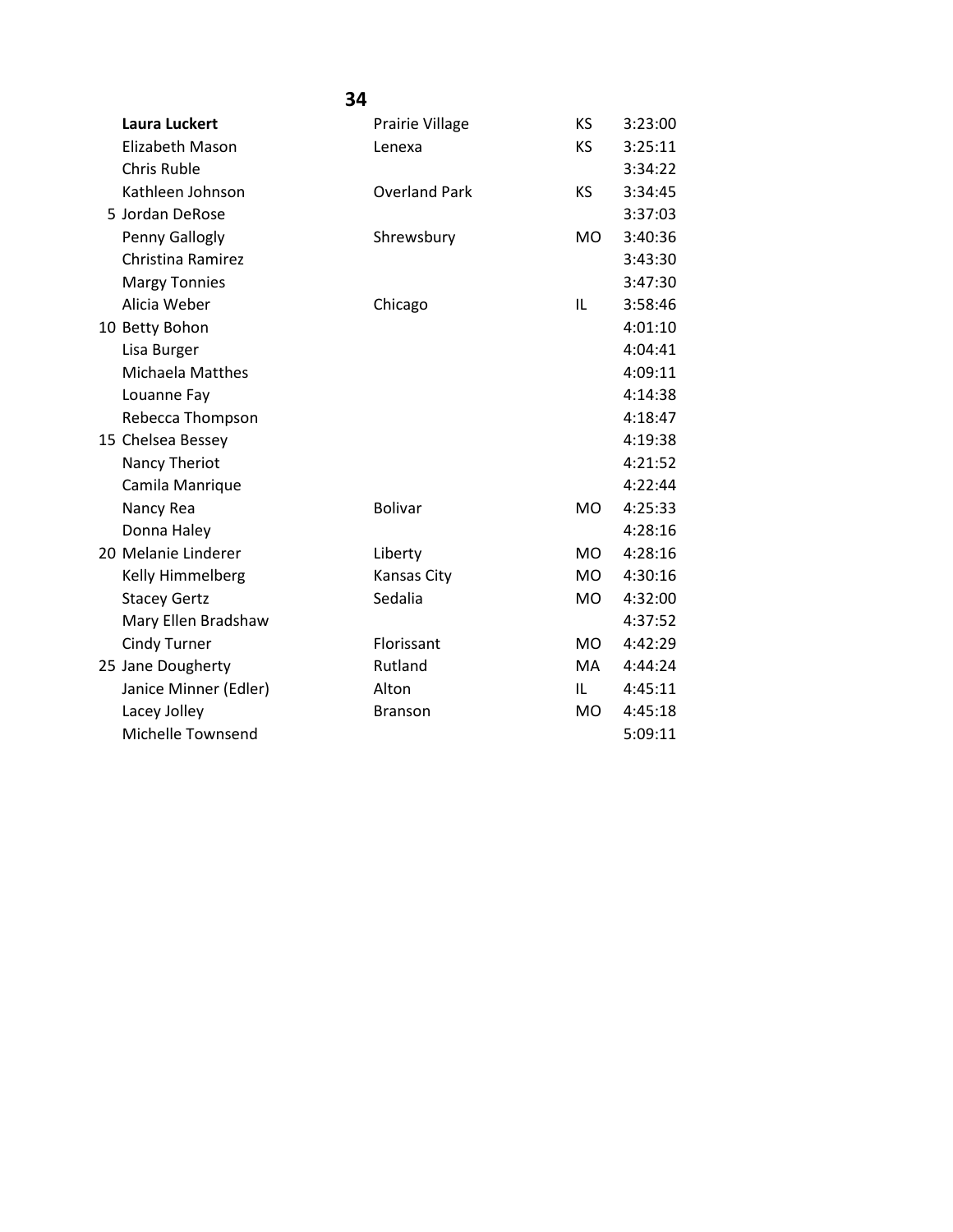|                         | 34                   |           |         |
|-------------------------|----------------------|-----------|---------|
| Laura Luckert           | Prairie Village      | <b>KS</b> | 3:23:00 |
| <b>Elizabeth Mason</b>  | Lenexa               | <b>KS</b> | 3:25:11 |
| <b>Chris Ruble</b>      |                      |           | 3:34:22 |
| Kathleen Johnson        | <b>Overland Park</b> | KS        | 3:34:45 |
| 5 Jordan DeRose         |                      |           | 3:37:03 |
| Penny Gallogly          | Shrewsbury           | <b>MO</b> | 3:40:36 |
| Christina Ramirez       |                      |           | 3:43:30 |
| <b>Margy Tonnies</b>    |                      |           | 3:47:30 |
| Alicia Weber            | Chicago              | IL        | 3:58:46 |
| 10 Betty Bohon          |                      |           | 4:01:10 |
| Lisa Burger             |                      |           | 4:04:41 |
| <b>Michaela Matthes</b> |                      |           | 4:09:11 |
| Louanne Fay             |                      |           | 4:14:38 |
| Rebecca Thompson        |                      |           | 4:18:47 |
| 15 Chelsea Bessey       |                      |           | 4:19:38 |
| Nancy Theriot           |                      |           | 4:21:52 |
| Camila Manrique         |                      |           | 4:22:44 |
| Nancy Rea               | <b>Bolivar</b>       | <b>MO</b> | 4:25:33 |
| Donna Haley             |                      |           | 4:28:16 |
| 20 Melanie Linderer     | Liberty              | <b>MO</b> | 4:28:16 |
| Kelly Himmelberg        | <b>Kansas City</b>   | <b>MO</b> | 4:30:16 |
| <b>Stacey Gertz</b>     | Sedalia              | <b>MO</b> | 4:32:00 |
| Mary Ellen Bradshaw     |                      |           | 4:37:52 |
| <b>Cindy Turner</b>     | Florissant           | <b>MO</b> | 4:42:29 |
| 25 Jane Dougherty       | Rutland              | <b>MA</b> | 4:44:24 |
| Janice Minner (Edler)   | Alton                | IL        | 4:45:11 |
| Lacey Jolley            | <b>Branson</b>       | <b>MO</b> | 4:45:18 |
| Michelle Townsend       |                      |           | 5:09:11 |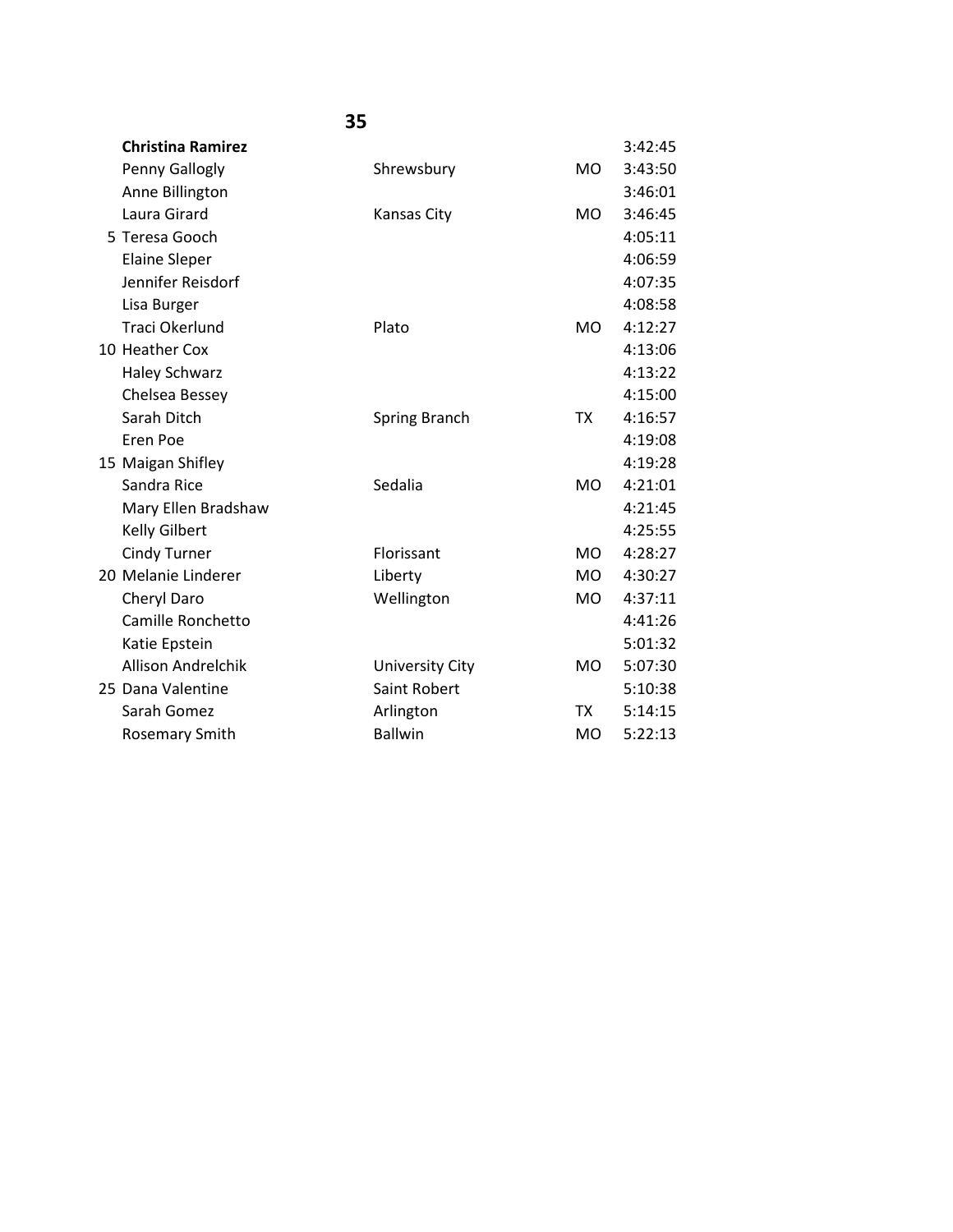| <b>Christina Ramirez</b>  |                        |           | 3:42:45 |
|---------------------------|------------------------|-----------|---------|
| Penny Gallogly            | Shrewsbury             | <b>MO</b> | 3:43:50 |
| Anne Billington           |                        |           | 3:46:01 |
| Laura Girard              | <b>Kansas City</b>     | <b>MO</b> | 3:46:45 |
| 5 Teresa Gooch            |                        |           | 4:05:11 |
| <b>Elaine Sleper</b>      |                        |           | 4:06:59 |
| Jennifer Reisdorf         |                        |           | 4:07:35 |
| Lisa Burger               |                        |           | 4:08:58 |
| Traci Okerlund            | Plato                  | MO.       | 4:12:27 |
| 10 Heather Cox            |                        |           | 4:13:06 |
| <b>Haley Schwarz</b>      |                        |           | 4:13:22 |
| Chelsea Bessey            |                        |           | 4:15:00 |
| Sarah Ditch               | <b>Spring Branch</b>   | <b>TX</b> | 4:16:57 |
| Eren Poe                  |                        |           | 4:19:08 |
| 15 Maigan Shifley         |                        |           | 4:19:28 |
| Sandra Rice               | Sedalia                | <b>MO</b> | 4:21:01 |
| Mary Ellen Bradshaw       |                        |           | 4:21:45 |
| Kelly Gilbert             |                        |           | 4:25:55 |
| <b>Cindy Turner</b>       | Florissant             | <b>MO</b> | 4:28:27 |
| 20 Melanie Linderer       | Liberty                | <b>MO</b> | 4:30:27 |
| Cheryl Daro               | Wellington             | <b>MO</b> | 4:37:11 |
| Camille Ronchetto         |                        |           | 4:41:26 |
| Katie Epstein             |                        |           | 5:01:32 |
| <b>Allison Andrelchik</b> | <b>University City</b> | <b>MO</b> | 5:07:30 |
| 25 Dana Valentine         | Saint Robert           |           | 5:10:38 |
| Sarah Gomez               | Arlington              | <b>TX</b> | 5:14:15 |
| <b>Rosemary Smith</b>     | <b>Ballwin</b>         | MO.       | 5:22:13 |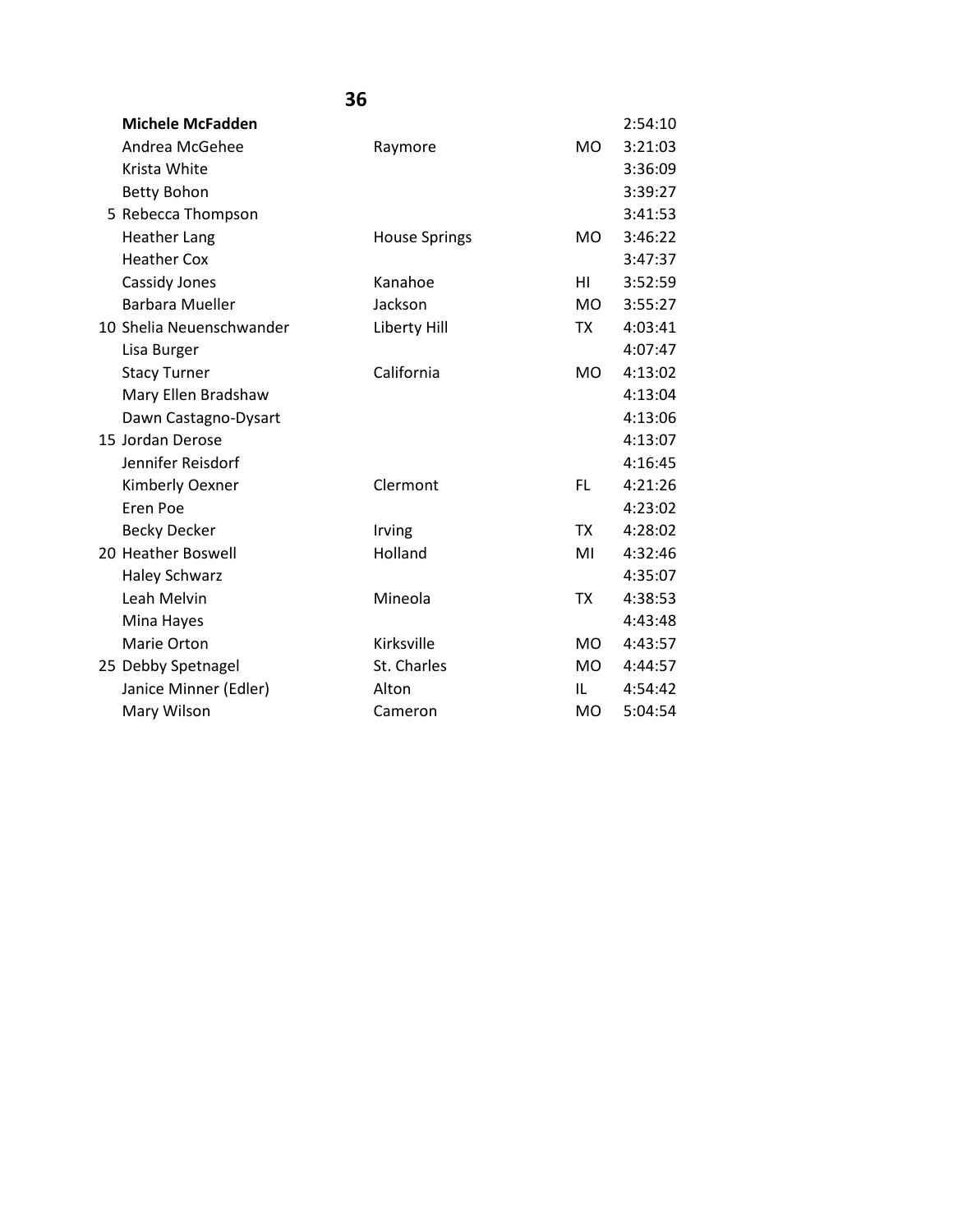| <b>Michele McFadden</b>  |                      |                | 2:54:10 |
|--------------------------|----------------------|----------------|---------|
| Andrea McGehee           | Raymore              | <b>MO</b>      | 3:21:03 |
| Krista White             |                      |                | 3:36:09 |
| <b>Betty Bohon</b>       |                      |                | 3:39:27 |
| 5 Rebecca Thompson       |                      |                | 3:41:53 |
| <b>Heather Lang</b>      | <b>House Springs</b> | MO.            | 3:46:22 |
| <b>Heather Cox</b>       |                      |                | 3:47:37 |
| Cassidy Jones            | Kanahoe              | HI             | 3:52:59 |
| <b>Barbara Mueller</b>   | Jackson              | MO.            | 3:55:27 |
| 10 Shelia Neuenschwander | Liberty Hill         | <b>TX</b>      | 4:03:41 |
| Lisa Burger              |                      |                | 4:07:47 |
| <b>Stacy Turner</b>      | California           | <b>MO</b>      | 4:13:02 |
| Mary Ellen Bradshaw      |                      |                | 4:13:04 |
| Dawn Castagno-Dysart     |                      |                | 4:13:06 |
| 15 Jordan Derose         |                      |                | 4:13:07 |
| Jennifer Reisdorf        |                      |                | 4:16:45 |
| Kimberly Oexner          | Clermont             | FL.            | 4:21:26 |
| Eren Poe                 |                      |                | 4:23:02 |
| <b>Becky Decker</b>      | Irving               | <b>TX</b>      | 4:28:02 |
| 20 Heather Boswell       | Holland              | MI             | 4:32:46 |
| <b>Haley Schwarz</b>     |                      |                | 4:35:07 |
| Leah Melvin              | Mineola              | <b>TX</b>      | 4:38:53 |
| Mina Hayes               |                      |                | 4:43:48 |
| Marie Orton              | Kirksville           | M <sub>O</sub> | 4:43:57 |
| 25 Debby Spetnagel       | St. Charles          | MO.            | 4:44:57 |
| Janice Minner (Edler)    | Alton                | IL             | 4:54:42 |
| Mary Wilson              | Cameron              | MO             | 5:04:54 |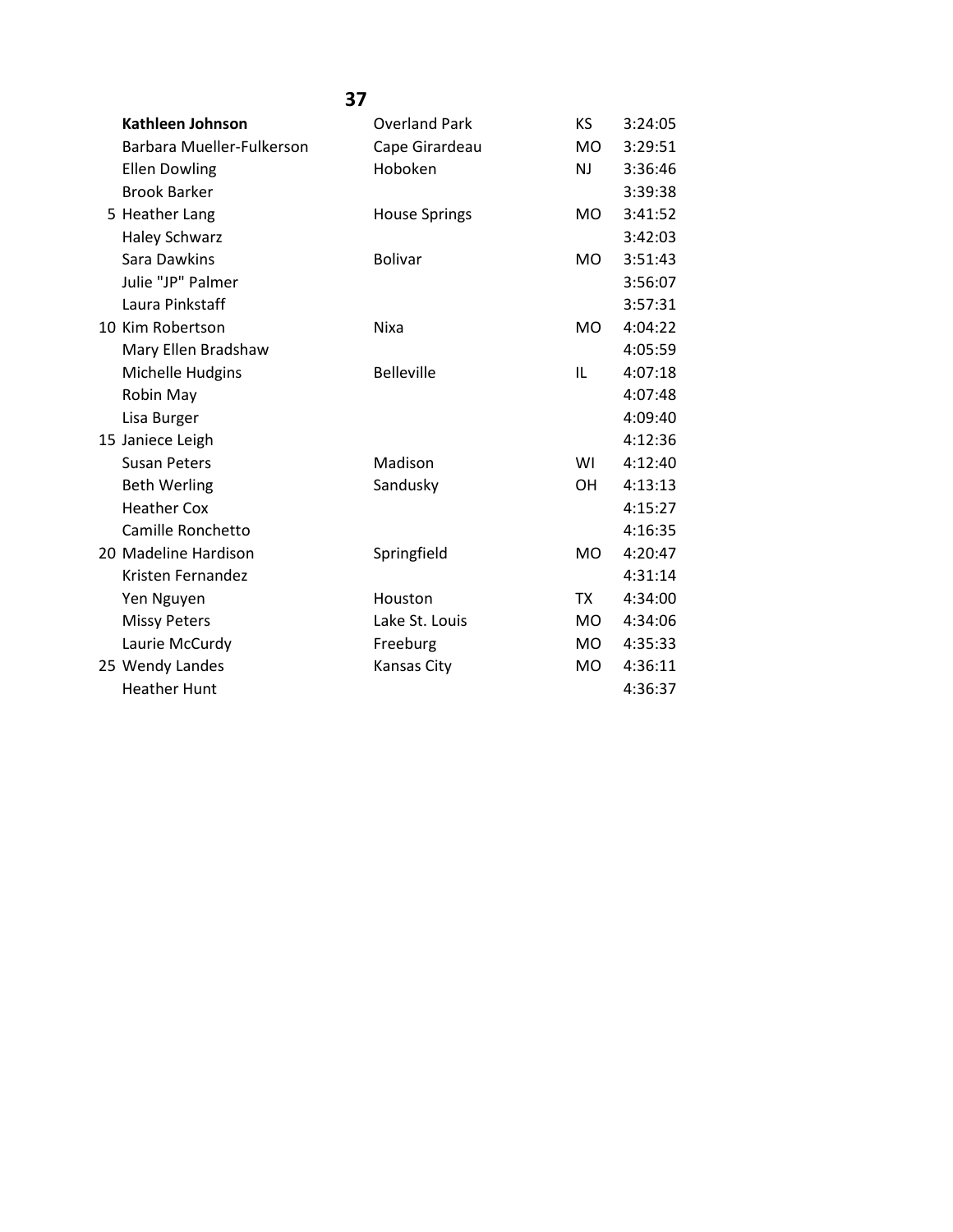| <b>Kathleen Johnson</b>   | <b>Overland Park</b> | KS        | 3:24:05 |
|---------------------------|----------------------|-----------|---------|
| Barbara Mueller-Fulkerson | Cape Girardeau       | <b>MO</b> | 3:29:51 |
| <b>Ellen Dowling</b>      | Hoboken              | NJ.       | 3:36:46 |
| <b>Brook Barker</b>       |                      |           | 3:39:38 |
| 5 Heather Lang            | <b>House Springs</b> | MO.       | 3:41:52 |
| <b>Haley Schwarz</b>      |                      |           | 3:42:03 |
| Sara Dawkins              | <b>Bolivar</b>       | <b>MO</b> | 3:51:43 |
| Julie "JP" Palmer         |                      |           | 3:56:07 |
| Laura Pinkstaff           |                      |           | 3:57:31 |
| 10 Kim Robertson          | Nixa                 | MO.       | 4:04:22 |
| Mary Ellen Bradshaw       |                      |           | 4:05:59 |
| Michelle Hudgins          | <b>Belleville</b>    | IL        | 4:07:18 |
| Robin May                 |                      |           | 4:07:48 |
| Lisa Burger               |                      |           | 4:09:40 |
| 15 Janiece Leigh          |                      |           | 4:12:36 |
| <b>Susan Peters</b>       | Madison              | WI        | 4:12:40 |
| <b>Beth Werling</b>       | Sandusky             | <b>OH</b> | 4:13:13 |
| <b>Heather Cox</b>        |                      |           | 4:15:27 |
| Camille Ronchetto         |                      |           | 4:16:35 |
| 20 Madeline Hardison      | Springfield          | <b>MO</b> | 4:20:47 |
| Kristen Fernandez         |                      |           | 4:31:14 |
| Yen Nguyen                | Houston              | <b>TX</b> | 4:34:00 |
| <b>Missy Peters</b>       | Lake St. Louis       | MO.       | 4:34:06 |
| Laurie McCurdy            | Freeburg             | MO.       | 4:35:33 |
| 25 Wendy Landes           | Kansas City          | <b>MO</b> | 4:36:11 |
| <b>Heather Hunt</b>       |                      |           | 4:36:37 |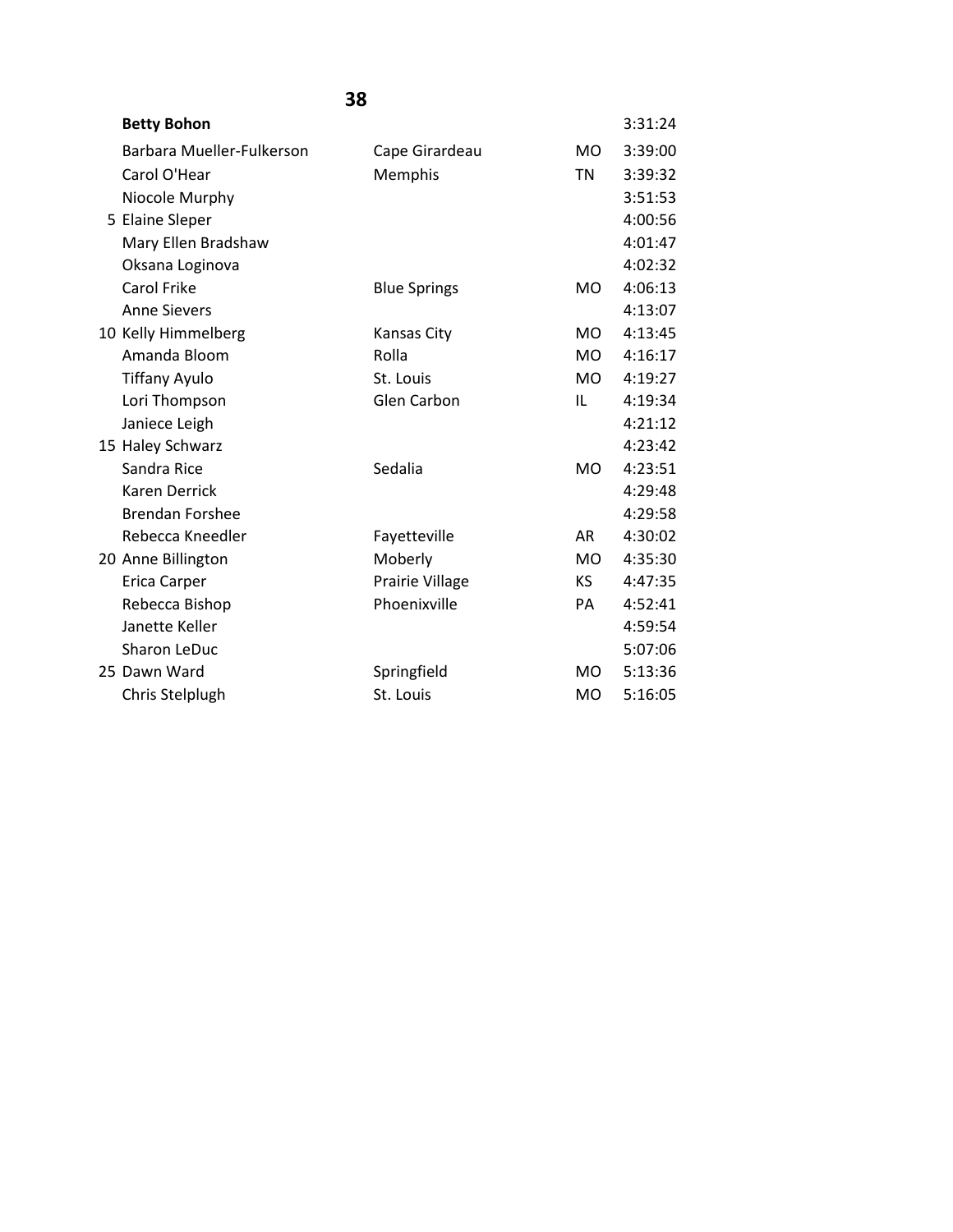| <b>Betty Bohon</b>        |                     |                | 3:31:24 |
|---------------------------|---------------------|----------------|---------|
| Barbara Mueller-Fulkerson | Cape Girardeau      | <b>MO</b>      | 3:39:00 |
| Carol O'Hear              | Memphis             | TN             | 3:39:32 |
| Niocole Murphy            |                     |                | 3:51:53 |
| 5 Elaine Sleper           |                     |                | 4:00:56 |
| Mary Ellen Bradshaw       |                     |                | 4:01:47 |
| Oksana Loginova           |                     |                | 4:02:32 |
| Carol Frike               | <b>Blue Springs</b> | MO             | 4:06:13 |
| <b>Anne Sievers</b>       |                     |                | 4:13:07 |
| 10 Kelly Himmelberg       | Kansas City         | M <sub>O</sub> | 4:13:45 |
| Amanda Bloom              | Rolla               | <b>MO</b>      | 4:16:17 |
| <b>Tiffany Ayulo</b>      | St. Louis           | MO.            | 4:19:27 |
| Lori Thompson             | Glen Carbon         | IL             | 4:19:34 |
| Janiece Leigh             |                     |                | 4:21:12 |
| 15 Haley Schwarz          |                     |                | 4:23:42 |
| Sandra Rice               | Sedalia             | MO             | 4:23:51 |
| <b>Karen Derrick</b>      |                     |                | 4:29:48 |
| <b>Brendan Forshee</b>    |                     |                | 4:29:58 |
| Rebecca Kneedler          | Fayetteville        | AR.            | 4:30:02 |
| 20 Anne Billington        | Moberly             | <b>MO</b>      | 4:35:30 |
| Erica Carper              | Prairie Village     | KS.            | 4:47:35 |
| Rebecca Bishop            | Phoenixville        | PA             | 4:52:41 |
| Janette Keller            |                     |                | 4:59:54 |
| Sharon LeDuc              |                     |                | 5:07:06 |
| 25 Dawn Ward              | Springfield         | MO             | 5:13:36 |
| Chris Stelplugh           | St. Louis           | <b>MO</b>      | 5:16:05 |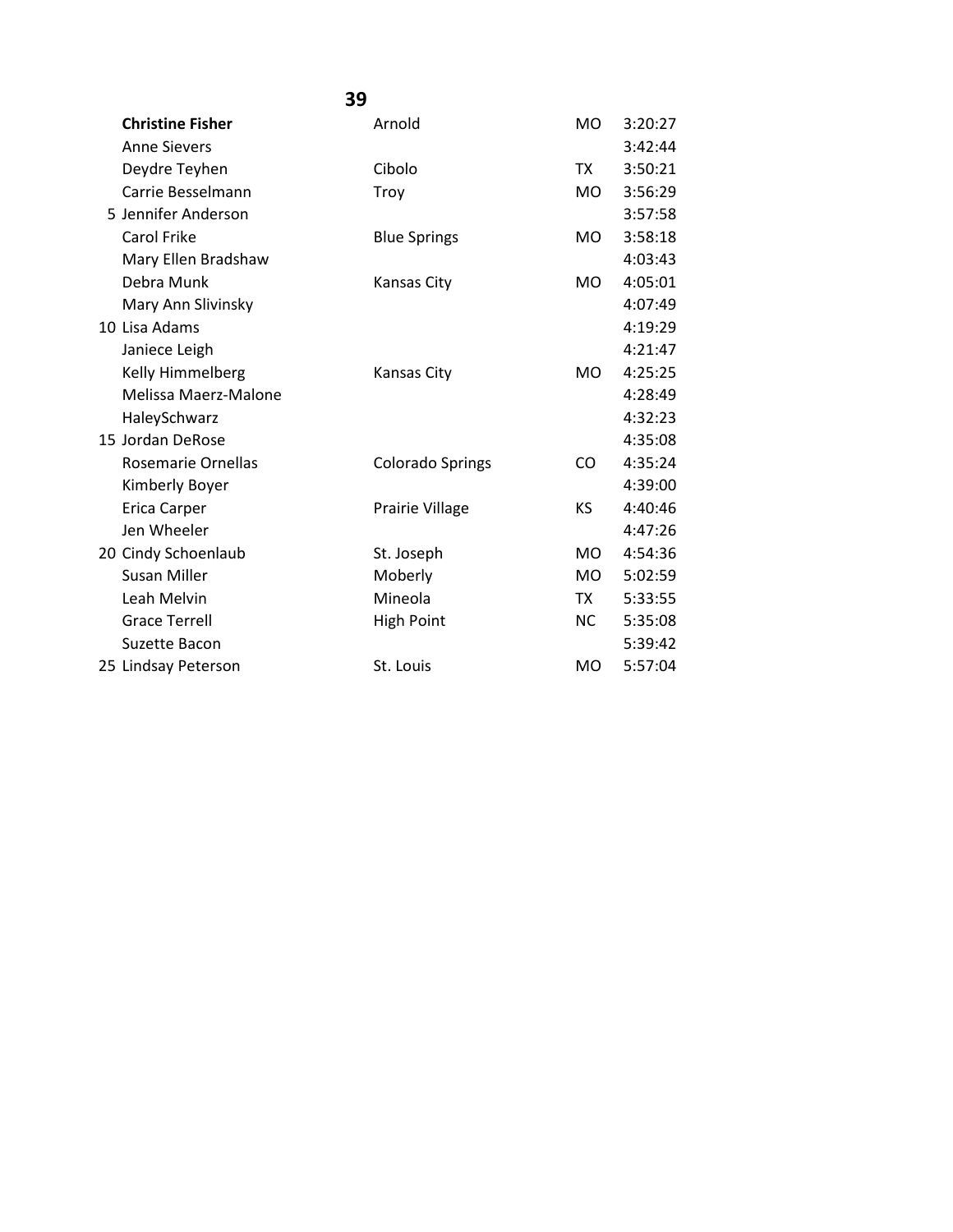|                         | 39                      |                |         |
|-------------------------|-------------------------|----------------|---------|
| <b>Christine Fisher</b> | Arnold                  | <b>MO</b>      | 3:20:27 |
| <b>Anne Sievers</b>     |                         |                | 3:42:44 |
| Deydre Teyhen           | Cibolo                  | TX             | 3:50:21 |
| Carrie Besselmann       | Troy                    | MO.            | 3:56:29 |
| 5 Jennifer Anderson     |                         |                | 3:57:58 |
| <b>Carol Frike</b>      | <b>Blue Springs</b>     | MO.            | 3:58:18 |
| Mary Ellen Bradshaw     |                         |                | 4:03:43 |
| Debra Munk              | <b>Kansas City</b>      | <b>MO</b>      | 4:05:01 |
| Mary Ann Slivinsky      |                         |                | 4:07:49 |
| 10 Lisa Adams           |                         |                | 4:19:29 |
| Janiece Leigh           |                         |                | 4:21:47 |
| Kelly Himmelberg        | <b>Kansas City</b>      | M <sub>O</sub> | 4:25:25 |
| Melissa Maerz-Malone    |                         |                | 4:28:49 |
| HaleySchwarz            |                         |                | 4:32:23 |
| 15 Jordan DeRose        |                         |                | 4:35:08 |
| Rosemarie Ornellas      | <b>Colorado Springs</b> | CO.            | 4:35:24 |
| Kimberly Boyer          |                         |                | 4:39:00 |
| Erica Carper            | Prairie Village         | KS             | 4:40:46 |
| Jen Wheeler             |                         |                | 4:47:26 |
| 20 Cindy Schoenlaub     | St. Joseph              | <b>MO</b>      | 4:54:36 |
| <b>Susan Miller</b>     | Moberly                 | <b>MO</b>      | 5:02:59 |
| Leah Melvin             | Mineola                 | <b>TX</b>      | 5:33:55 |
| <b>Grace Terrell</b>    | <b>High Point</b>       | <b>NC</b>      | 5:35:08 |
| Suzette Bacon           |                         |                | 5:39:42 |
| 25 Lindsay Peterson     | St. Louis               | <b>MO</b>      | 5:57:04 |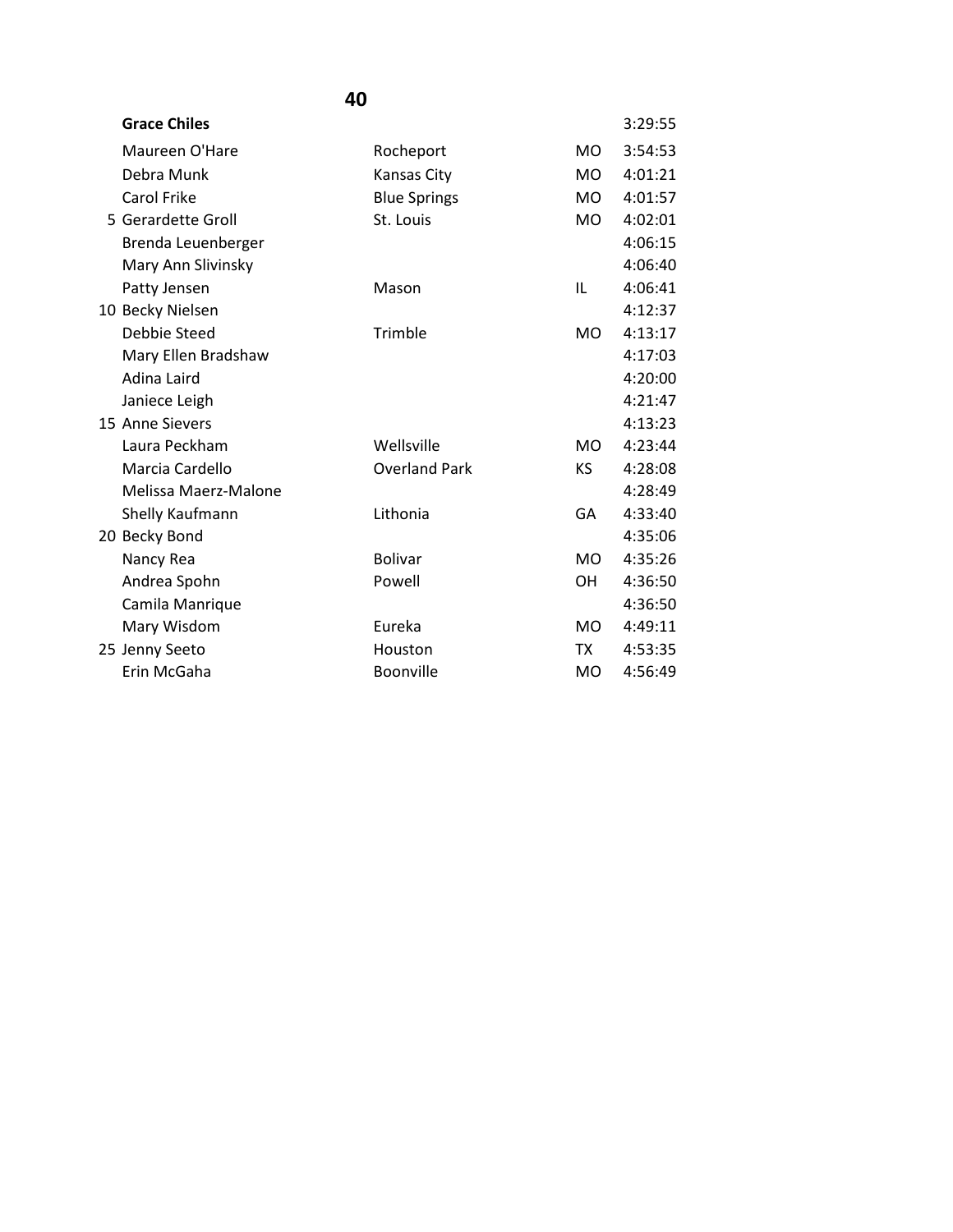| <b>Grace Chiles</b>  |                      |           | 3:29:55 |
|----------------------|----------------------|-----------|---------|
| Maureen O'Hare       | Rocheport            | MO.       | 3:54:53 |
| Debra Munk           | Kansas City          | <b>MO</b> | 4:01:21 |
| <b>Carol Frike</b>   | <b>Blue Springs</b>  | <b>MO</b> | 4:01:57 |
| 5 Gerardette Groll   | St. Louis            | <b>MO</b> | 4:02:01 |
| Brenda Leuenberger   |                      |           | 4:06:15 |
| Mary Ann Slivinsky   |                      |           | 4:06:40 |
| Patty Jensen         | Mason                | IL        | 4:06:41 |
| 10 Becky Nielsen     |                      |           | 4:12:37 |
| Debbie Steed         | Trimble              | <b>MO</b> | 4:13:17 |
| Mary Ellen Bradshaw  |                      |           | 4:17:03 |
| Adina Laird          |                      |           | 4:20:00 |
| Janiece Leigh        |                      |           | 4:21:47 |
| 15 Anne Sievers      |                      |           | 4:13:23 |
| Laura Peckham        | Wellsville           | MO.       | 4:23:44 |
| Marcia Cardello      | <b>Overland Park</b> | ΚS        | 4:28:08 |
| Melissa Maerz-Malone |                      |           | 4:28:49 |
| Shelly Kaufmann      | Lithonia             | GA        | 4:33:40 |
| 20 Becky Bond        |                      |           | 4:35:06 |
| Nancy Rea            | <b>Bolivar</b>       | <b>MO</b> | 4:35:26 |
| Andrea Spohn         | Powell               | <b>OH</b> | 4:36:50 |
| Camila Manrique      |                      |           | 4:36:50 |
| Mary Wisdom          | Eureka               | <b>MO</b> | 4:49:11 |
| 25 Jenny Seeto       | Houston              | TX        | 4:53:35 |
| Erin McGaha          | <b>Boonville</b>     | MO        | 4:56:49 |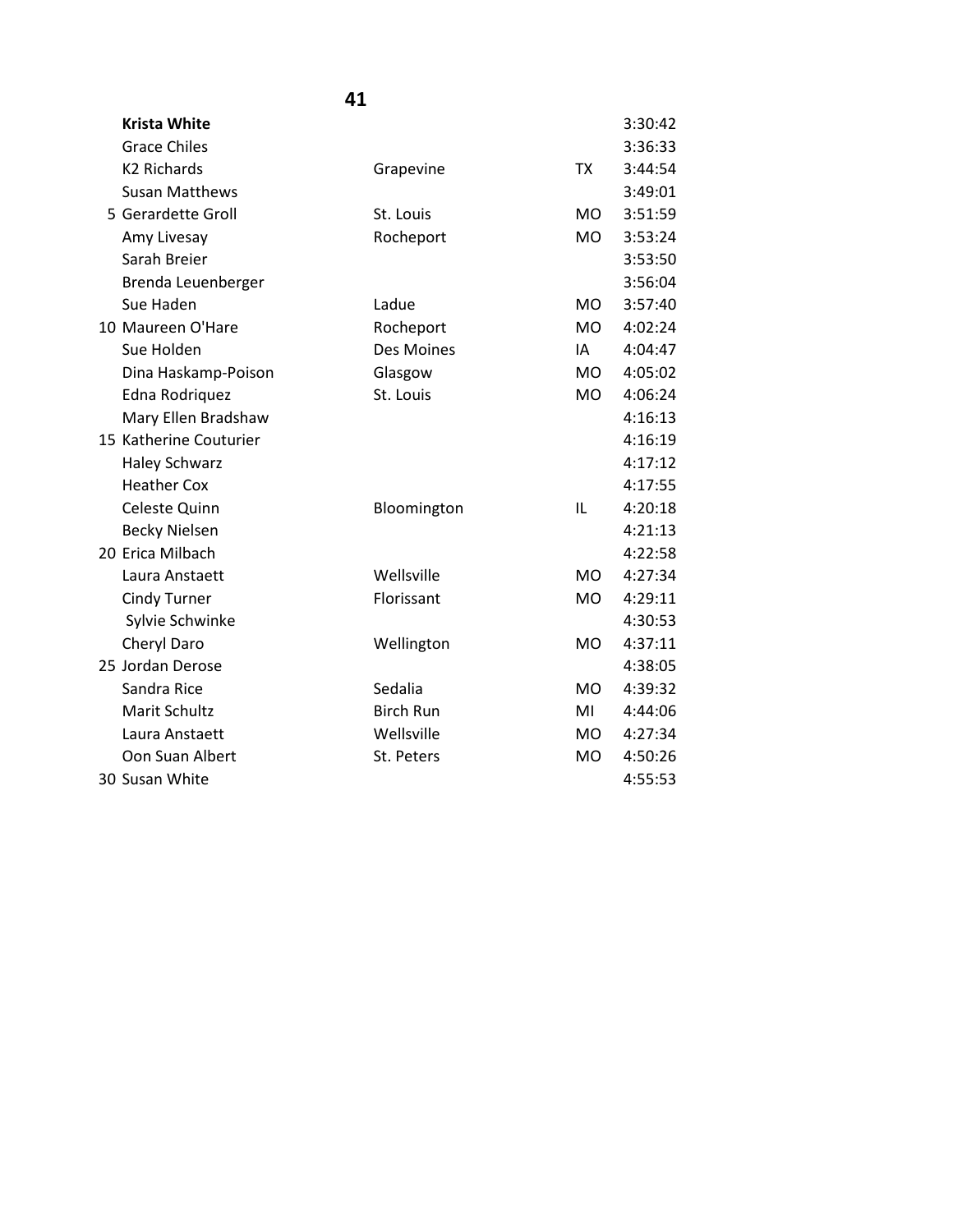| <b>Krista White</b>    |                  |                | 3:30:42 |
|------------------------|------------------|----------------|---------|
| <b>Grace Chiles</b>    |                  |                | 3:36:33 |
| <b>K2 Richards</b>     | Grapevine        | <b>TX</b>      | 3:44:54 |
| <b>Susan Matthews</b>  |                  |                | 3:49:01 |
| 5 Gerardette Groll     | St. Louis        | <b>MO</b>      | 3:51:59 |
| Amy Livesay            | Rocheport        | MO             | 3:53:24 |
| Sarah Breier           |                  |                | 3:53:50 |
| Brenda Leuenberger     |                  |                | 3:56:04 |
| Sue Haden              | Ladue            | <b>MO</b>      | 3:57:40 |
| 10 Maureen O'Hare      | Rocheport        | <b>MO</b>      | 4:02:24 |
| Sue Holden             | Des Moines       | IA             | 4:04:47 |
| Dina Haskamp-Poison    | Glasgow          | <b>MO</b>      | 4:05:02 |
| Edna Rodriquez         | St. Louis        | <b>MO</b>      | 4:06:24 |
| Mary Ellen Bradshaw    |                  |                | 4:16:13 |
| 15 Katherine Couturier |                  |                | 4:16:19 |
| <b>Haley Schwarz</b>   |                  |                | 4:17:12 |
| <b>Heather Cox</b>     |                  |                | 4:17:55 |
| Celeste Quinn          | Bloomington      | IL             | 4:20:18 |
| <b>Becky Nielsen</b>   |                  |                | 4:21:13 |
| 20 Erica Milbach       |                  |                | 4:22:58 |
| Laura Anstaett         | Wellsville       | M <sub>O</sub> | 4:27:34 |
| <b>Cindy Turner</b>    | Florissant       | <b>MO</b>      | 4:29:11 |
| Sylvie Schwinke        |                  |                | 4:30:53 |
| Cheryl Daro            | Wellington       | <b>MO</b>      | 4:37:11 |
| 25 Jordan Derose       |                  |                | 4:38:05 |
| Sandra Rice            | Sedalia          | <b>MO</b>      | 4:39:32 |
| Marit Schultz          | <b>Birch Run</b> | MI             | 4:44:06 |
| Laura Anstaett         | Wellsville       | MO             | 4:27:34 |
| Oon Suan Albert        | St. Peters       | <b>MO</b>      | 4:50:26 |
| 30 Susan White         |                  |                | 4:55:53 |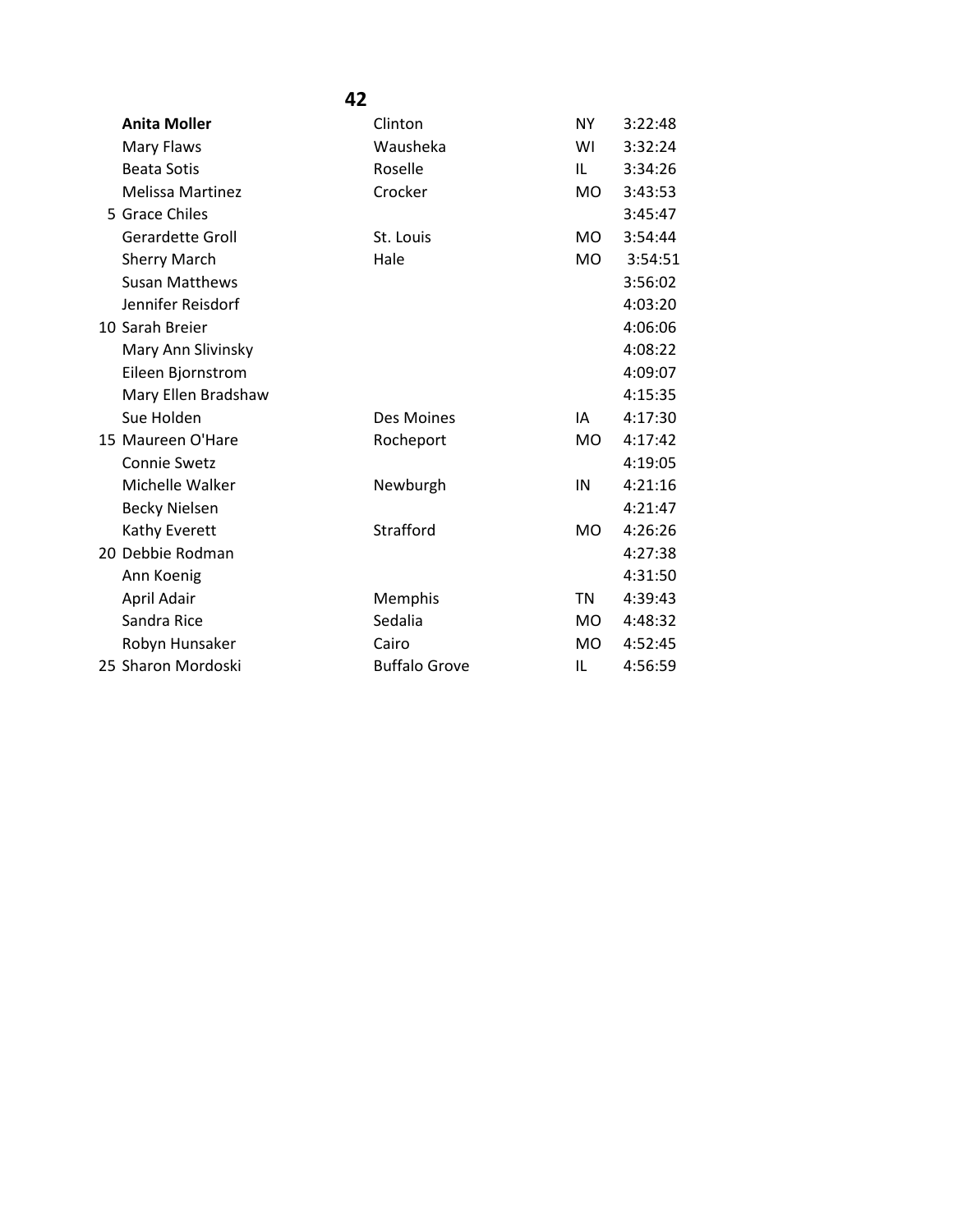| 42                      |                      |           |         |
|-------------------------|----------------------|-----------|---------|
| <b>Anita Moller</b>     | Clinton              | <b>NY</b> | 3:22:48 |
| Mary Flaws              | Wausheka             | WI        | 3:32:24 |
| <b>Beata Sotis</b>      | Roselle              | IL        | 3:34:26 |
| <b>Melissa Martinez</b> | Crocker              | MO.       | 3:43:53 |
| 5 Grace Chiles          |                      |           | 3:45:47 |
| <b>Gerardette Groll</b> | St. Louis            | <b>MO</b> | 3:54:44 |
| <b>Sherry March</b>     | Hale                 | <b>MO</b> | 3:54:51 |
| <b>Susan Matthews</b>   |                      |           | 3:56:02 |
| Jennifer Reisdorf       |                      |           | 4:03:20 |
| 10 Sarah Breier         |                      |           | 4:06:06 |
| Mary Ann Slivinsky      |                      |           | 4:08:22 |
| Eileen Bjornstrom       |                      |           | 4:09:07 |
| Mary Ellen Bradshaw     |                      |           | 4:15:35 |
| Sue Holden              | Des Moines           | IA        | 4:17:30 |
| 15 Maureen O'Hare       | Rocheport            | MO.       | 4:17:42 |
| <b>Connie Swetz</b>     |                      |           | 4:19:05 |
| Michelle Walker         | Newburgh             | IN        | 4:21:16 |
| <b>Becky Nielsen</b>    |                      |           | 4:21:47 |
| Kathy Everett           | Strafford            | <b>MO</b> | 4:26:26 |
| 20 Debbie Rodman        |                      |           | 4:27:38 |
| Ann Koenig              |                      |           | 4:31:50 |
| April Adair             | Memphis              | <b>TN</b> | 4:39:43 |
| Sandra Rice             | Sedalia              | <b>MO</b> | 4:48:32 |
| Robyn Hunsaker          | Cairo                | <b>MO</b> | 4:52:45 |
| 25 Sharon Mordoski      | <b>Buffalo Grove</b> | IL        | 4:56:59 |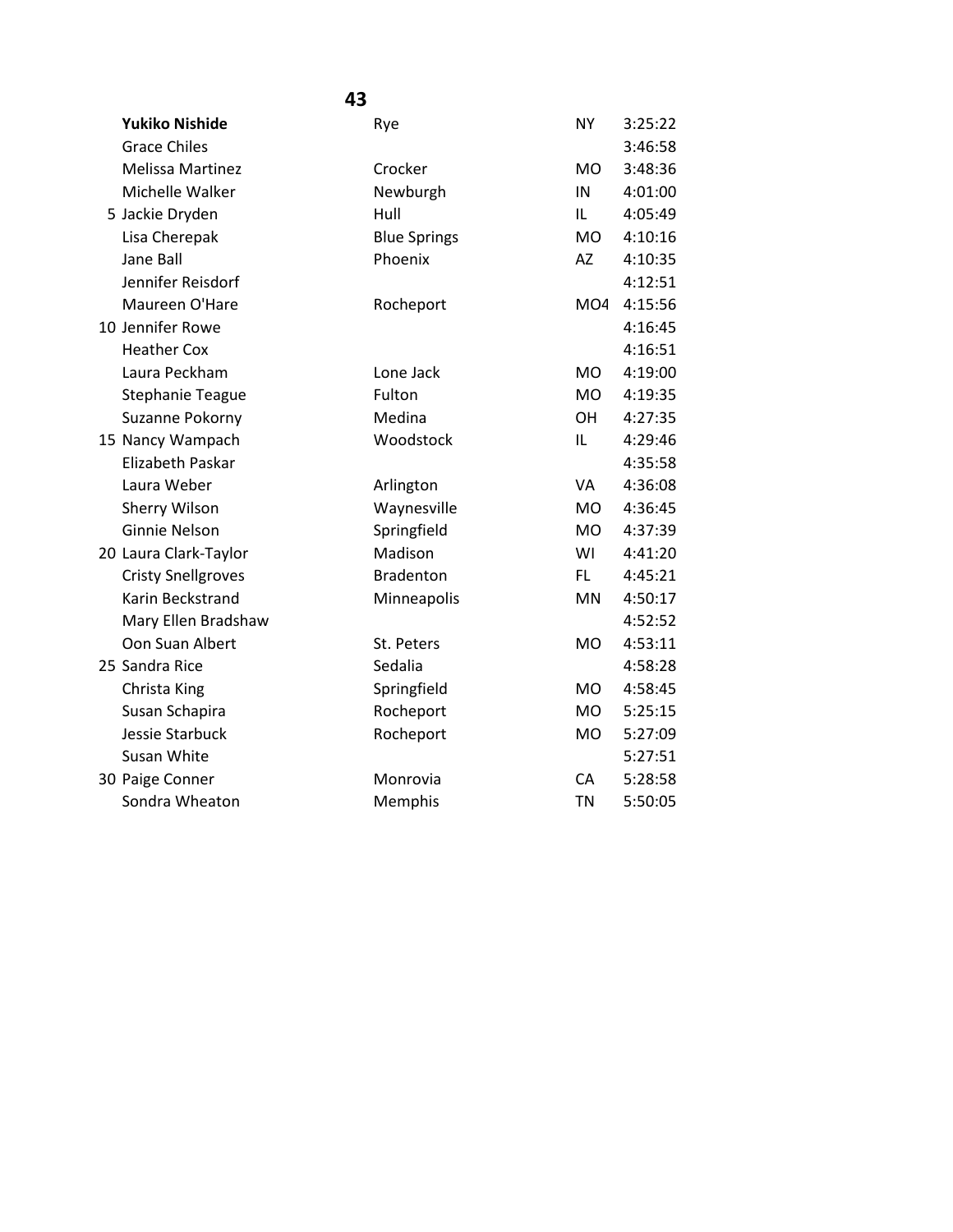| 43                        |                     |                 |         |  |  |
|---------------------------|---------------------|-----------------|---------|--|--|
| <b>Yukiko Nishide</b>     | Rye                 | <b>NY</b>       | 3:25:22 |  |  |
| <b>Grace Chiles</b>       |                     |                 | 3:46:58 |  |  |
| <b>Melissa Martinez</b>   | Crocker             | <b>MO</b>       | 3:48:36 |  |  |
| Michelle Walker           | Newburgh            | IN              | 4:01:00 |  |  |
| 5 Jackie Dryden           | Hull                | IL              | 4:05:49 |  |  |
| Lisa Cherepak             | <b>Blue Springs</b> | <b>MO</b>       | 4:10:16 |  |  |
| Jane Ball                 | Phoenix             | <b>AZ</b>       | 4:10:35 |  |  |
| Jennifer Reisdorf         |                     |                 | 4:12:51 |  |  |
| Maureen O'Hare            | Rocheport           | MO <sub>4</sub> | 4:15:56 |  |  |
| 10 Jennifer Rowe          |                     |                 | 4:16:45 |  |  |
| <b>Heather Cox</b>        |                     |                 | 4:16:51 |  |  |
| Laura Peckham             | Lone Jack           | <b>MO</b>       | 4:19:00 |  |  |
| <b>Stephanie Teague</b>   | Fulton              | <b>MO</b>       | 4:19:35 |  |  |
| Suzanne Pokorny           | Medina              | <b>OH</b>       | 4:27:35 |  |  |
| 15 Nancy Wampach          | Woodstock           | IL              | 4:29:46 |  |  |
| Elizabeth Paskar          |                     |                 | 4:35:58 |  |  |
| Laura Weber               | Arlington           | VA              | 4:36:08 |  |  |
| Sherry Wilson             | Waynesville         | <b>MO</b>       | 4:36:45 |  |  |
| <b>Ginnie Nelson</b>      | Springfield         | <b>MO</b>       | 4:37:39 |  |  |
| 20 Laura Clark-Taylor     | Madison             | WI              | 4:41:20 |  |  |
| <b>Cristy Snellgroves</b> | <b>Bradenton</b>    | FL.             | 4:45:21 |  |  |
| Karin Beckstrand          | Minneapolis         | <b>MN</b>       | 4:50:17 |  |  |
| Mary Ellen Bradshaw       |                     |                 | 4:52:52 |  |  |
| Oon Suan Albert           | St. Peters          | M <sub>O</sub>  | 4:53:11 |  |  |
| 25 Sandra Rice            | Sedalia             |                 | 4:58:28 |  |  |
| Christa King              | Springfield         | M <sub>O</sub>  | 4:58:45 |  |  |
| Susan Schapira            | Rocheport           | <b>MO</b>       | 5:25:15 |  |  |
| Jessie Starbuck           | Rocheport           | <b>MO</b>       | 5:27:09 |  |  |
| Susan White               |                     |                 | 5:27:51 |  |  |
| 30 Paige Conner           | Monrovia            | <b>CA</b>       | 5:28:58 |  |  |
| Sondra Wheaton            | Memphis             | <b>TN</b>       | 5:50:05 |  |  |
|                           |                     |                 |         |  |  |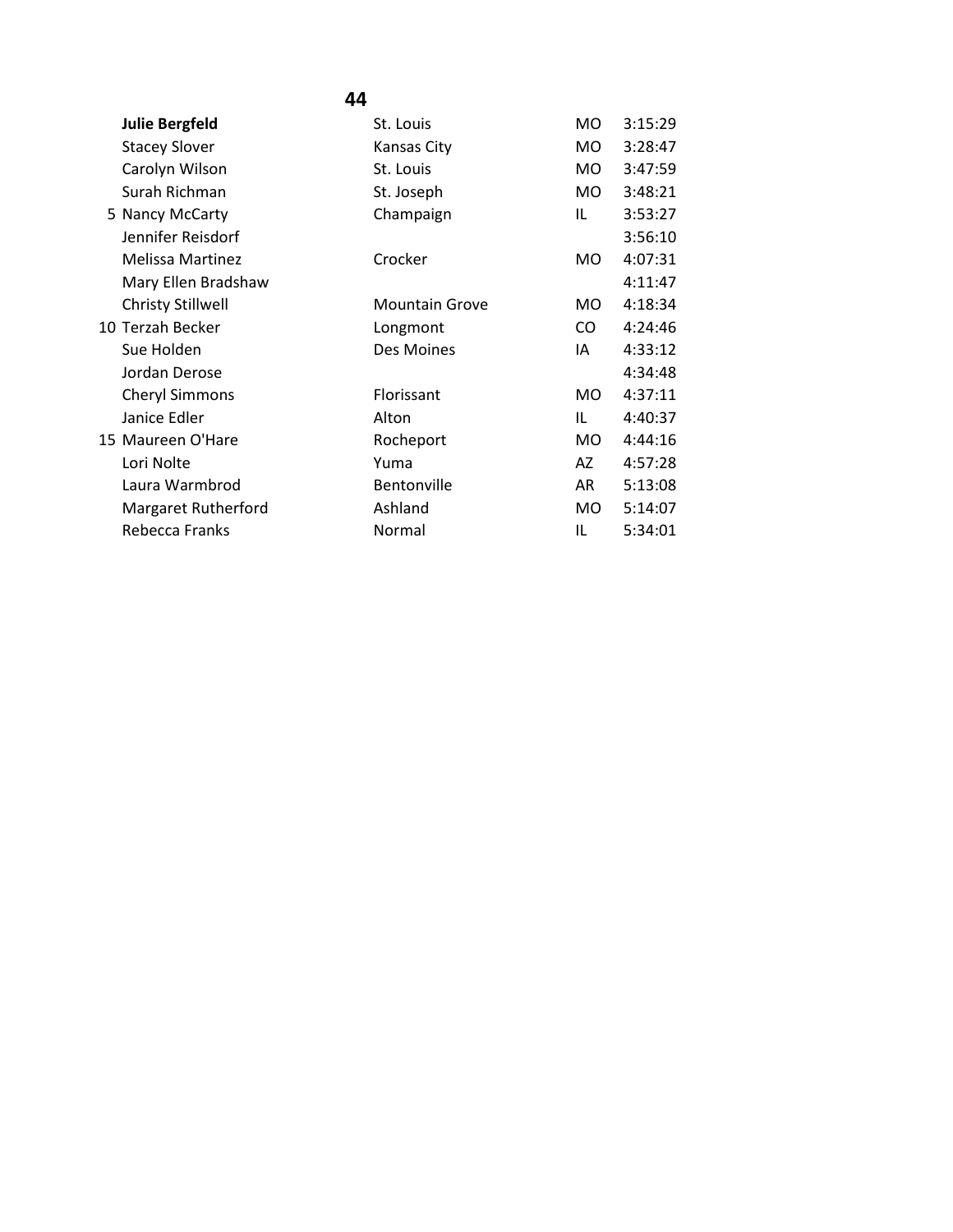| <b>Julie Bergfeld</b>    | St. Louis             | <b>MO</b> | 3:15:29 |
|--------------------------|-----------------------|-----------|---------|
| <b>Stacey Slover</b>     | Kansas City           | <b>MO</b> | 3:28:47 |
| Carolyn Wilson           | St. Louis             | MO.       | 3:47:59 |
| Surah Richman            | St. Joseph            | MO.       | 3:48:21 |
| 5 Nancy McCarty          | Champaign             | IL        | 3:53:27 |
| Jennifer Reisdorf        |                       |           | 3:56:10 |
| <b>Melissa Martinez</b>  | Crocker               | MO.       | 4:07:31 |
| Mary Ellen Bradshaw      |                       |           | 4:11:47 |
| <b>Christy Stillwell</b> | <b>Mountain Grove</b> | MO.       | 4:18:34 |
| 10 Terzah Becker         | Longmont              | CO.       | 4:24:46 |
| Sue Holden               | Des Moines            | IA        | 4:33:12 |
| Jordan Derose            |                       |           | 4:34:48 |
| <b>Cheryl Simmons</b>    | Florissant            | MO.       | 4:37:11 |
| Janice Edler             | Alton                 | IL        | 4:40:37 |
| 15 Maureen O'Hare        | Rocheport             | MO.       | 4:44:16 |
| Lori Nolte               | Yuma                  | AZ        | 4:57:28 |
| Laura Warmbrod           | Bentonville           | AR        | 5:13:08 |
| Margaret Rutherford      | Ashland               | MO.       | 5:14:07 |
| Rebecca Franks           | Normal                | IL        | 5:34:01 |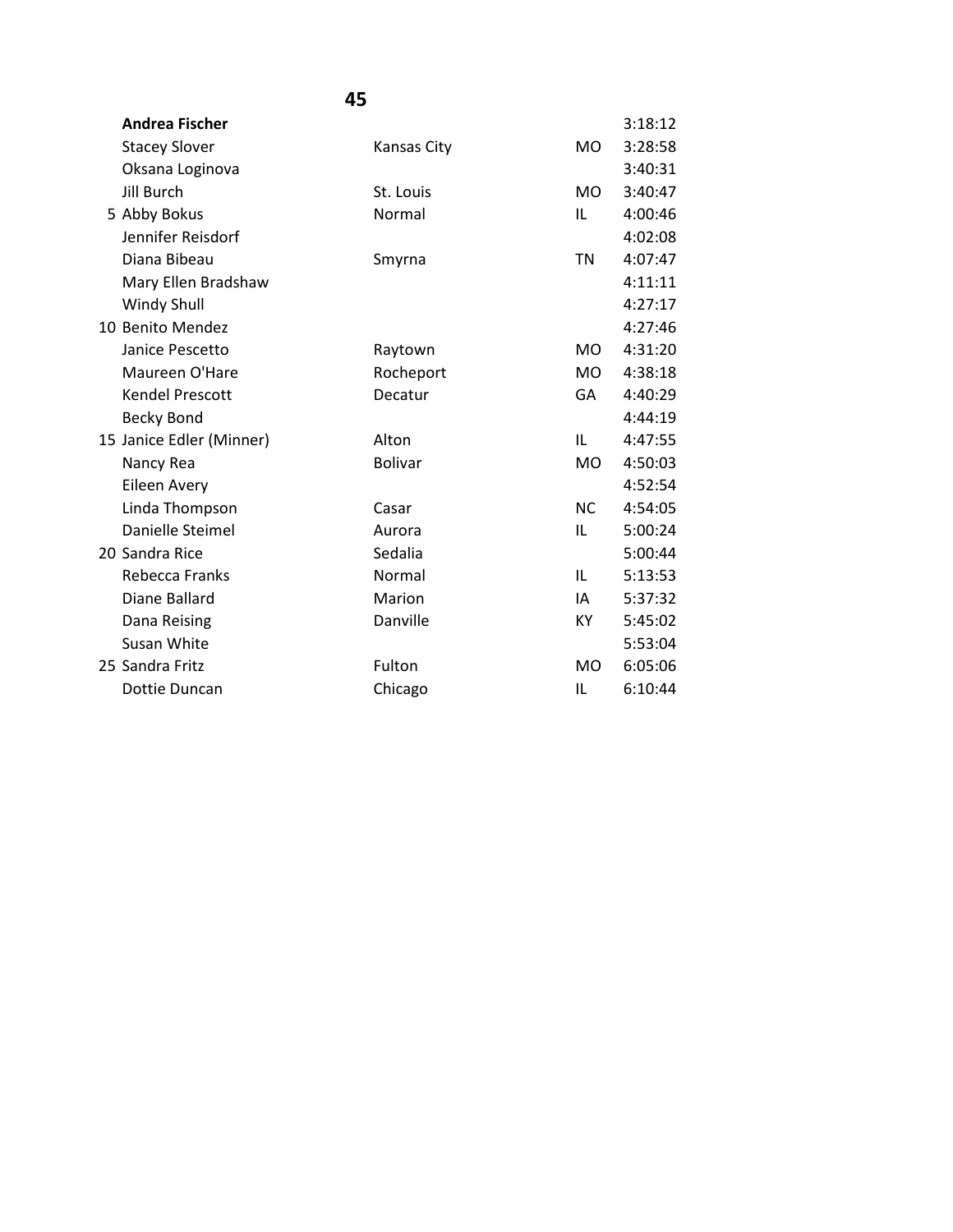| <b>Andrea Fischer</b>    |                |           | 3:18:12 |
|--------------------------|----------------|-----------|---------|
| <b>Stacey Slover</b>     | Kansas City    | <b>MO</b> | 3:28:58 |
| Oksana Loginova          |                |           | 3:40:31 |
| <b>Jill Burch</b>        | St. Louis      | <b>MO</b> | 3:40:47 |
| 5 Abby Bokus             | Normal         | IL        | 4:00:46 |
| Jennifer Reisdorf        |                |           | 4:02:08 |
| Diana Bibeau             | Smyrna         | <b>TN</b> | 4:07:47 |
| Mary Ellen Bradshaw      |                |           | 4:11:11 |
| <b>Windy Shull</b>       |                |           | 4:27:17 |
| 10 Benito Mendez         |                |           | 4:27:46 |
| Janice Pescetto          | Raytown        | <b>MO</b> | 4:31:20 |
| Maureen O'Hare           | Rocheport      | <b>MO</b> | 4:38:18 |
| <b>Kendel Prescott</b>   | Decatur        | GA        | 4:40:29 |
| <b>Becky Bond</b>        |                |           | 4:44:19 |
| 15 Janice Edler (Minner) | Alton          | IL        | 4:47:55 |
| Nancy Rea                | <b>Bolivar</b> | <b>MO</b> | 4:50:03 |
| Eileen Avery             |                |           | 4:52:54 |
| Linda Thompson           | Casar          | <b>NC</b> | 4:54:05 |
| Danielle Steimel         | Aurora         | IL        | 5:00:24 |
| 20 Sandra Rice           | Sedalia        |           | 5:00:44 |
| Rebecca Franks           | Normal         | IL        | 5:13:53 |
| Diane Ballard            | Marion         | IA        | 5:37:32 |
| Dana Reising             | Danville       | KY        | 5:45:02 |
| Susan White              |                |           | 5:53:04 |
| 25 Sandra Fritz          | Fulton         | <b>MO</b> | 6:05:06 |
| Dottie Duncan            | Chicago        | IL        | 6:10:44 |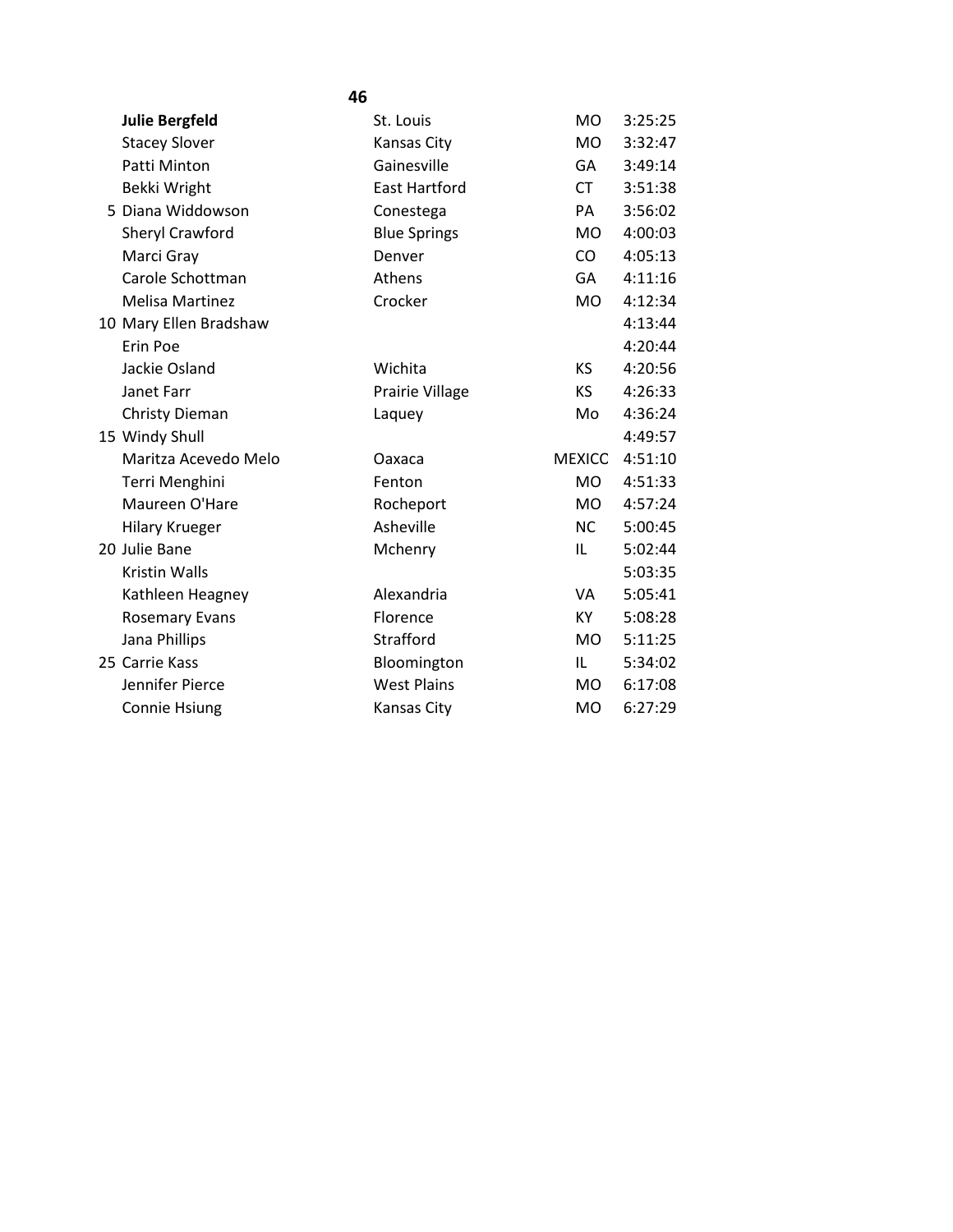| 46                     |                      |                |         |  |
|------------------------|----------------------|----------------|---------|--|
| <b>Julie Bergfeld</b>  | St. Louis            | M <sub>O</sub> | 3:25:25 |  |
| <b>Stacey Slover</b>   | <b>Kansas City</b>   | <b>MO</b>      | 3:32:47 |  |
| Patti Minton           | Gainesville          | GA             | 3:49:14 |  |
| Bekki Wright           | <b>East Hartford</b> | <b>CT</b>      | 3:51:38 |  |
| 5 Diana Widdowson      | Conestega            | PA             | 3:56:02 |  |
| <b>Sheryl Crawford</b> | <b>Blue Springs</b>  | <b>MO</b>      | 4:00:03 |  |
| Marci Gray             | Denver               | CO             | 4:05:13 |  |
| Carole Schottman       | Athens               | GA             | 4:11:16 |  |
| <b>Melisa Martinez</b> | Crocker              | <b>MO</b>      | 4:12:34 |  |
| 10 Mary Ellen Bradshaw |                      |                | 4:13:44 |  |
| <b>Erin Poe</b>        |                      |                | 4:20:44 |  |
| Jackie Osland          | Wichita              | KS.            | 4:20:56 |  |
| Janet Farr             | Prairie Village      | KS.            | 4:26:33 |  |
| <b>Christy Dieman</b>  | Laquey               | Mo             | 4:36:24 |  |
| 15 Windy Shull         |                      |                | 4:49:57 |  |
| Maritza Acevedo Melo   | Oaxaca               | MEXICO         | 4:51:10 |  |
| Terri Menghini         | Fenton               | <b>MO</b>      | 4:51:33 |  |
| Maureen O'Hare         | Rocheport            | MO.            | 4:57:24 |  |
| <b>Hilary Krueger</b>  | Asheville            | NC.            | 5:00:45 |  |
| 20 Julie Bane          | Mchenry              | IL             | 5:02:44 |  |
| <b>Kristin Walls</b>   |                      |                | 5:03:35 |  |
| Kathleen Heagney       | Alexandria           | VA             | 5:05:41 |  |
| <b>Rosemary Evans</b>  | Florence             | KY.            | 5:08:28 |  |
| Jana Phillips          | Strafford            | <b>MO</b>      | 5:11:25 |  |
| 25 Carrie Kass         | Bloomington          | IL.            | 5:34:02 |  |
| Jennifer Pierce        | <b>West Plains</b>   | <b>MO</b>      | 6:17:08 |  |
| Connie Hsiung          | <b>Kansas City</b>   | <b>MO</b>      | 6:27:29 |  |
|                        |                      |                |         |  |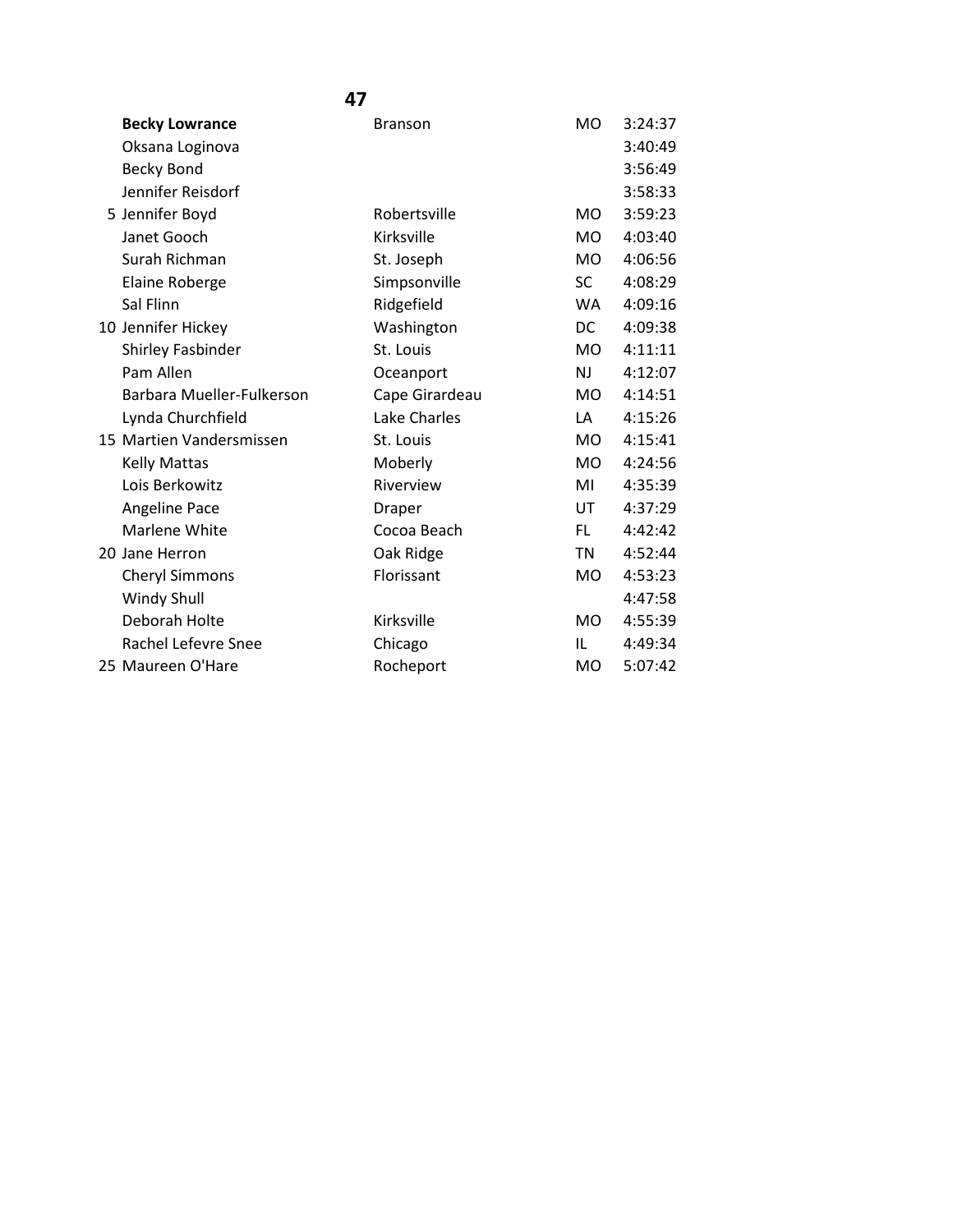| <b>Becky Lowrance</b>     | <b>Branson</b> | <b>MO</b>      | 3:24:37 |
|---------------------------|----------------|----------------|---------|
| Oksana Loginova           |                |                | 3:40:49 |
| <b>Becky Bond</b>         |                |                | 3:56:49 |
| Jennifer Reisdorf         |                |                | 3:58:33 |
| 5 Jennifer Boyd           | Robertsville   | M <sub>O</sub> | 3:59:23 |
| Janet Gooch               | Kirksville     | <b>MO</b>      | 4:03:40 |
| Surah Richman             | St. Joseph     | <b>MO</b>      | 4:06:56 |
| Elaine Roberge            | Simpsonville   | SC.            | 4:08:29 |
| Sal Flinn                 | Ridgefield     | <b>WA</b>      | 4:09:16 |
| 10 Jennifer Hickey        | Washington     | DC             | 4:09:38 |
| Shirley Fasbinder         | St. Louis      | MO.            | 4:11:11 |
| Pam Allen                 | Oceanport      | NJ             | 4:12:07 |
| Barbara Mueller-Fulkerson | Cape Girardeau | M <sub>O</sub> | 4:14:51 |
| Lynda Churchfield         | Lake Charles   | LA             | 4:15:26 |
| 15 Martien Vandersmissen  | St. Louis      | MO.            | 4:15:41 |
| <b>Kelly Mattas</b>       | Moberly        | <b>MO</b>      | 4:24:56 |
| Lois Berkowitz            | Riverview      | MI             | 4:35:39 |
| Angeline Pace             | Draper         | UT             | 4:37:29 |
| Marlene White             | Cocoa Beach    | FL.            | 4:42:42 |
| 20 Jane Herron            | Oak Ridge      | <b>TN</b>      | 4:52:44 |
| <b>Cheryl Simmons</b>     | Florissant     | <b>MO</b>      | 4:53:23 |
| Windy Shull               |                |                | 4:47:58 |
| Deborah Holte             | Kirksville     | MO.            | 4:55:39 |
| Rachel Lefevre Snee       | Chicago        | IL             | 4:49:34 |
| 25 Maureen O'Hare         | Rocheport      | <b>MO</b>      | 5:07:42 |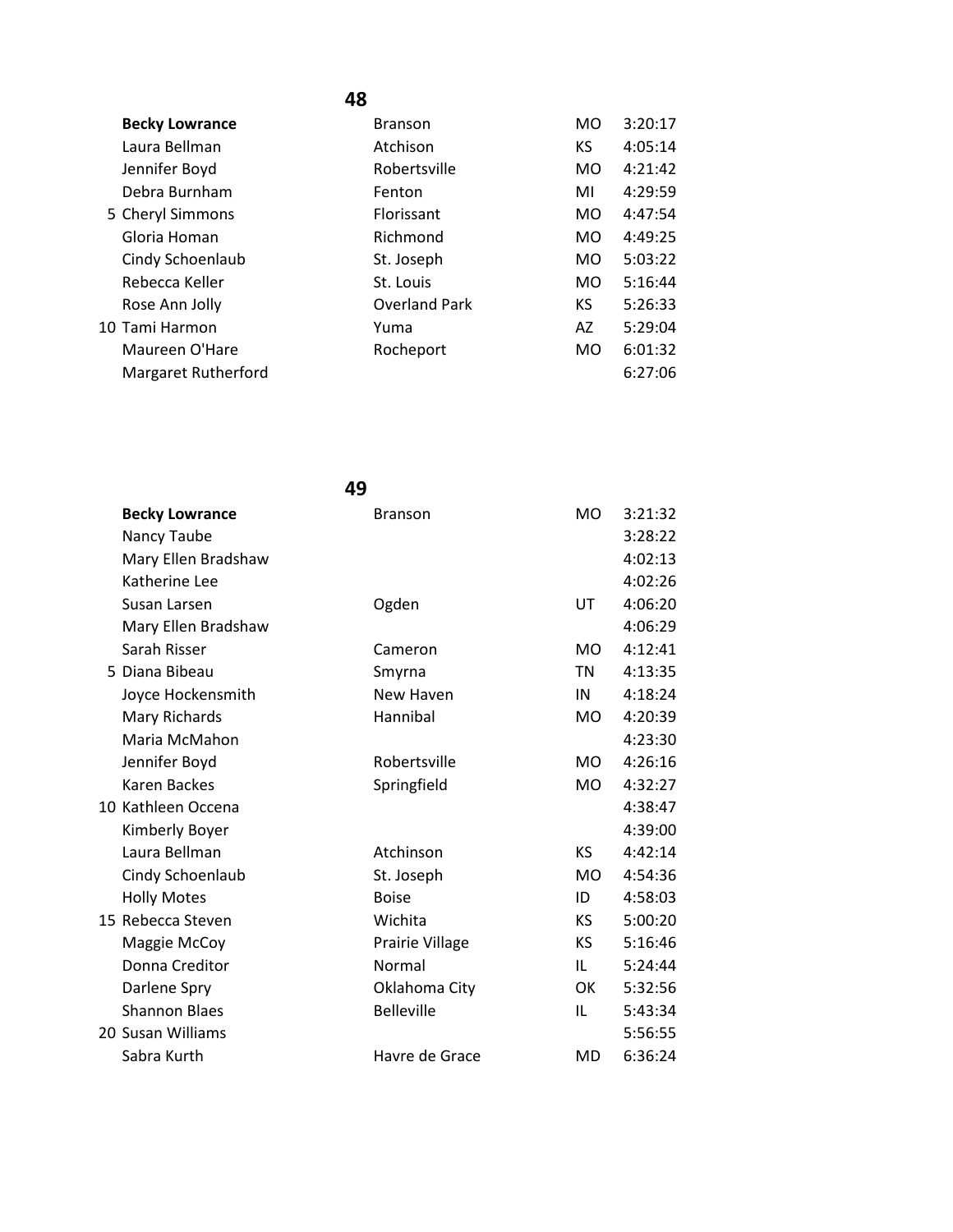| <b>Becky Lowrance</b>      | <b>Branson</b>       | MO             | 3:20:17 |
|----------------------------|----------------------|----------------|---------|
| Laura Bellman              | Atchison             | KS             | 4:05:14 |
| Jennifer Boyd              | Robertsville         | M <sub>O</sub> | 4:21:42 |
| Debra Burnham              | Fenton               | MI             | 4:29:59 |
| 5 Cheryl Simmons           | Florissant           | MO.            | 4:47:54 |
| Gloria Homan               | Richmond             | MO.            | 4:49:25 |
| Cindy Schoenlaub           | St. Joseph           | M <sub>O</sub> | 5:03:22 |
| Rebecca Keller             | St. Louis            | M <sub>O</sub> | 5:16:44 |
| Rose Ann Jolly             | <b>Overland Park</b> | KS             | 5:26:33 |
| 10 Tami Harmon             | Yuma                 | AZ             | 5:29:04 |
| Maureen O'Hare             | Rocheport            | MO.            | 6:01:32 |
| <b>Margaret Rutherford</b> |                      |                | 6:27:06 |

| 49                    |                   |                |         |
|-----------------------|-------------------|----------------|---------|
| <b>Becky Lowrance</b> | <b>Branson</b>    | MO.            | 3:21:32 |
| Nancy Taube           |                   |                | 3:28:22 |
| Mary Ellen Bradshaw   |                   |                | 4:02:13 |
| Katherine Lee         |                   |                | 4:02:26 |
| Susan Larsen          | Ogden             | UT             | 4:06:20 |
| Mary Ellen Bradshaw   |                   |                | 4:06:29 |
| Sarah Risser          | Cameron           | M <sub>O</sub> | 4:12:41 |
| 5 Diana Bibeau        | Smyrna            | <b>TN</b>      | 4:13:35 |
| Joyce Hockensmith     | New Haven         | IN             | 4:18:24 |
| Mary Richards         | Hannibal          | MO.            | 4:20:39 |
| Maria McMahon         |                   |                | 4:23:30 |
| Jennifer Boyd         | Robertsville      | M <sub>O</sub> | 4:26:16 |
| <b>Karen Backes</b>   | Springfield       | <b>MO</b>      | 4:32:27 |
| 10 Kathleen Occena    |                   |                | 4:38:47 |
| Kimberly Boyer        |                   |                | 4:39:00 |
| Laura Bellman         | Atchinson         | <b>KS</b>      | 4:42:14 |
| Cindy Schoenlaub      | St. Joseph        | MO.            | 4:54:36 |
| <b>Holly Motes</b>    | <b>Boise</b>      | ID             | 4:58:03 |
| 15 Rebecca Steven     | Wichita           | KS.            | 5:00:20 |
| Maggie McCoy          | Prairie Village   | KS.            | 5:16:46 |
| Donna Creditor        | Normal            | IL             | 5:24:44 |
| Darlene Spry          | Oklahoma City     | OK             | 5:32:56 |
| <b>Shannon Blaes</b>  | <b>Belleville</b> | IL             | 5:43:34 |
| 20 Susan Williams     |                   |                | 5:56:55 |
| Sabra Kurth           | Havre de Grace    | <b>MD</b>      | 6:36:24 |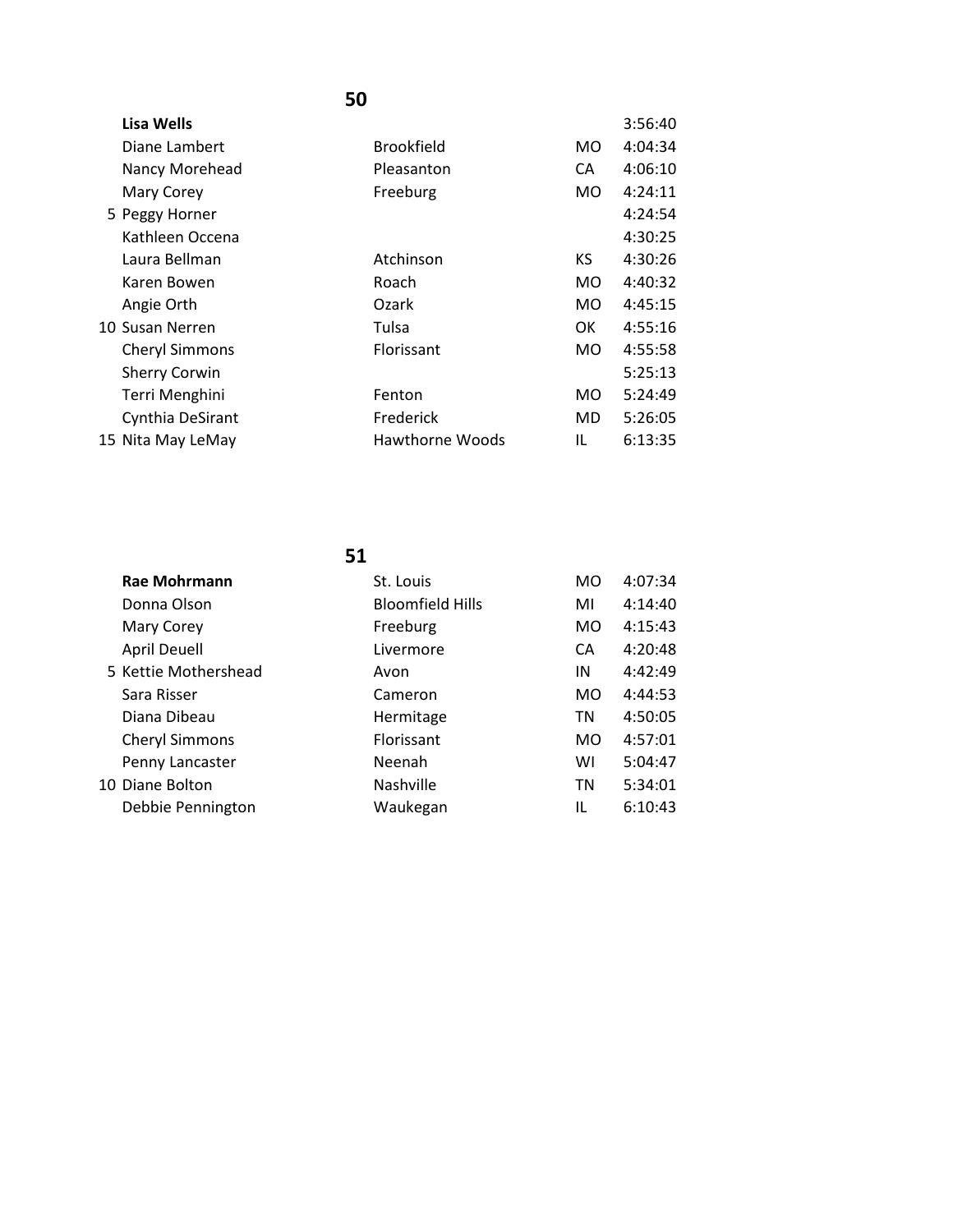| Lisa Wells            |                        |           | 3:56:40 |
|-----------------------|------------------------|-----------|---------|
| Diane Lambert         | <b>Brookfield</b>      | MO.       | 4:04:34 |
| Nancy Morehead        | Pleasanton             | CA.       | 4:06:10 |
| Mary Corey            | Freeburg               | <b>MO</b> | 4:24:11 |
| 5 Peggy Horner        |                        |           | 4:24:54 |
| Kathleen Occena       |                        |           | 4:30:25 |
| Laura Bellman         | Atchinson              | KS.       | 4:30:26 |
| Karen Bowen           | Roach                  | MO.       | 4:40:32 |
| Angie Orth            | Ozark                  | MO.       | 4:45:15 |
| 10 Susan Nerren       | Tulsa                  | 0K        | 4:55:16 |
| <b>Cheryl Simmons</b> | Florissant             | MO.       | 4:55:58 |
| <b>Sherry Corwin</b>  |                        |           | 5:25:13 |
| Terri Menghini        | Fenton                 | MO        | 5:24:49 |
| Cynthia DeSirant      | Frederick              | MD.       | 5:26:05 |
| 15 Nita May LeMay     | <b>Hawthorne Woods</b> | IL        | 6:13:35 |

| <b>Rae Mohrmann</b>   | St. Louis               | MO        | 4:07:34 |
|-----------------------|-------------------------|-----------|---------|
| Donna Olson           | <b>Bloomfield Hills</b> | MI        | 4:14:40 |
| Mary Corey            | Freeburg                | <b>MO</b> | 4:15:43 |
| <b>April Deuell</b>   | Livermore               | CA        | 4:20:48 |
| 5 Kettie Mothershead  | Avon                    | IN        | 4:42:49 |
| Sara Risser           | Cameron                 | MO.       | 4:44:53 |
| Diana Dibeau          | Hermitage               | TN        | 4:50:05 |
| <b>Cheryl Simmons</b> | Florissant              | MO.       | 4:57:01 |
| Penny Lancaster       | Neenah                  | WI        | 5:04:47 |
| 10 Diane Bolton       | Nashville               | <b>TN</b> | 5:34:01 |
| Debbie Pennington     | Waukegan                | IL        | 6:10:43 |
|                       |                         |           |         |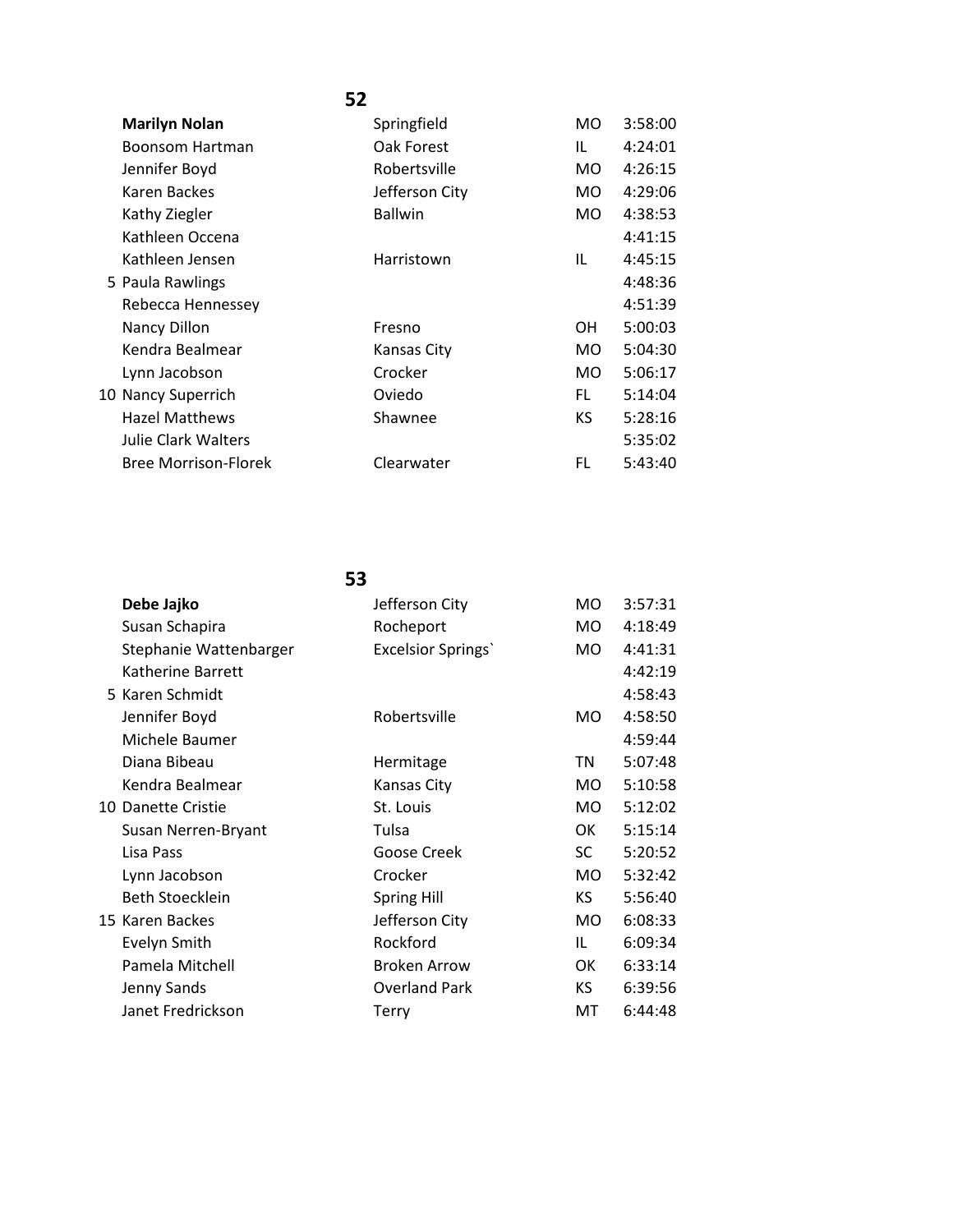|                       | 52             |           |         |
|-----------------------|----------------|-----------|---------|
| <b>Marilyn Nolan</b>  | Springfield    | MO.       | 3:58:00 |
| Boonsom Hartman       | Oak Forest     | TL.       | 4:24:01 |
| Jennifer Boyd         | Robertsville   | MO.       | 4:26:15 |
| Karen Backes          | Jefferson City | MO.       | 4:29:06 |
| Kathy Ziegler         | <b>Ballwin</b> | MO.       | 4:38:53 |
| Kathleen Occena       |                |           | 4:41:15 |
| Kathleen Jensen       | Harristown     | IL        | 4:45:15 |
| 5 Paula Rawlings      |                |           | 4:48:36 |
| Rebecca Hennessey     |                |           | 4:51:39 |
| Nancy Dillon          | Fresno         | <b>OH</b> | 5:00:03 |
| Kendra Bealmear       | Kansas City    | MO.       | 5:04:30 |
| Lynn Jacobson         | Crocker        | MO.       | 5:06:17 |
| 10 Nancy Superrich    | Oviedo         | FL.       | 5:14:04 |
| <b>Hazel Matthews</b> | Shawnee        | KS.       | 5:28:16 |
| Julie Clark Walters   |                |           | 5:35:02 |

Bree Morrison-Florek Clearwater FL 5:43:40

| Debe Jajko             | Jefferson City             | <b>MO</b> | 3:57:31 |
|------------------------|----------------------------|-----------|---------|
| Susan Schapira         | Rocheport                  | MO.       | 4:18:49 |
| Stephanie Wattenbarger | <b>Excelsior Springs</b> ' | MO.       | 4:41:31 |
| Katherine Barrett      |                            |           | 4:42:19 |
| 5 Karen Schmidt        |                            |           | 4:58:43 |
| Jennifer Boyd          | Robertsville               | MO.       | 4:58:50 |
| Michele Baumer         |                            |           | 4:59:44 |
| Diana Bibeau           | Hermitage                  | ΤN        | 5:07:48 |
| Kendra Bealmear        | Kansas City                | MO.       | 5:10:58 |
| 10 Danette Cristie     | St. Louis                  | <b>MO</b> | 5:12:02 |
| Susan Nerren-Bryant    | Tulsa                      | OK        | 5:15:14 |
| Lisa Pass              | Goose Creek                | SC        | 5:20:52 |
| Lynn Jacobson          | Crocker                    | MO.       | 5:32:42 |
| Beth Stoecklein        | <b>Spring Hill</b>         | KS.       | 5:56:40 |
| 15 Karen Backes        | Jefferson City             | MO.       | 6:08:33 |
| Evelyn Smith           | Rockford                   | IL        | 6:09:34 |
| Pamela Mitchell        | <b>Broken Arrow</b>        | 0K        | 6:33:14 |
| Jenny Sands            | <b>Overland Park</b>       | KS.       | 6:39:56 |
| Janet Fredrickson      | Terry                      | MT        | 6:44:48 |
|                        |                            |           |         |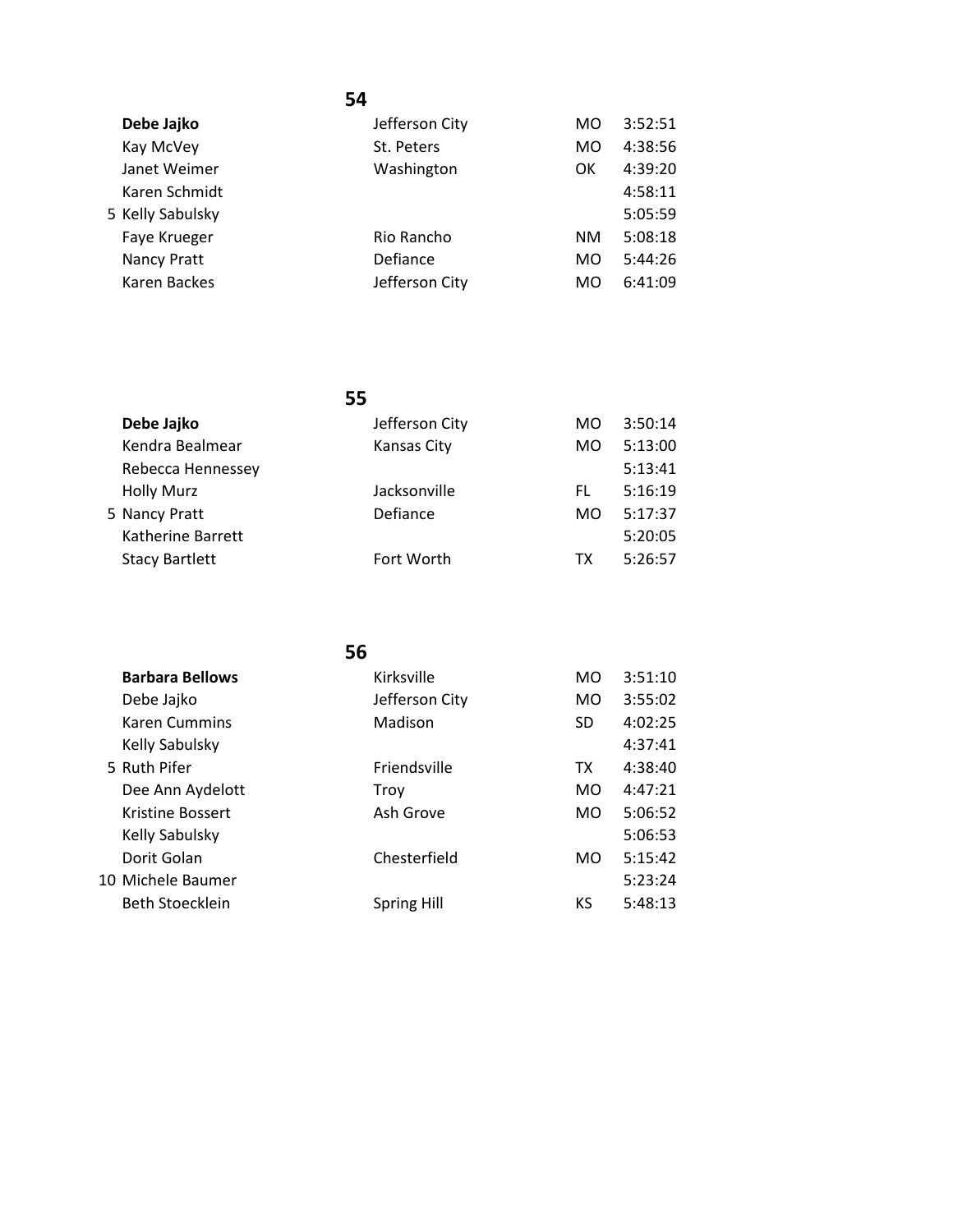| Debe Jajko       | Jefferson City | MO  | 3:52:51 |
|------------------|----------------|-----|---------|
| Kay McVey        | St. Peters     | MO  | 4:38:56 |
| Janet Weimer     | Washington     | OK  | 4:39:20 |
| Karen Schmidt    |                |     | 4:58:11 |
| 5 Kelly Sabulsky |                |     | 5:05:59 |
| Faye Krueger     | Rio Rancho     | NM. | 5:08:18 |
| Nancy Pratt      | Defiance       | MO  | 5:44:26 |
| Karen Backes     | Jefferson City | MO  | 6:41:09 |
|                  |                |     |         |

| Debe Jajko            | Jefferson City | MO | 3:50:14 |
|-----------------------|----------------|----|---------|
| Kendra Bealmear       | Kansas City    | MO | 5:13:00 |
| Rebecca Hennessey     |                |    | 5:13:41 |
| <b>Holly Murz</b>     | Jacksonville   | FL | 5:16:19 |
| 5 Nancy Pratt         | Defiance       | MO | 5:17:37 |
| Katherine Barrett     |                |    | 5:20:05 |
| <b>Stacy Bartlett</b> | Fort Worth     | тх | 5:26:57 |
|                       |                |    |         |

|                         | 56                 |     |         |
|-------------------------|--------------------|-----|---------|
| <b>Barbara Bellows</b>  | Kirksville         | MO. | 3:51:10 |
| Debe Jajko              | Jefferson City     | MO. | 3:55:02 |
| <b>Karen Cummins</b>    | Madison            | SD. | 4:02:25 |
| Kelly Sabulsky          |                    |     | 4:37:41 |
| 5 Ruth Pifer            | Friendsville       | TX. | 4:38:40 |
| Dee Ann Aydelott        | Troy               | MO. | 4:47:21 |
| <b>Kristine Bossert</b> | Ash Grove          | MO. | 5:06:52 |
| Kelly Sabulsky          |                    |     | 5:06:53 |
| Dorit Golan             | Chesterfield       | MO. | 5:15:42 |
| 10 Michele Baumer       |                    |     | 5:23:24 |
| Beth Stoecklein         | <b>Spring Hill</b> | КS  | 5:48:13 |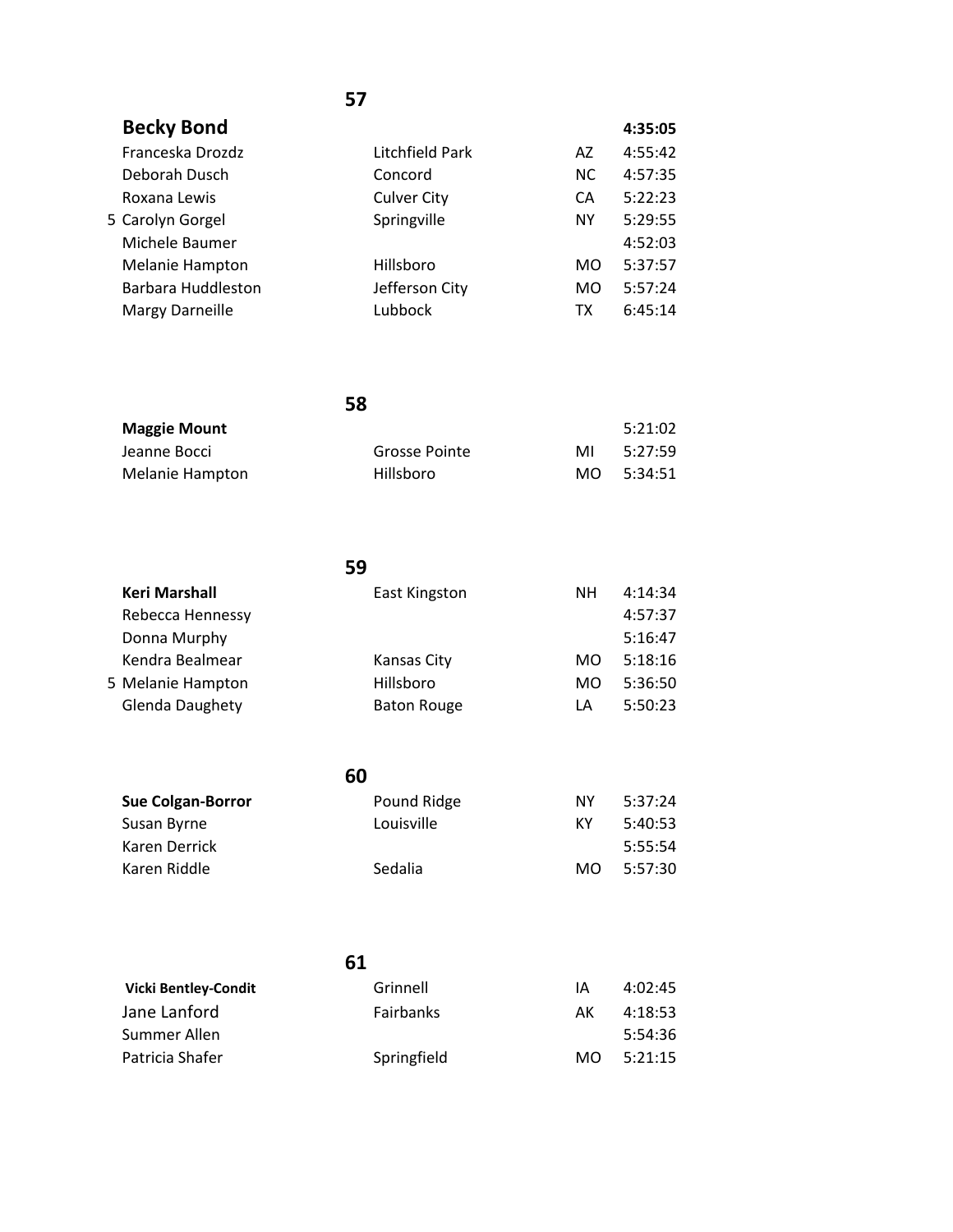| <b>Becky Bond</b>      |                    |           | 4:35:05 |
|------------------------|--------------------|-----------|---------|
| Franceska Drozdz       | Litchfield Park    | AZ        | 4:55:42 |
| Deborah Dusch          | Concord            | <b>NC</b> | 4:57:35 |
| Roxana Lewis           | <b>Culver City</b> | CA        | 5:22:23 |
| 5 Carolyn Gorgel       | Springville        | <b>NY</b> | 5:29:55 |
| Michele Baumer         |                    |           | 4:52:03 |
| Melanie Hampton        | Hillsboro          | <b>MO</b> | 5:37:57 |
| Barbara Huddleston     | Jefferson City     | <b>MO</b> | 5:57:24 |
| <b>Margy Darneille</b> | Lubbock            | тх        | 6:45:14 |
|                        |                    |           |         |

| <b>Maggie Mount</b> |               |     | 5:21:02 |
|---------------------|---------------|-----|---------|
| Jeanne Bocci        | Grosse Pointe | MI  | 5:27:59 |
| Melanie Hampton     | Hillsboro     | MO. | 5:34:51 |

|                        | 59                 |     |         |
|------------------------|--------------------|-----|---------|
| Keri Marshall          | East Kingston      | NΗ  | 4:14:34 |
| Rebecca Hennessy       |                    |     | 4:57:37 |
| Donna Murphy           |                    |     | 5:16:47 |
| Kendra Bealmear        | Kansas City        | MO. | 5:18:16 |
| 5 Melanie Hampton      | Hillsboro          | MO. | 5:36:50 |
| <b>Glenda Daughety</b> | <b>Baton Rouge</b> | LA  | 5:50:23 |

| <b>Sue Colgan-Borror</b> | Pound Ridge | ΝY  | 5:37:24 |
|--------------------------|-------------|-----|---------|
| Susan Byrne              | Louisville  | КY  | 5:40:53 |
| Karen Derrick            |             |     | 5:55:54 |
| Karen Riddle             | Sedalia     | MO. | 5:57:30 |
|                          |             |     |         |

| 61                          |             |     |         |
|-----------------------------|-------------|-----|---------|
| <b>Vicki Bentley-Condit</b> | Grinnell    | IΑ  | 4:02:45 |
| Jane Lanford                | Fairbanks   | AК  | 4:18:53 |
| Summer Allen                |             |     | 5:54:36 |
| Patricia Shafer             | Springfield | MO. | 5:21:15 |